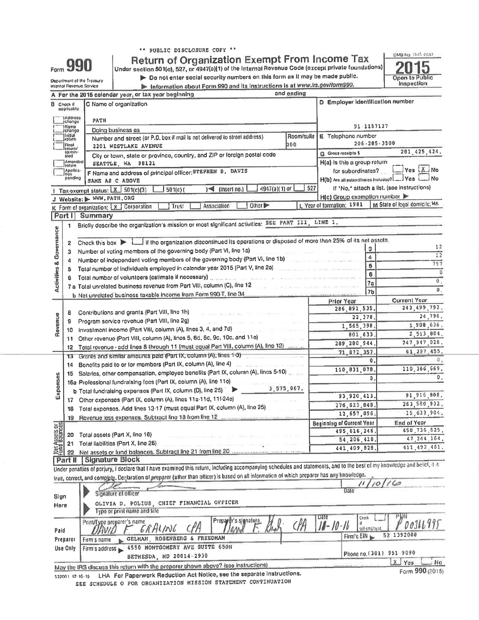|  |  | "" PUBLIC DISCLOSURE COPY ** |  |  |
|--|--|------------------------------|--|--|
|--|--|------------------------------|--|--|

|  |  |  | Return of Organization Exempt From Income Tax                                                                  |  |  |
|--|--|--|----------------------------------------------------------------------------------------------------------------|--|--|
|  |  |  | an ing kalung at the second world will be a second to the the design of the second second with the second of t |  |  |

Under section 501(c), 527, or 4947(a)(1) of the Internal Revenue Code (except private foundations)<br>
Do not enter social security numbers on this form as it may be made public.



I  $\frac{1}{2}$  $\frac{1}{2}$  $\frac{1}{2}$  $\frac{1}{2}$ **Mint the Trensiev** 

Form 990

|  | $\triangleright$ Do not enter social security numbers on this form as it may be made pu |  |  |  |
|--|-----------------------------------------------------------------------------------------|--|--|--|
|  |                                                                                         |  |  |  |

|                                              |                                   | <b>NANGITIONITI AT IIIM TIAMMI</b><br>internal Revenue Scrvice |                                                                                                                                                                                                                                 |                                                     |                                                                                                                                              |                      | Information about Form 990 and its instructions is at www.irs.gov/form990. |                |                                                                                                                                            |                | Inspection                                                                                                                                                                 |
|----------------------------------------------|-----------------------------------|----------------------------------------------------------------|---------------------------------------------------------------------------------------------------------------------------------------------------------------------------------------------------------------------------------|-----------------------------------------------------|----------------------------------------------------------------------------------------------------------------------------------------------|----------------------|----------------------------------------------------------------------------|----------------|--------------------------------------------------------------------------------------------------------------------------------------------|----------------|----------------------------------------------------------------------------------------------------------------------------------------------------------------------------|
|                                              |                                   |                                                                |                                                                                                                                                                                                                                 | A For the 2015 colendar year, or tax year beginning |                                                                                                                                              |                      |                                                                            | and ending     |                                                                                                                                            |                |                                                                                                                                                                            |
| <b>B</b> Chock If                            | applicable:                       | C Name of organization                                         |                                                                                                                                                                                                                                 |                                                     |                                                                                                                                              |                      |                                                                            |                | D Employer identification number                                                                                                           |                |                                                                                                                                                                            |
|                                              | 1Address<br>change                | РАТН                                                           |                                                                                                                                                                                                                                 |                                                     |                                                                                                                                              |                      |                                                                            |                |                                                                                                                                            |                |                                                                                                                                                                            |
|                                              | Namo<br>jchango                   |                                                                | Doing business as                                                                                                                                                                                                               |                                                     |                                                                                                                                              |                      |                                                                            |                |                                                                                                                                            | 91-1157127     |                                                                                                                                                                            |
|                                              | <b>Initial</b><br><b>J</b> roturn |                                                                |                                                                                                                                                                                                                                 |                                                     | Number and street (or P.O. box if mail is not delivered to street address)                                                                   |                      |                                                                            | Room/suile     | E Telephone number                                                                                                                         |                |                                                                                                                                                                            |
|                                              | Final<br><i>roturru</i>           |                                                                |                                                                                                                                                                                                                                 | 2201 WESTLAKE AVENUE                                |                                                                                                                                              |                      |                                                                            | 200            |                                                                                                                                            |                | 206-285-3500                                                                                                                                                               |
|                                              | termin-<br>atod                   |                                                                |                                                                                                                                                                                                                                 |                                                     | City or town, state or province, country, and ZIP or foreign postal code                                                                     |                      |                                                                            |                | G Gross receipts \$                                                                                                                        |                | 201.425,424.                                                                                                                                                               |
|                                              | Amended<br>Iraturn                |                                                                | SEATTLE, WA 98121                                                                                                                                                                                                               |                                                     |                                                                                                                                              |                      |                                                                            |                | H(a) is this a group return                                                                                                                |                | Yes X. No                                                                                                                                                                  |
|                                              | Applica-<br>tion<br>pending       |                                                                |                                                                                                                                                                                                                                 |                                                     | F Name and address of principal officer: STEPHEN B. DAVIS                                                                                    |                      |                                                                            |                | for subordinates?                                                                                                                          |                |                                                                                                                                                                            |
|                                              |                                   |                                                                | SAME AS C ABOVE                                                                                                                                                                                                                 |                                                     |                                                                                                                                              |                      |                                                                            |                | H(b) Are all subordinates included? __ Yes                                                                                                 |                |                                                                                                                                                                            |
|                                              |                                   | 1 Tax exempt status: $X$ 501(c)(3)                             |                                                                                                                                                                                                                                 |                                                     | $501(c)$ (                                                                                                                                   | $\leq$ (insert no.)  | 4947(a)(1) or                                                              | 527            |                                                                                                                                            |                | If 'No,* attach a list. (see instructions)                                                                                                                                 |
|                                              |                                   | J Website: MWW.PATH.ORG                                        |                                                                                                                                                                                                                                 |                                                     |                                                                                                                                              |                      | Other D                                                                    |                | H(c) Group exemption number<br>L Year of formation: 1981                                                                                   |                | M State of legal domicile; WA                                                                                                                                              |
|                                              |                                   | K Form of organization: [X ] Corporation                       |                                                                                                                                                                                                                                 |                                                     | Trust                                                                                                                                        | Association          |                                                                            |                |                                                                                                                                            |                |                                                                                                                                                                            |
| Part I                                       |                                   | Summary                                                        |                                                                                                                                                                                                                                 |                                                     |                                                                                                                                              |                      |                                                                            |                |                                                                                                                                            |                |                                                                                                                                                                            |
|                                              | 1                                 |                                                                |                                                                                                                                                                                                                                 |                                                     | Briefly describe the organization's mission or most significant activities: SEE PART III, LINE 1,                                            |                      |                                                                            |                |                                                                                                                                            |                |                                                                                                                                                                            |
| <b>&amp; Governance</b>                      |                                   |                                                                |                                                                                                                                                                                                                                 |                                                     |                                                                                                                                              |                      |                                                                            |                |                                                                                                                                            |                |                                                                                                                                                                            |
|                                              | 2                                 |                                                                |                                                                                                                                                                                                                                 |                                                     |                                                                                                                                              |                      |                                                                            |                | Chock this box $\blacktriangleright$ Let if the organization discontinued its operations or disposed of more than 25% of its net assets.   |                | 12                                                                                                                                                                         |
|                                              | з                                 |                                                                |                                                                                                                                                                                                                                 |                                                     | Number of voting members of the governing body (Part VI, line 1a)                                                                            |                      |                                                                            |                |                                                                                                                                            | $\overline{a}$ | $\overline{12}$                                                                                                                                                            |
|                                              | 4                                 |                                                                |                                                                                                                                                                                                                                 |                                                     | Number of independent voting members of the governing body (Part VI, line 1b)                                                                |                      |                                                                            |                |                                                                                                                                            | 5              | 757                                                                                                                                                                        |
|                                              | 5                                 |                                                                |                                                                                                                                                                                                                                 |                                                     | Total number of individuals employed in calendar year 2015 (Part V, line 2a)                                                                 |                      |                                                                            |                |                                                                                                                                            | 6              | Ű                                                                                                                                                                          |
| Activities                                   | 6                                 |                                                                |                                                                                                                                                                                                                                 |                                                     | Total number of volunteers (estimate if necessary) and contain the containing and contained                                                  |                      |                                                                            |                |                                                                                                                                            | 7a             | $\theta$ .                                                                                                                                                                 |
|                                              |                                   |                                                                |                                                                                                                                                                                                                                 |                                                     | 7 a Total unrelated business revenue from Part VIII, column (C), line 12<br>b Net unrelated business taxable income from Form 990-T, line 34 |                      |                                                                            |                |                                                                                                                                            | <b>7b</b>      | $\mathbf{0}$ .                                                                                                                                                             |
|                                              |                                   |                                                                |                                                                                                                                                                                                                                 |                                                     |                                                                                                                                              |                      |                                                                            |                | Prior Year                                                                                                                                 |                | <b>Current Year</b>                                                                                                                                                        |
|                                              |                                   |                                                                |                                                                                                                                                                                                                                 | Contributions and grants (Part VIII, line 1h)       |                                                                                                                                              |                      |                                                                            |                | 286.891.535.                                                                                                                               |                | 243, 499, 792.                                                                                                                                                             |
|                                              | 8                                 |                                                                |                                                                                                                                                                                                                                 | Program service revenue (Part VIII, line 2g)        |                                                                                                                                              |                      |                                                                            |                | 22,378                                                                                                                                     |                | 24,796.                                                                                                                                                                    |
| Revenue                                      | 9<br>10                           |                                                                |                                                                                                                                                                                                                                 |                                                     |                                                                                                                                              |                      |                                                                            |                | 1,565,398                                                                                                                                  |                | 1,908,636.                                                                                                                                                                 |
|                                              | 11                                |                                                                | Investment income (Part VIII, column (A), Ilnes 3, 4, and 7d)<br>Other revenue (Part VIII, column (A), lines 5, 6d, 8c, 9c, 10c, and 11e)<br>Total revenue · add lines 8 through 11 (must equal Part VIII, column (A), line 12) |                                                     |                                                                                                                                              |                      |                                                                            | 801,633        |                                                                                                                                            | 2,513,804.     |                                                                                                                                                                            |
|                                              | 12 <sub>12</sub>                  |                                                                |                                                                                                                                                                                                                                 |                                                     |                                                                                                                                              |                      |                                                                            | 289, 280, 944. |                                                                                                                                            | 247,947,028.   |                                                                                                                                                                            |
|                                              | 13                                |                                                                |                                                                                                                                                                                                                                 |                                                     | Grants and similar amounts paid (Part IX, column (A), lines 1-3)                                                                             |                      |                                                                            |                | 71, 872, 357                                                                                                                               |                | 61, 297, 455,                                                                                                                                                              |
|                                              | 14                                |                                                                |                                                                                                                                                                                                                                 |                                                     | Benefits paid to or for members (Part IX, column (A), line 4)                                                                                |                      |                                                                            |                |                                                                                                                                            | 0.             |                                                                                                                                                                            |
|                                              | 15                                |                                                                |                                                                                                                                                                                                                                 |                                                     | Salaries, other compensation, employee benefits (Part IX, column (A), lines 5-10)                                                            |                      |                                                                            |                | 110,831,078                                                                                                                                | 110, 366, 669, |                                                                                                                                                                            |
| Expenses                                     |                                   |                                                                |                                                                                                                                                                                                                                 |                                                     | 16a Professional fundraising fees (Part IX, column (A), line 11e)                                                                            |                      |                                                                            |                |                                                                                                                                            | ٥              | 0.                                                                                                                                                                         |
|                                              |                                   |                                                                |                                                                                                                                                                                                                                 |                                                     | b Total fundraising expenses (Part IX, column (D), line 25) > 3,575,067.                                                                     |                      |                                                                            |                |                                                                                                                                            |                |                                                                                                                                                                            |
|                                              |                                   |                                                                |                                                                                                                                                                                                                                 |                                                     | 17 Other expenses (Part IX, column (A), lines 11a·11d, 11f·24e)                                                                              |                      |                                                                            |                | 93, 920, 413,                                                                                                                              |                | 91, 916, 808.                                                                                                                                                              |
|                                              | 18                                |                                                                |                                                                                                                                                                                                                                 |                                                     | Total expenses. Add lines 13-17 (must equal Part IX, column (A), line 25)                                                                    |                      |                                                                            |                | 276, 623, 848.                                                                                                                             |                | 263,580,932.                                                                                                                                                               |
|                                              | 19                                |                                                                |                                                                                                                                                                                                                                 |                                                     |                                                                                                                                              |                      |                                                                            |                | 12,657,096,                                                                                                                                |                | 15,633,904.                                                                                                                                                                |
|                                              |                                   |                                                                |                                                                                                                                                                                                                                 |                                                     |                                                                                                                                              |                      |                                                                            |                | <b>Beginning of Current Year</b>                                                                                                           |                | End of Year                                                                                                                                                                |
|                                              | 20                                | Total assets (Part X, line 16)                                 |                                                                                                                                                                                                                                 |                                                     |                                                                                                                                              |                      |                                                                            |                | 495.616.246.                                                                                                                               |                | 458,736,625.                                                                                                                                                               |
| <b>Net Assets or</b><br><b>Fund Balances</b> | 21                                | Total liabilities (Part X, line 26)                            |                                                                                                                                                                                                                                 |                                                     |                                                                                                                                              |                      |                                                                            |                | 54, 206, 418.                                                                                                                              |                | 47, 244, 164.                                                                                                                                                              |
|                                              | 22                                |                                                                |                                                                                                                                                                                                                                 |                                                     | Net assets or fund balances. Subtract line 21 from line 20                                                                                   |                      |                                                                            |                | 441,409,828                                                                                                                                |                | 411.492.461.                                                                                                                                                               |
|                                              | Part II                           | Signature Block                                                |                                                                                                                                                                                                                                 |                                                     |                                                                                                                                              |                      |                                                                            |                |                                                                                                                                            |                |                                                                                                                                                                            |
|                                              |                                   |                                                                |                                                                                                                                                                                                                                 |                                                     |                                                                                                                                              |                      |                                                                            |                |                                                                                                                                            |                | Under penalties of perjury, I declare that I have examined this return, including accompanying schedules and statements, and to the best of my knowledge and belief, it is |
|                                              |                                   |                                                                |                                                                                                                                                                                                                                 |                                                     |                                                                                                                                              |                      |                                                                            |                | true, correct, and complete. Declaration of preparer (ether than officer) is based on all information of which preparer has any knowledge. |                |                                                                                                                                                                            |
|                                              |                                   |                                                                |                                                                                                                                                                                                                                 |                                                     |                                                                                                                                              |                      |                                                                            |                | Date                                                                                                                                       |                | 11/10/16                                                                                                                                                                   |
| Sign                                         |                                   |                                                                | Signature of officer                                                                                                                                                                                                            |                                                     |                                                                                                                                              |                      |                                                                            |                |                                                                                                                                            |                |                                                                                                                                                                            |
| Here                                         |                                   |                                                                |                                                                                                                                                                                                                                 | Type or print name and title                        | OLIVIA D. POLIUS, CHIEF FINANCIAL OFFICER                                                                                                    |                      |                                                                            |                |                                                                                                                                            |                |                                                                                                                                                                            |
|                                              |                                   | Print/Type preparer's name                                     |                                                                                                                                                                                                                                 |                                                     |                                                                                                                                              | Prepartr's signature |                                                                            |                | Date<br>III.<br>Check<br>if                                                                                                                |                | 00311.995                                                                                                                                                                  |

| Paid     | DAVID F ERALING CPA David F. And CPA 10-10-16 SULVERIONS POOSIL 71)               |                          |
|----------|-----------------------------------------------------------------------------------|--------------------------|
| Preparor | GELMAN, ROSENBERG & FREEDMAN<br>Firm's name                                       | Firm's EIN = 52 1392008  |
|          | Use Only Firm's address 4550 MONTGOMERY AVE SUITE 650N                            |                          |
|          | <b>BETHESDA, MD 20814-2930</b>                                                    | Phone no. (301) 951-9090 |
|          | May the IRS discuss this return with the preparer shown above? (see instructions) | M <sub>0</sub>           |

May the the Gist nes 532001-12-16-15 LHA For Paperwork Reduction Act Notice, see the separate instructions. SEE SCHEDULE O FOR ORGANIZATION MISSION STATEMENT CONTINUATION

Form 990 (2015)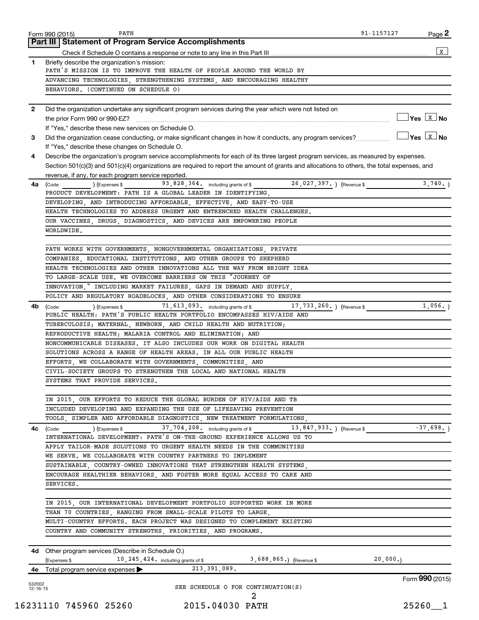|              | PATH<br>Form 990 (2015)                                                                                                                      | 91-1157127 | Page 2                           |
|--------------|----------------------------------------------------------------------------------------------------------------------------------------------|------------|----------------------------------|
|              | Part III   Statement of Program Service Accomplishments                                                                                      |            |                                  |
|              |                                                                                                                                              |            | $\mathbf{x}$                     |
| $\mathbf{1}$ | Briefly describe the organization's mission:                                                                                                 |            |                                  |
|              | PATH'S MISSION IS TO IMPROVE THE HEALTH OF PEOPLE AROUND THE WORLD BY                                                                        |            |                                  |
|              | ADVANCING TECHNOLOGIES, STRENGTHENING SYSTEMS, AND ENCOURAGING HEALTHY                                                                       |            |                                  |
|              | BEHAVIORS. (CONTINUED ON SCHEDULE O)                                                                                                         |            |                                  |
| $\mathbf{2}$ | Did the organization undertake any significant program services during the year which were not listed on                                     |            |                                  |
|              | the prior Form 990 or 990-EZ?                                                                                                                |            | $\Box$ Yes $\boxed{\text{x}}$ No |
|              | If "Yes," describe these new services on Schedule O.                                                                                         |            |                                  |
| 3            | Did the organization cease conducting, or make significant changes in how it conducts, any program services?                                 |            | $\sqrt{}$ Yes $\sqrt{X}$ No      |
|              | If "Yes," describe these changes on Schedule O.                                                                                              |            |                                  |
| 4            | Describe the organization's program service accomplishments for each of its three largest program services, as measured by expenses.         |            |                                  |
|              | Section 501(c)(3) and 501(c)(4) organizations are required to report the amount of grants and allocations to others, the total expenses, and |            |                                  |
|              | revenue, if any, for each program service reported.                                                                                          |            |                                  |
| 4a           | 93,828,364. including grants of \$ 26,027,397. The Revenue \$<br>$(1)$ (Expenses \$<br>(Code:                                                |            | 3,740.                           |
|              | PRODUCT DEVELOPMENT: PATH IS A GLOBAL LEADER IN IDENTIFYING,                                                                                 |            |                                  |
|              | DEVELOPING, AND INTRODUCING AFFORDABLE, EFFECTIVE, AND EASY-TO-USE                                                                           |            |                                  |
|              | HEALTH TECHNOLOGIES TO ADDRESS URGENT AND ENTRENCHED HEALTH CHALLENGES.                                                                      |            |                                  |
|              | OUR VACCINES, DRUGS, DIAGNOSTICS, AND DEVICES ARE EMPOWERING PEOPLE                                                                          |            |                                  |
|              | WORLDWIDE.                                                                                                                                   |            |                                  |
|              |                                                                                                                                              |            |                                  |
|              | PATH WORKS WITH GOVERNMENTS, NONGOVERNMENTAL ORGANIZATIONS, PRIVATE                                                                          |            |                                  |
|              | COMPANIES, EDUCATIONAL INSTITUTIONS, AND OTHER GROUPS TO SHEPHERD                                                                            |            |                                  |
|              | HEALTH TECHNOLOGIES AND OTHER INNOVATIONS ALL THE WAY FROM BRIGHT IDEA                                                                       |            |                                  |
|              | TO LARGE-SCALE USE. WE OVERCOME BARRIERS ON THIS "JOURNEY OF                                                                                 |            |                                  |
|              | INNOVATION," INCLUDING MARKET FAILURES, GAPS IN DEMAND AND SUPPLY,                                                                           |            |                                  |
|              | POLICY AND REGULATORY ROADBLOCKS, AND OTHER CONSIDERATIONS TO ENSURE                                                                         |            |                                  |
| 4b           | 71, 613, 093. including grants of \$<br>17, 733, 260. ) (Revenue \$<br>(Expenses \$<br>(Code:                                                |            | 1,056.                           |
|              | PUBLIC HEALTH: PATH'S PUBLIC HEALTH PORTFOLIO ENCOMPASSES HIV/AIDS AND                                                                       |            |                                  |
|              | TUBERCULOSIS; MATERNAL, NEWBORN, AND CHILD HEALTH AND NUTRITION;                                                                             |            |                                  |
|              | REPRODUCTIVE HEALTH; MALARIA CONTROL AND ELIMINATION; AND                                                                                    |            |                                  |
|              | NONCOMMUNICABLE DISEASES. IT ALSO INCLUDES OUR WORK ON DIGITAL HEALTH                                                                        |            |                                  |
|              | SOLUTIONS ACROSS A RANGE OF HEALTH AREAS. IN ALL OUR PUBLIC HEALTH                                                                           |            |                                  |
|              | EFFORTS, WE COLLABORATE WITH GOVERNMENTS, COMMUNITIES, AND                                                                                   |            |                                  |
|              | CIVIL-SOCIETY GROUPS TO STRENGTHEN THE LOCAL AND NATIONAL HEALTH                                                                             |            |                                  |
|              | SYSTEMS THAT PROVIDE SERVICES.                                                                                                               |            |                                  |
|              |                                                                                                                                              |            |                                  |
|              | IN 2015, OUR EFFORTS TO REDUCE THE GLOBAL BURDEN OF HIV/AIDS AND TB                                                                          |            |                                  |
|              | INCLUDED DEVELOPING AND EXPANDING THE USE OF LIFESAVING PREVENTION                                                                           |            |                                  |
|              | TOOLS, SIMPLER AND AFFORDABLE DIAGNOSTICS, NEW TREATMENT FORMULATIONS,                                                                       |            |                                  |
| 4с           | (Expenses \$ 37,704,208. including grants of \$ 13,847,933.) (Revenue \$ 5 7,698.)<br>(Code:                                                 |            |                                  |
|              | INTERNATIONAL DEVELOPMENT: PATH'S ON-THE-GROUND EXPERIENCE ALLOWS US TO                                                                      |            |                                  |
|              | APPLY TAILOR-MADE SOLUTIONS TO URGENT HEALTH NEEDS IN THE COMMUNITIES                                                                        |            |                                  |
|              | WE SERVE. WE COLLABORATE WITH COUNTRY PARTNERS TO IMPLEMENT                                                                                  |            |                                  |
|              | SUSTAINABLE, COUNTRY-OWNED INNOVATIONS THAT STRENGTHEN HEALTH SYSTEMS,                                                                       |            |                                  |
|              | ENCOURAGE HEALTHIER BEHAVIORS, AND FOSTER MORE EQUAL ACCESS TO CARE AND                                                                      |            |                                  |
|              | SERVICES.                                                                                                                                    |            |                                  |
|              |                                                                                                                                              |            |                                  |
|              | IN 2015, OUR INTERNATIONAL DEVELOPMENT PORTFOLIO SUPPORTED WORK IN MORE                                                                      |            |                                  |
|              | THAN 70 COUNTRIES, RANGING FROM SMALL-SCALE PILOTS TO LARGE,                                                                                 |            |                                  |
|              | MULTI-COUNTRY EFFORTS. EACH PROJECT WAS DESIGNED TO COMPLEMENT EXISTING                                                                      |            |                                  |
|              |                                                                                                                                              |            |                                  |
|              | COUNTRY AND COMMUNITY STRENGTHS, PRIORITIES, AND PROGRAMS.                                                                                   |            |                                  |
|              |                                                                                                                                              |            |                                  |
|              | <b>4d</b> Other program services (Describe in Schedule O.)                                                                                   |            |                                  |
|              | 10, 245, 424. including grants of \$<br>3,688,865.) (Revenue \$<br>(Expenses \$                                                              | 20,000.    |                                  |
|              | 213,391,089.<br><b>4e</b> Total program service expenses $\blacktriangleright$                                                               |            |                                  |
| 532002       |                                                                                                                                              |            | Form 990 (2015)                  |
| 12-16-15     | SEE SCHEDULE O FOR CONTINUATION(S)                                                                                                           |            |                                  |
|              | 2                                                                                                                                            |            |                                  |

16231110 745960 25260 2015.04030 PATH 25260\_\_1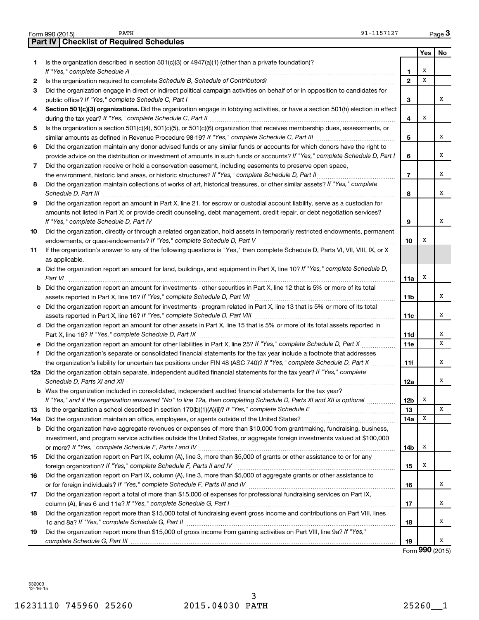|     | PATH<br>91-1157127<br>Form 990 (2015)                                                                                                                                                                                               |                |     | Page 3 |
|-----|-------------------------------------------------------------------------------------------------------------------------------------------------------------------------------------------------------------------------------------|----------------|-----|--------|
|     | <b>Part IV   Checklist of Required Schedules</b>                                                                                                                                                                                    |                |     |        |
|     |                                                                                                                                                                                                                                     |                | Yes | No     |
| 1.  | Is the organization described in section $501(c)(3)$ or $4947(a)(1)$ (other than a private foundation)?                                                                                                                             | 1              | х   |        |
| 2   | Is the organization required to complete Schedule B, Schedule of Contributors? [111] [12] the organization required to complete Schedule B, Schedule of Contributors?                                                               | $\mathbf{2}$   | x   |        |
| 3   | Did the organization engage in direct or indirect political campaign activities on behalf of or in opposition to candidates for                                                                                                     |                |     |        |
|     |                                                                                                                                                                                                                                     | 3              |     | X      |
| 4   | Section 501(c)(3) organizations. Did the organization engage in lobbying activities, or have a section 501(h) election in effect                                                                                                    |                |     |        |
|     |                                                                                                                                                                                                                                     | 4              | х   |        |
| 5   | Is the organization a section 501(c)(4), 501(c)(5), or 501(c)(6) organization that receives membership dues, assessments, or                                                                                                        |                |     |        |
|     |                                                                                                                                                                                                                                     | 5              |     | x      |
| 6   | Did the organization maintain any donor advised funds or any similar funds or accounts for which donors have the right to                                                                                                           |                |     |        |
|     | provide advice on the distribution or investment of amounts in such funds or accounts? If "Yes," complete Schedule D, Part I                                                                                                        | 6              |     | x      |
| 7   | Did the organization receive or hold a conservation easement, including easements to preserve open space,                                                                                                                           |                |     |        |
|     |                                                                                                                                                                                                                                     | $\overline{7}$ |     | x      |
| 8   | Did the organization maintain collections of works of art, historical treasures, or other similar assets? If "Yes," complete                                                                                                        |                |     |        |
|     | Schedule D, Part III <b>Process Constructs</b> Construction and Technical Construction and Technical Construction and Technical Construction and Technical Construction and Technical Construction and Technical Construction and T | 8              |     | x      |
| 9   | Did the organization report an amount in Part X, line 21, for escrow or custodial account liability, serve as a custodian for                                                                                                       |                |     |        |
|     | amounts not listed in Part X; or provide credit counseling, debt management, credit repair, or debt negotiation services?                                                                                                           |                |     | x      |
|     | If "Yes," complete Schedule D, Part IV<br>Did the organization, directly or through a related organization, hold assets in temporarily restricted endowments, permanent                                                             | 9              |     |        |
| 10  |                                                                                                                                                                                                                                     | 10             | х   |        |
| 11  | If the organization's answer to any of the following questions is "Yes," then complete Schedule D, Parts VI, VII, VIII, IX, or X                                                                                                    |                |     |        |
|     | as applicable.                                                                                                                                                                                                                      |                |     |        |
|     | a Did the organization report an amount for land, buildings, and equipment in Part X, line 10? If "Yes," complete Schedule D,                                                                                                       |                |     |        |
|     | Part VI                                                                                                                                                                                                                             | 11a            | х   |        |
|     | <b>b</b> Did the organization report an amount for investments - other securities in Part X, line 12 that is 5% or more of its total                                                                                                |                |     |        |
|     |                                                                                                                                                                                                                                     | 11b            |     | x      |
|     | c Did the organization report an amount for investments - program related in Part X, line 13 that is 5% or more of its total                                                                                                        |                |     |        |
|     |                                                                                                                                                                                                                                     | 11c            |     | x      |
|     | d Did the organization report an amount for other assets in Part X, line 15 that is 5% or more of its total assets reported in                                                                                                      |                |     |        |
|     |                                                                                                                                                                                                                                     | <b>11d</b>     |     | x      |
|     | e Did the organization report an amount for other liabilities in Part X, line 25? If "Yes," complete Schedule D, Part X                                                                                                             | 11e            |     | x      |
| f   | Did the organization's separate or consolidated financial statements for the tax year include a footnote that addresses                                                                                                             |                |     |        |
|     | the organization's liability for uncertain tax positions under FIN 48 (ASC 740)? If "Yes," complete Schedule D, Part X                                                                                                              | 11f            |     | x      |
|     | 12a Did the organization obtain separate, independent audited financial statements for the tax year? If "Yes," complete                                                                                                             |                |     |        |
|     | Schedule D, Parts XI and XII                                                                                                                                                                                                        | 12a            |     | Х      |
|     | b Was the organization included in consolidated, independent audited financial statements for the tax year?                                                                                                                         |                |     |        |
|     | If "Yes," and if the organization answered "No" to line 12a, then completing Schedule D, Parts XI and XII is optional                                                                                                               | 12b            | X   |        |
| 13  | Is the organization a school described in section $170(b)(1)(A)(ii)?$ If "Yes," complete Schedule E                                                                                                                                 | 13             |     | x      |
| 14a | Did the organization maintain an office, employees, or agents outside of the United States?                                                                                                                                         | 14a            | X   |        |
|     | <b>b</b> Did the organization have aggregate revenues or expenses of more than \$10,000 from grantmaking, fundraising, business,                                                                                                    |                |     |        |
|     | investment, and program service activities outside the United States, or aggregate foreign investments valued at \$100,000                                                                                                          |                |     |        |
|     |                                                                                                                                                                                                                                     | 14b            | х   |        |
| 15  | Did the organization report on Part IX, column (A), line 3, more than \$5,000 of grants or other assistance to or for any                                                                                                           |                |     |        |
|     |                                                                                                                                                                                                                                     | 15             | X   |        |
| 16  | Did the organization report on Part IX, column (A), line 3, more than \$5,000 of aggregate grants or other assistance to                                                                                                            |                |     | x      |
|     |                                                                                                                                                                                                                                     | 16             |     |        |
| 17  | Did the organization report a total of more than \$15,000 of expenses for professional fundraising services on Part IX,                                                                                                             | 17             |     | x      |
| 18  | Did the organization report more than \$15,000 total of fundraising event gross income and contributions on Part VIII, lines                                                                                                        |                |     |        |
|     |                                                                                                                                                                                                                                     | 18             |     | х      |
| 19  | Did the organization report more than \$15,000 of gross income from gaming activities on Part VIII, line 9a? If "Yes,"                                                                                                              |                |     |        |
|     |                                                                                                                                                                                                                                     | 19             |     | х      |
|     |                                                                                                                                                                                                                                     |                |     |        |

Form **990** (2015)

532003 12-16-15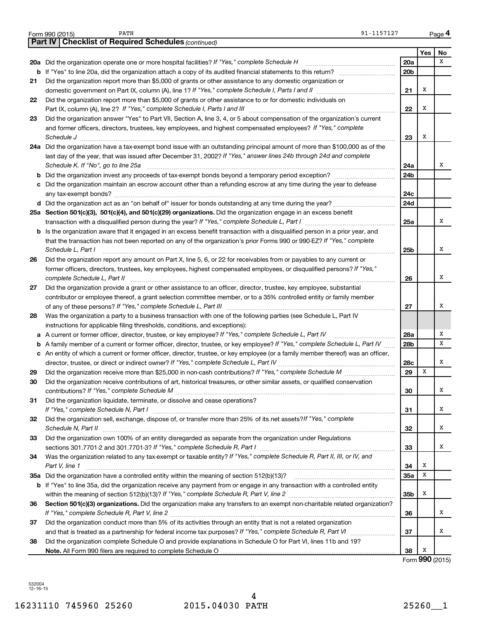|    | 91-1157127<br>PATH<br>Form 990 (2015)                                                                                                                                                                           |                 |                    | Page 4 |
|----|-----------------------------------------------------------------------------------------------------------------------------------------------------------------------------------------------------------------|-----------------|--------------------|--------|
|    | <b>Checklist of Required Schedules (continued)</b><br><b>Part IV</b>                                                                                                                                            |                 |                    |        |
|    |                                                                                                                                                                                                                 |                 | <b>Yes</b>         | No     |
|    | 20a Did the organization operate one or more hospital facilities? If "Yes," complete Schedule H                                                                                                                 | 20a             |                    | x      |
|    |                                                                                                                                                                                                                 | 20 <sub>b</sub> |                    |        |
| 21 | Did the organization report more than \$5,000 of grants or other assistance to any domestic organization or                                                                                                     |                 |                    |        |
|    |                                                                                                                                                                                                                 | 21              | Х                  |        |
| 22 | Did the organization report more than \$5,000 of grants or other assistance to or for domestic individuals on                                                                                                   |                 |                    |        |
|    |                                                                                                                                                                                                                 | 22              | Х                  |        |
| 23 | Did the organization answer "Yes" to Part VII, Section A, line 3, 4, or 5 about compensation of the organization's current                                                                                      |                 |                    |        |
|    | and former officers, directors, trustees, key employees, and highest compensated employees? If "Yes," complete<br>Schedule J <b>Execute Schedule J Execute Schedule J Execute Schedule J Execute Schedule J</b> | 23              | Х                  |        |
|    | 24a Did the organization have a tax-exempt bond issue with an outstanding principal amount of more than \$100,000 as of the                                                                                     |                 |                    |        |
|    | last day of the year, that was issued after December 31, 2002? If "Yes," answer lines 24b through 24d and complete                                                                                              |                 |                    |        |
|    | Schedule K. If "No", go to line 25a                                                                                                                                                                             | 24a             |                    | x      |
|    | b Did the organization invest any proceeds of tax-exempt bonds beyond a temporary period exception?                                                                                                             | 24b             |                    |        |
|    | c Did the organization maintain an escrow account other than a refunding escrow at any time during the year to defease                                                                                          |                 |                    |        |
|    |                                                                                                                                                                                                                 | 24c             |                    |        |
|    |                                                                                                                                                                                                                 | 24d             |                    |        |
|    | 25a Section 501(c)(3), 501(c)(4), and 501(c)(29) organizations. Did the organization engage in an excess benefit                                                                                                |                 |                    |        |
|    |                                                                                                                                                                                                                 | 25a             |                    | x      |
|    | <b>b</b> Is the organization aware that it engaged in an excess benefit transaction with a disqualified person in a prior year, and                                                                             |                 |                    |        |
|    | that the transaction has not been reported on any of the organization's prior Forms 990 or 990-EZ? If "Yes," complete                                                                                           |                 |                    |        |
|    | Schedule L, Part I                                                                                                                                                                                              | 25b             |                    | x      |
| 26 | Did the organization report any amount on Part X, line 5, 6, or 22 for receivables from or payables to any current or                                                                                           |                 |                    |        |
|    | former officers, directors, trustees, key employees, highest compensated employees, or disqualified persons? If "Yes,"                                                                                          |                 |                    |        |
|    | complete Schedule L, Part II                                                                                                                                                                                    | 26              |                    | x      |
| 27 | Did the organization provide a grant or other assistance to an officer, director, trustee, key employee, substantial                                                                                            |                 |                    |        |
|    | contributor or employee thereof, a grant selection committee member, or to a 35% controlled entity or family member                                                                                             | 27              |                    | х      |
| 28 | Was the organization a party to a business transaction with one of the following parties (see Schedule L, Part IV                                                                                               |                 |                    |        |
|    | instructions for applicable filing thresholds, conditions, and exceptions):                                                                                                                                     |                 |                    |        |
| а  | A current or former officer, director, trustee, or key employee? If "Yes," complete Schedule L, Part IV                                                                                                         | 28a             |                    | х      |
| b  | A family member of a current or former officer, director, trustee, or key employee? If "Yes," complete Schedule L, Part IV                                                                                      | 28b             |                    | x      |
|    | c An entity of which a current or former officer, director, trustee, or key employee (or a family member thereof) was an officer,                                                                               |                 |                    |        |
|    | director, trustee, or direct or indirect owner? If "Yes," complete Schedule L, Part IV                                                                                                                          | 28c             |                    | X      |
| 29 |                                                                                                                                                                                                                 | 29              | x                  |        |
| 30 | Did the organization receive contributions of art, historical treasures, or other similar assets, or qualified conservation                                                                                     |                 |                    |        |
|    |                                                                                                                                                                                                                 | 30              |                    | x      |
| 31 | Did the organization liquidate, terminate, or dissolve and cease operations?                                                                                                                                    |                 |                    |        |
|    | Did the organization sell, exchange, dispose of, or transfer more than 25% of its net assets? If "Yes," complete                                                                                                | 31              |                    | x      |
| 32 |                                                                                                                                                                                                                 | 32              |                    | x      |
| 33 | Did the organization own 100% of an entity disregarded as separate from the organization under Regulations                                                                                                      |                 |                    |        |
|    |                                                                                                                                                                                                                 | 33              |                    | x      |
| 34 | Was the organization related to any tax-exempt or taxable entity? If "Yes," complete Schedule R, Part II, III, or IV, and                                                                                       |                 |                    |        |
|    | Part V, line 1                                                                                                                                                                                                  | 34              | х                  |        |
|    |                                                                                                                                                                                                                 | 35a             | х                  |        |
|    | b If "Yes" to line 35a, did the organization receive any payment from or engage in any transaction with a controlled entity                                                                                     |                 |                    |        |
|    |                                                                                                                                                                                                                 | 35b             | х                  |        |
| 36 | Section 501(c)(3) organizations. Did the organization make any transfers to an exempt non-charitable related organization?                                                                                      |                 |                    |        |
|    |                                                                                                                                                                                                                 | 36              |                    | x      |
| 37 | Did the organization conduct more than 5% of its activities through an entity that is not a related organization                                                                                                |                 |                    | x      |
| 38 | Did the organization complete Schedule O and provide explanations in Schedule O for Part VI, lines 11b and 19?                                                                                                  | 37              |                    |        |
|    |                                                                                                                                                                                                                 | 38              | х                  |        |
|    |                                                                                                                                                                                                                 |                 | $000 \text{ more}$ |        |

Form **990** (2015)

532004 12-16-15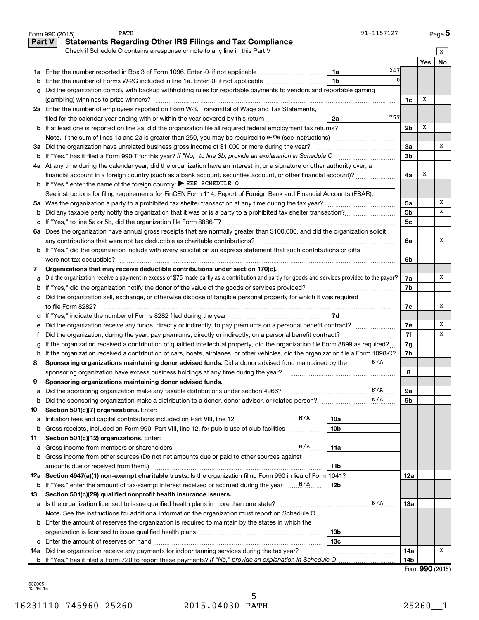|               | PATH<br>91-1157127<br>Form 990 (2015)                                                                                                           |                 |                                                | Page 5    |
|---------------|-------------------------------------------------------------------------------------------------------------------------------------------------|-----------------|------------------------------------------------|-----------|
| <b>Part V</b> | <b>Statements Regarding Other IRS Filings and Tax Compliance</b>                                                                                |                 |                                                |           |
|               | Check if Schedule O contains a response or note to any line in this Part V                                                                      |                 |                                                | x         |
|               |                                                                                                                                                 |                 | <b>Yes</b>                                     | <b>No</b> |
|               | 247<br>1a                                                                                                                                       |                 |                                                |           |
| b             | 1 <sub>b</sub><br>Enter the number of Forms W-2G included in line 1a. Enter -0- if not applicable                                               |                 |                                                |           |
| с             | Did the organization comply with backup withholding rules for reportable payments to vendors and reportable gaming                              |                 |                                                |           |
|               |                                                                                                                                                 | 1c              | Х                                              |           |
|               | 2a Enter the number of employees reported on Form W-3, Transmittal of Wage and Tax Statements,                                                  |                 |                                                |           |
|               | 757<br>filed for the calendar year ending with or within the year covered by this return <i>[[[[[[[[[[[[[[]]]]</i> ]<br>2a                      |                 |                                                |           |
|               |                                                                                                                                                 | 2 <sub>b</sub>  | Х                                              |           |
|               |                                                                                                                                                 |                 |                                                |           |
|               | 3a Did the organization have unrelated business gross income of \$1,000 or more during the year?                                                | За              |                                                | х         |
| b             | If "Yes," has it filed a Form 990 T for this year? If "No," to line 3b, provide an explanation in Schedule O manumerrous                        | 3b              |                                                |           |
|               | 4a At any time during the calendar year, did the organization have an interest in, or a signature or other authority over, a                    |                 |                                                |           |
|               | financial account in a foreign country (such as a bank account, securities account, or other financial account)?                                | 4a              | х                                              |           |
|               | <b>b</b> If "Yes," enter the name of the foreign country: $\triangleright$ SEE SCHEDULE O                                                       |                 |                                                |           |
|               | See instructions for filing requirements for FinCEN Form 114, Report of Foreign Bank and Financial Accounts (FBAR).                             |                 |                                                |           |
|               |                                                                                                                                                 | 5a              |                                                | х         |
| b             |                                                                                                                                                 | 5 <sub>b</sub>  |                                                | x         |
| с             |                                                                                                                                                 | 5c              |                                                |           |
|               | 6a Does the organization have annual gross receipts that are normally greater than \$100,000, and did the organization solicit                  |                 |                                                |           |
|               |                                                                                                                                                 | 6а              |                                                | x         |
|               | <b>b</b> If "Yes," did the organization include with every solicitation an express statement that such contributions or gifts                   |                 |                                                |           |
|               |                                                                                                                                                 | 6b              |                                                |           |
| 7             | Organizations that may receive deductible contributions under section 170(c).                                                                   |                 |                                                |           |
| а             | Did the organization receive a payment in excess of \$75 made partly as a contribution and partly for goods and services provided to the payor? | 7a              |                                                | х         |
| b             |                                                                                                                                                 | 7b              |                                                |           |
|               | c Did the organization sell, exchange, or otherwise dispose of tangible personal property for which it was required                             |                 |                                                |           |
|               |                                                                                                                                                 | 7c              |                                                | х         |
|               | 7d<br>d If "Yes," indicate the number of Forms 8282 filed during the year manufacture intervent contains the New Yes                            |                 |                                                |           |
| е             |                                                                                                                                                 | 7е              |                                                | х         |
| f.            | Did the organization, during the year, pay premiums, directly or indirectly, on a personal benefit contract?                                    | 7f              |                                                | x         |
| g             | If the organization received a contribution of qualified intellectual property, did the organization file Form 8899 as required?                | 7g              |                                                |           |
|               | h If the organization received a contribution of cars, boats, airplanes, or other vehicles, did the organization file a Form 1098-C?            | 7h              |                                                |           |
| 8             | N/A<br>Sponsoring organizations maintaining donor advised funds. Did a donor advised fund maintained by the                                     |                 |                                                |           |
|               | sponsoring organization have excess business holdings at any time during the year?                                                              | 8               |                                                |           |
|               | Sponsoring organizations maintaining donor advised funds.                                                                                       |                 |                                                |           |
| а             | N/A<br>Did the sponsoring organization make any taxable distributions under section 4966?                                                       | 9а              |                                                |           |
| b             | N/A                                                                                                                                             | 9b              |                                                |           |
| 10            | Section 501(c)(7) organizations. Enter:                                                                                                         |                 |                                                |           |
| а             | N/A<br><b>10a</b><br>Initiation fees and capital contributions included on Part VIII, line 12                                                   |                 |                                                |           |
| b             | Gross receipts, included on Form 990, Part VIII, line 12, for public use of club facilities<br>10 <sub>b</sub>                                  |                 |                                                |           |
| 11            | Section 501(c)(12) organizations. Enter:                                                                                                        |                 |                                                |           |
| а             | N/A<br>11a                                                                                                                                      |                 |                                                |           |
| b             | Gross income from other sources (Do not net amounts due or paid to other sources against                                                        |                 |                                                |           |
|               | amounts due or received from them.)<br>11b                                                                                                      |                 |                                                |           |
|               | 12a Section 4947(a)(1) non-exempt charitable trusts. Is the organization filing Form 990 in lieu of Form 1041?                                  | 12a             |                                                |           |
| b             | If "Yes," enter the amount of tax-exempt interest received or accrued during the year<br>12b                                                    |                 |                                                |           |
| 13            | Section 501(c)(29) qualified nonprofit health insurance issuers.                                                                                |                 |                                                |           |
|               | N/A<br>a Is the organization licensed to issue qualified health plans in more than one state?                                                   | 13a             |                                                |           |
|               | Note. See the instructions for additional information the organization must report on Schedule O.                                               |                 |                                                |           |
|               | <b>b</b> Enter the amount of reserves the organization is required to maintain by the states in which the                                       |                 |                                                |           |
|               | 13 <sub>b</sub>                                                                                                                                 |                 |                                                |           |
|               | 13с                                                                                                                                             |                 |                                                |           |
| с             | 14a Did the organization receive any payments for indoor tanning services during the tax year?                                                  | 14a             |                                                | х         |
|               |                                                                                                                                                 | 14 <sub>b</sub> |                                                |           |
|               |                                                                                                                                                 |                 | $F_{\text{arm}}$ $\Omega \Omega \Omega$ (2015) |           |

|  |  | Form 990 (2015) |
|--|--|-----------------|
|--|--|-----------------|

532005 12-16-15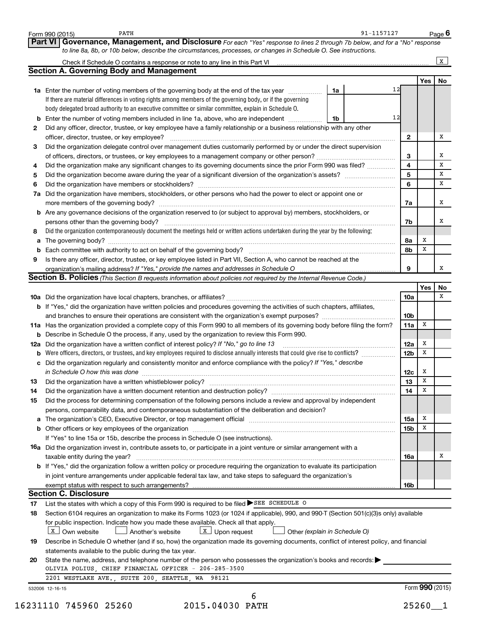|          | to line 8a, 8b, or 10b below, describe the circumstances, processes, or changes in Schedule O. See instructions.                                                                                                               |                 |                 |              |
|----------|--------------------------------------------------------------------------------------------------------------------------------------------------------------------------------------------------------------------------------|-----------------|-----------------|--------------|
|          |                                                                                                                                                                                                                                |                 |                 | $\mathbf{x}$ |
|          | <b>Section A. Governing Body and Management</b>                                                                                                                                                                                |                 | Yes             | No           |
|          | 12<br>1a Enter the number of voting members of the governing body at the end of the tax year<br>1a                                                                                                                             |                 |                 |              |
|          | If there are material differences in voting rights among members of the governing body, or if the governing                                                                                                                    |                 |                 |              |
|          | body delegated broad authority to an executive committee or similar committee, explain in Schedule O.                                                                                                                          |                 |                 |              |
|          | 12<br>Enter the number of voting members included in line 1a, above, who are independent<br>1b                                                                                                                                 |                 |                 |              |
| 2        | Did any officer, director, trustee, or key employee have a family relationship or a business relationship with any other                                                                                                       |                 |                 |              |
|          | officer, director, trustee, or key employee?                                                                                                                                                                                   | 2               |                 |              |
| З        | Did the organization delegate control over management duties customarily performed by or under the direct supervision                                                                                                          |                 |                 |              |
|          |                                                                                                                                                                                                                                | 3               |                 |              |
| 4        | Did the organization make any significant changes to its governing documents since the prior Form 990 was filed?                                                                                                               | $\overline{4}$  |                 |              |
| 5        |                                                                                                                                                                                                                                | 5               |                 |              |
| 6        |                                                                                                                                                                                                                                | 6               |                 |              |
|          |                                                                                                                                                                                                                                |                 |                 |              |
| 7a       | Did the organization have members, stockholders, or other persons who had the power to elect or appoint one or                                                                                                                 |                 |                 |              |
|          |                                                                                                                                                                                                                                | 7a              |                 |              |
|          | <b>b</b> Are any governance decisions of the organization reserved to (or subject to approval by) members, stockholders, or                                                                                                    |                 |                 |              |
|          | persons other than the governing body?                                                                                                                                                                                         | 7b              |                 |              |
| 8        | Did the organization contemporaneously document the meetings held or written actions undertaken during the year by the following:                                                                                              |                 |                 |              |
| a        |                                                                                                                                                                                                                                | 8а              | X               |              |
|          | Each committee with authority to act on behalf of the governing body?                                                                                                                                                          | 8b              | х               |              |
| 9        | Is there any officer, director, trustee, or key employee listed in Part VII, Section A, who cannot be reached at the                                                                                                           |                 |                 |              |
|          |                                                                                                                                                                                                                                | 9               |                 |              |
|          | Section B. Policies (This Section B requests information about policies not required by the Internal Revenue Code.)                                                                                                            |                 |                 |              |
|          |                                                                                                                                                                                                                                |                 | Yes             |              |
|          |                                                                                                                                                                                                                                | 10a             |                 |              |
|          | b If "Yes," did the organization have written policies and procedures governing the activities of such chapters, affiliates,                                                                                                   |                 |                 |              |
|          |                                                                                                                                                                                                                                | 10 <sub>b</sub> |                 |              |
|          | 11a Has the organization provided a complete copy of this Form 990 to all members of its governing body before filing the form?                                                                                                | 11a             | х               |              |
|          | <b>b</b> Describe in Schedule O the process, if any, used by the organization to review this Form 990.                                                                                                                         |                 |                 |              |
| 12a      | Did the organization have a written conflict of interest policy? If "No," go to line 13                                                                                                                                        | 12a             | х               |              |
|          | <b>b</b> Were officers, directors, or trustees, and key employees required to disclose annually interests that could give rise to conflicts?                                                                                   | 12 <sub>b</sub> | х               |              |
|          | Did the organization regularly and consistently monitor and enforce compliance with the policy? If "Yes," describe                                                                                                             |                 |                 |              |
|          | in Schedule O how this was done                                                                                                                                                                                                | 12c             | х               |              |
| 13       |                                                                                                                                                                                                                                | 13              | х               |              |
| 14       | Did the organization have a written document retention and destruction policy? [11] manufaction in the organization have a written document retention and destruction policy?                                                  | 14              | X               |              |
| 15       | Did the process for determining compensation of the following persons include a review and approval by independent                                                                                                             |                 |                 |              |
|          | persons, comparability data, and contemporaneous substantiation of the deliberation and decision?                                                                                                                              |                 |                 |              |
|          |                                                                                                                                                                                                                                |                 | Х               |              |
|          | The organization's CEO, Executive Director, or top management official manufactured content of the organization's CEO, Executive Director, or top management official manufactured content of the state of the state of the st | 15a             | X               |              |
|          |                                                                                                                                                                                                                                | 15b             |                 |              |
|          | If "Yes" to line 15a or 15b, describe the process in Schedule O (see instructions).                                                                                                                                            |                 |                 |              |
|          | <b>16a</b> Did the organization invest in, contribute assets to, or participate in a joint venture or similar arrangement with a                                                                                               |                 |                 |              |
|          | taxable entity during the year?                                                                                                                                                                                                | 16a             |                 |              |
|          | <b>b</b> If "Yes," did the organization follow a written policy or procedure requiring the organization to evaluate its participation                                                                                          |                 |                 |              |
|          | in joint venture arrangements under applicable federal tax law, and take steps to safeguard the organization's                                                                                                                 |                 |                 |              |
|          | exempt status with respect to such arrangements?                                                                                                                                                                               | 16 <sub>b</sub> |                 |              |
|          | <b>Section C. Disclosure</b>                                                                                                                                                                                                   |                 |                 |              |
| 17       | List the states with which a copy of this Form 990 is required to be filed $\blacktriangleright$ SEE SCHEDULE O                                                                                                                |                 |                 |              |
| 18       | Section 6104 requires an organization to make its Forms 1023 (or 1024 if applicable), 990, and 990-T (Section 501(c)(3)s only) available                                                                                       |                 |                 |              |
|          | for public inspection. Indicate how you made these available. Check all that apply.                                                                                                                                            |                 |                 |              |
|          | X Own website<br>$\Box$ Another's website<br>$\boxed{\text{X}}$ Upon request<br>Other (explain in Schedule O)                                                                                                                  |                 |                 |              |
|          | Describe in Schedule O whether (and if so, how) the organization made its governing documents, conflict of interest policy, and financial                                                                                      |                 |                 |              |
|          | statements available to the public during the tax year.                                                                                                                                                                        |                 |                 |              |
|          |                                                                                                                                                                                                                                |                 |                 |              |
|          |                                                                                                                                                                                                                                |                 |                 |              |
|          | State the name, address, and telephone number of the person who possesses the organization's books and records:                                                                                                                |                 |                 |              |
|          | OLIVIA POLIUS, CHIEF FINANCIAL OFFICER - 206-285-3500                                                                                                                                                                          |                 |                 |              |
|          | 2201 WESTLAKE AVE., SUITE 200, SEATTLE, WA 98121                                                                                                                                                                               |                 |                 |              |
| 19<br>20 | 532006 12-16-15<br>6                                                                                                                                                                                                           |                 | Form 990 (2015) |              |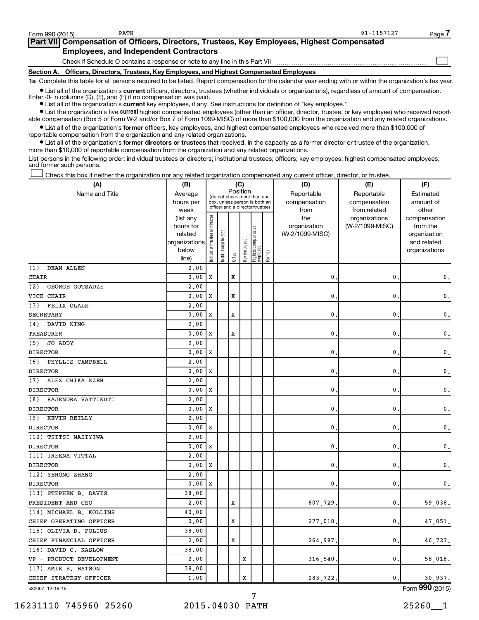$\Box$ 

| Part VII Compensation of Officers, Directors, Trustees, Key Employees, Highest Compensated |  |
|--------------------------------------------------------------------------------------------|--|
| <b>Employees, and Independent Contractors</b>                                              |  |
| Check if Schedule O contains a response or note to any line in this Part VII               |  |

**Section A. Officers, Directors, Trustees, Key Employees, and Highest Compensated Employees**

**1a**  Complete this table for all persons required to be listed. Report compensation for the calendar year ending with or within the organization's tax year.

**•** List all of the organization's current officers, directors, trustees (whether individuals or organizations), regardless of amount of compensation.

Enter -0- in columns  $(D)$ ,  $(E)$ , and  $(F)$  if no compensation was paid.

**•** List all of the organization's **current** key employees, if any. See instructions for definition of "key employee."

**•** List the organization's five current highest compensated employees (other than an officer, director, trustee, or key employee) who received reportable compensation (Box 5 of Form W-2 and/or Box 7 of Form 1099-MISC) of more than \$100,000 from the organization and any related organizations.

**•** List all of the organization's former officers, key employees, and highest compensated employees who received more than \$100,000 of reportable compensation from the organization and any related organizations.

**•** List all of the organization's former directors or trustees that received, in the capacity as a former director or trustee of the organization, more than \$10,000 of reportable compensation from the organization and any related organizations.

List persons in the following order: individual trustees or directors; institutional trustees; officers; key employees; highest compensated employees; and former such persons.

Check this box if neither the organization nor any related organization compensated any current officer, director, or trustee.  $\Box$ 

| (A)                       | (B)               |                                |                                                                          |         | (C)          |                                 |        | (D)             | (E)                           | (F)                   |
|---------------------------|-------------------|--------------------------------|--------------------------------------------------------------------------|---------|--------------|---------------------------------|--------|-----------------|-------------------------------|-----------------------|
| Name and Title            | Average           |                                | Position<br>(do not check more than one<br>box, unless person is both an |         |              |                                 |        | Reportable      | Reportable                    | Estimated             |
|                           | hours per         |                                | officer and a director/trustee)                                          |         |              |                                 |        | compensation    | compensation                  | amount of             |
|                           | week<br>(list any |                                |                                                                          |         |              |                                 |        | from<br>the     | from related<br>organizations | other<br>compensation |
|                           | hours for         | Individual trustee or director |                                                                          |         |              |                                 |        | organization    | (W-2/1099-MISC)               | from the              |
|                           | related           |                                |                                                                          |         |              |                                 |        | (W-2/1099-MISC) |                               | organization          |
|                           | organizations     |                                |                                                                          |         |              |                                 |        |                 |                               | and related           |
|                           | below             |                                | Institutional trustee                                                    | Officer | Key employee | Highest compensated<br>employee | Former |                 |                               | organizations         |
|                           | line)             |                                |                                                                          |         |              |                                 |        |                 |                               |                       |
| (1)<br>DEAN ALLEN         | 2,00              |                                |                                                                          |         |              |                                 |        |                 |                               |                       |
| CHAIR                     | 0.00              | X                              |                                                                          | X       |              |                                 |        | 0               | 0                             | $\mathbf{0}$ .        |
| (2)<br>GEORGE GOTSADZE    | 2,00              |                                |                                                                          |         |              |                                 |        |                 |                               |                       |
| VICE CHAIR                | 0.00              | X                              |                                                                          | X       |              |                                 |        | $\mathbf{0}$ .  | 0                             | $\mathbf 0$ .         |
| FELIX OLALE<br>(3)        | 2,00              |                                |                                                                          |         |              |                                 |        |                 |                               |                       |
| <b>SECRETARY</b>          | 0.00              | X                              |                                                                          | X       |              |                                 |        | 0               | 0                             | $\mathsf{0}\,.$       |
| (4)<br>DAVID KING         | 2,00              |                                |                                                                          |         |              |                                 |        |                 |                               |                       |
| TREASURER                 | 0.00              | X                              |                                                                          | X       |              |                                 |        | $\mathbf{0}$ .  | 0                             | $\mathsf{0}\,.$       |
| JO ADDY<br>(5)            | 2.00              |                                |                                                                          |         |              |                                 |        |                 |                               |                       |
| <b>DIRECTOR</b>           | 0.00              | X                              |                                                                          |         |              |                                 |        | 0               | 0                             | $\mathsf{0}\,.$       |
| (6)<br>PHYLLIS CAMPBELL   | 2,00              |                                |                                                                          |         |              |                                 |        |                 |                               |                       |
| <b>DIRECTOR</b>           | 0.00              | X                              |                                                                          |         |              |                                 |        | 0               | 0                             | $\mathsf{0}\,.$       |
| ALEX CHIKA EZEH<br>(7)    | 2,00              |                                |                                                                          |         |              |                                 |        |                 |                               |                       |
| <b>DIRECTOR</b>           | 0.00              | X                              |                                                                          |         |              |                                 |        | 0               | 0                             | 0.                    |
| (8)<br>RAJENDRA VATTIKUTI | 2,00              |                                |                                                                          |         |              |                                 |        |                 |                               |                       |
| <b>DIRECTOR</b>           | 0.00              | Х                              |                                                                          |         |              |                                 |        | 0               | 0                             | 0.                    |
| (9)<br>KEVIN REILLY       | 2,00              |                                |                                                                          |         |              |                                 |        |                 |                               |                       |
| <b>DIRECTOR</b>           | 0.00              | х                              |                                                                          |         |              |                                 |        | $\mathbf{0}$ .  | 0                             | $\mathbf 0$ .         |
| (10) TSITSI MASIYIWA      | 2,00              |                                |                                                                          |         |              |                                 |        |                 |                               |                       |
| <b>DIRECTOR</b>           | 0.00              | х                              |                                                                          |         |              |                                 |        | 0               | 0                             | $\mathbf{0}$ .        |
| (11) IREENA VITTAL        | 2,00              |                                |                                                                          |         |              |                                 |        |                 |                               |                       |
| <b>DIRECTOR</b>           | 0.00              | х                              |                                                                          |         |              |                                 |        | 0.              | 0                             | $\mathbf{0}$ .        |
| (12) YEHONG ZHANG         | 2.00              |                                |                                                                          |         |              |                                 |        |                 |                               |                       |
| <b>DIRECTOR</b>           | 0.00              | X                              |                                                                          |         |              |                                 |        | $\mathbf{0}$    | 0                             | 0.                    |
| (13) STEPHEN B. DAVIS     | 38.00             |                                |                                                                          |         |              |                                 |        |                 |                               |                       |
| PRESIDENT AND CEO         | 2,00              |                                |                                                                          | X       |              |                                 |        | 607,729         | 0                             | 59,038.               |
| (14) MICHAEL B. KOLLINS   | 40.00             |                                |                                                                          |         |              |                                 |        |                 |                               |                       |
| CHIEF OPERATING OFFICER   | 0.00              |                                |                                                                          | X       |              |                                 |        | 277,018         | 0                             | 47,051.               |
| (15) OLIVIA D. POLIUS     | 38.00             |                                |                                                                          |         |              |                                 |        |                 |                               |                       |
| CHIEF FINANCIAL OFFICER   | 2,00              |                                |                                                                          | X       |              |                                 |        | 264.997.        | 0                             | 46,727.               |
| (16) DAVID C. KASLOW      | 38.00             |                                |                                                                          |         |              |                                 |        |                 |                               |                       |
| VP - PRODUCT DEVELOPMENT  | 2,00              |                                |                                                                          |         | x            |                                 |        | 316,540         | 0                             | 58,018.               |
| (17) AMIE E. BATSON       | 39.00             |                                |                                                                          |         |              |                                 |        |                 |                               |                       |
| CHIEF STRATEGY OFFICER    | 1.00              |                                |                                                                          |         | X            |                                 |        | 283,722         | 0                             | 30,937.               |
| 532007 12-16-15           |                   |                                |                                                                          |         |              |                                 |        |                 |                               | Form 990 (2015)       |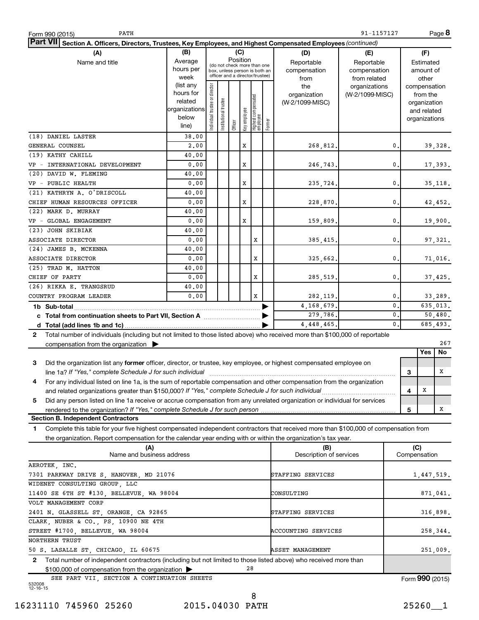| PATH<br>Form 990 (2015)                                                                                                                      |                                     |                               |                       |                                                              |              |                                  |        |                         | 91-1157127      |                              | Page 8     |
|----------------------------------------------------------------------------------------------------------------------------------------------|-------------------------------------|-------------------------------|-----------------------|--------------------------------------------------------------|--------------|----------------------------------|--------|-------------------------|-----------------|------------------------------|------------|
| Part VII Section A. Officers, Directors, Trustees, Key Employees, and Highest Compensated Employees (continued)                              |                                     |                               |                       |                                                              |              |                                  |        |                         |                 |                              |            |
| (A)                                                                                                                                          | (B)                                 |                               |                       | (C)                                                          |              |                                  |        | (D)                     | (E)             | (F)                          |            |
| Name and title                                                                                                                               | Average                             |                               |                       | Position                                                     |              |                                  |        | Reportable              | Reportable      | Estimated                    |            |
|                                                                                                                                              | hours per                           |                               |                       | (do not check more than one<br>box, unless person is both an |              |                                  |        | compensation            | compensation    | amount of                    |            |
|                                                                                                                                              | week                                |                               |                       | officer and a director/trustee)                              |              |                                  |        | from                    | from related    | other                        |            |
|                                                                                                                                              | (list any                           |                               |                       |                                                              |              |                                  |        | the                     | organizations   | compensation                 |            |
|                                                                                                                                              | hours for<br>related                |                               |                       |                                                              |              |                                  |        | organization            | (W-2/1099-MISC) | from the                     |            |
|                                                                                                                                              | organizations                       |                               |                       |                                                              |              |                                  |        | (W-2/1099-MISC)         |                 | organization                 |            |
|                                                                                                                                              | below                               |                               |                       |                                                              |              |                                  |        |                         |                 | and related<br>organizations |            |
|                                                                                                                                              | line)                               | ndividual trustee or director | Institutional trustee | Officer                                                      | Key employee | Highest compensated<br> employee | Former |                         |                 |                              |            |
| (18) DANIEL LASTER                                                                                                                           | 38.00                               |                               |                       |                                                              |              |                                  |        |                         |                 |                              |            |
| GENERAL COUNSEL                                                                                                                              | 2,00                                |                               |                       |                                                              | x            |                                  |        | 268,812.                | 0.              |                              | 39,328.    |
| (19) KATHY CAHILL                                                                                                                            | 40.00                               |                               |                       |                                                              |              |                                  |        |                         |                 |                              |            |
| VP - INTERNATIONAL DEVELOPMENT                                                                                                               | 0.00                                |                               |                       |                                                              | x            |                                  |        | 246,743.                | 0.              |                              | 17,393.    |
| (20) DAVID W. FLEMING                                                                                                                        | 40.00                               |                               |                       |                                                              |              |                                  |        |                         |                 |                              |            |
| VP - PUBLIC HEALTH                                                                                                                           | 0.00                                |                               |                       |                                                              | x            |                                  |        | 235,724.                | 0.              |                              | 35, 118.   |
| (21) KATHRYN A. O'DRISCOLL                                                                                                                   | 40.00                               |                               |                       |                                                              |              |                                  |        |                         |                 |                              |            |
| CHIEF HUMAN RESOURCES OFFICER                                                                                                                | 0.00                                |                               |                       |                                                              | x            |                                  |        | 228,870.                | 0.              |                              | 42,452.    |
| (22) MARK D. MURRAY                                                                                                                          | 40.00                               |                               |                       |                                                              |              |                                  |        |                         |                 |                              |            |
| VP - GLOBAL ENGAGEMENT                                                                                                                       | 0.00                                |                               |                       |                                                              | x            |                                  |        | 159,809.                | 0.              |                              | 19,900.    |
| (23) JOHN SKIBIAK                                                                                                                            | 40.00                               |                               |                       |                                                              |              |                                  |        |                         |                 |                              |            |
| ASSOCIATE DIRECTOR                                                                                                                           | 0.00                                |                               |                       |                                                              |              | х                                |        | 385, 415.               | 0.              |                              | 97,321.    |
| (24) JAMES B. MCKENNA                                                                                                                        | 40.00                               |                               |                       |                                                              |              |                                  |        |                         |                 |                              |            |
| ASSOCIATE DIRECTOR                                                                                                                           | 0.00                                |                               |                       |                                                              |              | X                                |        | 325,662.                | 0.              |                              | 71,016.    |
| (25) TRAD M. HATTON                                                                                                                          | 40.00                               |                               |                       |                                                              |              |                                  |        |                         |                 |                              |            |
| CHIEF OF PARTY                                                                                                                               | 0.00                                |                               |                       |                                                              |              | X                                |        | 285,519.                | 0.              |                              | 37,425.    |
| (26) RIKKA E. TRANGSRUD                                                                                                                      | 40.00                               |                               |                       |                                                              |              |                                  |        |                         |                 |                              |            |
| COUNTRY PROGRAM LEADER                                                                                                                       | 0.00                                |                               |                       |                                                              |              | x                                |        | 282,119.                | $\mathbf{0}$    |                              | 33,289.    |
|                                                                                                                                              |                                     |                               |                       |                                                              |              |                                  |        | 4,168,679.              | $\mathbf{0}$    |                              | 635,013.   |
| c Total from continuation sheets to Part VII, Section A manufactured by                                                                      |                                     |                               |                       |                                                              |              |                                  |        | 279,786.                | $\mathbf{0}$ .  |                              | 50,480.    |
|                                                                                                                                              |                                     |                               |                       |                                                              |              |                                  |        | 4, 448, 465.            | $\mathbf{0}$ .  |                              | 685,493.   |
| Total number of individuals (including but not limited to those listed above) who received more than \$100,000 of reportable<br>$\mathbf{2}$ |                                     |                               |                       |                                                              |              |                                  |        |                         |                 |                              |            |
| compensation from the organization $\blacktriangleright$                                                                                     |                                     |                               |                       |                                                              |              |                                  |        |                         |                 |                              | 267        |
|                                                                                                                                              |                                     |                               |                       |                                                              |              |                                  |        |                         |                 | Yes                          | No         |
| 3<br>Did the organization list any former officer, director, or trustee, key employee, or highest compensated employee on                    |                                     |                               |                       |                                                              |              |                                  |        |                         |                 |                              |            |
|                                                                                                                                              |                                     |                               |                       |                                                              |              |                                  |        |                         |                 | 3                            | х          |
| For any individual listed on line 1a, is the sum of reportable compensation and other compensation from the organization                     |                                     |                               |                       |                                                              |              |                                  |        |                         |                 |                              |            |
| and related organizations greater than \$150,000? If "Yes," complete Schedule J for such individual                                          |                                     |                               |                       |                                                              |              |                                  |        |                         |                 | X<br>4                       |            |
| Did any person listed on line 1a receive or accrue compensation from any unrelated organization or individual for services<br>5              |                                     |                               |                       |                                                              |              |                                  |        |                         |                 |                              |            |
|                                                                                                                                              |                                     |                               |                       |                                                              |              |                                  |        |                         |                 | 5                            | Х          |
| <b>Section B. Independent Contractors</b>                                                                                                    |                                     |                               |                       |                                                              |              |                                  |        |                         |                 |                              |            |
| Complete this table for your five highest compensated independent contractors that received more than \$100,000 of compensation from<br>1.   |                                     |                               |                       |                                                              |              |                                  |        |                         |                 |                              |            |
| the organization. Report compensation for the calendar year ending with or within the organization's tax year.                               |                                     |                               |                       |                                                              |              |                                  |        |                         |                 |                              |            |
| (A)                                                                                                                                          |                                     |                               |                       |                                                              |              |                                  |        | (B)                     |                 | (C)                          |            |
| Name and business address                                                                                                                    |                                     |                               |                       |                                                              |              |                                  |        | Description of services |                 | Compensation                 |            |
| AEROTEK, INC.                                                                                                                                |                                     |                               |                       |                                                              |              |                                  |        |                         |                 |                              |            |
| 7301 PARKWAY DRIVE S, HANOVER, MD 21076                                                                                                      |                                     |                               |                       |                                                              |              |                                  |        | STAFFING SERVICES       |                 |                              | 1,447,519. |
| WIDENET CONSULTING GROUP, LLC                                                                                                                |                                     |                               |                       |                                                              |              |                                  |        |                         |                 |                              |            |
| 11400 SE 6TH ST #130, BELLEVUE, WA 98004<br>CONSULTING                                                                                       |                                     |                               |                       |                                                              |              | 871,041.                         |        |                         |                 |                              |            |
| VOLT MANAGEMENT CORP                                                                                                                         |                                     |                               |                       |                                                              |              |                                  |        |                         |                 |                              |            |
| 2401 N. GLASSELL ST, ORANGE, CA 92865<br>316,898.<br>STAFFING SERVICES                                                                       |                                     |                               |                       |                                                              |              |                                  |        |                         |                 |                              |            |
| CLARK, NUBER & CO., PS, 10900 NE 4TH                                                                                                         |                                     |                               |                       |                                                              |              |                                  |        |                         |                 |                              |            |
| STREET #1700, BELLEVUE, WA 98004<br>ACCOUNTING SERVICES<br>258,344.                                                                          |                                     |                               |                       |                                                              |              |                                  |        |                         |                 |                              |            |
| NORTHERN TRUST                                                                                                                               |                                     |                               |                       |                                                              |              |                                  |        |                         |                 |                              |            |
| 50 S. LASALLE ST, CHICAGO, IL 60675                                                                                                          | <b>ASSET MANAGEMENT</b><br>251,009. |                               |                       |                                                              |              |                                  |        |                         |                 |                              |            |
| Total number of independent contractors (including but not limited to those listed above) who received more than<br>2                        |                                     |                               |                       |                                                              |              |                                  |        |                         |                 |                              |            |
| 28<br>\$100,000 of compensation from the organization                                                                                        |                                     |                               |                       |                                                              |              |                                  |        |                         |                 |                              |            |
| SEE PART VII, SECTION A CONTINUATION SHEETS                                                                                                  |                                     |                               |                       |                                                              |              |                                  |        |                         |                 | Form 990 (2015)              |            |
| 532008<br>12-16-15                                                                                                                           |                                     |                               |                       |                                                              |              |                                  |        |                         |                 |                              |            |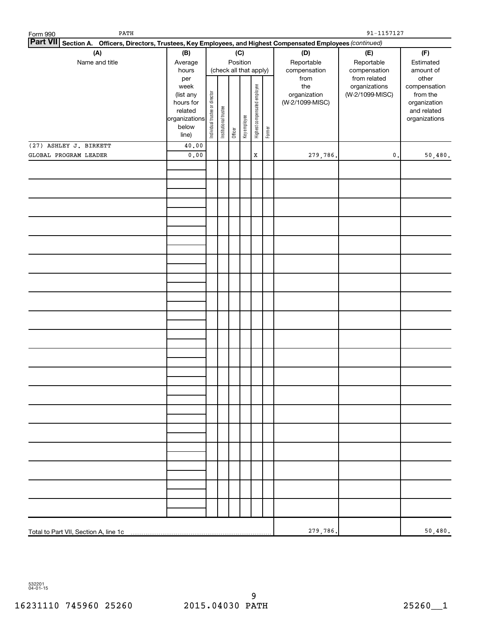| PATH<br>Form 990                                                                                                |                |                                |                       |         |                        |                              | $91 - 1157127$ |                 |                               |                       |  |
|-----------------------------------------------------------------------------------------------------------------|----------------|--------------------------------|-----------------------|---------|------------------------|------------------------------|----------------|-----------------|-------------------------------|-----------------------|--|
| Part VII Section A. Officers, Directors, Trustees, Key Employees, and Highest Compensated Employees (continued) |                |                                |                       |         |                        |                              |                |                 |                               |                       |  |
| (A)<br>(B)<br>(C)                                                                                               |                |                                |                       |         |                        | (D)                          | (E)            | (F)             |                               |                       |  |
| Name and title                                                                                                  | Average        |                                | Position              |         |                        | Reportable                   | Reportable     | Estimated       |                               |                       |  |
|                                                                                                                 | hours          |                                |                       |         | (check all that apply) |                              | compensation   | compensation    | amount of                     |                       |  |
|                                                                                                                 | per<br>week    |                                |                       |         |                        |                              |                | from<br>the     | from related<br>organizations | other<br>compensation |  |
|                                                                                                                 | (list any      |                                |                       |         |                        |                              |                | organization    | (W-2/1099-MISC)               | from the              |  |
|                                                                                                                 | hours for      |                                |                       |         |                        |                              |                | (W-2/1099-MISC) |                               | organization          |  |
|                                                                                                                 | related        |                                |                       |         |                        |                              |                |                 |                               | and related           |  |
|                                                                                                                 | organizations  |                                |                       |         |                        |                              |                |                 |                               | organizations         |  |
|                                                                                                                 | below<br>line) | Individual trustee or director | Institutional trustee | Officer | Key employee           | Highest compensated employee | Former         |                 |                               |                       |  |
| (27) ASHLEY J. BIRKETT                                                                                          | 40.00          |                                |                       |         |                        |                              |                |                 |                               |                       |  |
| GLOBAL PROGRAM LEADER                                                                                           | 0.00           |                                |                       |         |                        | $\mathbf X$                  |                | 279,786.        | $\mathbf{0}$ .                | 50,480.               |  |
|                                                                                                                 |                |                                |                       |         |                        |                              |                |                 |                               |                       |  |
|                                                                                                                 |                |                                |                       |         |                        |                              |                |                 |                               |                       |  |
|                                                                                                                 |                |                                |                       |         |                        |                              |                |                 |                               |                       |  |
|                                                                                                                 |                |                                |                       |         |                        |                              |                |                 |                               |                       |  |
|                                                                                                                 |                |                                |                       |         |                        |                              |                |                 |                               |                       |  |
|                                                                                                                 |                |                                |                       |         |                        |                              |                |                 |                               |                       |  |
|                                                                                                                 |                |                                |                       |         |                        |                              |                |                 |                               |                       |  |
|                                                                                                                 |                |                                |                       |         |                        |                              |                |                 |                               |                       |  |
|                                                                                                                 |                |                                |                       |         |                        |                              |                |                 |                               |                       |  |
|                                                                                                                 |                |                                |                       |         |                        |                              |                |                 |                               |                       |  |
|                                                                                                                 |                |                                |                       |         |                        |                              |                |                 |                               |                       |  |
|                                                                                                                 |                |                                |                       |         |                        |                              |                |                 |                               |                       |  |
|                                                                                                                 |                |                                |                       |         |                        |                              |                |                 |                               |                       |  |
|                                                                                                                 |                |                                |                       |         |                        |                              |                |                 |                               |                       |  |
|                                                                                                                 |                |                                |                       |         |                        |                              |                |                 |                               |                       |  |
|                                                                                                                 |                |                                |                       |         |                        |                              |                |                 |                               |                       |  |
|                                                                                                                 |                |                                |                       |         |                        |                              |                |                 |                               |                       |  |
|                                                                                                                 |                |                                |                       |         |                        |                              |                |                 |                               |                       |  |
|                                                                                                                 |                |                                |                       |         |                        |                              |                |                 |                               |                       |  |
|                                                                                                                 |                |                                |                       |         |                        |                              |                |                 |                               |                       |  |
|                                                                                                                 |                |                                |                       |         |                        |                              |                |                 |                               |                       |  |
|                                                                                                                 |                |                                |                       |         |                        |                              |                |                 |                               |                       |  |
|                                                                                                                 |                |                                |                       |         |                        |                              |                |                 |                               |                       |  |
|                                                                                                                 |                |                                |                       |         |                        |                              |                |                 |                               |                       |  |
|                                                                                                                 |                |                                |                       |         |                        |                              |                |                 |                               |                       |  |
|                                                                                                                 |                |                                |                       |         |                        |                              |                |                 |                               |                       |  |
|                                                                                                                 |                |                                |                       |         |                        |                              |                |                 |                               |                       |  |
|                                                                                                                 |                |                                |                       |         |                        |                              |                |                 |                               |                       |  |
|                                                                                                                 |                |                                |                       |         |                        |                              |                |                 |                               |                       |  |
|                                                                                                                 |                |                                |                       |         |                        |                              |                |                 |                               |                       |  |
|                                                                                                                 |                |                                |                       |         |                        |                              |                |                 |                               |                       |  |
|                                                                                                                 |                |                                |                       |         |                        |                              |                |                 |                               |                       |  |
|                                                                                                                 |                |                                |                       |         |                        |                              |                |                 |                               |                       |  |
|                                                                                                                 |                |                                |                       |         |                        |                              |                |                 |                               |                       |  |
|                                                                                                                 |                |                                |                       |         |                        |                              |                |                 |                               |                       |  |
|                                                                                                                 |                |                                |                       |         |                        |                              |                |                 |                               |                       |  |
|                                                                                                                 |                |                                |                       |         |                        |                              |                |                 |                               |                       |  |
|                                                                                                                 |                |                                |                       |         |                        |                              |                | 279,786.        |                               | 50,480.               |  |

532201 04-01-15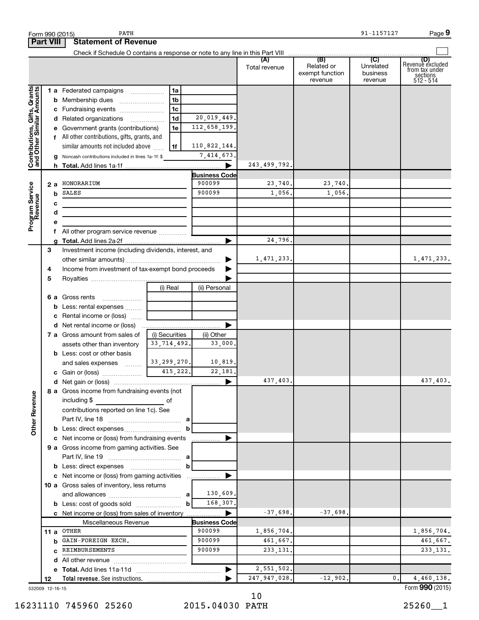|                                                           |      |    | PATH<br>Form 990 (2015)                                           |                |                                |                      |                                                 | 91-1157127                              | Page 9                                                                     |
|-----------------------------------------------------------|------|----|-------------------------------------------------------------------|----------------|--------------------------------|----------------------|-------------------------------------------------|-----------------------------------------|----------------------------------------------------------------------------|
| <b>Part VIII</b>                                          |      |    | <b>Statement of Revenue</b>                                       |                |                                |                      |                                                 |                                         |                                                                            |
|                                                           |      |    |                                                                   |                |                                | (A)<br>Total revenue | (B)<br>Related or<br>exempt function<br>revenue | (C)<br>Unrelated<br>business<br>revenue | ( <b>D)</b><br>Revenue excluded<br>from tax under<br>sections<br>512 - 514 |
|                                                           |      |    | 1 a Federated campaigns                                           | 1a             |                                |                      |                                                 |                                         |                                                                            |
| Contributions, Gifts, Grants<br>and Other Similar Amounts |      |    | <b>b</b> Membership dues                                          | 1 <sub>b</sub> |                                |                      |                                                 |                                         |                                                                            |
|                                                           |      |    | c Fundraising events                                              | 1c             |                                |                      |                                                 |                                         |                                                                            |
|                                                           |      |    | d Related organizations                                           | 1d             | 20,019,449.                    |                      |                                                 |                                         |                                                                            |
|                                                           |      |    | e Government grants (contributions)                               | 1e             | 112,658,199.                   |                      |                                                 |                                         |                                                                            |
|                                                           |      |    | f All other contributions, gifts, grants, and                     |                |                                |                      |                                                 |                                         |                                                                            |
|                                                           |      |    | similar amounts not included above                                | 1f             | 110,822,144.                   |                      |                                                 |                                         |                                                                            |
|                                                           |      |    | <b>g</b> Noncash contributions included in lines 1a-1f: \$        |                | 7,414,673.                     |                      |                                                 |                                         |                                                                            |
|                                                           |      |    |                                                                   |                |                                | 243, 499, 792.       |                                                 |                                         |                                                                            |
|                                                           |      |    | 2 a HONORARIUM                                                    |                | <b>Business Code</b><br>900099 | 23,740.              | 23,740.                                         |                                         |                                                                            |
| Program Service<br>Revenue                                |      | b  | SALES                                                             |                | 900099                         | 1,056.               | 1,056.                                          |                                         |                                                                            |
|                                                           |      | с  |                                                                   |                |                                |                      |                                                 |                                         |                                                                            |
|                                                           |      | d  |                                                                   |                |                                |                      |                                                 |                                         |                                                                            |
|                                                           |      | е  |                                                                   |                |                                |                      |                                                 |                                         |                                                                            |
|                                                           |      | f. | All other program service revenue                                 |                |                                |                      |                                                 |                                         |                                                                            |
|                                                           |      |    |                                                                   |                |                                | 24,796.              |                                                 |                                         |                                                                            |
|                                                           | 3    |    | Investment income (including dividends, interest, and             |                |                                |                      |                                                 |                                         |                                                                            |
|                                                           |      |    |                                                                   |                |                                | 1,471,233.           |                                                 |                                         | 1,471,233.                                                                 |
|                                                           | 4    |    | Income from investment of tax-exempt bond proceeds                |                |                                |                      |                                                 |                                         |                                                                            |
|                                                           | 5    |    |                                                                   |                |                                |                      |                                                 |                                         |                                                                            |
|                                                           |      |    |                                                                   | (i) Real       | (ii) Personal                  |                      |                                                 |                                         |                                                                            |
|                                                           |      |    | 6 a Gross rents                                                   |                |                                |                      |                                                 |                                         |                                                                            |
|                                                           |      |    | <b>b</b> Less: rental expenses                                    |                |                                |                      |                                                 |                                         |                                                                            |
|                                                           |      |    | c Rental income or (loss)                                         |                |                                |                      |                                                 |                                         |                                                                            |
|                                                           |      |    |                                                                   |                |                                |                      |                                                 |                                         |                                                                            |
|                                                           |      |    | 7 a Gross amount from sales of                                    | (i) Securities | (ii) Other                     |                      |                                                 |                                         |                                                                            |
|                                                           |      |    | assets other than inventory<br><b>b</b> Less: cost or other basis | 33, 714, 492.  | 33,000.                        |                      |                                                 |                                         |                                                                            |
|                                                           |      |    | and sales expenses                                                | 33, 299, 270.  | 10,819.                        |                      |                                                 |                                         |                                                                            |
|                                                           |      |    | c Gain or (loss)                                                  | 415,222.       | 22,181.                        |                      |                                                 |                                         |                                                                            |
|                                                           |      |    |                                                                   |                |                                | 437,403.             |                                                 |                                         | 437,403.                                                                   |
|                                                           |      |    | 8 a Gross income from fundraising events (not                     |                |                                |                      |                                                 |                                         |                                                                            |
|                                                           |      |    | including \$                                                      |                |                                |                      |                                                 |                                         |                                                                            |
|                                                           |      |    | contributions reported on line 1c). See                           |                |                                |                      |                                                 |                                         |                                                                            |
|                                                           |      |    |                                                                   |                |                                |                      |                                                 |                                         |                                                                            |
| <b>Other Revenue</b>                                      |      |    |                                                                   | b              |                                |                      |                                                 |                                         |                                                                            |
|                                                           |      |    | c Net income or (loss) from fundraising events                    |                | .                              |                      |                                                 |                                         |                                                                            |
|                                                           |      |    | 9 a Gross income from gaming activities. See                      |                |                                |                      |                                                 |                                         |                                                                            |
|                                                           |      |    |                                                                   |                |                                |                      |                                                 |                                         |                                                                            |
|                                                           |      |    |                                                                   | $\mathbf b$    |                                |                      |                                                 |                                         |                                                                            |
|                                                           |      |    | c Net income or (loss) from gaming activities                     |                |                                |                      |                                                 |                                         |                                                                            |
|                                                           |      |    | 10 a Gross sales of inventory, less returns                       |                | 130,609.                       |                      |                                                 |                                         |                                                                            |
|                                                           |      |    |                                                                   | $\mathbf{b}$   | 168,307.                       |                      |                                                 |                                         |                                                                            |
|                                                           |      |    | c Net income or (loss) from sales of inventory                    |                |                                | $-37,698.$           | $-37,698.$                                      |                                         |                                                                            |
|                                                           |      |    | Miscellaneous Revenue                                             |                | <b>Business Code</b>           |                      |                                                 |                                         |                                                                            |
|                                                           | 11 a |    | OTHER                                                             |                | 900099                         | 1,856,704.           |                                                 |                                         | 1,856,704.                                                                 |
|                                                           |      | b  | GAIN-FOREIGN EXCH.                                                |                | 900099                         | 461,667.             |                                                 |                                         | 461,667.                                                                   |
|                                                           |      | C  | REIMBURSEMENTS                                                    |                | 900099                         | 233, 131.            |                                                 |                                         | 233, 131.                                                                  |
|                                                           |      |    |                                                                   |                |                                |                      |                                                 |                                         |                                                                            |
|                                                           |      |    |                                                                   |                |                                | 2,551,502.           |                                                 |                                         |                                                                            |
|                                                           | 12   |    |                                                                   |                |                                | 247, 947, 028.       | $-12,902.$                                      | 0.                                      | 4,460,138.                                                                 |
| 532009 12-16-15                                           |      |    |                                                                   |                |                                |                      |                                                 |                                         | Form 990 (2015)                                                            |

532009 12-16-15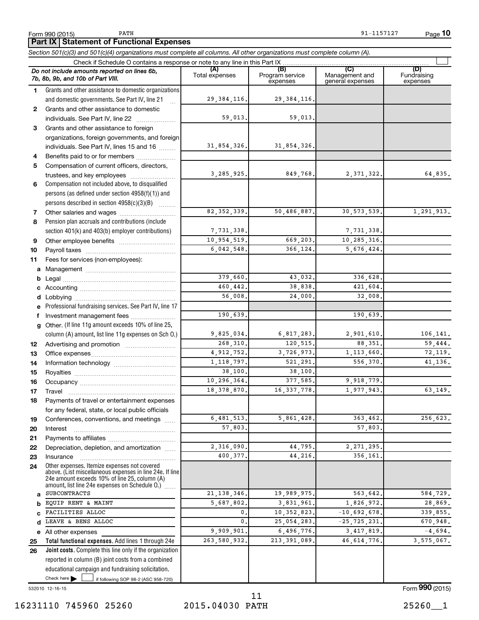**10**

# **Part IX Statement of Functional Expenses**

*Section 501(c)(3) and 501(c)(4) organizations must complete all columns. All other organizations must complete column (A).*

|              | Do not include amounts reported on lines 6b,<br>7b, 8b, 9b, and 10b of Part VIII.                                                                         | (A)<br>Total expenses | (B)<br>Program service<br>expenses | (C)<br>Management and<br>general expenses | (D)<br>Fundraising<br>expenses |  |  |  |  |
|--------------|-----------------------------------------------------------------------------------------------------------------------------------------------------------|-----------------------|------------------------------------|-------------------------------------------|--------------------------------|--|--|--|--|
| 1.           | Grants and other assistance to domestic organizations                                                                                                     |                       |                                    |                                           |                                |  |  |  |  |
|              | and domestic governments. See Part IV, line 21                                                                                                            | 29, 384, 116.         | 29, 384, 116.                      |                                           |                                |  |  |  |  |
| $\mathbf{2}$ | Grants and other assistance to domestic                                                                                                                   |                       |                                    |                                           |                                |  |  |  |  |
|              | individuals. See Part IV, line 22                                                                                                                         | 59,013.               | 59,013.                            |                                           |                                |  |  |  |  |
| 3            | Grants and other assistance to foreign                                                                                                                    |                       |                                    |                                           |                                |  |  |  |  |
|              | organizations, foreign governments, and foreign                                                                                                           |                       |                                    |                                           |                                |  |  |  |  |
|              | individuals. See Part IV, lines 15 and 16                                                                                                                 | 31,854,326.           | 31,854,326.                        |                                           |                                |  |  |  |  |
| 4            | Benefits paid to or for members                                                                                                                           |                       |                                    |                                           |                                |  |  |  |  |
| 5            | Compensation of current officers, directors,                                                                                                              |                       |                                    |                                           |                                |  |  |  |  |
|              | trustees, and key employees                                                                                                                               | 3, 285, 925.          | 849,768.                           | 2, 371, 322.                              | 64,835.                        |  |  |  |  |
| 6            | Compensation not included above, to disqualified                                                                                                          |                       |                                    |                                           |                                |  |  |  |  |
|              | persons (as defined under section 4958(f)(1)) and                                                                                                         |                       |                                    |                                           |                                |  |  |  |  |
|              | persons described in section 4958(c)(3)(B)                                                                                                                |                       |                                    |                                           |                                |  |  |  |  |
| 7            | Other salaries and wages                                                                                                                                  | 82, 352, 339.         | 50,486,887.                        | 30, 573, 539.                             | 1,291,913.                     |  |  |  |  |
| 8            | Pension plan accruals and contributions (include                                                                                                          |                       |                                    |                                           |                                |  |  |  |  |
|              | section 401(k) and 403(b) employer contributions)                                                                                                         | 7,731,338.            |                                    | 7,731,338.                                |                                |  |  |  |  |
| 9            |                                                                                                                                                           | 10,954,519.           | 669,203.                           | 10,285,316.                               |                                |  |  |  |  |
| 10           |                                                                                                                                                           | 6,042,548.            | 366.124.                           | 5,676,424.                                |                                |  |  |  |  |
| 11           | Fees for services (non-employees):                                                                                                                        |                       |                                    |                                           |                                |  |  |  |  |
| a            |                                                                                                                                                           |                       |                                    |                                           |                                |  |  |  |  |
| b            |                                                                                                                                                           | 379,660.              | 43,032.                            | 336,628.                                  |                                |  |  |  |  |
| c            |                                                                                                                                                           | 460,442.              | 38,838.                            | 421,604.                                  |                                |  |  |  |  |
| d            |                                                                                                                                                           | 56,008.               | 24,000.                            | 32,008.                                   |                                |  |  |  |  |
| е            | Professional fundraising services. See Part IV, line 17                                                                                                   |                       |                                    |                                           |                                |  |  |  |  |
| f            | Investment management fees                                                                                                                                | 190,639               |                                    | 190,639                                   |                                |  |  |  |  |
| g            | Other. (If line 11g amount exceeds 10% of line 25,                                                                                                        |                       |                                    |                                           |                                |  |  |  |  |
|              | column (A) amount, list line 11g expenses on Sch O.)                                                                                                      | 9,825,034.            | 6,817,283.                         | 2,901,610.                                | 106,141.                       |  |  |  |  |
| 12           |                                                                                                                                                           | 268,310.              | 120,515.                           | 88,351.                                   | 59,444.                        |  |  |  |  |
| 13           |                                                                                                                                                           | 4,912,752.            | 3,726,973.                         | 1, 113, 660.                              | 72,119.                        |  |  |  |  |
| 14           |                                                                                                                                                           | 1, 118, 797.          | 521, 291.                          | 556,370.                                  | 41,136.                        |  |  |  |  |
| 15           |                                                                                                                                                           | 38,100.               | 38,100.                            |                                           |                                |  |  |  |  |
| 16           |                                                                                                                                                           | 10,296,364.           | 377,585.                           | 9,918,779.                                |                                |  |  |  |  |
| 17           |                                                                                                                                                           | 18, 378, 870.         | 16, 337, 778.                      | 1,977,943.                                | 63,149.                        |  |  |  |  |
| 18           | Payments of travel or entertainment expenses                                                                                                              |                       |                                    |                                           |                                |  |  |  |  |
|              | for any federal, state, or local public officials                                                                                                         |                       |                                    |                                           |                                |  |  |  |  |
| 19           | Conferences, conventions, and meetings                                                                                                                    | 6, 481, 513.          | 5,861,428                          | 363,462                                   | 256,623.                       |  |  |  |  |
| 20           | Interest                                                                                                                                                  | 57,803                |                                    | 57,803                                    |                                |  |  |  |  |
| 21           |                                                                                                                                                           |                       |                                    |                                           |                                |  |  |  |  |
| 22           | Depreciation, depletion, and amortization                                                                                                                 | 2,316,090             | 44,795.                            | 2, 271, 295                               |                                |  |  |  |  |
| 23           | Insurance                                                                                                                                                 | 400,377.              | 44,216.                            | 356,161                                   |                                |  |  |  |  |
| 24           | Other expenses. Itemize expenses not covered<br>above. (List miscellaneous expenses in line 24e. If line<br>24e amount exceeds 10% of line 25, column (A) |                       |                                    |                                           |                                |  |  |  |  |
|              | amount, list line 24e expenses on Schedule O.)                                                                                                            |                       |                                    |                                           |                                |  |  |  |  |
| a            | <b>SUBCONTRACTS</b>                                                                                                                                       | 21, 138, 346.         | 19,989,975.                        | 563,642                                   | 584,729.                       |  |  |  |  |
| b            | EQUIP RENT & MAINT                                                                                                                                        | 5,687,802             | 3,831,961.                         | 1,826,972                                 | 28,869.                        |  |  |  |  |
|              | FACILITIES ALLOC                                                                                                                                          | $\mathbf{0}$          | 10, 352, 823.                      | $-10,692,678$                             | 339,855.                       |  |  |  |  |
| d            | LEAVE & BENS ALLOC                                                                                                                                        | 0                     | 25,054,283.                        | $-25, 725, 231.$                          | 670,948.                       |  |  |  |  |
|              | e All other expenses                                                                                                                                      | 9,909,901             | 6,496,776.                         | 3, 417, 819.                              | $-4,694.$                      |  |  |  |  |
| 25           | Total functional expenses. Add lines 1 through 24e                                                                                                        | 263,580,932           | 213, 391, 089.                     | 46, 614, 776,                             | 3,575,067.                     |  |  |  |  |
| 26           | Joint costs. Complete this line only if the organization                                                                                                  |                       |                                    |                                           |                                |  |  |  |  |
|              | reported in column (B) joint costs from a combined                                                                                                        |                       |                                    |                                           |                                |  |  |  |  |
|              | educational campaign and fundraising solicitation.                                                                                                        |                       |                                    |                                           |                                |  |  |  |  |
|              | Check here<br>if following SOP 98-2 (ASC 958-720)                                                                                                         |                       |                                    |                                           |                                |  |  |  |  |

532010 12-16-15

Form (2015) **990**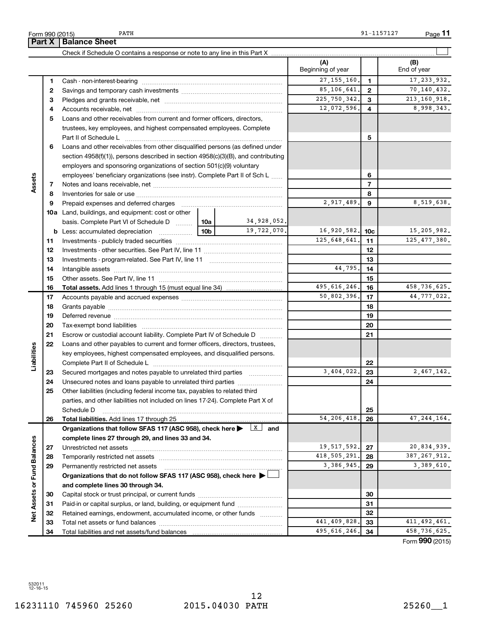532011 12-16-15

| 16231110 745960 25260 | 2015.04030 PATH |  |
|-----------------------|-----------------|--|

| 5260 |  |
|------|--|
|------|--|

|                             |          |                                                                                                                                                                                                                               |                 |                        | (A)<br>Beginning of year |                | (B)<br>End of year |
|-----------------------------|----------|-------------------------------------------------------------------------------------------------------------------------------------------------------------------------------------------------------------------------------|-----------------|------------------------|--------------------------|----------------|--------------------|
|                             | 1        |                                                                                                                                                                                                                               |                 |                        | 27, 155, 160.            | $\mathbf{1}$   | 17, 233, 932.      |
|                             | 2        |                                                                                                                                                                                                                               |                 |                        | 85,106,641.              | $\mathbf{2}$   | 70,140,432.        |
|                             | з        |                                                                                                                                                                                                                               |                 |                        | 225, 750, 342.           | 3              | 213, 160, 918.     |
|                             | 4        |                                                                                                                                                                                                                               |                 |                        | 12,072,596.              | 4              | 8,998,343.         |
|                             | 5        | Loans and other receivables from current and former officers, directors,                                                                                                                                                      |                 |                        |                          |                |                    |
|                             |          | trustees, key employees, and highest compensated employees. Complete                                                                                                                                                          |                 |                        |                          |                |                    |
|                             |          |                                                                                                                                                                                                                               |                 |                        |                          | 5              |                    |
|                             | 6        | Loans and other receivables from other disqualified persons (as defined under                                                                                                                                                 |                 |                        |                          |                |                    |
|                             |          | section $4958(f)(1)$ , persons described in section $4958(c)(3)(B)$ , and contributing                                                                                                                                        |                 |                        |                          |                |                    |
|                             |          | employers and sponsoring organizations of section 501(c)(9) voluntary                                                                                                                                                         |                 |                        |                          |                |                    |
|                             |          | employees' beneficiary organizations (see instr). Complete Part II of Sch L                                                                                                                                                   |                 |                        | 6                        |                |                    |
| Assets                      | 7        |                                                                                                                                                                                                                               |                 |                        |                          | $\overline{7}$ |                    |
|                             | 8        |                                                                                                                                                                                                                               |                 |                        |                          | 8              |                    |
|                             | 9        | Prepaid expenses and deferred charges [11] [11] Prepaid expenses and deferred charges [11] [11] Martin Marian Marian Marian Marian Marian Marian Marian Marian Marian Marian Marian Marian Marian Marian Marian Marian Marian |                 |                        | 2,917,489.               | 9              | 8,519,638.         |
|                             |          | <b>10a</b> Land, buildings, and equipment: cost or other                                                                                                                                                                      |                 |                        |                          |                |                    |
|                             |          | basis. Complete Part VI of Schedule D  10a                                                                                                                                                                                    |                 | 34,928,052.            |                          |                |                    |
|                             |          | <b>b</b> Less: accumulated depreciation                                                                                                                                                                                       | 10 <sub>b</sub> | 19,722,070.            | 16,920,582.              | 10c            | 15,205,982.        |
|                             | 11       |                                                                                                                                                                                                                               | 125,648,641.    | 11                     | 125, 477, 380.           |                |                    |
|                             | 12       |                                                                                                                                                                                                                               |                 |                        | 12                       |                |                    |
|                             | 13       |                                                                                                                                                                                                                               |                 |                        |                          | 13             |                    |
|                             | 14       |                                                                                                                                                                                                                               |                 | 44,795.                | 14                       |                |                    |
|                             | 15       |                                                                                                                                                                                                                               |                 |                        |                          | 15             |                    |
|                             | 16       | <b>Total assets.</b> Add lines 1 through 15 (must equal line 34) <i></i>                                                                                                                                                      |                 |                        | 495, 616, 246.           | 16             | 458,736,625.       |
|                             | 17       |                                                                                                                                                                                                                               |                 | 50,802,396.            | 17                       | 44,777,022.    |                    |
|                             | 18       |                                                                                                                                                                                                                               |                 |                        | 18                       |                |                    |
|                             | 19       |                                                                                                                                                                                                                               |                 |                        |                          | 19             |                    |
|                             | 20       |                                                                                                                                                                                                                               |                 |                        |                          | 20             |                    |
|                             | 21       | Escrow or custodial account liability. Complete Part IV of Schedule D                                                                                                                                                         |                 |                        |                          | 21             |                    |
| Liabilities                 | 22       | Loans and other payables to current and former officers, directors, trustees,                                                                                                                                                 |                 |                        |                          |                |                    |
|                             |          | key employees, highest compensated employees, and disqualified persons.                                                                                                                                                       |                 |                        |                          |                |                    |
|                             |          |                                                                                                                                                                                                                               |                 |                        | 3,404,022.               | 22             |                    |
|                             | 23       | Secured mortgages and notes payable to unrelated third parties <i>manumum</i>                                                                                                                                                 |                 |                        |                          | 23             | 2,467,142.         |
|                             | 24<br>25 | Other liabilities (including federal income tax, payables to related third                                                                                                                                                    |                 |                        |                          | 24             |                    |
|                             |          | parties, and other liabilities not included on lines 17-24). Complete Part X of                                                                                                                                               |                 |                        |                          |                |                    |
|                             |          | Schedule D                                                                                                                                                                                                                    |                 |                        |                          | 25             |                    |
|                             | 26       | Total liabilities. Add lines 17 through 25                                                                                                                                                                                    |                 |                        | 54, 206, 418             | 26             | 47, 244, 164.      |
|                             |          | Organizations that follow SFAS 117 (ASC 958), check here >                                                                                                                                                                    |                 | $\vert x \vert$<br>and |                          |                |                    |
|                             |          | complete lines 27 through 29, and lines 33 and 34.                                                                                                                                                                            |                 |                        |                          |                |                    |
|                             | 27       |                                                                                                                                                                                                                               |                 |                        | 19,517,592.              | 27             | 20,834,939.        |
|                             | 28       |                                                                                                                                                                                                                               |                 |                        | 418, 505, 291.           | 28             | 387, 267, 912.     |
|                             | 29       | Permanently restricted net assets                                                                                                                                                                                             |                 |                        | 3,386,945.               | 29             | 3,389,610.         |
|                             |          | Organizations that do not follow SFAS 117 (ASC 958), check here ▶                                                                                                                                                             |                 |                        |                          |                |                    |
|                             |          | and complete lines 30 through 34.                                                                                                                                                                                             |                 |                        |                          |                |                    |
| Net Assets or Fund Balances | 30       |                                                                                                                                                                                                                               |                 | 30                     |                          |                |                    |
|                             | 31       | Paid-in or capital surplus, or land, building, or equipment fund                                                                                                                                                              |                 |                        | 31                       |                |                    |
|                             | 32       | Retained earnings, endowment, accumulated income, or other funds                                                                                                                                                              |                 |                        |                          | 32             |                    |
|                             | 33       |                                                                                                                                                                                                                               |                 |                        | 441,409,828              | 33             | 411, 492, 461.     |
|                             | 34       |                                                                                                                                                                                                                               |                 | 495, 616, 246.         | 34                       | 458, 736, 625. |                    |

Form (2015) **990**

 $\overline{\phantom{0}}$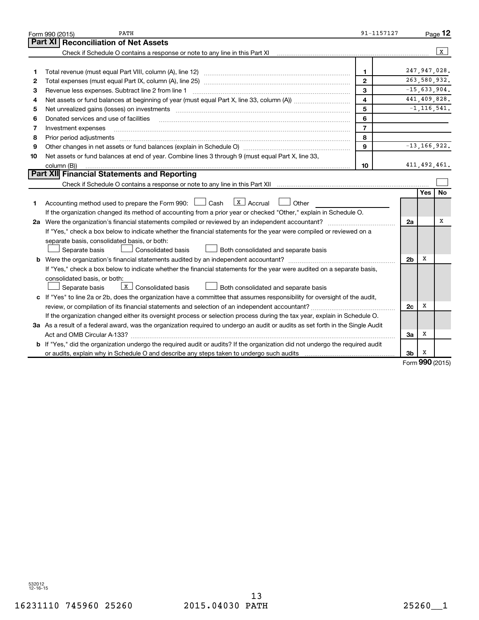|    | PATH<br>Form 990 (2015)                                                                                                                                                                                                       | 91-1157127     |                |                 | Page 12          |
|----|-------------------------------------------------------------------------------------------------------------------------------------------------------------------------------------------------------------------------------|----------------|----------------|-----------------|------------------|
|    | Part XI<br><b>Reconciliation of Net Assets</b>                                                                                                                                                                                |                |                |                 |                  |
|    | Check if Schedule O contains a response or note to any line in this Part XI                                                                                                                                                   |                |                |                 | $\mathbf{x}$     |
|    |                                                                                                                                                                                                                               |                |                |                 |                  |
| 1  |                                                                                                                                                                                                                               | 1              |                |                 | 247,947,028.     |
| 2  |                                                                                                                                                                                                                               | $\mathbf{2}$   |                |                 | 263,580,932.     |
| З  | Revenue less expenses. Subtract line 2 from line 1                                                                                                                                                                            | 3              |                |                 | $-15,633,904.$   |
| 4  |                                                                                                                                                                                                                               | 4              |                |                 | 441,409,828.     |
| 5  | Net unrealized gains (losses) on investments [11] matter in the content of the state of the state of the state of the state of the state of the state of the state of the state of the state of the state of the state of the | 5              |                |                 | $-1, 116, 541.$  |
| 6  | Donated services and use of facilities                                                                                                                                                                                        | 6              |                |                 |                  |
| 7  | Investment expenses                                                                                                                                                                                                           | $\overline{7}$ |                |                 |                  |
| 8  |                                                                                                                                                                                                                               | 8              |                |                 |                  |
| 9  |                                                                                                                                                                                                                               | 9              |                |                 | $-13, 166, 922.$ |
| 10 | Net assets or fund balances at end of year. Combine lines 3 through 9 (must equal Part X, line 33,                                                                                                                            |                |                |                 |                  |
|    | column (B))                                                                                                                                                                                                                   | 10             |                |                 | 411, 492, 461.   |
|    | Part XII Financial Statements and Reporting                                                                                                                                                                                   |                |                |                 |                  |
|    |                                                                                                                                                                                                                               |                |                |                 |                  |
|    |                                                                                                                                                                                                                               |                |                | <b>Yes</b>      | <b>No</b>        |
| 1. | $\vert$ X $\vert$ Accrual<br>Accounting method used to prepare the Form 990: [1635] Cash<br>Other                                                                                                                             |                |                |                 |                  |
|    | If the organization changed its method of accounting from a prior year or checked "Other," explain in Schedule O.                                                                                                             |                |                |                 |                  |
|    | 2a Were the organization's financial statements compiled or reviewed by an independent accountant?                                                                                                                            |                | 2a             |                 | х                |
|    | If "Yes," check a box below to indicate whether the financial statements for the year were compiled or reviewed on a                                                                                                          |                |                |                 |                  |
|    | separate basis, consolidated basis, or both:                                                                                                                                                                                  |                |                |                 |                  |
|    | Separate basis<br>Consolidated basis<br>Both consolidated and separate basis                                                                                                                                                  |                |                |                 |                  |
|    |                                                                                                                                                                                                                               |                | 2 <sub>b</sub> | х               |                  |
|    | If "Yes," check a box below to indicate whether the financial statements for the year were audited on a separate basis,                                                                                                       |                |                |                 |                  |
|    | consolidated basis, or both:                                                                                                                                                                                                  |                |                |                 |                  |
|    | $\overline{\mathbf{x}}$ Consolidated basis<br>Separate basis<br>Both consolidated and separate basis                                                                                                                          |                |                |                 |                  |
|    | c If "Yes" to line 2a or 2b, does the organization have a committee that assumes responsibility for oversight of the audit,                                                                                                   |                |                |                 |                  |
|    |                                                                                                                                                                                                                               |                | 2c             | x               |                  |
|    | If the organization changed either its oversight process or selection process during the tax year, explain in Schedule O.                                                                                                     |                |                |                 |                  |
|    | 3a As a result of a federal award, was the organization required to undergo an audit or audits as set forth in the Single Audit                                                                                               |                |                |                 |                  |
|    | Act and OMB Circular A-133?                                                                                                                                                                                                   |                | За             | х               |                  |
|    | b If "Yes," did the organization undergo the required audit or audits? If the organization did not undergo the required audit                                                                                                 |                |                |                 |                  |
|    |                                                                                                                                                                                                                               |                | 3b             | x               |                  |
|    |                                                                                                                                                                                                                               |                |                | $000 \text{ m}$ |                  |

Form (2015) **990**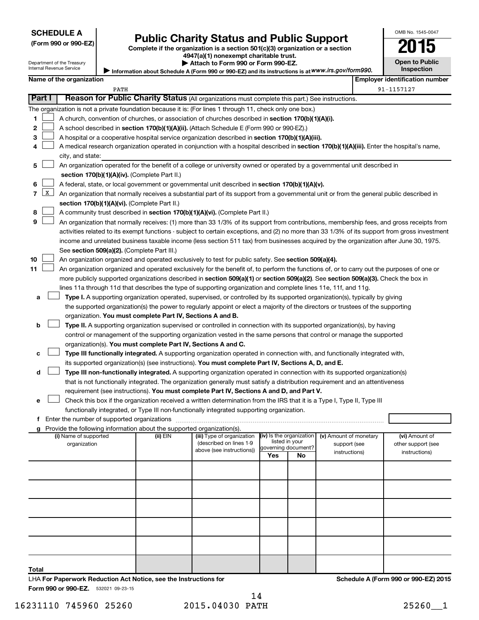| (Form 990 or 990-EZ |  |  |  |  |
|---------------------|--|--|--|--|
|---------------------|--|--|--|--|

Form 990 or 990-EZ) **Public Charity Status and Public Support**<br>
Complete if the organization is a section 501(c)(3) organization or a section<br> **2015 4947(a)(1) nonexempt charitable trust.**

|  | <del>94</del> 7 (a) Tronexempt charitable trust. |  |  |
|--|--------------------------------------------------|--|--|
|  | ⋅ ∆ttach to Form 990 or Form 990-F7 .            |  |  |

| LU<br>IJ              |
|-----------------------|
| <b>Open to Public</b> |
| <b>Inspection</b>     |

OMB No. 1545-0047

Department of the Treasury Internal Revenue Service **Name of the organization Employer identification number**

|  |  | Attach to Form 990 or Form 990-EZ. |  |
|--|--|------------------------------------|--|
|  |  |                                    |  |

**Information about Schedule A (Form 990 or 990-EZ) and its instructions is at |**  *www.irs.gov/form990.*

|        |                                                                                                    | PATH                                                                                                                                                                                 |          |                            |                     |                |                                                     | 91-1157127         |
|--------|----------------------------------------------------------------------------------------------------|--------------------------------------------------------------------------------------------------------------------------------------------------------------------------------------|----------|----------------------------|---------------------|----------------|-----------------------------------------------------|--------------------|
| Part I |                                                                                                    | Reason for Public Charity Status (All organizations must complete this part.) See instructions.                                                                                      |          |                            |                     |                |                                                     |                    |
|        |                                                                                                    | The organization is not a private foundation because it is: (For lines 1 through 11, check only one box.)                                                                            |          |                            |                     |                |                                                     |                    |
| 1      | A church, convention of churches, or association of churches described in section 170(b)(1)(A)(i). |                                                                                                                                                                                      |          |                            |                     |                |                                                     |                    |
| 2      |                                                                                                    | A school described in <b>section 170(b)(1)(A)(ii).</b> (Attach Schedule E (Form 990 or 990-EZ).)                                                                                     |          |                            |                     |                |                                                     |                    |
| з      |                                                                                                    | A hospital or a cooperative hospital service organization described in section 170(b)(1)(A)(iii).                                                                                    |          |                            |                     |                |                                                     |                    |
| 4      |                                                                                                    | A medical research organization operated in conjunction with a hospital described in section 170(b)(1)(A)(iii). Enter the hospital's name,                                           |          |                            |                     |                |                                                     |                    |
|        |                                                                                                    | city, and state:                                                                                                                                                                     |          |                            |                     |                |                                                     |                    |
| 5      |                                                                                                    | An organization operated for the benefit of a college or university owned or operated by a governmental unit described in                                                            |          |                            |                     |                |                                                     |                    |
|        |                                                                                                    | section 170(b)(1)(A)(iv). (Complete Part II.)                                                                                                                                        |          |                            |                     |                |                                                     |                    |
| 6      |                                                                                                    | A federal, state, or local government or governmental unit described in section 170(b)(1)(A)(v).                                                                                     |          |                            |                     |                |                                                     |                    |
| 7      | X                                                                                                  | An organization that normally receives a substantial part of its support from a governmental unit or from the general public described in                                            |          |                            |                     |                |                                                     |                    |
|        |                                                                                                    | section 170(b)(1)(A)(vi). (Complete Part II.)                                                                                                                                        |          |                            |                     |                |                                                     |                    |
| 8      |                                                                                                    | A community trust described in section 170(b)(1)(A)(vi). (Complete Part II.)                                                                                                         |          |                            |                     |                |                                                     |                    |
| 9      |                                                                                                    | An organization that normally receives: (1) more than 33 1/3% of its support from contributions, membership fees, and gross receipts from                                            |          |                            |                     |                |                                                     |                    |
|        |                                                                                                    | activities related to its exempt functions - subject to certain exceptions, and (2) no more than 33 1/3% of its support from gross investment                                        |          |                            |                     |                |                                                     |                    |
|        |                                                                                                    | income and unrelated business taxable income (less section 511 tax) from businesses acquired by the organization after June 30, 1975.<br>See section 509(a)(2). (Complete Part III.) |          |                            |                     |                |                                                     |                    |
| 10     |                                                                                                    | An organization organized and operated exclusively to test for public safety. See section 509(a)(4).                                                                                 |          |                            |                     |                |                                                     |                    |
| 11     |                                                                                                    | An organization organized and operated exclusively for the benefit of, to perform the functions of, or to carry out the purposes of one or                                           |          |                            |                     |                |                                                     |                    |
|        |                                                                                                    | more publicly supported organizations described in section 509(a)(1) or section 509(a)(2). See section 509(a)(3). Check the box in                                                   |          |                            |                     |                |                                                     |                    |
|        |                                                                                                    | lines 11a through 11d that describes the type of supporting organization and complete lines 11e, 11f, and 11g.                                                                       |          |                            |                     |                |                                                     |                    |
| a      |                                                                                                    | Type I. A supporting organization operated, supervised, or controlled by its supported organization(s), typically by giving                                                          |          |                            |                     |                |                                                     |                    |
|        |                                                                                                    | the supported organization(s) the power to regularly appoint or elect a majority of the directors or trustees of the supporting                                                      |          |                            |                     |                |                                                     |                    |
|        |                                                                                                    | organization. You must complete Part IV, Sections A and B.                                                                                                                           |          |                            |                     |                |                                                     |                    |
| b      |                                                                                                    | Type II. A supporting organization supervised or controlled in connection with its supported organization(s), by having                                                              |          |                            |                     |                |                                                     |                    |
|        |                                                                                                    | control or management of the supporting organization vested in the same persons that control or manage the supported                                                                 |          |                            |                     |                |                                                     |                    |
|        |                                                                                                    | organization(s). You must complete Part IV, Sections A and C.                                                                                                                        |          |                            |                     |                |                                                     |                    |
|        |                                                                                                    | Type III functionally integrated. A supporting organization operated in connection with, and functionally integrated with,                                                           |          |                            |                     |                |                                                     |                    |
|        |                                                                                                    | its supported organization(s) (see instructions). You must complete Part IV, Sections A, D, and E.                                                                                   |          |                            |                     |                |                                                     |                    |
| d      |                                                                                                    | Type III non-functionally integrated. A supporting organization operated in connection with its supported organization(s)                                                            |          |                            |                     |                |                                                     |                    |
|        |                                                                                                    | that is not functionally integrated. The organization generally must satisfy a distribution requirement and an attentiveness                                                         |          |                            |                     |                |                                                     |                    |
|        |                                                                                                    | requirement (see instructions). You must complete Part IV, Sections A and D, and Part V.                                                                                             |          |                            |                     |                |                                                     |                    |
| е      |                                                                                                    | Check this box if the organization received a written determination from the IRS that it is a Type I, Type II, Type III                                                              |          |                            |                     |                |                                                     |                    |
|        |                                                                                                    | functionally integrated, or Type III non-functionally integrated supporting organization.                                                                                            |          |                            |                     |                |                                                     |                    |
|        |                                                                                                    |                                                                                                                                                                                      |          |                            |                     |                |                                                     |                    |
|        |                                                                                                    | Provide the following information about the supported organization(s).<br>(i) Name of supported                                                                                      | (II) EIN | (iii) Type of organization |                     |                | $(iv)$ is the organization $(v)$ Amount of monetary | (vi) Amount of     |
|        |                                                                                                    | organization                                                                                                                                                                         |          | (described on lines 1-9    | governing document? | listed in your | support (see                                        | other support (see |
|        |                                                                                                    |                                                                                                                                                                                      |          | above (see instructions))  | Yes                 | No             | instructions)                                       | instructions)      |
|        |                                                                                                    |                                                                                                                                                                                      |          |                            |                     |                |                                                     |                    |
|        |                                                                                                    |                                                                                                                                                                                      |          |                            |                     |                |                                                     |                    |
|        |                                                                                                    |                                                                                                                                                                                      |          |                            |                     |                |                                                     |                    |
|        |                                                                                                    |                                                                                                                                                                                      |          |                            |                     |                |                                                     |                    |
|        |                                                                                                    |                                                                                                                                                                                      |          |                            |                     |                |                                                     |                    |
|        |                                                                                                    |                                                                                                                                                                                      |          |                            |                     |                |                                                     |                    |
|        |                                                                                                    |                                                                                                                                                                                      |          |                            |                     |                |                                                     |                    |
|        |                                                                                                    |                                                                                                                                                                                      |          |                            |                     |                |                                                     |                    |
|        |                                                                                                    |                                                                                                                                                                                      |          |                            |                     |                |                                                     |                    |
|        |                                                                                                    |                                                                                                                                                                                      |          |                            |                     |                |                                                     |                    |
|        |                                                                                                    |                                                                                                                                                                                      |          |                            |                     |                |                                                     |                    |
| Total  |                                                                                                    |                                                                                                                                                                                      |          |                            |                     |                |                                                     |                    |

Form 990 or 990-EZ. 532021 09-23-15 LHA **For Paperwork Reduction Act Notice, see the Instructions for**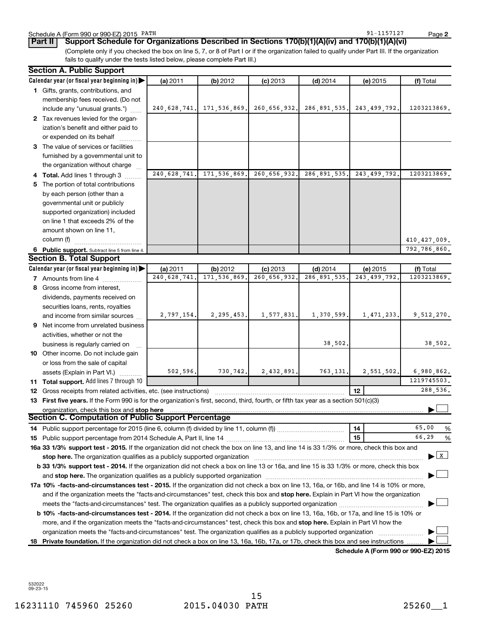|                                                                                                                                       | Calendar year (or fiscal year beginning in)                                                                                                                                                                                                                                 | (a) 2011     | (b) 2012                      | $(c)$ 2013   | $(d)$ 2014                | (e) 2015                             | (f) Total      |
|---------------------------------------------------------------------------------------------------------------------------------------|-----------------------------------------------------------------------------------------------------------------------------------------------------------------------------------------------------------------------------------------------------------------------------|--------------|-------------------------------|--------------|---------------------------|--------------------------------------|----------------|
|                                                                                                                                       | 1 Gifts, grants, contributions, and                                                                                                                                                                                                                                         |              |                               |              |                           |                                      |                |
|                                                                                                                                       | membership fees received. (Do not                                                                                                                                                                                                                                           |              |                               |              |                           |                                      |                |
|                                                                                                                                       | include any "unusual grants.")                                                                                                                                                                                                                                              |              | 240, 628, 741. 171, 536, 869. |              | 260,656,932. 286,891,535. | 243, 499, 792.                       | 1203213869.    |
|                                                                                                                                       | 2 Tax revenues levied for the organ-                                                                                                                                                                                                                                        |              |                               |              |                           |                                      |                |
|                                                                                                                                       | ization's benefit and either paid to                                                                                                                                                                                                                                        |              |                               |              |                           |                                      |                |
|                                                                                                                                       | or expended on its behalf                                                                                                                                                                                                                                                   |              |                               |              |                           |                                      |                |
|                                                                                                                                       | 3 The value of services or facilities                                                                                                                                                                                                                                       |              |                               |              |                           |                                      |                |
|                                                                                                                                       | furnished by a governmental unit to                                                                                                                                                                                                                                         |              |                               |              |                           |                                      |                |
|                                                                                                                                       | the organization without charge                                                                                                                                                                                                                                             |              |                               |              |                           |                                      |                |
|                                                                                                                                       | Total. Add lines 1 through 3                                                                                                                                                                                                                                                | 240,628,741. | 171,536,869.                  | 260,656,932. | 286,891,535.              | 243, 499, 792.                       | 1203213869.    |
|                                                                                                                                       | The portion of total contributions                                                                                                                                                                                                                                          |              |                               |              |                           |                                      |                |
|                                                                                                                                       | by each person (other than a                                                                                                                                                                                                                                                |              |                               |              |                           |                                      |                |
|                                                                                                                                       | governmental unit or publicly                                                                                                                                                                                                                                               |              |                               |              |                           |                                      |                |
|                                                                                                                                       | supported organization) included                                                                                                                                                                                                                                            |              |                               |              |                           |                                      |                |
|                                                                                                                                       | on line 1 that exceeds 2% of the                                                                                                                                                                                                                                            |              |                               |              |                           |                                      |                |
|                                                                                                                                       | amount shown on line 11,                                                                                                                                                                                                                                                    |              |                               |              |                           |                                      |                |
|                                                                                                                                       | column (f)                                                                                                                                                                                                                                                                  |              |                               |              |                           |                                      | 410, 427, 009. |
|                                                                                                                                       | 6 Public support. Subtract line 5 from line 4.                                                                                                                                                                                                                              |              |                               |              |                           |                                      | 792,786,860.   |
|                                                                                                                                       | <b>Section B. Total Support</b>                                                                                                                                                                                                                                             |              |                               |              |                           |                                      |                |
|                                                                                                                                       | Calendar year (or fiscal year beginning in)                                                                                                                                                                                                                                 | (a) 2011     | (b) 2012                      | $(c)$ 2013   | $(d)$ 2014                | (e) 2015                             | (f) Total      |
|                                                                                                                                       | <b>7</b> Amounts from line 4                                                                                                                                                                                                                                                | 240,628,741. | 171,536,869.                  | 260,656,932. | 286, 891, 535.            | 243, 499, 792.                       | 1203213869.    |
| 8                                                                                                                                     | Gross income from interest,                                                                                                                                                                                                                                                 |              |                               |              |                           |                                      |                |
|                                                                                                                                       | dividends, payments received on                                                                                                                                                                                                                                             |              |                               |              |                           |                                      |                |
|                                                                                                                                       | securities loans, rents, royalties                                                                                                                                                                                                                                          |              |                               |              |                           |                                      |                |
|                                                                                                                                       | and income from similar sources                                                                                                                                                                                                                                             | 2,797,154.   | 2, 295, 453.                  | 1,577,831.   | 1,370,599.                | 1,471,233.                           | 9,512,270.     |
| 9                                                                                                                                     | Net income from unrelated business                                                                                                                                                                                                                                          |              |                               |              |                           |                                      |                |
|                                                                                                                                       | activities, whether or not the                                                                                                                                                                                                                                              |              |                               |              |                           |                                      |                |
|                                                                                                                                       | business is regularly carried on                                                                                                                                                                                                                                            |              |                               |              | 38,502.                   |                                      | 38,502.        |
|                                                                                                                                       | 10 Other income. Do not include gain                                                                                                                                                                                                                                        |              |                               |              |                           |                                      |                |
|                                                                                                                                       | or loss from the sale of capital                                                                                                                                                                                                                                            |              |                               |              |                           |                                      |                |
|                                                                                                                                       | assets (Explain in Part VI.)                                                                                                                                                                                                                                                | 502,596.     | 730,742.                      | 2,432,891.   | 763,131.                  | 2,551,502.                           | 6,980,862.     |
|                                                                                                                                       | 11 Total support. Add lines 7 through 10                                                                                                                                                                                                                                    |              |                               |              |                           |                                      | 1219745503.    |
| 12                                                                                                                                    | 288,536.<br>12<br>Gross receipts from related activities, etc. (see instructions)                                                                                                                                                                                           |              |                               |              |                           |                                      |                |
| 13 First five years. If the Form 990 is for the organization's first, second, third, fourth, or fifth tax year as a section 501(c)(3) |                                                                                                                                                                                                                                                                             |              |                               |              |                           |                                      |                |
| organization, check this box and stop here<br>Section C. Computation of Public Support Percentage                                     |                                                                                                                                                                                                                                                                             |              |                               |              |                           |                                      |                |
|                                                                                                                                       |                                                                                                                                                                                                                                                                             |              |                               |              |                           |                                      |                |
|                                                                                                                                       |                                                                                                                                                                                                                                                                             |              |                               |              |                           | $\overline{14}$                      | 65.00<br>%     |
|                                                                                                                                       | 66.29<br>%<br>15                                                                                                                                                                                                                                                            |              |                               |              |                           |                                      |                |
|                                                                                                                                       | 16a 33 1/3% support test - 2015. If the organization did not check the box on line 13, and line 14 is 33 1/3% or more, check this box and                                                                                                                                   |              |                               |              |                           |                                      |                |
|                                                                                                                                       | $\blacktriangleright$ $\mid$ X $\mid$<br>stop here. The organization qualifies as a publicly supported organization manufaction manufacture or manufacture or the organization manufacture or the organization of the state of the state of the state of the state of t     |              |                               |              |                           |                                      |                |
|                                                                                                                                       | b 33 1/3% support test - 2014. If the organization did not check a box on line 13 or 16a, and line 15 is 33 1/3% or more, check this box                                                                                                                                    |              |                               |              |                           |                                      |                |
|                                                                                                                                       |                                                                                                                                                                                                                                                                             |              |                               |              |                           |                                      |                |
|                                                                                                                                       | 17a 10% -facts-and-circumstances test - 2015. If the organization did not check a box on line 13, 16a, or 16b, and line 14 is 10% or more,                                                                                                                                  |              |                               |              |                           |                                      |                |
|                                                                                                                                       | and if the organization meets the "facts-and-circumstances" test, check this box and stop here. Explain in Part VI how the organization                                                                                                                                     |              |                               |              |                           |                                      |                |
|                                                                                                                                       |                                                                                                                                                                                                                                                                             |              |                               |              |                           |                                      |                |
|                                                                                                                                       | b 10% -facts-and-circumstances test - 2014. If the organization did not check a box on line 13, 16a, 16b, or 17a, and line 15 is 10% or<br>more, and if the organization meets the "facts-and-circumstances" test, check this box and stop here. Explain in Part VI how the |              |                               |              |                           |                                      |                |
|                                                                                                                                       |                                                                                                                                                                                                                                                                             |              |                               |              |                           |                                      |                |
| 18.                                                                                                                                   | organization meets the "facts-and-circumstances" test. The organization qualifies as a publicly supported organization<br>Private foundation. If the organization did not check a box on line 13, 16a, 16b, 17a, or 17b, check this box and see instructions                |              |                               |              |                           |                                      |                |
|                                                                                                                                       |                                                                                                                                                                                                                                                                             |              |                               |              |                           | Schedule A (Form 990 or 990-EZ) 2015 |                |
|                                                                                                                                       |                                                                                                                                                                                                                                                                             |              |                               |              |                           |                                      |                |

(Complete only if you checked the box on line 5, 7, or 8 of Part I or if the organization failed to qualify under Part III. If the organization

fails to qualify under the tests listed below, please complete Part III.)

532022 09-23-15

91-1157127

**2**

Schedule A (Form 990 or 990-EZ) 2015 PATH **Part II Support Schedule for Organizations Described in Sections 170(b)(1)(A)(iv) and 170(b)(1)(A)(vi)**

**Section A. Public Support**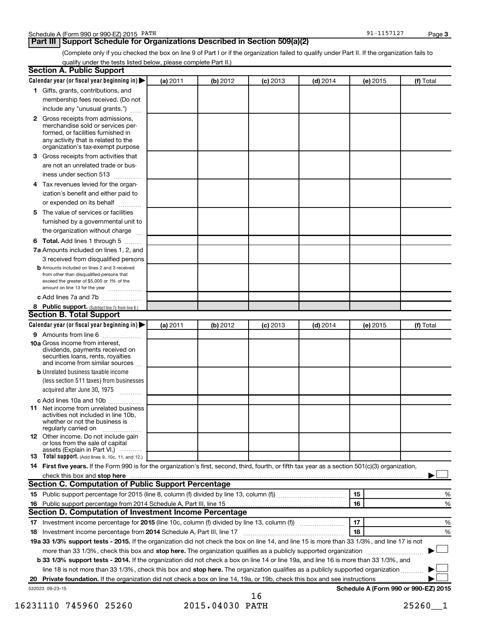# **Part III Support Schedule for Organizations Described in Section 509(a)(2)**

(Complete only if you checked the box on line 9 of Part I or if the organization failed to qualify under Part II. If the organization fails to qualify under the tests listed below, please complete Part II.)

| <b>Section A. Public Support</b>                                                                                                                                                         |          |          |            |            |          |                                      |
|------------------------------------------------------------------------------------------------------------------------------------------------------------------------------------------|----------|----------|------------|------------|----------|--------------------------------------|
| Calendar year (or fiscal year beginning in)                                                                                                                                              | (a) 2011 | (b) 2012 | $(c)$ 2013 | $(d)$ 2014 | (e) 2015 | (f) Total                            |
| 1 Gifts, grants, contributions, and                                                                                                                                                      |          |          |            |            |          |                                      |
| membership fees received. (Do not                                                                                                                                                        |          |          |            |            |          |                                      |
| include any "unusual grants.")                                                                                                                                                           |          |          |            |            |          |                                      |
| 2 Gross receipts from admissions,<br>merchandise sold or services per-<br>formed, or facilities furnished in<br>any activity that is related to the<br>organization's tax-exempt purpose |          |          |            |            |          |                                      |
| 3 Gross receipts from activities that                                                                                                                                                    |          |          |            |            |          |                                      |
| are not an unrelated trade or bus-                                                                                                                                                       |          |          |            |            |          |                                      |
| iness under section 513                                                                                                                                                                  |          |          |            |            |          |                                      |
| 4 Tax revenues levied for the organ-                                                                                                                                                     |          |          |            |            |          |                                      |
| ization's benefit and either paid to                                                                                                                                                     |          |          |            |            |          |                                      |
| or expended on its behalf<br>.                                                                                                                                                           |          |          |            |            |          |                                      |
| 5 The value of services or facilities                                                                                                                                                    |          |          |            |            |          |                                      |
| furnished by a governmental unit to                                                                                                                                                      |          |          |            |            |          |                                      |
| the organization without charge                                                                                                                                                          |          |          |            |            |          |                                      |
| 6 Total. Add lines 1 through 5                                                                                                                                                           |          |          |            |            |          |                                      |
| 7a Amounts included on lines 1, 2, and                                                                                                                                                   |          |          |            |            |          |                                      |
| 3 received from disqualified persons                                                                                                                                                     |          |          |            |            |          |                                      |
| <b>b</b> Amounts included on lines 2 and 3 received<br>from other than disqualified persons that<br>exceed the greater of \$5,000 or 1% of the<br>amount on line 13 for the year         |          |          |            |            |          |                                      |
| c Add lines 7a and 7b                                                                                                                                                                    |          |          |            |            |          |                                      |
| 8 Public support. (Subtract line 7c from line 6.)                                                                                                                                        |          |          |            |            |          |                                      |
| <b>Section B. Total Support</b>                                                                                                                                                          |          |          |            |            |          |                                      |
| Calendar year (or fiscal year beginning in) $\blacktriangleright$                                                                                                                        | (a) 2011 | (b) 2012 | $(c)$ 2013 | $(d)$ 2014 | (e) 2015 | (f) Total                            |
| 9 Amounts from line 6                                                                                                                                                                    |          |          |            |            |          |                                      |
| <b>10a</b> Gross income from interest,<br>dividends, payments received on<br>securities loans, rents, royalties<br>and income from similar sources                                       |          |          |            |            |          |                                      |
| <b>b</b> Unrelated business taxable income                                                                                                                                               |          |          |            |            |          |                                      |
| (less section 511 taxes) from businesses<br>acquired after June 30, 1975                                                                                                                 |          |          |            |            |          |                                      |
| c Add lines 10a and 10b                                                                                                                                                                  |          |          |            |            |          |                                      |
| <b>11</b> Net income from unrelated business<br>activities not included in line 10b.<br>whether or not the business is<br>regularly carried on                                           |          |          |            |            |          |                                      |
| 12 Other income. Do not include gain<br>or loss from the sale of capital<br>assets (Explain in Part VI.)                                                                                 |          |          |            |            |          |                                      |
| <b>13</b> Total support. (Add lines 9, 10c, 11, and 12.)                                                                                                                                 |          |          |            |            |          |                                      |
| 14 First five years. If the Form 990 is for the organization's first, second, third, fourth, or fifth tax year as a section 501(c)(3) organization,                                      |          |          |            |            |          |                                      |
| check this box and stop here <i>macuum content content and a content and stop here</i> $\ldots$                                                                                          |          |          |            |            |          |                                      |
| Section C. Computation of Public Support Percentage                                                                                                                                      |          |          |            |            |          |                                      |
|                                                                                                                                                                                          |          |          |            |            | 15       | %                                    |
|                                                                                                                                                                                          |          |          |            |            | 16       | %                                    |
| Section D. Computation of Investment Income Percentage                                                                                                                                   |          |          |            |            |          |                                      |
|                                                                                                                                                                                          |          |          |            |            | 17       | %                                    |
| 18 Investment income percentage from 2014 Schedule A, Part III, line 17                                                                                                                  |          |          |            |            | 18       | %                                    |
| 19a 33 1/3% support tests - 2015. If the organization did not check the box on line 14, and line 15 is more than 33 1/3%, and line 17 is not                                             |          |          |            |            |          |                                      |
| more than 33 1/3%, check this box and stop here. The organization qualifies as a publicly supported organization                                                                         |          |          |            |            |          |                                      |
| b 33 1/3% support tests - 2014. If the organization did not check a box on line 14 or line 19a, and line 16 is more than 33 1/3%, and                                                    |          |          |            |            |          |                                      |
|                                                                                                                                                                                          |          |          |            |            |          |                                      |
| line 18 is not more than 33 1/3%, check this box and stop here. The organization qualifies as a publicly supported organization                                                          |          |          |            |            |          |                                      |
|                                                                                                                                                                                          |          |          |            |            |          |                                      |
| 532023 09-23-15                                                                                                                                                                          |          |          | 16         |            |          | Schedule A (Form 990 or 990-EZ) 2015 |

16231110 745960 25260 2015.04030 PATH 25260\_\_1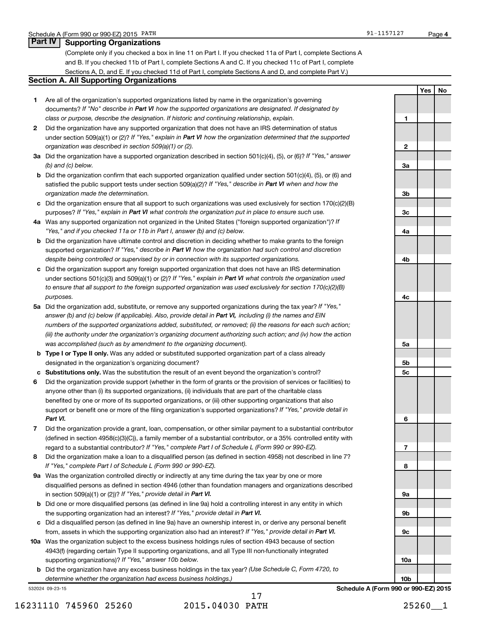## **Part IV Supporting Organizations**

(Complete only if you checked a box in line 11 on Part I. If you checked 11a of Part I, complete Sections A and B. If you checked 11b of Part I, complete Sections A and C. If you checked 11c of Part I, complete Sections A, D, and E. If you checked 11d of Part I, complete Sections A and D, and complete Part V.)

### **Section A. All Supporting Organizations**

- **1** Are all of the organization's supported organizations listed by name in the organization's governing documents? If "No" describe in Part VI how the supported organizations are designated. If designated by *class or purpose, describe the designation. If historic and continuing relationship, explain.*
- **2** Did the organization have any supported organization that does not have an IRS determination of status under section 509(a)(1) or (2)? If "Yes," explain in Part VI how the organization determined that the supported *organization was described in section 509(a)(1) or (2).*
- **3a** Did the organization have a supported organization described in section 501(c)(4), (5), or (6)? If "Yes," answer *(b) and (c) below.*
- **b** Did the organization confirm that each supported organization qualified under section 501(c)(4), (5), or (6) and satisfied the public support tests under section 509(a)(2)? If "Yes," describe in Part VI when and how the *organization made the determination.*
- **c** Did the organization ensure that all support to such organizations was used exclusively for section 170(c)(2)(B) purposes? If "Yes," explain in Part VI what controls the organization put in place to ensure such use.
- **4 a** *If* Was any supported organization not organized in the United States ("foreign supported organization")? *"Yes," and if you checked 11a or 11b in Part I, answer (b) and (c) below.*
- **b** Did the organization have ultimate control and discretion in deciding whether to make grants to the foreign supported organization? If "Yes," describe in Part VI how the organization had such control and discretion *despite being controlled or supervised by or in connection with its supported organizations.*
- **c** Did the organization support any foreign supported organization that does not have an IRS determination under sections 501(c)(3) and 509(a)(1) or (2)? If "Yes," explain in Part VI what controls the organization used *to ensure that all support to the foreign supported organization was used exclusively for section 170(c)(2)(B) purposes.*
- **5a** Did the organization add, substitute, or remove any supported organizations during the tax year? If "Yes," answer (b) and (c) below (if applicable). Also, provide detail in Part VI, including (i) the names and EIN *numbers of the supported organizations added, substituted, or removed; (ii) the reasons for each such action; (iii) the authority under the organization's organizing document authorizing such action; and (iv) how the action was accomplished (such as by amendment to the organizing document).*
- **b Type I or Type II only.** Was any added or substituted supported organization part of a class already designated in the organization's organizing document?
- **c Substitutions only.**  Was the substitution the result of an event beyond the organization's control?
- **6** Did the organization provide support (whether in the form of grants or the provision of services or facilities) to support or benefit one or more of the filing organization's supported organizations? If "Yes," provide detail in anyone other than (i) its supported organizations, (ii) individuals that are part of the charitable class benefited by one or more of its supported organizations, or (iii) other supporting organizations that also *Part VI.*
- **7** Did the organization provide a grant, loan, compensation, or other similar payment to a substantial contributor regard to a substantial contributor? If "Yes," complete Part I of Schedule L (Form 990 or 990-EZ). (defined in section 4958(c)(3)(C)), a family member of a substantial contributor, or a 35% controlled entity with
- **8** Did the organization make a loan to a disqualified person (as defined in section 4958) not described in line 7? *If "Yes," complete Part I of Schedule L (Form 990 or 990-EZ).*
- **9 a** Was the organization controlled directly or indirectly at any time during the tax year by one or more in section 509(a)(1) or (2))? If "Yes," provide detail in Part VI. disqualified persons as defined in section 4946 (other than foundation managers and organizations described
- **b** Did one or more disqualified persons (as defined in line 9a) hold a controlling interest in any entity in which the supporting organization had an interest? If "Yes," provide detail in Part VI.
- **c** Did a disqualified person (as defined in line 9a) have an ownership interest in, or derive any personal benefit from, assets in which the supporting organization also had an interest? If "Yes," provide detail in Part VI.
- **10 a** Was the organization subject to the excess business holdings rules of section 4943 because of section supporting organizations)? If "Yes," answer 10b below. 4943(f) (regarding certain Type II supporting organizations, and all Type III non-functionally integrated
	- **b** Did the organization have any excess business holdings in the tax year? (Use Schedule C, Form 4720, to *determine whether the organization had excess business holdings.)*

532024 09-23-15

**Yes No 1 2 3a 3b 3c 4a 4b 4c 5a 5b 5c 6 7 8 9a 9b 9c 10a 10b**

**4** 91-1157127

**Schedule A (Form 990 or 990-EZ) 2015**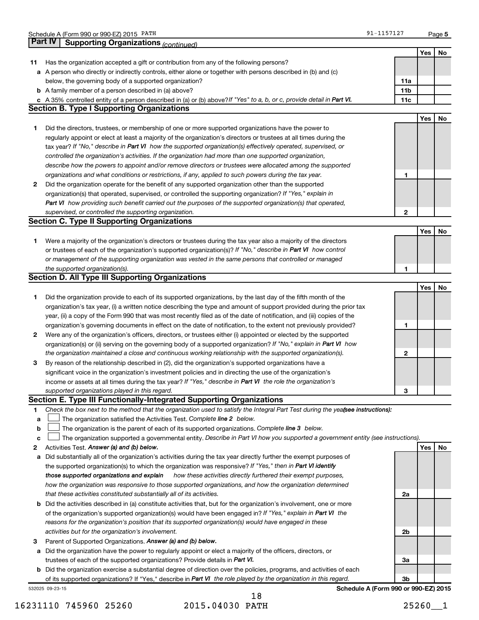|    | Schedule A (Form 990 or 990-EZ) 2015 PATH                                                                                       | 91-1157127                           |     | Page 5 |
|----|---------------------------------------------------------------------------------------------------------------------------------|--------------------------------------|-----|--------|
|    | <b>Part IV</b><br><b>Supporting Organizations (continued)</b>                                                                   |                                      |     |        |
|    |                                                                                                                                 |                                      | Yes | No     |
| 11 | Has the organization accepted a gift or contribution from any of the following persons?                                         |                                      |     |        |
|    | a A person who directly or indirectly controls, either alone or together with persons described in (b) and (c)                  |                                      |     |        |
|    | below, the governing body of a supported organization?                                                                          | 11a                                  |     |        |
|    | <b>b</b> A family member of a person described in (a) above?                                                                    | 11 <sub>b</sub>                      |     |        |
|    | c A 35% controlled entity of a person described in (a) or (b) above? If "Yes" to a, b, or c, provide detail in Part VI.         | 11c                                  |     |        |
|    | <b>Section B. Type I Supporting Organizations</b>                                                                               |                                      |     |        |
|    |                                                                                                                                 |                                      | Yes | No     |
| 1  | Did the directors, trustees, or membership of one or more supported organizations have the power to                             |                                      |     |        |
|    | regularly appoint or elect at least a majority of the organization's directors or trustees at all times during the              |                                      |     |        |
|    | tax year? If "No," describe in Part VI how the supported organization(s) effectively operated, supervised, or                   |                                      |     |        |
|    | controlled the organization's activities. If the organization had more than one supported organization,                         |                                      |     |        |
|    | describe how the powers to appoint and/or remove directors or trustees were allocated among the supported                       |                                      |     |        |
|    | organizations and what conditions or restrictions, if any, applied to such powers during the tax year.                          | 1                                    |     |        |
| 2  | Did the organization operate for the benefit of any supported organization other than the supported                             |                                      |     |        |
|    | organization(s) that operated, supervised, or controlled the supporting organization? If "Yes," explain in                      |                                      |     |        |
|    | Part VI how providing such benefit carried out the purposes of the supported organization(s) that operated,                     |                                      |     |        |
|    | supervised, or controlled the supporting organization.                                                                          | $\mathbf{2}$                         |     |        |
|    | <b>Section C. Type II Supporting Organizations</b>                                                                              |                                      |     |        |
|    |                                                                                                                                 |                                      | Yes | No     |
| 1  | Were a majority of the organization's directors or trustees during the tax year also a majority of the directors                |                                      |     |        |
|    | or trustees of each of the organization's supported organization(s)? If "No," describe in Part VI how control                   |                                      |     |        |
|    | or management of the supporting organization was vested in the same persons that controlled or managed                          |                                      |     |        |
|    | the supported organization(s).                                                                                                  | 1                                    |     |        |
|    | <b>Section D. All Type III Supporting Organizations</b>                                                                         |                                      |     |        |
|    |                                                                                                                                 |                                      | Yes | No     |
| 1  | Did the organization provide to each of its supported organizations, by the last day of the fifth month of the                  |                                      |     |        |
|    | organization's tax year, (i) a written notice describing the type and amount of support provided during the prior tax           |                                      |     |        |
|    | year, (ii) a copy of the Form 990 that was most recently filed as of the date of notification, and (iii) copies of the          |                                      |     |        |
|    | organization's governing documents in effect on the date of notification, to the extent not previously provided?                | 1                                    |     |        |
| 2  | Were any of the organization's officers, directors, or trustees either (i) appointed or elected by the supported                |                                      |     |        |
|    | organization(s) or (ii) serving on the governing body of a supported organization? If "No," explain in Part VI how              |                                      |     |        |
|    | the organization maintained a close and continuous working relationship with the supported organization(s).                     | 2                                    |     |        |
| 3  | By reason of the relationship described in (2), did the organization's supported organizations have a                           |                                      |     |        |
|    | significant voice in the organization's investment policies and in directing the use of the organization's                      |                                      |     |        |
|    | income or assets at all times during the tax year? If "Yes," describe in Part VI the role the organization's                    |                                      |     |        |
|    | supported organizations played in this regard.                                                                                  | 3                                    |     |        |
|    | Section E. Type III Functionally-Integrated Supporting Organizations                                                            |                                      |     |        |
| 1  | Check the box next to the method that the organization used to satisfy the Integral Part Test during the yeafsee instructions): |                                      |     |        |
| a  | The organization satisfied the Activities Test. Complete line 2 below.                                                          |                                      |     |        |
| b  | The organization is the parent of each of its supported organizations. Complete line 3 below.                                   |                                      |     |        |
| c  | The organization supported a governmental entity. Describe in Part VI how you supported a government entity (see instructions). |                                      |     |        |
| 2  | Activities Test. Answer (a) and (b) below.                                                                                      |                                      | Yes | No     |
| а  | Did substantially all of the organization's activities during the tax year directly further the exempt purposes of              |                                      |     |        |
|    | the supported organization(s) to which the organization was responsive? If "Yes," then in Part VI identify                      |                                      |     |        |
|    | those supported organizations and explain<br>how these activities directly furthered their exempt purposes,                     |                                      |     |        |
|    | how the organization was responsive to those supported organizations, and how the organization determined                       |                                      |     |        |
|    | that these activities constituted substantially all of its activities.                                                          | 2a                                   |     |        |
|    | <b>b</b> Did the activities described in (a) constitute activities that, but for the organization's involvement, one or more    |                                      |     |        |
|    | of the organization's supported organization(s) would have been engaged in? If "Yes," explain in Part VI the                    |                                      |     |        |
|    | reasons for the organization's position that its supported organization(s) would have engaged in these                          |                                      |     |        |
|    | activities but for the organization's involvement.                                                                              | 2b                                   |     |        |
| 3  | Parent of Supported Organizations. Answer (a) and (b) below.                                                                    |                                      |     |        |
| a  | Did the organization have the power to regularly appoint or elect a majority of the officers, directors, or                     |                                      |     |        |
|    | trustees of each of the supported organizations? Provide details in Part VI.                                                    | За                                   |     |        |
|    | <b>b</b> Did the organization exercise a substantial degree of direction over the policies, programs, and activities of each    |                                      |     |        |
|    | of its supported organizations? If "Yes," describe in Part VI the role played by the organization in this regard.               | 3b                                   |     |        |
|    | 532025 09-23-15                                                                                                                 | Schedule A (Form 990 or 990-EZ) 2015 |     |        |

16231110 745960 25260 2015.04030 PATH 25260\_\_1

18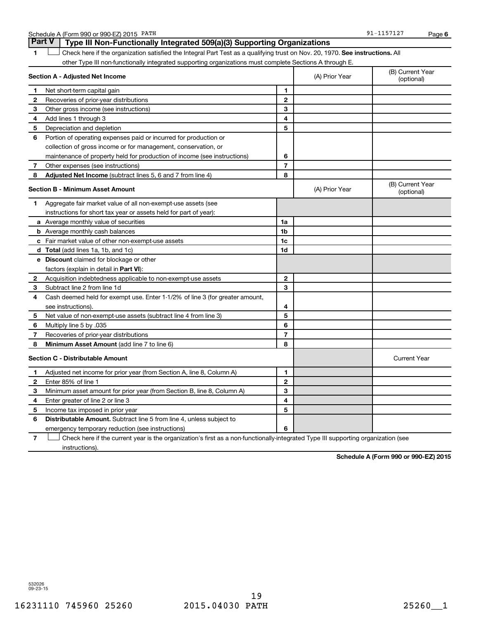|              | <b>Part V</b><br>Type III Non-Functionally Integrated 509(a)(3) Supporting Organizations                                      |                |                |                                |
|--------------|-------------------------------------------------------------------------------------------------------------------------------|----------------|----------------|--------------------------------|
|              | Check here if the organization satisfied the Integral Part Test as a qualifying trust on Nov. 20, 1970. See instructions. All |                |                |                                |
|              | other Type III non-functionally integrated supporting organizations must complete Sections A through E.                       |                |                |                                |
|              | Section A - Adjusted Net Income                                                                                               |                | (A) Prior Year | (B) Current Year<br>(optional) |
| 1            | Net short-term capital gain                                                                                                   | 1              |                |                                |
| $\mathbf{2}$ | Recoveries of prior-year distributions                                                                                        | $\mathbf{2}$   |                |                                |
| З            | Other gross income (see instructions)                                                                                         | 3              |                |                                |
| 4            | Add lines 1 through 3                                                                                                         | 4              |                |                                |
| 5            | Depreciation and depletion                                                                                                    | 5              |                |                                |
| 6            | Portion of operating expenses paid or incurred for production or                                                              |                |                |                                |
|              | collection of gross income or for management, conservation, or                                                                |                |                |                                |
|              | maintenance of property held for production of income (see instructions)                                                      | 6              |                |                                |
| 7            | Other expenses (see instructions)                                                                                             | $\overline{7}$ |                |                                |
| 8            | <b>Adjusted Net Income</b> (subtract lines 5, 6 and 7 from line 4)                                                            | 8              |                |                                |
|              | <b>Section B - Minimum Asset Amount</b>                                                                                       |                | (A) Prior Year | (B) Current Year<br>(optional) |
| 1            | Aggregate fair market value of all non-exempt-use assets (see                                                                 |                |                |                                |
|              | instructions for short tax year or assets held for part of year):                                                             |                |                |                                |
|              | a Average monthly value of securities                                                                                         | 1a             |                |                                |
|              | <b>b</b> Average monthly cash balances                                                                                        | 1 <sub>b</sub> |                |                                |
|              | <b>c</b> Fair market value of other non-exempt-use assets                                                                     | 1c             |                |                                |
|              | d Total (add lines 1a, 1b, and 1c)                                                                                            | 1 <sub>d</sub> |                |                                |
|              | e Discount claimed for blockage or other                                                                                      |                |                |                                |
|              | factors (explain in detail in <b>Part VI</b> ):                                                                               |                |                |                                |
| 2            | Acquisition indebtedness applicable to non-exempt-use assets                                                                  | $\mathbf{2}$   |                |                                |
| З            | Subtract line 2 from line 1d                                                                                                  | 3              |                |                                |
| 4            | Cash deemed held for exempt use. Enter 1-1/2% of line 3 (for greater amount,                                                  |                |                |                                |
|              | see instructions).                                                                                                            | 4              |                |                                |
| 5            | Net value of non-exempt-use assets (subtract line 4 from line 3)                                                              | 5              |                |                                |
| 6            | Multiply line 5 by .035                                                                                                       | 6              |                |                                |
| 7            | Recoveries of prior-year distributions                                                                                        | $\overline{7}$ |                |                                |
| 8            | Minimum Asset Amount (add line 7 to line 6)                                                                                   | 8              |                |                                |
|              | <b>Section C - Distributable Amount</b>                                                                                       |                |                | <b>Current Year</b>            |
| 1            | Adjusted net income for prior year (from Section A, line 8, Column A)                                                         | 1              |                |                                |
| $\mathbf{2}$ | Enter 85% of line 1                                                                                                           | 2              |                |                                |
| 3            | Minimum asset amount for prior year (from Section B, line 8, Column A)                                                        | 3              |                |                                |
| 4            | Enter greater of line 2 or line 3                                                                                             | 4              |                |                                |
| 5            | Income tax imposed in prior year                                                                                              | 5              |                |                                |
| 6            | <b>Distributable Amount.</b> Subtract line 5 from line 4, unless subject to                                                   |                |                |                                |
|              | emergency temporary reduction (see instructions)                                                                              | 6              |                |                                |
|              |                                                                                                                               |                |                |                                |

**7** Check here if the current year is the organization's first as a non-functionally-integrated Type III supporting organization (see † instructions).

**Schedule A (Form 990 or 990-EZ) 2015**

532026 09-23-15

Schedule A (Form 990 or 990-EZ) 2015 PATH

**6**

91-1157127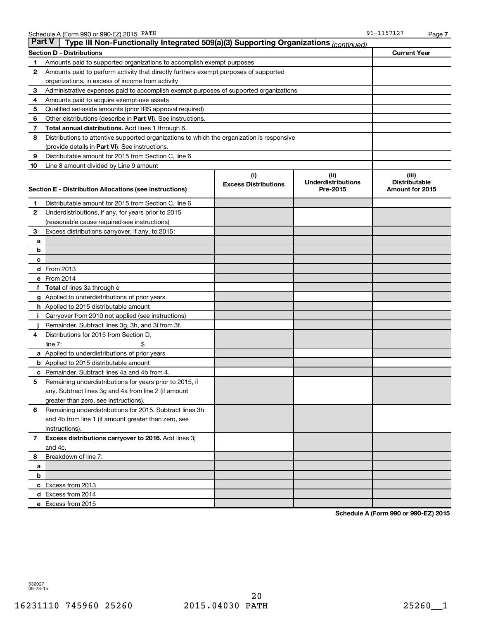| <b>Part V</b><br>Type III Non-Functionally Integrated 509(a)(3) Supporting Organizations (continued)<br><b>Section D - Distributions</b><br>Amounts paid to supported organizations to accomplish exempt purposes<br>1<br>2<br>Amounts paid to perform activity that directly furthers exempt purposes of supported<br>organizations, in excess of income from activity<br>Administrative expenses paid to accomplish exempt purposes of supported organizations<br>3<br>4<br>Amounts paid to acquire exempt-use assets<br>Qualified set-aside amounts (prior IRS approval required)<br>5<br>Other distributions (describe in Part VI). See instructions.<br>6<br>7<br>Total annual distributions. Add lines 1 through 6.<br>8<br>Distributions to attentive supported organizations to which the organization is responsive<br>(provide details in Part VI). See instructions.<br>Distributable amount for 2015 from Section C, line 6<br>9<br>Line 8 amount divided by Line 9 amount<br>10<br>(i)<br>(ii)<br><b>Underdistributions</b><br><b>Excess Distributions</b><br>Section E - Distribution Allocations (see instructions)<br>Pre-2015<br>Distributable amount for 2015 from Section C, line 6<br>1<br>2<br>Underdistributions, if any, for years prior to 2015 | <b>Current Year</b>                              |
|-------------------------------------------------------------------------------------------------------------------------------------------------------------------------------------------------------------------------------------------------------------------------------------------------------------------------------------------------------------------------------------------------------------------------------------------------------------------------------------------------------------------------------------------------------------------------------------------------------------------------------------------------------------------------------------------------------------------------------------------------------------------------------------------------------------------------------------------------------------------------------------------------------------------------------------------------------------------------------------------------------------------------------------------------------------------------------------------------------------------------------------------------------------------------------------------------------------------------------------------------------------------------|--------------------------------------------------|
|                                                                                                                                                                                                                                                                                                                                                                                                                                                                                                                                                                                                                                                                                                                                                                                                                                                                                                                                                                                                                                                                                                                                                                                                                                                                         |                                                  |
|                                                                                                                                                                                                                                                                                                                                                                                                                                                                                                                                                                                                                                                                                                                                                                                                                                                                                                                                                                                                                                                                                                                                                                                                                                                                         |                                                  |
|                                                                                                                                                                                                                                                                                                                                                                                                                                                                                                                                                                                                                                                                                                                                                                                                                                                                                                                                                                                                                                                                                                                                                                                                                                                                         |                                                  |
|                                                                                                                                                                                                                                                                                                                                                                                                                                                                                                                                                                                                                                                                                                                                                                                                                                                                                                                                                                                                                                                                                                                                                                                                                                                                         |                                                  |
|                                                                                                                                                                                                                                                                                                                                                                                                                                                                                                                                                                                                                                                                                                                                                                                                                                                                                                                                                                                                                                                                                                                                                                                                                                                                         |                                                  |
|                                                                                                                                                                                                                                                                                                                                                                                                                                                                                                                                                                                                                                                                                                                                                                                                                                                                                                                                                                                                                                                                                                                                                                                                                                                                         |                                                  |
|                                                                                                                                                                                                                                                                                                                                                                                                                                                                                                                                                                                                                                                                                                                                                                                                                                                                                                                                                                                                                                                                                                                                                                                                                                                                         |                                                  |
|                                                                                                                                                                                                                                                                                                                                                                                                                                                                                                                                                                                                                                                                                                                                                                                                                                                                                                                                                                                                                                                                                                                                                                                                                                                                         |                                                  |
|                                                                                                                                                                                                                                                                                                                                                                                                                                                                                                                                                                                                                                                                                                                                                                                                                                                                                                                                                                                                                                                                                                                                                                                                                                                                         |                                                  |
|                                                                                                                                                                                                                                                                                                                                                                                                                                                                                                                                                                                                                                                                                                                                                                                                                                                                                                                                                                                                                                                                                                                                                                                                                                                                         |                                                  |
|                                                                                                                                                                                                                                                                                                                                                                                                                                                                                                                                                                                                                                                                                                                                                                                                                                                                                                                                                                                                                                                                                                                                                                                                                                                                         |                                                  |
|                                                                                                                                                                                                                                                                                                                                                                                                                                                                                                                                                                                                                                                                                                                                                                                                                                                                                                                                                                                                                                                                                                                                                                                                                                                                         |                                                  |
|                                                                                                                                                                                                                                                                                                                                                                                                                                                                                                                                                                                                                                                                                                                                                                                                                                                                                                                                                                                                                                                                                                                                                                                                                                                                         |                                                  |
|                                                                                                                                                                                                                                                                                                                                                                                                                                                                                                                                                                                                                                                                                                                                                                                                                                                                                                                                                                                                                                                                                                                                                                                                                                                                         |                                                  |
|                                                                                                                                                                                                                                                                                                                                                                                                                                                                                                                                                                                                                                                                                                                                                                                                                                                                                                                                                                                                                                                                                                                                                                                                                                                                         | (iii)<br><b>Distributable</b><br>Amount for 2015 |
|                                                                                                                                                                                                                                                                                                                                                                                                                                                                                                                                                                                                                                                                                                                                                                                                                                                                                                                                                                                                                                                                                                                                                                                                                                                                         |                                                  |
|                                                                                                                                                                                                                                                                                                                                                                                                                                                                                                                                                                                                                                                                                                                                                                                                                                                                                                                                                                                                                                                                                                                                                                                                                                                                         |                                                  |
| (reasonable cause required-see instructions)                                                                                                                                                                                                                                                                                                                                                                                                                                                                                                                                                                                                                                                                                                                                                                                                                                                                                                                                                                                                                                                                                                                                                                                                                            |                                                  |
| Excess distributions carryover, if any, to 2015:<br>3                                                                                                                                                                                                                                                                                                                                                                                                                                                                                                                                                                                                                                                                                                                                                                                                                                                                                                                                                                                                                                                                                                                                                                                                                   |                                                  |
| a                                                                                                                                                                                                                                                                                                                                                                                                                                                                                                                                                                                                                                                                                                                                                                                                                                                                                                                                                                                                                                                                                                                                                                                                                                                                       |                                                  |
| b                                                                                                                                                                                                                                                                                                                                                                                                                                                                                                                                                                                                                                                                                                                                                                                                                                                                                                                                                                                                                                                                                                                                                                                                                                                                       |                                                  |
| c                                                                                                                                                                                                                                                                                                                                                                                                                                                                                                                                                                                                                                                                                                                                                                                                                                                                                                                                                                                                                                                                                                                                                                                                                                                                       |                                                  |
| <b>d</b> From 2013                                                                                                                                                                                                                                                                                                                                                                                                                                                                                                                                                                                                                                                                                                                                                                                                                                                                                                                                                                                                                                                                                                                                                                                                                                                      |                                                  |
| e From 2014                                                                                                                                                                                                                                                                                                                                                                                                                                                                                                                                                                                                                                                                                                                                                                                                                                                                                                                                                                                                                                                                                                                                                                                                                                                             |                                                  |
| f Total of lines 3a through e                                                                                                                                                                                                                                                                                                                                                                                                                                                                                                                                                                                                                                                                                                                                                                                                                                                                                                                                                                                                                                                                                                                                                                                                                                           |                                                  |
| g Applied to underdistributions of prior years                                                                                                                                                                                                                                                                                                                                                                                                                                                                                                                                                                                                                                                                                                                                                                                                                                                                                                                                                                                                                                                                                                                                                                                                                          |                                                  |
| <b>h</b> Applied to 2015 distributable amount                                                                                                                                                                                                                                                                                                                                                                                                                                                                                                                                                                                                                                                                                                                                                                                                                                                                                                                                                                                                                                                                                                                                                                                                                           |                                                  |
| Carryover from 2010 not applied (see instructions)<br>i.                                                                                                                                                                                                                                                                                                                                                                                                                                                                                                                                                                                                                                                                                                                                                                                                                                                                                                                                                                                                                                                                                                                                                                                                                |                                                  |
| Remainder. Subtract lines 3g, 3h, and 3i from 3f.                                                                                                                                                                                                                                                                                                                                                                                                                                                                                                                                                                                                                                                                                                                                                                                                                                                                                                                                                                                                                                                                                                                                                                                                                       |                                                  |
| Distributions for 2015 from Section D,<br>4                                                                                                                                                                                                                                                                                                                                                                                                                                                                                                                                                                                                                                                                                                                                                                                                                                                                                                                                                                                                                                                                                                                                                                                                                             |                                                  |
| \$<br>line $7:$                                                                                                                                                                                                                                                                                                                                                                                                                                                                                                                                                                                                                                                                                                                                                                                                                                                                                                                                                                                                                                                                                                                                                                                                                                                         |                                                  |
| a Applied to underdistributions of prior years                                                                                                                                                                                                                                                                                                                                                                                                                                                                                                                                                                                                                                                                                                                                                                                                                                                                                                                                                                                                                                                                                                                                                                                                                          |                                                  |
| <b>b</b> Applied to 2015 distributable amount                                                                                                                                                                                                                                                                                                                                                                                                                                                                                                                                                                                                                                                                                                                                                                                                                                                                                                                                                                                                                                                                                                                                                                                                                           |                                                  |
| <b>c</b> Remainder. Subtract lines 4a and 4b from 4.                                                                                                                                                                                                                                                                                                                                                                                                                                                                                                                                                                                                                                                                                                                                                                                                                                                                                                                                                                                                                                                                                                                                                                                                                    |                                                  |
| 5<br>Remaining underdistributions for years prior to 2015, if                                                                                                                                                                                                                                                                                                                                                                                                                                                                                                                                                                                                                                                                                                                                                                                                                                                                                                                                                                                                                                                                                                                                                                                                           |                                                  |
| any. Subtract lines 3g and 4a from line 2 (if amount                                                                                                                                                                                                                                                                                                                                                                                                                                                                                                                                                                                                                                                                                                                                                                                                                                                                                                                                                                                                                                                                                                                                                                                                                    |                                                  |
| greater than zero, see instructions).                                                                                                                                                                                                                                                                                                                                                                                                                                                                                                                                                                                                                                                                                                                                                                                                                                                                                                                                                                                                                                                                                                                                                                                                                                   |                                                  |
| Remaining underdistributions for 2015. Subtract lines 3h<br>6                                                                                                                                                                                                                                                                                                                                                                                                                                                                                                                                                                                                                                                                                                                                                                                                                                                                                                                                                                                                                                                                                                                                                                                                           |                                                  |
| and 4b from line 1 (if amount greater than zero, see                                                                                                                                                                                                                                                                                                                                                                                                                                                                                                                                                                                                                                                                                                                                                                                                                                                                                                                                                                                                                                                                                                                                                                                                                    |                                                  |
| instructions).                                                                                                                                                                                                                                                                                                                                                                                                                                                                                                                                                                                                                                                                                                                                                                                                                                                                                                                                                                                                                                                                                                                                                                                                                                                          |                                                  |
| Excess distributions carryover to 2016. Add lines 3j<br>7                                                                                                                                                                                                                                                                                                                                                                                                                                                                                                                                                                                                                                                                                                                                                                                                                                                                                                                                                                                                                                                                                                                                                                                                               |                                                  |
| and 4c.                                                                                                                                                                                                                                                                                                                                                                                                                                                                                                                                                                                                                                                                                                                                                                                                                                                                                                                                                                                                                                                                                                                                                                                                                                                                 |                                                  |
| Breakdown of line 7:<br>8                                                                                                                                                                                                                                                                                                                                                                                                                                                                                                                                                                                                                                                                                                                                                                                                                                                                                                                                                                                                                                                                                                                                                                                                                                               |                                                  |
| а                                                                                                                                                                                                                                                                                                                                                                                                                                                                                                                                                                                                                                                                                                                                                                                                                                                                                                                                                                                                                                                                                                                                                                                                                                                                       |                                                  |
| b                                                                                                                                                                                                                                                                                                                                                                                                                                                                                                                                                                                                                                                                                                                                                                                                                                                                                                                                                                                                                                                                                                                                                                                                                                                                       |                                                  |
| c Excess from 2013                                                                                                                                                                                                                                                                                                                                                                                                                                                                                                                                                                                                                                                                                                                                                                                                                                                                                                                                                                                                                                                                                                                                                                                                                                                      |                                                  |
| d Excess from 2014                                                                                                                                                                                                                                                                                                                                                                                                                                                                                                                                                                                                                                                                                                                                                                                                                                                                                                                                                                                                                                                                                                                                                                                                                                                      |                                                  |
| e Excess from 2015                                                                                                                                                                                                                                                                                                                                                                                                                                                                                                                                                                                                                                                                                                                                                                                                                                                                                                                                                                                                                                                                                                                                                                                                                                                      |                                                  |

**Schedule A (Form 990 or 990-EZ) 2015**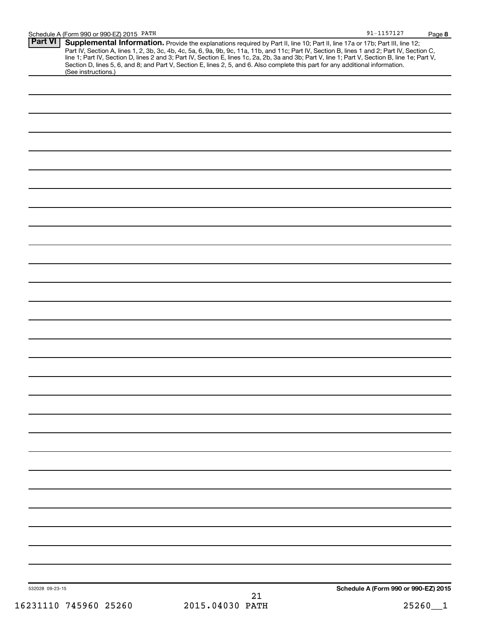|                 | Schedule A (Form 990 or 990-EZ) 2015 PATH                                                                                                                                                                                                                                                                                                                                                                                                                                                                                                                           | $91 - 1157127$                       | Page 8 |
|-----------------|---------------------------------------------------------------------------------------------------------------------------------------------------------------------------------------------------------------------------------------------------------------------------------------------------------------------------------------------------------------------------------------------------------------------------------------------------------------------------------------------------------------------------------------------------------------------|--------------------------------------|--------|
| <b>Part VI</b>  | Supplemental Information. Provide the explanations required by Part II, line 10; Part II, line 17a or 17b; Part III, line 12;<br>Part IV, Section A, lines 1, 2, 3b, 3c, 4b, 4c, 5a, 6, 9a, 9b, 9c, 11a, 11b, and 11c; Part IV, Section B, lines 1 and 2; Part IV, Section C,<br>line 1; Part IV, Section D, lines 2 and 3; Part IV, Section E, lines 1c, 2a, 2b, 3a and 3b; Part V, line 1; Part V, Section B, line 1e; Part V,<br>Section D, lines 5, 6, and 8; and Part V, Section E, lines 2, 5, and 6. Also complete this part for any additional information. |                                      |        |
|                 | (See instructions.)                                                                                                                                                                                                                                                                                                                                                                                                                                                                                                                                                 |                                      |        |
|                 |                                                                                                                                                                                                                                                                                                                                                                                                                                                                                                                                                                     |                                      |        |
|                 |                                                                                                                                                                                                                                                                                                                                                                                                                                                                                                                                                                     |                                      |        |
|                 |                                                                                                                                                                                                                                                                                                                                                                                                                                                                                                                                                                     |                                      |        |
|                 |                                                                                                                                                                                                                                                                                                                                                                                                                                                                                                                                                                     |                                      |        |
|                 |                                                                                                                                                                                                                                                                                                                                                                                                                                                                                                                                                                     |                                      |        |
|                 |                                                                                                                                                                                                                                                                                                                                                                                                                                                                                                                                                                     |                                      |        |
|                 |                                                                                                                                                                                                                                                                                                                                                                                                                                                                                                                                                                     |                                      |        |
|                 |                                                                                                                                                                                                                                                                                                                                                                                                                                                                                                                                                                     |                                      |        |
|                 |                                                                                                                                                                                                                                                                                                                                                                                                                                                                                                                                                                     |                                      |        |
|                 |                                                                                                                                                                                                                                                                                                                                                                                                                                                                                                                                                                     |                                      |        |
|                 |                                                                                                                                                                                                                                                                                                                                                                                                                                                                                                                                                                     |                                      |        |
|                 |                                                                                                                                                                                                                                                                                                                                                                                                                                                                                                                                                                     |                                      |        |
|                 |                                                                                                                                                                                                                                                                                                                                                                                                                                                                                                                                                                     |                                      |        |
|                 |                                                                                                                                                                                                                                                                                                                                                                                                                                                                                                                                                                     |                                      |        |
|                 |                                                                                                                                                                                                                                                                                                                                                                                                                                                                                                                                                                     |                                      |        |
|                 |                                                                                                                                                                                                                                                                                                                                                                                                                                                                                                                                                                     |                                      |        |
|                 |                                                                                                                                                                                                                                                                                                                                                                                                                                                                                                                                                                     |                                      |        |
|                 |                                                                                                                                                                                                                                                                                                                                                                                                                                                                                                                                                                     |                                      |        |
|                 |                                                                                                                                                                                                                                                                                                                                                                                                                                                                                                                                                                     |                                      |        |
|                 |                                                                                                                                                                                                                                                                                                                                                                                                                                                                                                                                                                     |                                      |        |
|                 |                                                                                                                                                                                                                                                                                                                                                                                                                                                                                                                                                                     |                                      |        |
|                 |                                                                                                                                                                                                                                                                                                                                                                                                                                                                                                                                                                     |                                      |        |
|                 |                                                                                                                                                                                                                                                                                                                                                                                                                                                                                                                                                                     |                                      |        |
|                 |                                                                                                                                                                                                                                                                                                                                                                                                                                                                                                                                                                     |                                      |        |
|                 |                                                                                                                                                                                                                                                                                                                                                                                                                                                                                                                                                                     |                                      |        |
|                 |                                                                                                                                                                                                                                                                                                                                                                                                                                                                                                                                                                     |                                      |        |
|                 |                                                                                                                                                                                                                                                                                                                                                                                                                                                                                                                                                                     |                                      |        |
|                 |                                                                                                                                                                                                                                                                                                                                                                                                                                                                                                                                                                     |                                      |        |
|                 |                                                                                                                                                                                                                                                                                                                                                                                                                                                                                                                                                                     |                                      |        |
|                 |                                                                                                                                                                                                                                                                                                                                                                                                                                                                                                                                                                     |                                      |        |
|                 |                                                                                                                                                                                                                                                                                                                                                                                                                                                                                                                                                                     |                                      |        |
|                 |                                                                                                                                                                                                                                                                                                                                                                                                                                                                                                                                                                     |                                      |        |
|                 |                                                                                                                                                                                                                                                                                                                                                                                                                                                                                                                                                                     |                                      |        |
|                 |                                                                                                                                                                                                                                                                                                                                                                                                                                                                                                                                                                     |                                      |        |
|                 |                                                                                                                                                                                                                                                                                                                                                                                                                                                                                                                                                                     |                                      |        |
| 532028 09-23-15 | 21                                                                                                                                                                                                                                                                                                                                                                                                                                                                                                                                                                  | Schedule A (Form 990 or 990-EZ) 2015 |        |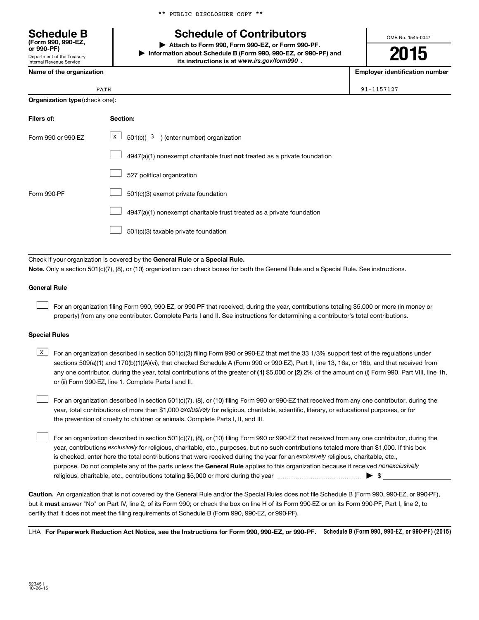\*\* PUBLIC DISCLOSURE COPY \*\*

# **Schedule of Contributors**

**or 990-PF) | Attach to Form 990, Form 990-EZ, or Form 990-PF. | Information about Schedule B (Form 990, 990-EZ, or 990-PF) and** its instructions is at www.irs.gov/form990.

OMB No. 1545-0047

**2015**

**Name of the organization Employer identification number**

| PATH | 91-1157127 |
|------|------------|
|      |            |

| <b>Schedule B</b><br>(Form 990, 990-EZ,<br>or 990-PF)  |
|--------------------------------------------------------|
| Department of the Treasury<br>Internal Revenue Service |

|                                | PATH |
|--------------------------------|------|
| Organization type (check one): |      |

| Filers of:         | Section:                                                                  |
|--------------------|---------------------------------------------------------------------------|
| Form 990 or 990-EZ | X<br>$501(c)$ ( $3$ ) (enter number) organization                         |
|                    | 4947(a)(1) nonexempt charitable trust not treated as a private foundation |
|                    | 527 political organization                                                |
| Form 990-PF        | 501(c)(3) exempt private foundation                                       |
|                    | 4947(a)(1) nonexempt charitable trust treated as a private foundation     |
|                    | 501(c)(3) taxable private foundation                                      |

Check if your organization is covered by the General Rule or a Special Rule.

**Note.**  Only a section 501(c)(7), (8), or (10) organization can check boxes for both the General Rule and a Special Rule. See instructions.

### **General Rule**

 $\Box$ 

For an organization filing Form 990, 990-EZ, or 990-PF that received, during the year, contributions totaling \$5,000 or more (in money or property) from any one contributor. Complete Parts I and II. See instructions for determining a contributor's total contributions.

### **Special Rules**

any one contributor, during the year, total contributions of the greater of **(1)** \$5,000 or **(2)** 2% of the amount on (i) Form 990, Part VIII, line 1h, **K** For an organization described in section 501(c)(3) filing Form 990 or 990-EZ that met the 33 1/3% support test of the regulations under sections 509(a)(1) and 170(b)(1)(A)(vi), that checked Schedule A (Form 990 or 990-EZ), Part II, line 13, 16a, or 16b, and that received from or (ii) Form 990-EZ, line 1. Complete Parts I and II.

year, total contributions of more than \$1,000 *exclusively* for religious, charitable, scientific, literary, or educational purposes, or for For an organization described in section 501(c)(7), (8), or (10) filing Form 990 or 990-EZ that received from any one contributor, during the the prevention of cruelty to children or animals. Complete Parts I, II, and III.  $\Box$ 

purpose. Do not complete any of the parts unless the General Rule applies to this organization because it received nonexclusively year, contributions exclusively for religious, charitable, etc., purposes, but no such contributions totaled more than \$1,000. If this box is checked, enter here the total contributions that were received during the year for an exclusively religious, charitable, etc., For an organization described in section 501(c)(7), (8), or (10) filing Form 990 or 990-EZ that received from any one contributor, during the religious, charitable, etc., contributions totaling \$5,000 or more during the year  $\ldots$  $\ldots$  $\ldots$  $\ldots$  $\ldots$  $\ldots$  $\Box$ 

**Caution.** An organization that is not covered by the General Rule and/or the Special Rules does not file Schedule B (Form 990, 990-EZ, or 990-PF),  **must** but it answer "No" on Part IV, line 2, of its Form 990; or check the box on line H of its Form 990-EZ or on its Form 990-PF, Part I, line 2, to certify that it does not meet the filing requirements of Schedule B (Form 990, 990-EZ, or 990-PF).

LHA For Paperwork Reduction Act Notice, see the Instructions for Form 990, 990-EZ, or 990-PF. Schedule B (Form 990, 990-EZ, or 990-PF) (2015)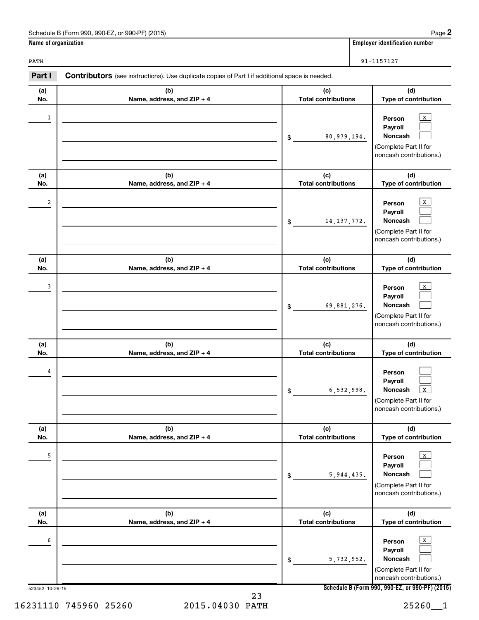| $.990-F7$<br>(2015)<br>990<br>or 990<br>J-PF).<br>Schedule B (Form | Page                                        |
|--------------------------------------------------------------------|---------------------------------------------|
| Name of organization                                               | <br>identification<br>on number<br>Emplover |

PATH 91-1157127

| Part I               | Contributors (see instructions). Use duplicate copies of Part I if additional space is needed. |                                   |                                                                                                                                          |
|----------------------|------------------------------------------------------------------------------------------------|-----------------------------------|------------------------------------------------------------------------------------------------------------------------------------------|
| (a)<br>No.           | (b)<br>Name, address, and ZIP + 4                                                              | (c)<br><b>Total contributions</b> | (d)<br>Type of contribution                                                                                                              |
| 1                    |                                                                                                | 80,979,194.<br>$\frac{1}{2}$      | $\mathbf X$<br>Person<br>Payroll<br>Noncash<br>(Complete Part II for<br>noncash contributions.)                                          |
| (a)<br>No.           | (b)<br>Name, address, and ZIP + 4                                                              | (c)<br><b>Total contributions</b> | (d)<br>Type of contribution                                                                                                              |
| 2                    |                                                                                                | 14, 137, 772.<br>$\frac{1}{2}$    | $\mathbf X$<br>Person<br>Payroll<br>Noncash<br>(Complete Part II for<br>noncash contributions.)                                          |
| (a)<br>No.           | (b)<br>Name, address, and ZIP + 4                                                              | (c)<br><b>Total contributions</b> | (d)<br>Type of contribution                                                                                                              |
| 3                    |                                                                                                | 69,881,276.<br>\$                 | X<br>Person<br>Payroll<br>Noncash<br>(Complete Part II for<br>noncash contributions.)                                                    |
| (a)<br>No.           | (b)<br>Name, address, and ZIP + 4                                                              | (c)<br><b>Total contributions</b> | (d)<br>Type of contribution                                                                                                              |
| 4                    |                                                                                                | 6,532,998.<br>\$                  | Person<br>Payroll<br>Noncash<br>$\, {\bf X}$<br>(Complete Part II for<br>noncash contributions.)                                         |
| (a)<br>No.           | (b)<br>Name, address, and ZIP + 4                                                              | (c)<br><b>Total contributions</b> | (d)<br>Type of contribution                                                                                                              |
| 5                    |                                                                                                | 5,944,435.<br>\$                  | X<br>Person<br>Payroll<br>Noncash<br>(Complete Part II for<br>noncash contributions.)                                                    |
| (a)<br>No.           | (b)<br>Name, address, and ZIP + 4                                                              | (c)<br><b>Total contributions</b> | (d)<br>Type of contribution                                                                                                              |
| 6<br>523452 10-26-15 |                                                                                                | 5,732,952.<br>\$                  | X<br>Person<br>Payroll<br>Noncash<br>(Complete Part II for<br>noncash contributions.)<br>Schedule B (Form 990, 990-EZ, or 990-PF) (2015) |
|                      | າາ                                                                                             |                                   |                                                                                                                                          |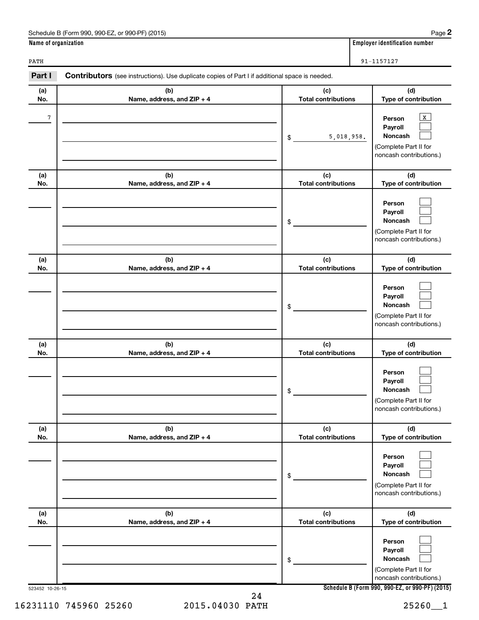| Schedule B (Form 990, 990-EZ, or 990-PF) (2015) | Paɑe |
|-------------------------------------------------|------|
|-------------------------------------------------|------|

**(b) Name, address, and ZIP + 4**

**(b) Name, address, and ZIP + 4**

**(b) Name, address, and ZIP + 4**

**(b) Name, address, and ZIP + 4**

**(b) Name, address, and ZIP + 4**

**(b) Name, address, and ZIP + 4**

| Schedule<br>(2015)<br>990-EZ<br>$\cdot$ 990<br>or 990-PF)<br>.rorm<br>1 H O<br>י טוי | Page.                                 |
|--------------------------------------------------------------------------------------|---------------------------------------|
| Name<br>organization                                                                 | . numbe<br>Emplover<br>identification |

**(d) Type of contribution**

> $\mathbf{x}$  $\Box$  $\Box$

> $\Box$  $\Box$  $\Box$

> $\Box$  $\Box$  $\Box$

> $\Box$  $\Box$  $\Box$

> $\Box$  $\Box$  $\Box$

**(d) Type of contribution**

(Complete Part II for noncash contributions.)

> **(d) Type of contribution**

(Complete Part II for noncash contributions.)

**(d) Type of contribution**

(Complete Part II for noncash contributions.)

> **(d) Type of contribution**

(Complete Part II for noncash contributions.)

**(d) Type of contribution**

(Complete Part II for noncash contributions.)

**(a) No.**

**(a) No.**

**(a) No.**

**(a) No.**

**(a) No.**

**(a) No.**

**Person Payroll Noncash**

**Person Payroll Noncash**

**Person Payroll Noncash**

**Person Payroll Noncash**

**Person Payroll Noncash**

**(c) Total contributions**

**(c) Total contributions**

5,018,958.

\$

7 X

\$

\$

\$

\$

\$

**(c) Total contributions**

**(c) Total contributions**

**(c) Total contributions**

**(c) Total contributions**

| PATH                                                                                                            | 91-1157127 |
|-----------------------------------------------------------------------------------------------------------------|------------|
| Part I<br><b>Contributors</b> (see instructions). Use duplicate copies of Part I if additional space is needed. |            |

16231110 745960 25260 2015.04030 PATH 25260\_\_1 24

| 523452 10-26-15 |
|-----------------|
|                 |

 $\Box$  $\Box$  $\Box$ 

**Schedule B (Form 990, 990-EZ, or 990-PF) (2015)**

**Person Payroll Noncash**

(Complete Part II for noncash contributions.)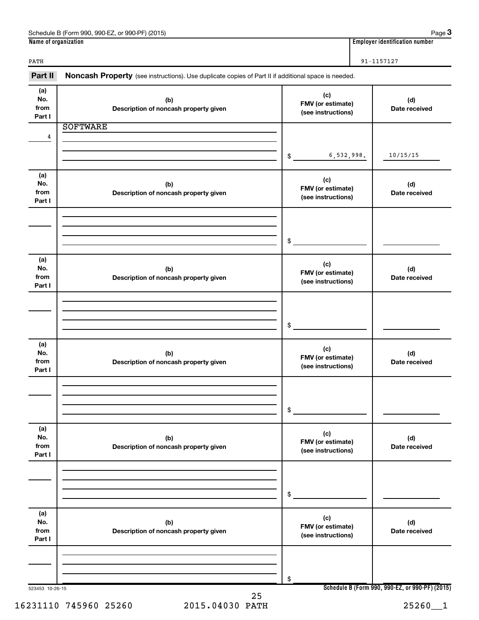| 990-EZ<br>Schedule B (Form<br>(2015)<br>990-PF)<br>n 990<br>. or | Paɑe                           |
|------------------------------------------------------------------|--------------------------------|
| Name                                                             |                                |
| of organization (                                                | Emplover identification number |

**Employer identification number** 

PATH 91-1157127

523453 10-26-15 **Schedule B (Form 990, 990-EZ, or 990-PF) (2015) (a) No. from Part I (c) FMV (or estimate) (see instructions) (b) Description of noncash property given (d) Date received (a) No. from Part I (c) FMV (or estimate) (see instructions) (b) Description of noncash property given (d) Date received (a) No. from Part I (c) FMV (or estimate) (see instructions) (b) Description of noncash property given (d) Date received (a) No. from Part I (c) FMV (or estimate) (see instructions) (b) Description of noncash property given (d) Date received (a) No. from Part I (c) FMV (or estimate) (see instructions) (b) Description of noncash property given (d) Date received (a) No. from Part I (c) FMV (or estimate) (see instructions) (b) Description of noncash property given (d) Date received** Part II Noncash Property (see instructions). Use duplicate copies of Part II if additional space is needed. \$ \$ \$ \$ \$ \$ SOFTWARE 4 6,532,998. 10/15/15 25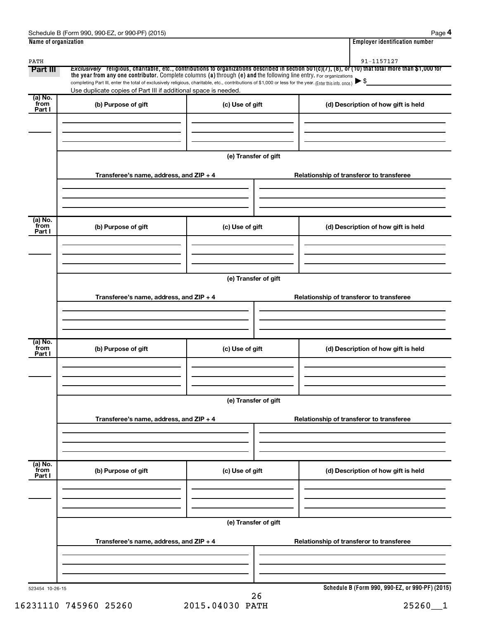| PATH<br><b>Part III</b>   | the year from any one contributor. Complete columns (a) through (e) and the following line entry. For organizations                                                                                                         |                      | 91-1157127<br>Exclusively religious, charitable, etc., contributions to organizations described in section 501(c)(7), (8), or (10) that total more than \$1,000 for |
|---------------------------|-----------------------------------------------------------------------------------------------------------------------------------------------------------------------------------------------------------------------------|----------------------|---------------------------------------------------------------------------------------------------------------------------------------------------------------------|
|                           | completing Part III, enter the total of exclusively religious, charitable, etc., contributions of \$1,000 or less for the year. (Enter this info. once.)<br>Use duplicate copies of Part III if additional space is needed. |                      |                                                                                                                                                                     |
| (a) No.<br>from<br>Part I | (b) Purpose of gift                                                                                                                                                                                                         | (c) Use of gift      | (d) Description of how gift is held                                                                                                                                 |
|                           |                                                                                                                                                                                                                             | (e) Transfer of gift |                                                                                                                                                                     |
|                           | Transferee's name, address, and ZIP + 4                                                                                                                                                                                     |                      | Relationship of transferor to transferee                                                                                                                            |
| (a) No.<br>from<br>Part I | (b) Purpose of gift                                                                                                                                                                                                         | (c) Use of gift      | (d) Description of how gift is held                                                                                                                                 |
|                           | Transferee's name, address, and ZIP + 4                                                                                                                                                                                     | (e) Transfer of gift | Relationship of transferor to transferee                                                                                                                            |
| (a) No.<br>from<br>Part I | (b) Purpose of gift                                                                                                                                                                                                         | (c) Use of gift      | (d) Description of how gift is held                                                                                                                                 |
|                           |                                                                                                                                                                                                                             | (e) Transfer of gift |                                                                                                                                                                     |
|                           | Transferee's name, address, and ZIP + 4                                                                                                                                                                                     |                      | Relationship of transferor to transferee                                                                                                                            |
| (a) No.<br>from<br>Part I | (b) Purpose of gift                                                                                                                                                                                                         | (c) Use of gift      | (d) Description of how gift is held                                                                                                                                 |
|                           |                                                                                                                                                                                                                             | (e) Transfer of gift |                                                                                                                                                                     |
|                           | Transferee's name, address, and ZIP + 4                                                                                                                                                                                     |                      | Relationship of transferor to transferee                                                                                                                            |

16231110 745960 25260 2015.04030 PATH 25260\_\_1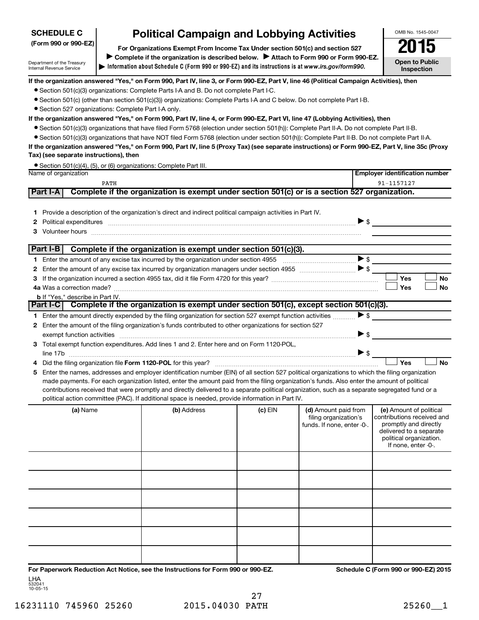# **SCHEDULE C**

Department of the Treasury Internal Revenue Service

# **Political Campaign and Lobbying Activities**

**Information about Schedule C (Form 990 or 990-EZ) and its instructions is at |**  *www.irs.gov/form990.* **(Form 990 or 990-EZ) For Organizations Exempt From Income Tax Under section 501(c) and section 527** Complete if the organization is described below. > Attach to Form 990 or Form 990-EZ. OMB No. 1545-0047 **Open to Public Inspection**

**If the organization answered "Yes," on Form 990, Part IV, line 3, or Form 990-EZ, Part V, line 46 (Political Campaign Activities), then**

- Section 501(c)(3) organizations: Complete Parts I-A and B. Do not complete Part I-C.
- Section 501(c) (other than section 501(c)(3)) organizations: Complete Parts I-A and C below. Do not complete Part I-B.
- Section 527 organizations: Complete Part I-A only.

### **If the organization answered "Yes," on Form 990, Part IV, line 4, or Form 990-EZ, Part VI, line 47 (Lobbying Activities), then**

- Section 501(c)(3) organizations that have filed Form 5768 (election under section 501(h)): Complete Part II-A. Do not complete Part II-B.
- Section 501(c)(3) organizations that have NOT filed Form 5768 (election under section 501(h)): Complete Part II-B. Do not complete Part II-A.

**If the organization answered "Yes," on Form 990, Part IV, line 5 (Proxy Tax) (see separate instructions) or Form 990-EZ, Part V, line 35c (Proxy Tax) (see separate instructions), then**

• Section 501(c)(4), (5), or (6) organizations: Complete Part III.

| Name of organization                                                                                                                                                                                                                                                                                                                                                                                                                                                                                                                                                                                                                                                                                                                                                                                                                                                                               |                                                                                               |           |                                                                             | <b>Employer identification number</b>                                                                                                                       |
|----------------------------------------------------------------------------------------------------------------------------------------------------------------------------------------------------------------------------------------------------------------------------------------------------------------------------------------------------------------------------------------------------------------------------------------------------------------------------------------------------------------------------------------------------------------------------------------------------------------------------------------------------------------------------------------------------------------------------------------------------------------------------------------------------------------------------------------------------------------------------------------------------|-----------------------------------------------------------------------------------------------|-----------|-----------------------------------------------------------------------------|-------------------------------------------------------------------------------------------------------------------------------------------------------------|
| <b>PATH</b>                                                                                                                                                                                                                                                                                                                                                                                                                                                                                                                                                                                                                                                                                                                                                                                                                                                                                        |                                                                                               |           |                                                                             | 91-1157127                                                                                                                                                  |
| Part I-A                                                                                                                                                                                                                                                                                                                                                                                                                                                                                                                                                                                                                                                                                                                                                                                                                                                                                           | Complete if the organization is exempt under section 501(c) or is a section 527 organization. |           |                                                                             |                                                                                                                                                             |
| 1 Provide a description of the organization's direct and indirect political campaign activities in Part IV.<br>2 Political expenditures <b>communications</b> S                                                                                                                                                                                                                                                                                                                                                                                                                                                                                                                                                                                                                                                                                                                                    |                                                                                               |           |                                                                             |                                                                                                                                                             |
| Part I-B                                                                                                                                                                                                                                                                                                                                                                                                                                                                                                                                                                                                                                                                                                                                                                                                                                                                                           | Complete if the organization is exempt under section 501(c)(3).                               |           |                                                                             |                                                                                                                                                             |
| <b>b</b> If "Yes," describe in Part IV.                                                                                                                                                                                                                                                                                                                                                                                                                                                                                                                                                                                                                                                                                                                                                                                                                                                            |                                                                                               |           |                                                                             | Yes<br><b>No</b><br><b>No</b><br>Yes                                                                                                                        |
| Part I-C Complete if the organization is exempt under section 501(c), except section 501(c)(3).                                                                                                                                                                                                                                                                                                                                                                                                                                                                                                                                                                                                                                                                                                                                                                                                    |                                                                                               |           |                                                                             |                                                                                                                                                             |
| 1 Enter the amount directly expended by the filing organization for section 527 exempt function activities<br>2 Enter the amount of the filing organization's funds contributed to other organizations for section 527<br>3 Total exempt function expenditures. Add lines 1 and 2. Enter here and on Form 1120-POL,<br>line 17b $\ldots$<br>5 Enter the names, addresses and employer identification number (EIN) of all section 527 political organizations to which the filing organization<br>made payments. For each organization listed, enter the amount paid from the filing organization's funds. Also enter the amount of political<br>contributions received that were promptly and directly delivered to a separate political organization, such as a separate segregated fund or a<br>political action committee (PAC). If additional space is needed, provide information in Part IV. |                                                                                               |           | $\blacktriangleright$ \$                                                    | ><br>Yes<br><b>No</b>                                                                                                                                       |
| (a) Name                                                                                                                                                                                                                                                                                                                                                                                                                                                                                                                                                                                                                                                                                                                                                                                                                                                                                           | (b) Address                                                                                   | $(c)$ EIN | (d) Amount paid from<br>filing organization's<br>funds. If none, enter -0-. | (e) Amount of political<br>contributions received and<br>promptly and directly<br>delivered to a separate<br>political organization.<br>If none, enter -0-. |
|                                                                                                                                                                                                                                                                                                                                                                                                                                                                                                                                                                                                                                                                                                                                                                                                                                                                                                    |                                                                                               |           |                                                                             |                                                                                                                                                             |
|                                                                                                                                                                                                                                                                                                                                                                                                                                                                                                                                                                                                                                                                                                                                                                                                                                                                                                    |                                                                                               |           |                                                                             |                                                                                                                                                             |
|                                                                                                                                                                                                                                                                                                                                                                                                                                                                                                                                                                                                                                                                                                                                                                                                                                                                                                    |                                                                                               |           |                                                                             |                                                                                                                                                             |

**For Paperwork Reduction Act Notice, see the Instructions for Form 990 or 990-EZ. Schedule C (Form 990 or 990-EZ) 2015** LHA

532041 10-05-15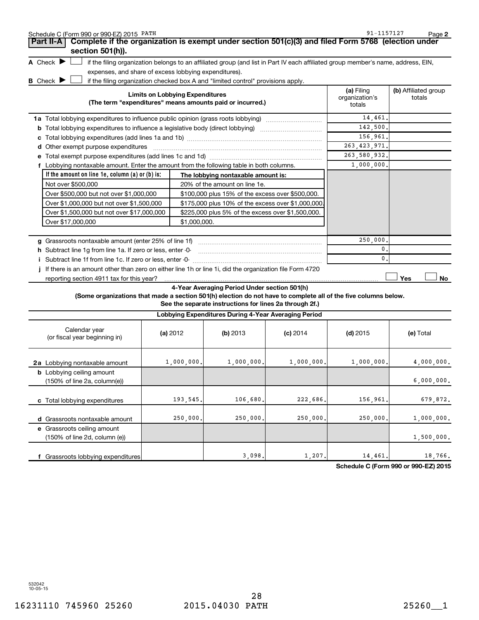| Schedule C (Form 990 or 990-EZ) 2015 PATH<br>Complete if the organization is exempt under section 501(c)(3) and filed Form 5768 (election under<br>Part II-A |                                        |                                                                                                                                   |            | 91-1157127                             | Page 2                         |
|--------------------------------------------------------------------------------------------------------------------------------------------------------------|----------------------------------------|-----------------------------------------------------------------------------------------------------------------------------------|------------|----------------------------------------|--------------------------------|
| section 501(h)).                                                                                                                                             |                                        |                                                                                                                                   |            |                                        |                                |
| A Check $\blacktriangleright$                                                                                                                                |                                        | if the filing organization belongs to an affiliated group (and list in Part IV each affiliated group member's name, address, EIN, |            |                                        |                                |
| expenses, and share of excess lobbying expenditures).                                                                                                        |                                        |                                                                                                                                   |            |                                        |                                |
| <b>B</b> Check ▶                                                                                                                                             |                                        | if the filing organization checked box A and "limited control" provisions apply.                                                  |            |                                        |                                |
|                                                                                                                                                              | <b>Limits on Lobbying Expenditures</b> | (The term "expenditures" means amounts paid or incurred.)                                                                         |            | (a) Filing<br>organization's<br>totals | (b) Affiliated group<br>totals |
| 1a Total lobbying expenditures to influence public opinion (grass roots lobbying)                                                                            |                                        |                                                                                                                                   |            | 14,461.                                |                                |
| <b>b</b> Total lobbying expenditures to influence a legislative body (direct lobbying) <i>manumanomes</i>                                                    |                                        |                                                                                                                                   |            | 142,500.                               |                                |
|                                                                                                                                                              |                                        |                                                                                                                                   |            | 156,961.                               |                                |
| d Other exempt purpose expenditures                                                                                                                          |                                        |                                                                                                                                   |            | 263, 423, 971.                         |                                |
|                                                                                                                                                              |                                        |                                                                                                                                   |            | 263,580,932.                           |                                |
| f Lobbying nontaxable amount. Enter the amount from the following table in both columns.                                                                     |                                        |                                                                                                                                   |            | 1,000,000.                             |                                |
| If the amount on line 1e, column $(a)$ or $(b)$ is:                                                                                                          |                                        | The lobbying nontaxable amount is:                                                                                                |            |                                        |                                |
| Not over \$500,000                                                                                                                                           |                                        | 20% of the amount on line 1e.                                                                                                     |            |                                        |                                |
| Over \$500,000 but not over \$1,000,000                                                                                                                      |                                        | \$100,000 plus 15% of the excess over \$500,000.                                                                                  |            |                                        |                                |
| Over \$1,000,000 but not over \$1,500,000                                                                                                                    |                                        | \$175,000 plus 10% of the excess over \$1,000,000                                                                                 |            |                                        |                                |
| Over \$1,500,000 but not over \$17,000,000                                                                                                                   |                                        | \$225,000 plus 5% of the excess over \$1,500,000.                                                                                 |            |                                        |                                |
| Over \$17,000,000                                                                                                                                            | \$1,000,000.                           |                                                                                                                                   |            |                                        |                                |
|                                                                                                                                                              |                                        |                                                                                                                                   |            |                                        |                                |
| g Grassroots nontaxable amount (enter 25% of line 1f)                                                                                                        |                                        |                                                                                                                                   |            | 250,000                                |                                |
| h Subtract line 1g from line 1a. If zero or less, enter -0-                                                                                                  |                                        |                                                                                                                                   |            | $\mathbf{0}$                           |                                |
| i Subtract line 1f from line 1c. If zero or less, enter -0-                                                                                                  |                                        |                                                                                                                                   |            | 0                                      |                                |
| If there is an amount other than zero on either line 1h or line 1i, did the organization file Form 4720                                                      |                                        |                                                                                                                                   |            |                                        |                                |
| reporting section 4911 tax for this year?                                                                                                                    |                                        |                                                                                                                                   |            |                                        | Yes<br>No                      |
| (Some organizations that made a section 501(h) election do not have to complete all of the five columns below.                                               |                                        | 4-Year Averaging Period Under section 501(h)<br>See the separate instructions for lines 2a through 2f.)                           |            |                                        |                                |
|                                                                                                                                                              |                                        | Lobbying Expenditures During 4-Year Averaging Period                                                                              |            |                                        |                                |
| Calendar year<br>(or fiscal year beginning in)                                                                                                               | (a) 2012                               | $(b)$ 2013                                                                                                                        | $(c)$ 2014 | $(d)$ 2015                             | (e) Total                      |
| <b>2a</b> Lobbying nontaxable amount                                                                                                                         | 1,000,000.                             | 1,000,000.                                                                                                                        | 1,000,000. | 1,000,000.                             | 4,000,000.                     |
| <b>b</b> Lobbying ceiling amount<br>(150% of line 2a, column(e))                                                                                             |                                        |                                                                                                                                   |            |                                        | 6,000,000.                     |
| c Total lobbying expenditures                                                                                                                                | 193,545.                               | 106,680                                                                                                                           | 222,686    | 156,961                                | 679,872.                       |
| d Grassroots nontaxable amount                                                                                                                               | 250,000.                               | 250,000                                                                                                                           | 250,000    | 250,000.                               | 1,000,000.                     |
| e Grassroots ceiling amount                                                                                                                                  |                                        |                                                                                                                                   |            |                                        |                                |
| (150% of line 2d, column (e))                                                                                                                                |                                        |                                                                                                                                   |            |                                        | 1,500,000.                     |
| f Grassroots lobbying expenditures                                                                                                                           |                                        | 3,098.                                                                                                                            | 1,207.     | 14,461.                                | 18,766.                        |

**Schedule C (Form 990 or 990-EZ) 2015**

532042 10-05-15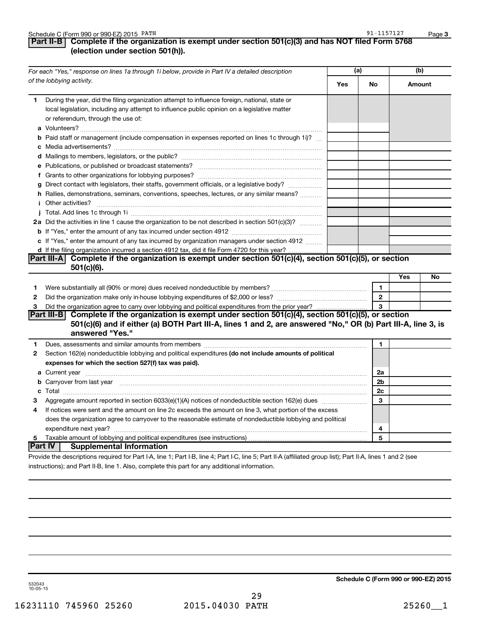|  | Schedule C (Form 990 or 990-EZ) 2015 PATH |  | $-115712$<br>$91 - i$ | Page |
|--|-------------------------------------------|--|-----------------------|------|
|--|-------------------------------------------|--|-----------------------|------|

## **Part II-B Complete if the organization is exempt under section 501(c)(3) and has NOT filed Form 5768 (election under section 501(h)).**

| For each "Yes," response on lines 1a through 1i below, provide in Part IV a detailed description |                                                                                                                                                                                                                                             | (a) |                | (b)        |    |
|--------------------------------------------------------------------------------------------------|---------------------------------------------------------------------------------------------------------------------------------------------------------------------------------------------------------------------------------------------|-----|----------------|------------|----|
|                                                                                                  | of the lobbying activity.                                                                                                                                                                                                                   | Yes | No             | Amount     |    |
| 1.                                                                                               | During the year, did the filing organization attempt to influence foreign, national, state or<br>local legislation, including any attempt to influence public opinion on a legislative matter<br>or referendum, through the use of:         |     |                |            |    |
|                                                                                                  | <b>b</b> Paid staff or management (include compensation in expenses reported on lines 1c through 1i)?                                                                                                                                       |     |                |            |    |
|                                                                                                  |                                                                                                                                                                                                                                             |     |                |            |    |
|                                                                                                  |                                                                                                                                                                                                                                             |     |                |            |    |
|                                                                                                  |                                                                                                                                                                                                                                             |     |                |            |    |
|                                                                                                  | g Direct contact with legislators, their staffs, government officials, or a legislative body?                                                                                                                                               |     |                |            |    |
|                                                                                                  | h Rallies, demonstrations, seminars, conventions, speeches, lectures, or any similar means?                                                                                                                                                 |     |                |            |    |
|                                                                                                  |                                                                                                                                                                                                                                             |     |                |            |    |
|                                                                                                  |                                                                                                                                                                                                                                             |     |                |            |    |
|                                                                                                  | 2a Did the activities in line 1 cause the organization to be not described in section 501(c)(3)?                                                                                                                                            |     |                |            |    |
|                                                                                                  |                                                                                                                                                                                                                                             |     |                |            |    |
|                                                                                                  | c If "Yes," enter the amount of any tax incurred by organization managers under section 4912                                                                                                                                                |     |                |            |    |
|                                                                                                  | d If the filing organization incurred a section 4912 tax, did it file Form 4720 for this year?                                                                                                                                              |     |                |            |    |
|                                                                                                  | Part III-A Complete if the organization is exempt under section 501(c)(4), section 501(c)(5), or section                                                                                                                                    |     |                |            |    |
|                                                                                                  | $501(c)(6)$ .                                                                                                                                                                                                                               |     |                |            |    |
|                                                                                                  |                                                                                                                                                                                                                                             |     |                | <b>Yes</b> | No |
| 1                                                                                                |                                                                                                                                                                                                                                             |     | $\mathbf{1}$   |            |    |
| 2                                                                                                |                                                                                                                                                                                                                                             |     | $\overline{2}$ |            |    |
| 3                                                                                                |                                                                                                                                                                                                                                             |     | 3              |            |    |
|                                                                                                  | Part III-B Complete if the organization is exempt under section 501(c)(4), section 501(c)(5), or section<br>501(c)(6) and if either (a) BOTH Part III-A, lines 1 and 2, are answered "No," OR (b) Part III-A, line 3, is<br>answered "Yes." |     |                |            |    |
| 1                                                                                                |                                                                                                                                                                                                                                             |     | 1              |            |    |
| 2                                                                                                | Section 162(e) nondeductible lobbying and political expenditures (do not include amounts of political                                                                                                                                       |     |                |            |    |
|                                                                                                  | expenses for which the section 527(f) tax was paid).                                                                                                                                                                                        |     |                |            |    |
|                                                                                                  |                                                                                                                                                                                                                                             |     | 2a             |            |    |
|                                                                                                  | b Carryover from last year manufactured and continuum contract to contact the contract of the contract of the contract of the contract of the contract of the contract of the contract of the contract of the contract of the               |     | 2b             |            |    |
|                                                                                                  |                                                                                                                                                                                                                                             |     | 2c             |            |    |
| 3                                                                                                | Aggregate amount reported in section 6033(e)(1)(A) notices of nondeductible section 162(e) dues manufactured                                                                                                                                |     | 3              |            |    |
| 4                                                                                                | If notices were sent and the amount on line 2c exceeds the amount on line 3, what portion of the excess                                                                                                                                     |     |                |            |    |
|                                                                                                  | does the organization agree to carryover to the reasonable estimate of nondeductible lobbying and political                                                                                                                                 |     |                |            |    |
|                                                                                                  |                                                                                                                                                                                                                                             |     | 4              |            |    |
| 5                                                                                                |                                                                                                                                                                                                                                             |     | 5              |            |    |
|                                                                                                  | <b>Part IV   Supplemental Information</b>                                                                                                                                                                                                   |     |                |            |    |
|                                                                                                  | Provide the descriptions required for Part LA Jine 1: Part LR Jine 4: Part LC Jine 5: Part II A (affiliated aroun list): Part II A Jines 1 and 2 (see                                                                                       |     |                |            |    |

criptions required for Part I-A, line 1; Part I-B, line 4; Part I-C, line 5; Part II-A (affiliated group list); Part II-A, lines 1 and 2 (see instructions); and Part II-B, line 1. Also, complete this part for any additional information.

**Schedule C (Form 990 or 990-EZ) 2015**

532043 10-05-15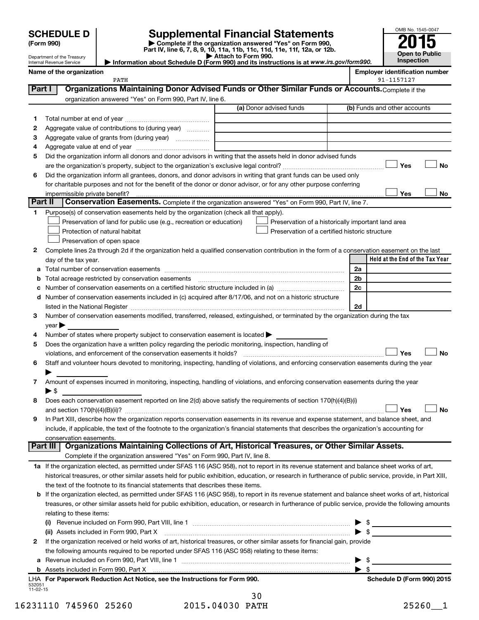| <b>SCHEDULE D</b> |  |  |
|-------------------|--|--|
|                   |  |  |

| (Form 990) |  |
|------------|--|
|            |  |

 $\overline{a}$ 

**(Form 990) | Complete if the organization answered "Yes" on Form 990, Part IV, line 6, 7, 8, 9, 10, 11a, 11b, 11c, 11d, 11e, 11f, 12a, or 12b. SCHEDULE D Supplemental Financial Statements**<br> **Form 990 2015**<br> **Part IV** line 6.7.8.9.10, 11a, 11b, 11d, 11d, 11d, 11d, 11d, 12a, 0r, 12b

**| Attach to Form 990. | Information about Schedule D (Form 990) and its instructions is at**  *www.irs.gov/form990.*

| OMB No. 1545-0047     |
|-----------------------|
| 015                   |
|                       |
| <b>Open to Public</b> |
| Inspection            |

|          | Department of the Treasury<br>Internal Revenue Service                                                                                                                                                                        | $\blacktriangleright$ Attach to Form 990.<br>Information about Schedule D (Form 990) and its instructions is at www.irs.gov/form990. |    |                          | Inspection                            |      |
|----------|-------------------------------------------------------------------------------------------------------------------------------------------------------------------------------------------------------------------------------|--------------------------------------------------------------------------------------------------------------------------------------|----|--------------------------|---------------------------------------|------|
|          | Name of the organization                                                                                                                                                                                                      |                                                                                                                                      |    |                          | <b>Employer identification number</b> |      |
|          | PATH                                                                                                                                                                                                                          |                                                                                                                                      |    |                          | 91-1157127                            |      |
| Part I   | Organizations Maintaining Donor Advised Funds or Other Similar Funds or Accounts. Complete if the                                                                                                                             |                                                                                                                                      |    |                          |                                       |      |
|          | organization answered "Yes" on Form 990, Part IV, line 6.                                                                                                                                                                     |                                                                                                                                      |    |                          |                                       |      |
|          |                                                                                                                                                                                                                               | (a) Donor advised funds                                                                                                              |    |                          | (b) Funds and other accounts          |      |
| 1.       |                                                                                                                                                                                                                               |                                                                                                                                      |    |                          |                                       |      |
| 2        | Aggregate value of contributions to (during year)                                                                                                                                                                             |                                                                                                                                      |    |                          |                                       |      |
| З        | Aggregate value of grants from (during year)                                                                                                                                                                                  |                                                                                                                                      |    |                          |                                       |      |
| 4        |                                                                                                                                                                                                                               |                                                                                                                                      |    |                          |                                       |      |
| 5        | Did the organization inform all donors and donor advisors in writing that the assets held in donor advised funds                                                                                                              |                                                                                                                                      |    |                          |                                       |      |
|          |                                                                                                                                                                                                                               |                                                                                                                                      |    |                          | Yes                                   | No   |
| 6        | Did the organization inform all grantees, donors, and donor advisors in writing that grant funds can be used only                                                                                                             |                                                                                                                                      |    |                          |                                       |      |
|          | for charitable purposes and not for the benefit of the donor or donor advisor, or for any other purpose conferring                                                                                                            |                                                                                                                                      |    |                          |                                       |      |
|          | impermissible private benefit?                                                                                                                                                                                                |                                                                                                                                      |    |                          | Yes                                   | No   |
| Part II  | Conservation Easements. Complete if the organization answered "Yes" on Form 990, Part IV, line 7.                                                                                                                             |                                                                                                                                      |    |                          |                                       |      |
| 1.       | Purpose(s) of conservation easements held by the organization (check all that apply).                                                                                                                                         |                                                                                                                                      |    |                          |                                       |      |
|          | Preservation of land for public use (e.g., recreation or education)                                                                                                                                                           | Preservation of a historically important land area                                                                                   |    |                          |                                       |      |
|          | Protection of natural habitat                                                                                                                                                                                                 | Preservation of a certified historic structure                                                                                       |    |                          |                                       |      |
|          | Preservation of open space                                                                                                                                                                                                    |                                                                                                                                      |    |                          |                                       |      |
| 2        | Complete lines 2a through 2d if the organization held a qualified conservation contribution in the form of a conservation easement on the last                                                                                |                                                                                                                                      |    |                          |                                       |      |
|          | day of the tax year.                                                                                                                                                                                                          |                                                                                                                                      |    |                          | Held at the End of the Tax Year       |      |
| а        |                                                                                                                                                                                                                               |                                                                                                                                      | 2a |                          |                                       |      |
| b        | Total acreage restricted by conservation easements                                                                                                                                                                            |                                                                                                                                      |    | 2b                       |                                       |      |
|          |                                                                                                                                                                                                                               |                                                                                                                                      |    | 2c                       |                                       |      |
| d        | Number of conservation easements included in (c) acquired after 8/17/06, and not on a historic structure                                                                                                                      |                                                                                                                                      |    |                          |                                       |      |
|          | listed in the National Register [111] Marshall Register [11] Marshall Register [11] Marshall Register [11] Marshall Register [11] Marshall Register [11] Marshall Register [11] Marshall Register [11] Marshall Register [11] |                                                                                                                                      |    | 2d                       |                                       |      |
| З        | Number of conservation easements modified, transferred, released, extinguished, or terminated by the organization during the tax                                                                                              |                                                                                                                                      |    |                          |                                       |      |
|          | year                                                                                                                                                                                                                          |                                                                                                                                      |    |                          |                                       |      |
| 4        | Number of states where property subject to conservation easement is located >                                                                                                                                                 |                                                                                                                                      |    |                          |                                       |      |
| 5        | Does the organization have a written policy regarding the periodic monitoring, inspection, handling of                                                                                                                        |                                                                                                                                      |    |                          |                                       |      |
|          | violations, and enforcement of the conservation easements it holds?                                                                                                                                                           |                                                                                                                                      |    |                          | Yes                                   | No   |
| 6        | Staff and volunteer hours devoted to monitoring, inspecting, handling of violations, and enforcing conservation easements during the year                                                                                     |                                                                                                                                      |    |                          |                                       |      |
| 7        | Amount of expenses incurred in monitoring, inspecting, handling of violations, and enforcing conservation easements during the year                                                                                           |                                                                                                                                      |    |                          |                                       |      |
|          | ► \$                                                                                                                                                                                                                          |                                                                                                                                      |    |                          |                                       |      |
| 8        | Does each conservation easement reported on line 2(d) above satisfy the requirements of section 170(h)(4)(B)(i)                                                                                                               |                                                                                                                                      |    |                          |                                       |      |
|          |                                                                                                                                                                                                                               |                                                                                                                                      |    |                          | ∃ Yes                                 | ∟ No |
| 9        | In Part XIII, describe how the organization reports conservation easements in its revenue and expense statement, and balance sheet, and                                                                                       |                                                                                                                                      |    |                          |                                       |      |
|          | include, if applicable, the text of the footnote to the organization's financial statements that describes the organization's accounting for                                                                                  |                                                                                                                                      |    |                          |                                       |      |
|          | conservation easements.                                                                                                                                                                                                       |                                                                                                                                      |    |                          |                                       |      |
| Part III | Organizations Maintaining Collections of Art, Historical Treasures, or Other Similar Assets.                                                                                                                                  |                                                                                                                                      |    |                          |                                       |      |
|          | Complete if the organization answered "Yes" on Form 990, Part IV, line 8.                                                                                                                                                     |                                                                                                                                      |    |                          |                                       |      |
|          | 1a If the organization elected, as permitted under SFAS 116 (ASC 958), not to report in its revenue statement and balance sheet works of art,                                                                                 |                                                                                                                                      |    |                          |                                       |      |
|          | historical treasures, or other similar assets held for public exhibition, education, or research in furtherance of public service, provide, in Part XIII,                                                                     |                                                                                                                                      |    |                          |                                       |      |
|          | the text of the footnote to its financial statements that describes these items.                                                                                                                                              |                                                                                                                                      |    |                          |                                       |      |
|          | <b>b</b> If the organization elected, as permitted under SFAS 116 (ASC 958), to report in its revenue statement and balance sheet works of art, historical                                                                    |                                                                                                                                      |    |                          |                                       |      |
|          | treasures, or other similar assets held for public exhibition, education, or research in furtherance of public service, provide the following amounts                                                                         |                                                                                                                                      |    |                          |                                       |      |
|          | relating to these items:                                                                                                                                                                                                      |                                                                                                                                      |    |                          |                                       |      |
|          |                                                                                                                                                                                                                               |                                                                                                                                      |    |                          |                                       |      |
|          |                                                                                                                                                                                                                               |                                                                                                                                      |    |                          | $\blacktriangleright$ \$              |      |
| 2        | If the organization received or held works of art, historical treasures, or other similar assets for financial gain, provide                                                                                                  |                                                                                                                                      |    |                          |                                       |      |
|          | the following amounts required to be reported under SFAS 116 (ASC 958) relating to these items:                                                                                                                               |                                                                                                                                      |    |                          |                                       |      |
|          | Revenue included on Form 990, Part VIII, line 1 [2000] [2000] [2000] [2000] [3000] [3000] [3000] [3000] [3000                                                                                                                 |                                                                                                                                      |    | $\blacktriangleright$ \$ |                                       |      |
|          |                                                                                                                                                                                                                               |                                                                                                                                      |    | $\blacktriangleright$ s  |                                       |      |

| LHA For Paperwork Reduction Act Notice, see the Instructions for Form 990. | Schedule D (Form 990) 2015 |
|----------------------------------------------------------------------------|----------------------------|
| 532051                                                                     |                            |
| 11-02-15                                                                   |                            |
|                                                                            |                            |

| Schedule D (Form 990) 2015 |  |  |
|----------------------------|--|--|

|                | 30 |
|----------------|----|
| 015.04030 PATH |    |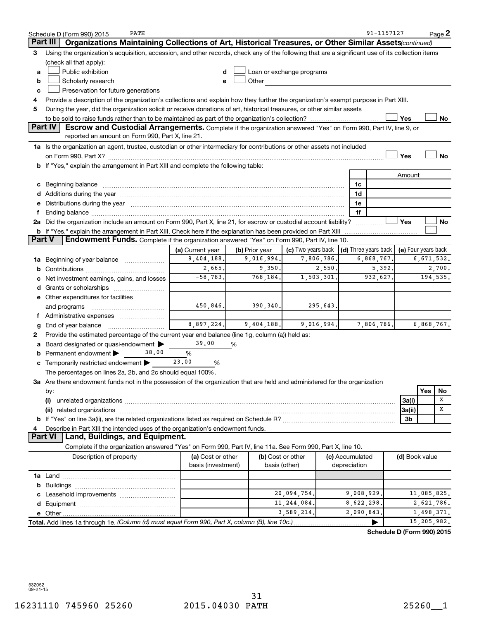|        | PATH<br>Schedule D (Form 990) 2015                                                                                                                                                                                             |                    |                |                           |                 | 91-1157127                           |                     |             | Page 2    |
|--------|--------------------------------------------------------------------------------------------------------------------------------------------------------------------------------------------------------------------------------|--------------------|----------------|---------------------------|-----------------|--------------------------------------|---------------------|-------------|-----------|
|        | Part III<br>Organizations Maintaining Collections of Art, Historical Treasures, or Other Similar Assets(continued)                                                                                                             |                    |                |                           |                 |                                      |                     |             |           |
| 3      | Using the organization's acquisition, accession, and other records, check any of the following that are a significant use of its collection items                                                                              |                    |                |                           |                 |                                      |                     |             |           |
|        | (check all that apply):                                                                                                                                                                                                        |                    |                |                           |                 |                                      |                     |             |           |
| a      | Public exhibition                                                                                                                                                                                                              |                    |                | Loan or exchange programs |                 |                                      |                     |             |           |
| b      | Scholarly research                                                                                                                                                                                                             |                    | Other          |                           |                 |                                      |                     |             |           |
| c      | Preservation for future generations                                                                                                                                                                                            |                    |                |                           |                 |                                      |                     |             |           |
| 4      | Provide a description of the organization's collections and explain how they further the organization's exempt purpose in Part XIII.                                                                                           |                    |                |                           |                 |                                      |                     |             |           |
| 5      | During the year, did the organization solicit or receive donations of art, historical treasures, or other similar assets                                                                                                       |                    |                |                           |                 |                                      |                     |             |           |
|        |                                                                                                                                                                                                                                |                    |                |                           |                 |                                      | Yes                 |             | No        |
|        | <b>Part IV</b><br>Escrow and Custodial Arrangements. Complete if the organization answered "Yes" on Form 990, Part IV, line 9, or                                                                                              |                    |                |                           |                 |                                      |                     |             |           |
|        | reported an amount on Form 990, Part X, line 21.                                                                                                                                                                               |                    |                |                           |                 |                                      |                     |             |           |
|        | 1a Is the organization an agent, trustee, custodian or other intermediary for contributions or other assets not included                                                                                                       |                    |                |                           |                 |                                      |                     |             |           |
|        |                                                                                                                                                                                                                                |                    |                |                           |                 |                                      | Yes                 |             | <b>No</b> |
|        | b If "Yes," explain the arrangement in Part XIII and complete the following table:                                                                                                                                             |                    |                |                           |                 |                                      |                     |             |           |
|        |                                                                                                                                                                                                                                |                    |                |                           |                 |                                      | Amount              |             |           |
|        | c Beginning balance                                                                                                                                                                                                            |                    |                |                           | 1c              |                                      |                     |             |           |
|        |                                                                                                                                                                                                                                |                    |                |                           | 1d              |                                      |                     |             |           |
|        | e Distributions during the year manufactured and continuum and contact the year manufactured and contact the year manufactured and contact the year manufactured and contact the year manufactured and contact the year manufa |                    |                |                           | 1e              |                                      |                     |             |           |
|        |                                                                                                                                                                                                                                |                    |                |                           | 1f              |                                      |                     |             |           |
|        | 2a Did the organization include an amount on Form 990, Part X, line 21, for escrow or custodial account liability?                                                                                                             |                    |                |                           |                 |                                      | Yes                 |             | No        |
|        | <b>b</b> If "Yes," explain the arrangement in Part XIII. Check here if the explanation has been provided on Part XIII                                                                                                          |                    |                |                           |                 |                                      |                     |             |           |
| Part V | <b>Endowment Funds.</b> Complete if the organization answered "Yes" on Form 990, Part IV, line 10.                                                                                                                             |                    |                |                           |                 |                                      |                     |             |           |
|        |                                                                                                                                                                                                                                | (a) Current year   | (b) Prior year | (c) Two years back        |                 | $\vert$ (d) Three years back $\vert$ | (e) Four years back |             |           |
| 1a     | Beginning of year balance <i>manumman</i>                                                                                                                                                                                      | 9,404,188.         | 9,016,994.     | 7,806,786.                |                 | 6,868,767.                           |                     | 6,671,532.  |           |
|        |                                                                                                                                                                                                                                | 2,665.             | 9,350.         | 2,550.                    |                 | 5,392.                               |                     |             | 2,700.    |
|        | Net investment earnings, gains, and losses                                                                                                                                                                                     | $-58,783.$         | 768,184.       | 1,503,301.                |                 | 932,627.                             |                     |             | 194,535.  |
| d      | Grants or scholarships                                                                                                                                                                                                         |                    |                |                           |                 |                                      |                     |             |           |
|        | e Other expenditures for facilities                                                                                                                                                                                            |                    |                |                           |                 |                                      |                     |             |           |
|        | and programs                                                                                                                                                                                                                   | 450,846.           | 390, 340.      | 295,643.                  |                 |                                      |                     |             |           |
|        | f Administrative expenses                                                                                                                                                                                                      |                    |                |                           |                 |                                      |                     |             |           |
|        | End of year balance                                                                                                                                                                                                            | 8,897,224.         | 9,404,188.     | 9,016,994.                |                 | 7,806,786.                           |                     | 6,868,767.  |           |
| 2      | Provide the estimated percentage of the current year end balance (line 1g, column (a)) held as:                                                                                                                                |                    |                |                           |                 |                                      |                     |             |           |
|        | Board designated or quasi-endowment                                                                                                                                                                                            | 39.00              | %              |                           |                 |                                      |                     |             |           |
|        | Permanent endowment<br>38,00                                                                                                                                                                                                   | %                  |                |                           |                 |                                      |                     |             |           |
| С      | Temporarily restricted endowment                                                                                                                                                                                               | 23,00<br>%         |                |                           |                 |                                      |                     |             |           |
|        | The percentages on lines 2a, 2b, and 2c should equal 100%.                                                                                                                                                                     |                    |                |                           |                 |                                      |                     |             |           |
|        | 3a Are there endowment funds not in the possession of the organization that are held and administered for the organization                                                                                                     |                    |                |                           |                 |                                      |                     |             |           |
|        | by:                                                                                                                                                                                                                            |                    |                |                           |                 |                                      |                     | Yes         | No        |
|        | (i)                                                                                                                                                                                                                            |                    |                |                           |                 |                                      | 3a(i)               |             | х         |
|        | (ii) related organizations                                                                                                                                                                                                     |                    |                |                           |                 |                                      | 3a(ii)              |             | х         |
|        |                                                                                                                                                                                                                                |                    |                |                           |                 |                                      | 3b                  |             |           |
|        | Describe in Part XIII the intended uses of the organization's endowment funds.                                                                                                                                                 |                    |                |                           |                 |                                      |                     |             |           |
|        | Land, Buildings, and Equipment.<br><b>Part VI</b>                                                                                                                                                                              |                    |                |                           |                 |                                      |                     |             |           |
|        | Complete if the organization answered "Yes" on Form 990, Part IV, line 11a. See Form 990, Part X, line 10.                                                                                                                     |                    |                |                           |                 |                                      |                     |             |           |
|        | Description of property                                                                                                                                                                                                        | (a) Cost or other  |                | (b) Cost or other         | (c) Accumulated |                                      | (d) Book value      |             |           |
|        |                                                                                                                                                                                                                                | basis (investment) |                | basis (other)             | depreciation    |                                      |                     |             |           |
|        |                                                                                                                                                                                                                                |                    |                |                           |                 |                                      |                     |             |           |
| b      |                                                                                                                                                                                                                                |                    |                |                           |                 |                                      |                     |             |           |
|        |                                                                                                                                                                                                                                |                    |                | 20,094,754.               |                 | 9,008,929.                           |                     | 11,085,825. |           |
|        |                                                                                                                                                                                                                                |                    |                | 11,244,084.               |                 | 8,622,298.                           |                     | 2,621,786.  |           |
|        |                                                                                                                                                                                                                                |                    |                | 3,589,214.                |                 | 2,090,843                            |                     | 1,498,371.  |           |
|        | Total. Add lines 1a through 1e. (Column (d) must equal Form 990, Part X, column (B), line 10c.)                                                                                                                                |                    |                |                           |                 |                                      |                     | 15,205,982. |           |
|        |                                                                                                                                                                                                                                |                    |                |                           |                 |                                      |                     |             |           |
|        |                                                                                                                                                                                                                                |                    |                |                           |                 | Schedule D (Form 990) 2015           |                     |             |           |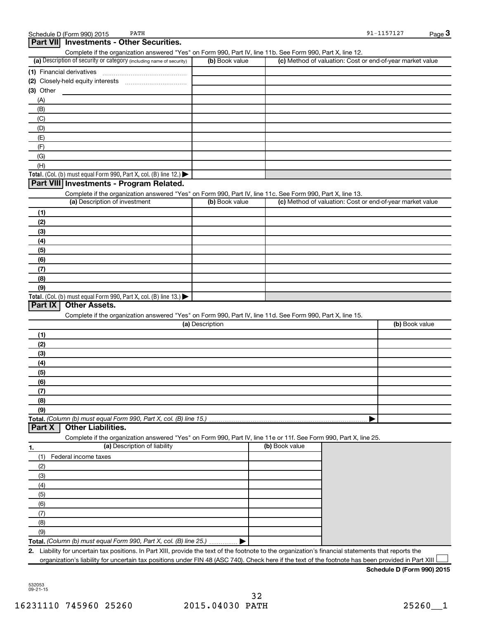|            | Part VII Investments - Other Securities.<br>Complete if the organization answered "Yes" on Form 990, Part IV, line 11b. See Form 990, Part X, line 12. |                 |                |                                                           |
|------------|--------------------------------------------------------------------------------------------------------------------------------------------------------|-----------------|----------------|-----------------------------------------------------------|
|            | (a) Description of security or category (including name of security)                                                                                   | (b) Book value  |                | (c) Method of valuation: Cost or end-of-year market value |
|            |                                                                                                                                                        |                 |                |                                                           |
|            |                                                                                                                                                        |                 |                |                                                           |
| (3) Other  |                                                                                                                                                        |                 |                |                                                           |
| (A)        |                                                                                                                                                        |                 |                |                                                           |
| (B)        |                                                                                                                                                        |                 |                |                                                           |
| (C)        |                                                                                                                                                        |                 |                |                                                           |
| (D)        |                                                                                                                                                        |                 |                |                                                           |
| (E)        |                                                                                                                                                        |                 |                |                                                           |
| (F)        |                                                                                                                                                        |                 |                |                                                           |
| (G)        |                                                                                                                                                        |                 |                |                                                           |
| (H)        |                                                                                                                                                        |                 |                |                                                           |
|            | Total. (Col. (b) must equal Form 990, Part X, col. (B) line 12.)                                                                                       |                 |                |                                                           |
|            | Part VIII Investments - Program Related.                                                                                                               |                 |                |                                                           |
|            | Complete if the organization answered "Yes" on Form 990, Part IV, line 11c. See Form 990, Part X, line 13.                                             |                 |                |                                                           |
|            | (a) Description of investment                                                                                                                          | (b) Book value  |                | (c) Method of valuation: Cost or end-of-year market value |
| (1)        |                                                                                                                                                        |                 |                |                                                           |
| (2)        |                                                                                                                                                        |                 |                |                                                           |
| (3)        |                                                                                                                                                        |                 |                |                                                           |
| (4)        |                                                                                                                                                        |                 |                |                                                           |
| (5)        |                                                                                                                                                        |                 |                |                                                           |
| (6)        |                                                                                                                                                        |                 |                |                                                           |
| (7)        |                                                                                                                                                        |                 |                |                                                           |
| (8)        |                                                                                                                                                        |                 |                |                                                           |
| (9)        |                                                                                                                                                        |                 |                |                                                           |
|            | Total. (Col. (b) must equal Form 990, Part X, col. (B) line 13.)                                                                                       |                 |                |                                                           |
| Part IX    | <b>Other Assets.</b>                                                                                                                                   |                 |                |                                                           |
|            | Complete if the organization answered "Yes" on Form 990, Part IV, line 11d. See Form 990, Part X, line 15.                                             |                 |                |                                                           |
|            |                                                                                                                                                        | (a) Description |                | (b) Book value                                            |
| (1)        |                                                                                                                                                        |                 |                |                                                           |
| (2)        |                                                                                                                                                        |                 |                |                                                           |
| (3)        |                                                                                                                                                        |                 |                |                                                           |
| (4)        |                                                                                                                                                        |                 |                |                                                           |
| (5)        |                                                                                                                                                        |                 |                |                                                           |
| (6)        |                                                                                                                                                        |                 |                |                                                           |
| (7)        |                                                                                                                                                        |                 |                |                                                           |
| (8)        |                                                                                                                                                        |                 |                |                                                           |
| (9)        |                                                                                                                                                        |                 |                |                                                           |
| Part X     | Total. (Column (b) must equal Form 990, Part X, col. (B) line 15.).<br><b>Other Liabilities.</b>                                                       |                 |                |                                                           |
|            | Complete if the organization answered "Yes" on Form 990, Part IV, line 11e or 11f. See Form 990, Part X, line 25.                                      |                 |                |                                                           |
|            | (a) Description of liability                                                                                                                           |                 | (b) Book value |                                                           |
| 1.         | Federal income taxes                                                                                                                                   |                 |                |                                                           |
| (1)<br>(2) |                                                                                                                                                        |                 |                |                                                           |
| (3)        |                                                                                                                                                        |                 |                |                                                           |
| (4)        |                                                                                                                                                        |                 |                |                                                           |
|            |                                                                                                                                                        |                 |                |                                                           |
| (5)<br>(6) |                                                                                                                                                        |                 |                |                                                           |
|            |                                                                                                                                                        |                 |                |                                                           |
| (7)<br>(8) |                                                                                                                                                        |                 |                |                                                           |
| (9)        |                                                                                                                                                        |                 |                |                                                           |
|            | Total. (Column (b) must equal Form 990, Part X, col. (B) line 25.)                                                                                     |                 |                |                                                           |
|            |                                                                                                                                                        |                 |                |                                                           |

**2.** Liability for uncertain tax positions. In Part XIII, provide the text of the footnote to the organization's financial statements that reports the organization's liability for uncertain tax positions under FIN 48 (ASC 740). Check here if the text of the footnote has been provided in Part XIII

Schedule D (Form 990) 2015 PATH

**3**

 $91 - 1157127$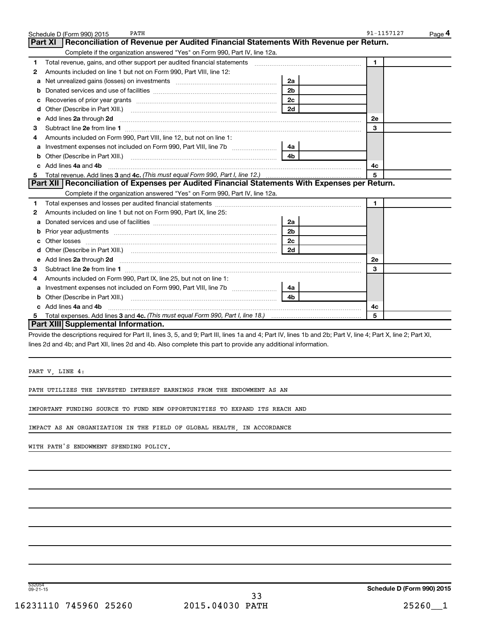|    | PATH<br>Schedule D (Form 990) 2015                                                                                                                              |                | 91-1157127   | Page 4 |
|----|-----------------------------------------------------------------------------------------------------------------------------------------------------------------|----------------|--------------|--------|
|    | Part XI<br>Reconciliation of Revenue per Audited Financial Statements With Revenue per Return.                                                                  |                |              |        |
|    | Complete if the organization answered "Yes" on Form 990, Part IV, line 12a.                                                                                     |                |              |        |
| 1  | Total revenue, gains, and other support per audited financial statements [11] [11] Total revenue, gains, and other support per audited financial statements     |                | $\mathbf{1}$ |        |
| 2  | Amounts included on line 1 but not on Form 990, Part VIII, line 12:                                                                                             |                |              |        |
| a  | Net unrealized gains (losses) on investments [11] matter contracts and the unrealized gains (losses) on investments                                             | 2a             |              |        |
|    |                                                                                                                                                                 | 2 <sub>b</sub> |              |        |
| с  |                                                                                                                                                                 | 2c             |              |        |
| d  | Other (Describe in Part XIII.) <b>Construction Contract Construction</b> Chemistry Chemistry Chemistry Chemistry Chemistry                                      | 2d             |              |        |
| е  | Add lines 2a through 2d <b>must be a constructed as a constructed in the S2a</b> through 2d <b>must be a constructed as a constructed in the S2a</b> through 2d |                | 2е           |        |
| 3  |                                                                                                                                                                 |                | 3            |        |
| 4  | Amounts included on Form 990. Part VIII. line 12, but not on line 1:                                                                                            |                |              |        |
| a  | Investment expenses not included on Form 990, Part VIII, line 7b                                                                                                | 4a             |              |        |
| b  |                                                                                                                                                                 | 4 <sub>b</sub> |              |        |
| C. | Add lines 4a and 4b                                                                                                                                             |                | 4с           |        |
| 5  |                                                                                                                                                                 |                | 5            |        |
|    | Part XII   Reconciliation of Expenses per Audited Financial Statements With Expenses per Return.                                                                |                |              |        |
|    | Complete if the organization answered "Yes" on Form 990, Part IV, line 12a.                                                                                     |                |              |        |
| 1  |                                                                                                                                                                 |                | $\mathbf{1}$ |        |
| 2  | Amounts included on line 1 but not on Form 990, Part IX, line 25:                                                                                               |                |              |        |
| a  |                                                                                                                                                                 | 2a             |              |        |
| b  |                                                                                                                                                                 | 2 <sub>b</sub> |              |        |
| c  |                                                                                                                                                                 | 2 <sub>c</sub> |              |        |
| d  |                                                                                                                                                                 | 2d             |              |        |
| е  |                                                                                                                                                                 |                | 2e           |        |
| 3  |                                                                                                                                                                 |                | 3            |        |
| 4  | Amounts included on Form 990, Part IX, line 25, but not on line 1:                                                                                              |                |              |        |
| a  |                                                                                                                                                                 | 4a             |              |        |
| b  |                                                                                                                                                                 | 4b             |              |        |
| c. | Add lines 4a and 4b                                                                                                                                             |                | 4с           |        |
|    |                                                                                                                                                                 |                | 5            |        |
|    | Part XIII Supplemental Information.                                                                                                                             |                |              |        |

Provide the descriptions required for Part II, lines 3, 5, and 9; Part III, lines 1a and 4; Part IV, lines 1b and 2b; Part V, line 4; Part X, line 2; Part XI, lines 2d and 4b; and Part XII, lines 2d and 4b. Also complete this part to provide any additional information.

PART V, LINE 4:

PATH UTILIZES THE INVESTED INTEREST EARNINGS FROM THE ENDOWMENT AS AN

IMPORTANT FUNDING SOURCE TO FUND NEW OPPORTUNITIES TO EXPAND ITS REACH AND

IMPACT AS AN ORGANIZATION IN THE FIELD OF GLOBAL HEALTH, IN ACCORDANCE

WITH PATH'S ENDOWMENT SPENDING POLICY.

532054 09-21-15

**Schedule D (Form 990) 2015**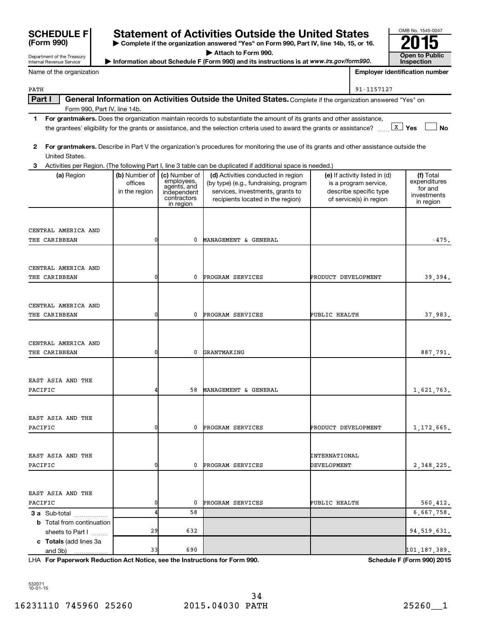| <b>SCHEDULE F</b> |  |
|-------------------|--|
| (Form 990)        |  |

**| Complete if the organization answered "Yes" on Form 990, Part IV, line 14b, 15, or 16. | Attach to Form 990.** Information about Schedule F (Form 990) and its instructions is at *www.irs.gov/form990.* **www.irs.gov/form990.** Inspection Statement of Activities Outside the United States<br> **EXECUTE:** Complete if the organization answered "Yes" on Form 990, Part IV, line 14b, 15, or 16.<br>
Attach to Form 990.

Department of the Treasury Internal Revenue Service

| at www.irs.gov/form990. |  | Inspection                     |  |
|-------------------------|--|--------------------------------|--|
|                         |  | Employer identification number |  |

OMB No. 1545-0047

|  | Name of the organization |
|--|--------------------------|
|--|--------------------------|

| $\sim$ $\sim$ | 11577707 |  |
|---------------|----------|--|
|               |          |  |
|               |          |  |

| PATH                              |                          |                                          |                                                                                                                                         | 91-1157127                                             |                                      |
|-----------------------------------|--------------------------|------------------------------------------|-----------------------------------------------------------------------------------------------------------------------------------------|--------------------------------------------------------|--------------------------------------|
| Part I                            |                          |                                          | General Information on Activities Outside the United States. Complete if the organization answered "Yes" on                             |                                                        |                                      |
| Form 990, Part IV, line 14b.      |                          |                                          |                                                                                                                                         |                                                        |                                      |
| 1.                                |                          |                                          | For grantmakers. Does the organization maintain records to substantiate the amount of its grants and other assistance,                  |                                                        |                                      |
|                                   |                          |                                          | the grantees' eligibility for the grants or assistance, and the selection criteria used to award the grants or assistance?              |                                                        | $\lfloor x \rfloor$ Yes<br><b>No</b> |
| 2                                 |                          |                                          | For grantmakers. Describe in Part V the organization's procedures for monitoring the use of its grants and other assistance outside the |                                                        |                                      |
| United States.                    |                          |                                          |                                                                                                                                         |                                                        |                                      |
|                                   |                          |                                          | Activities per Region. (The following Part I, line 3 table can be duplicated if additional space is needed.)                            |                                                        |                                      |
| (a) Region                        | (b) Number of<br>offices | (c) Number of                            | (d) Activities conducted in region<br>(by type) (e.g., fundraising, program                                                             | (e) If activity listed in (d)<br>is a program service, | (f) Total<br>expenditures            |
|                                   | in the region            | employees,<br>agents, and<br>independent | services, investments, grants to                                                                                                        | describe specific type                                 | for and                              |
|                                   |                          | contractors                              | recipients located in the region)                                                                                                       | of service(s) in region                                | investments<br>in region             |
|                                   |                          | in region                                |                                                                                                                                         |                                                        |                                      |
|                                   |                          |                                          |                                                                                                                                         |                                                        |                                      |
| CENTRAL AMERICA AND               |                          |                                          |                                                                                                                                         |                                                        |                                      |
| THE CARIBBEAN                     |                          | 0                                        | MANAGEMENT & GENERAL                                                                                                                    |                                                        | $-475.$                              |
|                                   |                          |                                          |                                                                                                                                         |                                                        |                                      |
| CENTRAL AMERICA AND               |                          |                                          |                                                                                                                                         |                                                        |                                      |
| THE CARIBBEAN                     |                          | 0                                        | <b>PROGRAM SERVICES</b>                                                                                                                 | PRODUCT DEVELOPMENT                                    | 39,394.                              |
|                                   |                          |                                          |                                                                                                                                         |                                                        |                                      |
|                                   |                          |                                          |                                                                                                                                         |                                                        |                                      |
| CENTRAL AMERICA AND               |                          |                                          |                                                                                                                                         |                                                        |                                      |
| THE CARIBBEAN                     |                          | 0                                        | PROGRAM SERVICES                                                                                                                        | PUBLIC HEALTH                                          | 37,983.                              |
|                                   |                          |                                          |                                                                                                                                         |                                                        |                                      |
| CENTRAL AMERICA AND               |                          |                                          |                                                                                                                                         |                                                        |                                      |
| THE CARIBBEAN                     |                          | 0                                        | GRANTMAKING                                                                                                                             |                                                        | 887,791.                             |
|                                   |                          |                                          |                                                                                                                                         |                                                        |                                      |
|                                   |                          |                                          |                                                                                                                                         |                                                        |                                      |
| EAST ASIA AND THE                 |                          | 58                                       | MANAGEMENT & GENERAL                                                                                                                    |                                                        |                                      |
| PACIFIC                           |                          |                                          |                                                                                                                                         |                                                        | 1,621,763.                           |
|                                   |                          |                                          |                                                                                                                                         |                                                        |                                      |
| EAST ASIA AND THE                 |                          |                                          |                                                                                                                                         |                                                        |                                      |
| PACIFIC                           |                          | 0                                        | PROGRAM SERVICES                                                                                                                        | PRODUCT DEVELOPMENT                                    | 1,172,665.                           |
|                                   |                          |                                          |                                                                                                                                         |                                                        |                                      |
| EAST ASIA AND THE                 |                          |                                          |                                                                                                                                         | INTERNATIONAL                                          |                                      |
| PACIFIC                           |                          | 0                                        | PROGRAM SERVICES                                                                                                                        | DEVELOPMENT                                            | 2,348,225.                           |
|                                   |                          |                                          |                                                                                                                                         |                                                        |                                      |
|                                   |                          |                                          |                                                                                                                                         |                                                        |                                      |
| EAST ASIA AND THE                 |                          |                                          |                                                                                                                                         |                                                        |                                      |
| PACIFIC                           |                          | 0                                        | PROGRAM SERVICES                                                                                                                        | PUBLIC HEALTH                                          | 560,412.                             |
| 3 a Sub-total                     |                          | 58                                       |                                                                                                                                         |                                                        | 6,667,758.                           |
| <b>b</b> Total from continuation  |                          |                                          |                                                                                                                                         |                                                        |                                      |
| sheets to Part I                  | 29                       | 632                                      |                                                                                                                                         |                                                        | 94, 519, 631.                        |
| c Totals (add lines 3a<br>and 3b) | 33                       | 690                                      |                                                                                                                                         |                                                        | 101,187,389.                         |
|                                   |                          |                                          |                                                                                                                                         |                                                        |                                      |

**For Paperwork Reduction Act Notice, see the Instructions for Form 990. Schedule F (Form 990) 2015** LHA

532071 10-01-15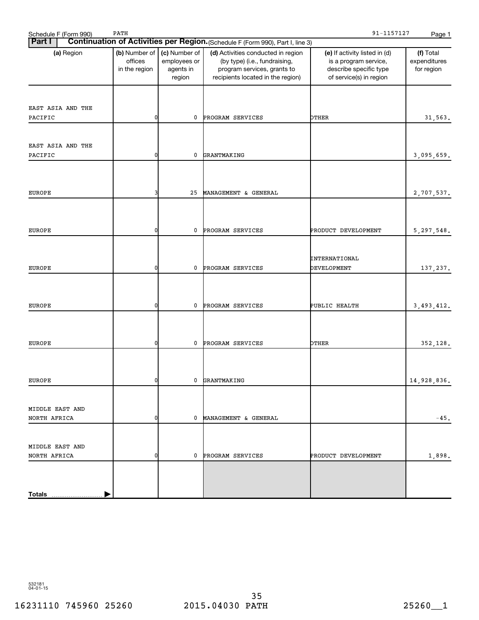| 91-1157127<br>PATH<br>Schedule F (Form 990)<br>Page 1                                           |                                           |                                                      |                                                                                                                                         |                                                                                                             |                                         |  |
|-------------------------------------------------------------------------------------------------|-------------------------------------------|------------------------------------------------------|-----------------------------------------------------------------------------------------------------------------------------------------|-------------------------------------------------------------------------------------------------------------|-----------------------------------------|--|
| Continuation of Activities per Region. (Schedule F (Form 990), Part I, line 3)<br><b>Part I</b> |                                           |                                                      |                                                                                                                                         |                                                                                                             |                                         |  |
| (a) Region                                                                                      | (b) Number of<br>offices<br>in the region | (c) Number of<br>employees or<br>agents in<br>region | (d) Activities conducted in region<br>(by type) (i.e., fundraising,<br>program services, grants to<br>recipients located in the region) | (e) If activity listed in (d)<br>is a program service,<br>describe specific type<br>of service(s) in region | (f) Total<br>expenditures<br>for region |  |
| EAST ASIA AND THE<br>PACIFIC                                                                    | 0                                         | 0                                                    | PROGRAM SERVICES                                                                                                                        | OTHER                                                                                                       | 31,563.                                 |  |
|                                                                                                 |                                           |                                                      |                                                                                                                                         |                                                                                                             |                                         |  |
| EAST ASIA AND THE<br>PACIFIC                                                                    | 0                                         | 0                                                    | GRANTMAKING                                                                                                                             |                                                                                                             | 3,095,659.                              |  |
|                                                                                                 |                                           |                                                      |                                                                                                                                         |                                                                                                             |                                         |  |
|                                                                                                 |                                           |                                                      |                                                                                                                                         |                                                                                                             |                                         |  |
| <b>EUROPE</b>                                                                                   |                                           | 25                                                   | MANAGEMENT & GENERAL                                                                                                                    |                                                                                                             | 2,707,537.                              |  |
|                                                                                                 |                                           |                                                      |                                                                                                                                         |                                                                                                             |                                         |  |
| <b>EUROPE</b>                                                                                   | 0                                         | 0                                                    | PROGRAM SERVICES                                                                                                                        | PRODUCT DEVELOPMENT                                                                                         | 5, 297, 548.                            |  |
|                                                                                                 |                                           |                                                      |                                                                                                                                         |                                                                                                             |                                         |  |
|                                                                                                 |                                           |                                                      |                                                                                                                                         | INTERNATIONAL                                                                                               |                                         |  |
| <b>EUROPE</b>                                                                                   | 0                                         | 0                                                    | PROGRAM SERVICES                                                                                                                        | DEVELOPMENT                                                                                                 | 137,237.                                |  |
|                                                                                                 |                                           |                                                      |                                                                                                                                         |                                                                                                             |                                         |  |
|                                                                                                 |                                           |                                                      |                                                                                                                                         |                                                                                                             |                                         |  |
| <b>EUROPE</b>                                                                                   | 0                                         | 0                                                    | PROGRAM SERVICES                                                                                                                        | PUBLIC HEALTH                                                                                               | 3, 493, 412.                            |  |
|                                                                                                 |                                           |                                                      |                                                                                                                                         |                                                                                                             |                                         |  |
|                                                                                                 |                                           |                                                      |                                                                                                                                         |                                                                                                             |                                         |  |
|                                                                                                 |                                           |                                                      |                                                                                                                                         |                                                                                                             |                                         |  |
| <b>EUROPE</b>                                                                                   | 0                                         | 0                                                    | PROGRAM SERVICES                                                                                                                        | OTHER                                                                                                       | 352,128.                                |  |
|                                                                                                 |                                           |                                                      |                                                                                                                                         |                                                                                                             |                                         |  |
|                                                                                                 |                                           |                                                      |                                                                                                                                         |                                                                                                             |                                         |  |
| EUROPE                                                                                          |                                           | $\mathbf{0}$                                         | GRANTMAKING                                                                                                                             |                                                                                                             | 14,928,836.                             |  |
|                                                                                                 |                                           |                                                      |                                                                                                                                         |                                                                                                             |                                         |  |
| MIDDLE EAST AND                                                                                 |                                           |                                                      |                                                                                                                                         |                                                                                                             |                                         |  |
| NORTH AFRICA                                                                                    | 0                                         | 0                                                    | MANAGEMENT & GENERAL                                                                                                                    |                                                                                                             | $-45.$                                  |  |
|                                                                                                 |                                           |                                                      |                                                                                                                                         |                                                                                                             |                                         |  |
| MIDDLE EAST AND                                                                                 |                                           |                                                      |                                                                                                                                         |                                                                                                             |                                         |  |
| NORTH AFRICA                                                                                    | 0                                         | $\mathbf 0$                                          | PROGRAM SERVICES                                                                                                                        | PRODUCT DEVELOPMENT                                                                                         | 1,898.                                  |  |
|                                                                                                 |                                           |                                                      |                                                                                                                                         |                                                                                                             |                                         |  |
|                                                                                                 |                                           |                                                      |                                                                                                                                         |                                                                                                             |                                         |  |
|                                                                                                 |                                           |                                                      |                                                                                                                                         |                                                                                                             |                                         |  |
| <b>Totals</b>                                                                                   |                                           |                                                      |                                                                                                                                         |                                                                                                             |                                         |  |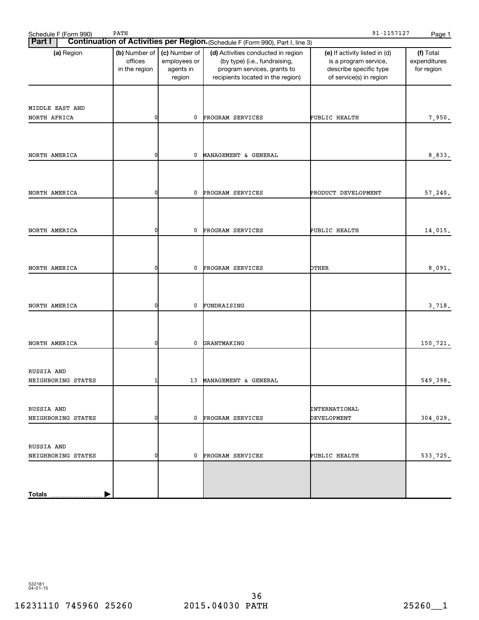| Schedule F (Form 990)            | PATH                                      |                                                      |                                                                                                                                         | 91-1157127                                                                                                  | Page 1                                  |
|----------------------------------|-------------------------------------------|------------------------------------------------------|-----------------------------------------------------------------------------------------------------------------------------------------|-------------------------------------------------------------------------------------------------------------|-----------------------------------------|
| <b>Part I</b>                    |                                           |                                                      | Continuation of Activities per Region. (Schedule F (Form 990), Part I, line 3)                                                          |                                                                                                             |                                         |
| (a) Region                       | (b) Number of<br>offices<br>in the region | (c) Number of<br>employees or<br>agents in<br>region | (d) Activities conducted in region<br>(by type) (i.e., fundraising,<br>program services, grants to<br>recipients located in the region) | (e) If activity listed in (d)<br>is a program service,<br>describe specific type<br>of service(s) in region | (f) Total<br>expenditures<br>for region |
|                                  |                                           |                                                      |                                                                                                                                         |                                                                                                             |                                         |
| MIDDLE EAST AND<br>NORTH AFRICA  | 0                                         | 0                                                    | PROGRAM SERVICES                                                                                                                        | PUBLIC HEALTH                                                                                               | 7,950.                                  |
|                                  |                                           |                                                      |                                                                                                                                         |                                                                                                             |                                         |
| NORTH AMERICA                    | 0                                         | 0                                                    | MANAGEMENT & GENERAL                                                                                                                    |                                                                                                             | 8,833.                                  |
|                                  |                                           |                                                      |                                                                                                                                         |                                                                                                             |                                         |
| NORTH AMERICA                    | 0                                         | 0                                                    | PROGRAM SERVICES                                                                                                                        | PRODUCT DEVELOPMENT                                                                                         | 57,240.                                 |
| NORTH AMERICA                    | 0                                         | 0                                                    | PROGRAM SERVICES                                                                                                                        | PUBLIC HEALTH                                                                                               | 14,015.                                 |
|                                  |                                           |                                                      |                                                                                                                                         |                                                                                                             |                                         |
| NORTH AMERICA                    | 0                                         | 0                                                    | PROGRAM SERVICES                                                                                                                        | OTHER                                                                                                       | 8,091.                                  |
| NORTH AMERICA                    | ŋ                                         | 0                                                    | FUNDRAISING                                                                                                                             |                                                                                                             | 3,718.                                  |
|                                  |                                           |                                                      |                                                                                                                                         |                                                                                                             |                                         |
| NORTH AMERICA                    | 0                                         | 0                                                    | GRANTMAKING                                                                                                                             |                                                                                                             | 150,721.                                |
| RUSSIA AND<br>NEIGHBORING STATES |                                           |                                                      | 13 MANAGEMENT & GENERAL                                                                                                                 |                                                                                                             | 549,398.                                |
|                                  |                                           |                                                      |                                                                                                                                         |                                                                                                             |                                         |
| RUSSIA AND<br>NEIGHBORING STATES | 0                                         | 0                                                    | PROGRAM SERVICES                                                                                                                        | INTERNATIONAL<br>DEVELOPMENT                                                                                | 304,029.                                |
|                                  |                                           |                                                      |                                                                                                                                         |                                                                                                             |                                         |
| RUSSIA AND<br>NEIGHBORING STATES | 0                                         | 0                                                    | PROGRAM SERVICES                                                                                                                        | PUBLIC HEALTH                                                                                               | 533,725.                                |
|                                  |                                           |                                                      |                                                                                                                                         |                                                                                                             |                                         |
| <b>Totals</b>                    |                                           |                                                      |                                                                                                                                         |                                                                                                             |                                         |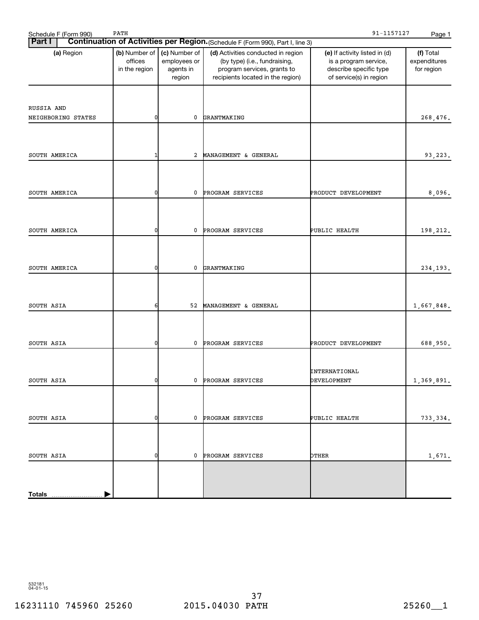| Schedule F (Form 990)            | PATH                                      |                                                      |                                                                                                                                         | 91-1157127                                                                                                  | Page 1                                  |
|----------------------------------|-------------------------------------------|------------------------------------------------------|-----------------------------------------------------------------------------------------------------------------------------------------|-------------------------------------------------------------------------------------------------------------|-----------------------------------------|
| <b>Part I</b>                    |                                           |                                                      | Continuation of Activities per Region. (Schedule F (Form 990), Part I, line 3)                                                          |                                                                                                             |                                         |
| (a) Region                       | (b) Number of<br>offices<br>in the region | (c) Number of<br>employees or<br>agents in<br>region | (d) Activities conducted in region<br>(by type) (i.e., fundraising,<br>program services, grants to<br>recipients located in the region) | (e) If activity listed in (d)<br>is a program service,<br>describe specific type<br>of service(s) in region | (f) Total<br>expenditures<br>for region |
| RUSSIA AND<br>NEIGHBORING STATES | 0                                         | 0                                                    | GRANTMAKING                                                                                                                             |                                                                                                             | 268,476.                                |
| SOUTH AMERICA                    | -1                                        | 2                                                    | MANAGEMENT & GENERAL                                                                                                                    |                                                                                                             | 93,223.                                 |
| SOUTH AMERICA                    | 0                                         | 0                                                    | PROGRAM SERVICES                                                                                                                        | PRODUCT DEVELOPMENT                                                                                         | 8,096.                                  |
| SOUTH AMERICA                    | 0                                         | 0                                                    | PROGRAM SERVICES                                                                                                                        | PUBLIC HEALTH                                                                                               | 198,212.                                |
| SOUTH AMERICA                    | 0                                         | 0                                                    | GRANTMAKING                                                                                                                             |                                                                                                             | 234, 193.                               |
| SOUTH ASIA                       | 6                                         | 52                                                   | MANAGEMENT & GENERAL                                                                                                                    |                                                                                                             | 1,667,848.                              |
| SOUTH ASIA                       | 0                                         | 0                                                    | PROGRAM SERVICES                                                                                                                        | PRODUCT DEVELOPMENT                                                                                         | 688,950.                                |
| SOUTH ASIA                       |                                           | $\mathbf{0}$                                         | PROGRAM SERVICES                                                                                                                        | INTERNATIONAL<br>DEVELOPMENT                                                                                | 1,369,891.                              |
| SOUTH ASIA                       | 0                                         | $\mathbf{0}$                                         | PROGRAM SERVICES                                                                                                                        | PUBLIC HEALTH                                                                                               | 733,334.                                |
| SOUTH ASIA                       | 0                                         | 0                                                    | PROGRAM SERVICES                                                                                                                        | OTHER                                                                                                       | 1,671.                                  |
|                                  |                                           |                                                      |                                                                                                                                         |                                                                                                             |                                         |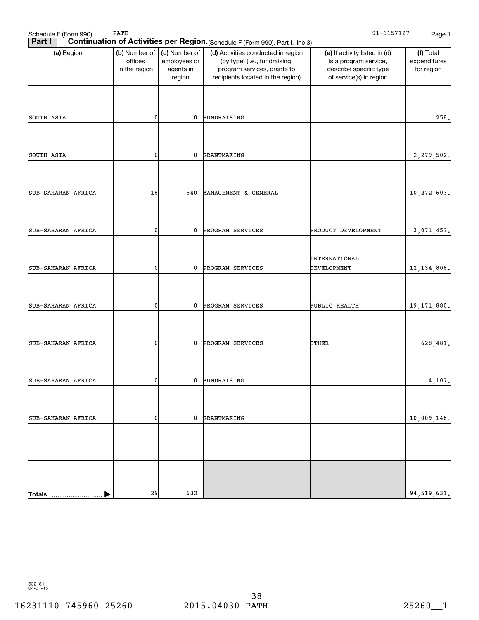| Schedule F (Form 990) | PATH                                      |                                                      |                                                                                                                                         | 91-1157127                                                                                                  | Page 1                                  |
|-----------------------|-------------------------------------------|------------------------------------------------------|-----------------------------------------------------------------------------------------------------------------------------------------|-------------------------------------------------------------------------------------------------------------|-----------------------------------------|
| <b>Part I</b>         |                                           |                                                      | Continuation of Activities per Region. (Schedule F (Form 990), Part I, line 3)                                                          |                                                                                                             |                                         |
| (a) Region            | (b) Number of<br>offices<br>in the region | (c) Number of<br>employees or<br>agents in<br>region | (d) Activities conducted in region<br>(by type) (i.e., fundraising,<br>program services, grants to<br>recipients located in the region) | (e) If activity listed in (d)<br>is a program service,<br>describe specific type<br>of service(s) in region | (f) Total<br>expenditures<br>for region |
| SOUTH ASIA            | 0                                         | $\mathbf 0$                                          | FUNDRAISING                                                                                                                             |                                                                                                             | 258.                                    |
|                       |                                           |                                                      |                                                                                                                                         |                                                                                                             |                                         |
| SOUTH ASIA            | 0                                         | $\mathbf 0$                                          | GRANTMAKING                                                                                                                             |                                                                                                             | 2,279,502.                              |
| SUB-SAHARAN AFRICA    | 18                                        | 540                                                  | MANAGEMENT & GENERAL                                                                                                                    |                                                                                                             | 10,272,603.                             |
| SUB-SAHARAN AFRICA    | 0                                         | $\mathbf 0$                                          | PROGRAM SERVICES                                                                                                                        | PRODUCT DEVELOPMENT                                                                                         | 3,071,457.                              |
| SUB-SAHARAN AFRICA    | 0                                         | $\mathbf 0$                                          | PROGRAM SERVICES                                                                                                                        | INTERNATIONAL<br>DEVELOPMENT                                                                                | 12, 134, 808.                           |
|                       | 0                                         | $\mathbf 0$                                          |                                                                                                                                         |                                                                                                             |                                         |
| SUB-SAHARAN AFRICA    |                                           |                                                      | PROGRAM SERVICES                                                                                                                        | PUBLIC HEALTH                                                                                               | 19, 171, 880.                           |
| SUB-SAHARAN AFRICA    | 0                                         | 0                                                    | PROGRAM SERVICES                                                                                                                        | OTHER                                                                                                       | 628,481.                                |
| SUB-SAHARAN AFRICA    | U                                         | $\mathbf{0}$                                         | FUNDRAISING                                                                                                                             |                                                                                                             | 4,107.                                  |
| SUB-SAHARAN AFRICA    | 0                                         |                                                      | 0 GRANTMAKING                                                                                                                           |                                                                                                             | 10,009,148.                             |
|                       |                                           |                                                      |                                                                                                                                         |                                                                                                             |                                         |
|                       |                                           |                                                      |                                                                                                                                         |                                                                                                             |                                         |
| <b>Totals</b>         | 29                                        | 632                                                  |                                                                                                                                         |                                                                                                             | 94, 519, 631.                           |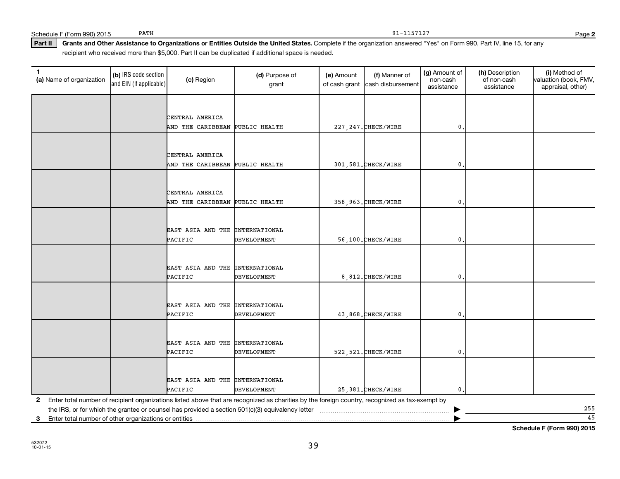**2**

Part II | Grants and Other Assistance to Organizations or Entities Outside the United States. Complete if the organization answered "Yes" on Form 990, Part IV, line 15, for any recipient who received more than \$5,000. Part II can be duplicated if additional space is needed.

| $\mathbf{1}$<br>(a) Name of organization                   | (b) IRS code section<br>and EIN (if applicable) | (c) Region                      | (d) Purpose of<br>grant                                                                                                                         | (e) Amount<br>of cash grant | (f) Manner of<br>cash disbursement | (g) Amount of<br>non-cash<br>assistance | (h) Description<br>of non-cash<br>assistance | (i) Method of<br>valuation (book, FMV,<br>appraisal, other) |
|------------------------------------------------------------|-------------------------------------------------|---------------------------------|-------------------------------------------------------------------------------------------------------------------------------------------------|-----------------------------|------------------------------------|-----------------------------------------|----------------------------------------------|-------------------------------------------------------------|
|                                                            |                                                 |                                 |                                                                                                                                                 |                             |                                    |                                         |                                              |                                                             |
|                                                            |                                                 | CENTRAL AMERICA                 |                                                                                                                                                 |                             |                                    |                                         |                                              |                                                             |
|                                                            |                                                 | AND THE CARIBBEAN PUBLIC HEALTH |                                                                                                                                                 |                             | 227, 247. CHECK/WIRE               | $\mathbf 0$                             |                                              |                                                             |
|                                                            |                                                 |                                 |                                                                                                                                                 |                             |                                    |                                         |                                              |                                                             |
|                                                            |                                                 |                                 |                                                                                                                                                 |                             |                                    |                                         |                                              |                                                             |
|                                                            |                                                 | CENTRAL AMERICA                 |                                                                                                                                                 |                             |                                    |                                         |                                              |                                                             |
|                                                            |                                                 | AND THE CARIBBEAN               | PUBLIC HEALTH                                                                                                                                   |                             | 301,581. CHECK/WIRE                | $\mathbf 0$ .                           |                                              |                                                             |
|                                                            |                                                 |                                 |                                                                                                                                                 |                             |                                    |                                         |                                              |                                                             |
|                                                            |                                                 | CENTRAL AMERICA                 |                                                                                                                                                 |                             |                                    |                                         |                                              |                                                             |
|                                                            |                                                 | AND THE CARIBBEAN PUBLIC HEALTH |                                                                                                                                                 |                             | 358, 963. CHECK/WIRE               | $\mathbf{0}$                            |                                              |                                                             |
|                                                            |                                                 |                                 |                                                                                                                                                 |                             |                                    |                                         |                                              |                                                             |
|                                                            |                                                 |                                 |                                                                                                                                                 |                             |                                    |                                         |                                              |                                                             |
|                                                            |                                                 | EAST ASIA AND THE INTERNATIONAL |                                                                                                                                                 |                             |                                    |                                         |                                              |                                                             |
|                                                            |                                                 | PACIFIC                         | <b>DEVELOPMENT</b>                                                                                                                              |                             | 56,100. CHECK/WIRE                 | $\mathbf{0}$                            |                                              |                                                             |
|                                                            |                                                 |                                 |                                                                                                                                                 |                             |                                    |                                         |                                              |                                                             |
|                                                            |                                                 |                                 |                                                                                                                                                 |                             |                                    |                                         |                                              |                                                             |
|                                                            |                                                 | EAST ASIA AND THE INTERNATIONAL |                                                                                                                                                 |                             |                                    |                                         |                                              |                                                             |
|                                                            |                                                 | PACIFIC                         | <b>DEVELOPMENT</b>                                                                                                                              |                             | 8,812. CHECK/WIRE                  | $\mathbf{0}$                            |                                              |                                                             |
|                                                            |                                                 |                                 |                                                                                                                                                 |                             |                                    |                                         |                                              |                                                             |
|                                                            |                                                 | EAST ASIA AND THE INTERNATIONAL |                                                                                                                                                 |                             |                                    |                                         |                                              |                                                             |
|                                                            |                                                 | PACIFIC                         | DEVELOPMENT                                                                                                                                     |                             | 43,868. CHECK/WIRE                 | $\mathbf{0}$                            |                                              |                                                             |
|                                                            |                                                 |                                 |                                                                                                                                                 |                             |                                    |                                         |                                              |                                                             |
|                                                            |                                                 |                                 |                                                                                                                                                 |                             |                                    |                                         |                                              |                                                             |
|                                                            |                                                 | EAST ASIA AND THE INTERNATIONAL |                                                                                                                                                 |                             |                                    |                                         |                                              |                                                             |
|                                                            |                                                 | PACIFIC                         | DEVELOPMENT                                                                                                                                     |                             | 522, 521. CHECK/WIRE               | $\mathbf{0}$                            |                                              |                                                             |
|                                                            |                                                 |                                 |                                                                                                                                                 |                             |                                    |                                         |                                              |                                                             |
|                                                            |                                                 | EAST ASIA AND THE INTERNATIONAL |                                                                                                                                                 |                             |                                    |                                         |                                              |                                                             |
|                                                            |                                                 | PACIFIC                         | <b>DEVELOPMENT</b>                                                                                                                              |                             | 25, 381. CHECK/WIRE                | $\mathbf{0}$                            |                                              |                                                             |
| 2                                                          |                                                 |                                 | Enter total number of recipient organizations listed above that are recognized as charities by the foreign country, recognized as tax-exempt by |                             |                                    |                                         |                                              |                                                             |
|                                                            |                                                 |                                 |                                                                                                                                                 |                             |                                    |                                         |                                              | 255                                                         |
| Enter total number of other organizations or entities<br>3 |                                                 |                                 |                                                                                                                                                 |                             |                                    |                                         |                                              | 45                                                          |

**Schedule F (Form 990) 2015**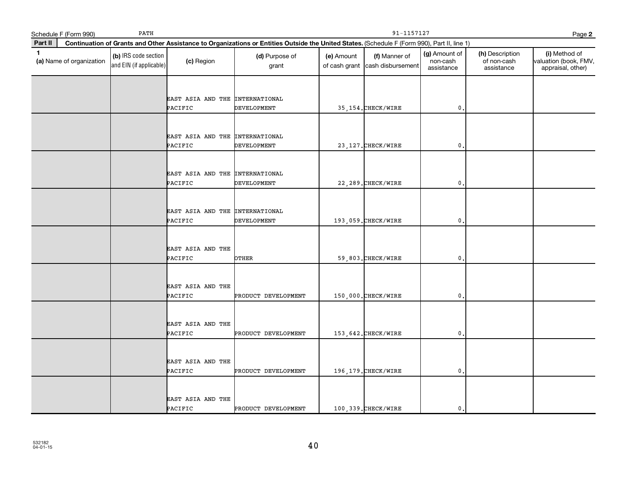|              | Schedule F (Form 990)    | PATH                                            |                                            |                                                                                                                                              | 91-1157127<br>Page 2 |                                                  |                                         |                                              |                                                             |  |
|--------------|--------------------------|-------------------------------------------------|--------------------------------------------|----------------------------------------------------------------------------------------------------------------------------------------------|----------------------|--------------------------------------------------|-----------------------------------------|----------------------------------------------|-------------------------------------------------------------|--|
| Part II      |                          |                                                 |                                            | Continuation of Grants and Other Assistance to Organizations or Entities Outside the United States. (Schedule F (Form 990), Part II, line 1) |                      |                                                  |                                         |                                              |                                                             |  |
| $\mathbf{1}$ | (a) Name of organization | (b) IRS code section<br>and EIN (if applicable) | (c) Region                                 | (d) Purpose of<br>grant                                                                                                                      | (e) Amount           | (f) Manner of<br>of cash grant cash disbursement | (g) Amount of<br>non-cash<br>assistance | (h) Description<br>of non-cash<br>assistance | (i) Method of<br>valuation (book, FMV,<br>appraisal, other) |  |
|              |                          |                                                 | EAST ASIA AND THE INTERNATIONAL<br>PACIFIC | <b>DEVELOPMENT</b>                                                                                                                           |                      | 35, 154. CHECK/WIRE                              | $\mathfrak o$ .                         |                                              |                                                             |  |
|              |                          |                                                 | EAST ASIA AND THE INTERNATIONAL<br>PACIFIC | <b>DEVELOPMENT</b>                                                                                                                           |                      | 23, 127. CHECK/WIRE                              | $\mathbf{0}$ .                          |                                              |                                                             |  |
|              |                          |                                                 | EAST ASIA AND THE INTERNATIONAL<br>PACIFIC | DEVELOPMENT                                                                                                                                  |                      | 22, 289. CHECK/WIRE                              | $\mathbf 0$ .                           |                                              |                                                             |  |
|              |                          |                                                 | EAST ASIA AND THE INTERNATIONAL<br>PACIFIC | DEVELOPMENT                                                                                                                                  |                      | 193,059. CHECK/WIRE                              | $\mathbf{0}$ .                          |                                              |                                                             |  |
|              |                          |                                                 | EAST ASIA AND THE<br>PACIFIC               | OTHER                                                                                                                                        |                      | 59,803. CHECK/WIRE                               | $\mathbf{0}$                            |                                              |                                                             |  |
|              |                          |                                                 | EAST ASIA AND THE<br>PACIFIC               | PRODUCT DEVELOPMENT                                                                                                                          |                      | 150,000. CHECK/WIRE                              | $\mathbf{0}$ .                          |                                              |                                                             |  |
|              |                          |                                                 | EAST ASIA AND THE<br>PACIFIC               | PRODUCT DEVELOPMENT                                                                                                                          |                      | 153, 642. CHECK/WIRE                             | $\mathbf 0$ .                           |                                              |                                                             |  |
|              |                          |                                                 | EAST ASIA AND THE<br>PACIFIC               | PRODUCT DEVELOPMENT                                                                                                                          |                      | 196, 179. CHECK/WIRE                             | $\mathfrak{o}$ .                        |                                              |                                                             |  |
|              |                          |                                                 | EAST ASIA AND THE<br>PACIFIC               | PRODUCT DEVELOPMENT                                                                                                                          |                      | 100,339. CHECK/WIRE                              | $\mathbf{0}$ .                          |                                              |                                                             |  |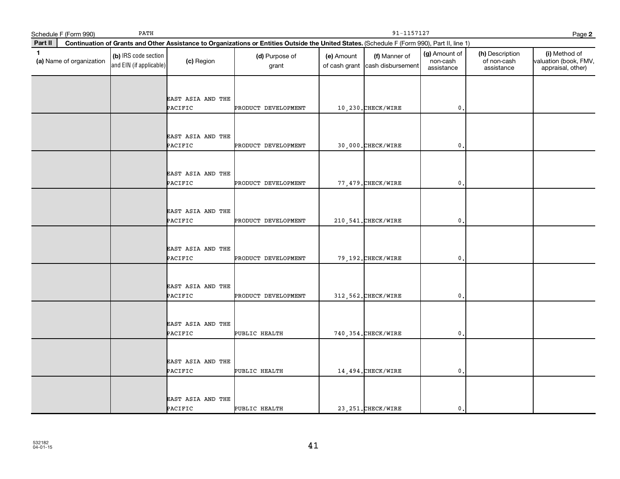|         | Schedule F (Form 990)    | PATH                                            |                              | 91-1157127<br>Page 2                                                                                                                         |            |                                                  |                                         |                                              |                                                             |  |
|---------|--------------------------|-------------------------------------------------|------------------------------|----------------------------------------------------------------------------------------------------------------------------------------------|------------|--------------------------------------------------|-----------------------------------------|----------------------------------------------|-------------------------------------------------------------|--|
| Part II |                          |                                                 |                              | Continuation of Grants and Other Assistance to Organizations or Entities Outside the United States. (Schedule F (Form 990), Part II, line 1) |            |                                                  |                                         |                                              |                                                             |  |
| 1       | (a) Name of organization | (b) IRS code section<br>and EIN (if applicable) | (c) Region                   | (d) Purpose of<br>grant                                                                                                                      | (e) Amount | (f) Manner of<br>of cash grant cash disbursement | (g) Amount of<br>non-cash<br>assistance | (h) Description<br>of non-cash<br>assistance | (i) Method of<br>valuation (book, FMV,<br>appraisal, other) |  |
|         |                          |                                                 | EAST ASIA AND THE<br>PACIFIC | PRODUCT DEVELOPMENT                                                                                                                          |            | 10,230. CHECK/WIRE                               | $\mathbf{0}$ .                          |                                              |                                                             |  |
|         |                          |                                                 | EAST ASIA AND THE<br>PACIFIC | PRODUCT DEVELOPMENT                                                                                                                          |            | 30,000. CHECK/WIRE                               | $\mathbf 0$                             |                                              |                                                             |  |
|         |                          |                                                 | EAST ASIA AND THE<br>PACIFIC | PRODUCT DEVELOPMENT                                                                                                                          |            | 77,479. CHECK/WIRE                               | $\mathfrak{o}$ .                        |                                              |                                                             |  |
|         |                          |                                                 | EAST ASIA AND THE<br>PACIFIC | PRODUCT DEVELOPMENT                                                                                                                          |            | 210, 541. CHECK/WIRE                             | $\pmb{0}$                               |                                              |                                                             |  |
|         |                          |                                                 | EAST ASIA AND THE<br>PACIFIC | PRODUCT DEVELOPMENT                                                                                                                          |            | 79, 192. CHECK/WIRE                              | $\mathbf{0}$ .                          |                                              |                                                             |  |
|         |                          |                                                 | EAST ASIA AND THE<br>PACIFIC | PRODUCT DEVELOPMENT                                                                                                                          |            | 312, 562. CHECK/WIRE                             | $\mathbf 0$ .                           |                                              |                                                             |  |
|         |                          |                                                 | EAST ASIA AND THE<br>PACIFIC | PUBLIC HEALTH                                                                                                                                |            | 740, 354. CHECK/WIRE                             | $\mathbf 0$ .                           |                                              |                                                             |  |
|         |                          |                                                 | EAST ASIA AND THE<br>PACIFIC | PUBLIC HEALTH                                                                                                                                |            | 14, 494. CHECK/WIRE                              | $\mathbf{0}$                            |                                              |                                                             |  |
|         |                          |                                                 | EAST ASIA AND THE<br>PACIFIC | PUBLIC HEALTH                                                                                                                                |            | 23, 251. CHECK/WIRE                              | $\mathbf{0}$ .                          |                                              |                                                             |  |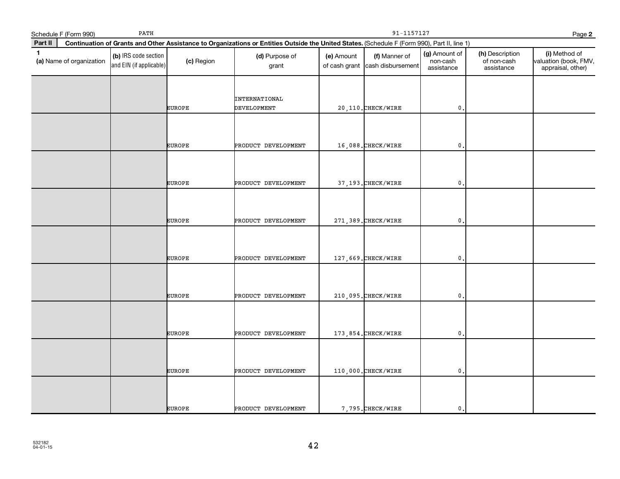|             | Schedule F (Form 990)    | PATH                                            |               | 91-1157127<br>Page 2                                                                                                                         |                             |                                    |                                         |                                              |                                                             |  |  |
|-------------|--------------------------|-------------------------------------------------|---------------|----------------------------------------------------------------------------------------------------------------------------------------------|-----------------------------|------------------------------------|-----------------------------------------|----------------------------------------------|-------------------------------------------------------------|--|--|
| Part II     |                          |                                                 |               | Continuation of Grants and Other Assistance to Organizations or Entities Outside the United States. (Schedule F (Form 990), Part II, line 1) |                             |                                    |                                         |                                              |                                                             |  |  |
| $\mathbf 1$ | (a) Name of organization | (b) IRS code section<br>and EIN (if applicable) | (c) Region    | (d) Purpose of<br>grant                                                                                                                      | (e) Amount<br>of cash grant | (f) Manner of<br>cash disbursement | (g) Amount of<br>non-cash<br>assistance | (h) Description<br>of non-cash<br>assistance | (i) Method of<br>valuation (book, FMV,<br>appraisal, other) |  |  |
|             |                          |                                                 | EUROPE        | INTERNATIONAL<br><b>DEVELOPMENT</b>                                                                                                          |                             | 20, 110. CHECK/WIRE                | $\mathfrak o$ .                         |                                              |                                                             |  |  |
|             |                          |                                                 | <b>EUROPE</b> | PRODUCT DEVELOPMENT                                                                                                                          |                             | 16,088. CHECK/WIRE                 | $\mathbf{0}$                            |                                              |                                                             |  |  |
|             |                          |                                                 | <b>EUROPE</b> | PRODUCT DEVELOPMENT                                                                                                                          |                             | 37, 193. CHECK/WIRE                | $\mathbf 0$ .                           |                                              |                                                             |  |  |
|             |                          |                                                 | EUROPE        | PRODUCT DEVELOPMENT                                                                                                                          |                             | 271, 389. CHECK/WIRE               | $\mathbf{0}$                            |                                              |                                                             |  |  |
|             |                          |                                                 | <b>EUROPE</b> | PRODUCT DEVELOPMENT                                                                                                                          |                             | 127,669. CHECK/WIRE                | $\mathbf 0$ .                           |                                              |                                                             |  |  |
|             |                          |                                                 | <b>EUROPE</b> | PRODUCT DEVELOPMENT                                                                                                                          |                             | 210,095. CHECK/WIRE                | $\mathbf{0}$                            |                                              |                                                             |  |  |
|             |                          |                                                 | <b>EUROPE</b> | PRODUCT DEVELOPMENT                                                                                                                          |                             | 173,854. CHECK/WIRE                | $\mathbf{0}$                            |                                              |                                                             |  |  |
|             |                          |                                                 | <b>EUROPE</b> | PRODUCT DEVELOPMENT                                                                                                                          |                             | 110,000. CHECK/WIRE                | $\mathfrak o$ .                         |                                              |                                                             |  |  |
|             |                          |                                                 | <b>EUROPE</b> | PRODUCT DEVELOPMENT                                                                                                                          |                             | 7,795. CHECK/WIRE                  | $\mathbf{0}$                            |                                              |                                                             |  |  |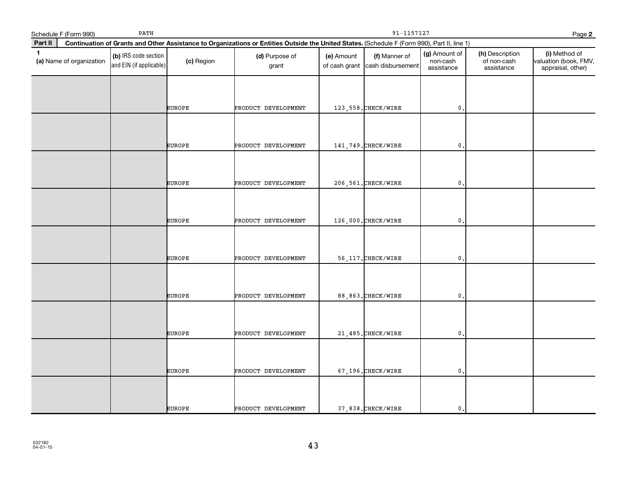|              | Schedule F (Form 990)    | PATH                                            |               | 91-1157127<br>Page 2                                                                                                                         |            |                                                  |                                         |                                              |                                                             |  |  |
|--------------|--------------------------|-------------------------------------------------|---------------|----------------------------------------------------------------------------------------------------------------------------------------------|------------|--------------------------------------------------|-----------------------------------------|----------------------------------------------|-------------------------------------------------------------|--|--|
| Part II      |                          |                                                 |               | Continuation of Grants and Other Assistance to Organizations or Entities Outside the United States. (Schedule F (Form 990), Part II, line 1) |            |                                                  |                                         |                                              |                                                             |  |  |
| $\mathbf{1}$ | (a) Name of organization | (b) IRS code section<br>and EIN (if applicable) | (c) Region    | (d) Purpose of<br>grant                                                                                                                      | (e) Amount | (f) Manner of<br>of cash grant cash disbursement | (g) Amount of<br>non-cash<br>assistance | (h) Description<br>of non-cash<br>assistance | (i) Method of<br>valuation (book, FMV,<br>appraisal, other) |  |  |
|              |                          |                                                 |               |                                                                                                                                              |            |                                                  |                                         |                                              |                                                             |  |  |
|              |                          |                                                 | <b>EUROPE</b> | PRODUCT DEVELOPMENT                                                                                                                          |            | 123,558. CHECK/WIRE                              | $\mathbf 0$ .                           |                                              |                                                             |  |  |
|              |                          |                                                 | <b>EUROPE</b> | PRODUCT DEVELOPMENT                                                                                                                          |            | 141, 749. CHECK/WIRE                             | $\mathbf{0}$                            |                                              |                                                             |  |  |
|              |                          |                                                 |               |                                                                                                                                              |            |                                                  |                                         |                                              |                                                             |  |  |
|              |                          |                                                 | <b>EUROPE</b> | PRODUCT DEVELOPMENT                                                                                                                          |            | 206, 561. CHECK/WIRE                             | $\mathbf 0$ .                           |                                              |                                                             |  |  |
|              |                          |                                                 | <b>EUROPE</b> | PRODUCT DEVELOPMENT                                                                                                                          |            | 126,000. CHECK/WIRE                              | $\mathbf{0}$                            |                                              |                                                             |  |  |
|              |                          |                                                 |               |                                                                                                                                              |            |                                                  |                                         |                                              |                                                             |  |  |
|              |                          |                                                 | <b>EUROPE</b> | PRODUCT DEVELOPMENT                                                                                                                          |            | 56, 117. CHECK/WIRE                              | $\mathbf{0}$                            |                                              |                                                             |  |  |
|              |                          |                                                 |               |                                                                                                                                              |            |                                                  |                                         |                                              |                                                             |  |  |
|              |                          |                                                 | <b>EUROPE</b> | PRODUCT DEVELOPMENT                                                                                                                          |            | 88,863. CHECK/WIRE                               | $\mathbf 0$ .                           |                                              |                                                             |  |  |
|              |                          |                                                 | <b>EUROPE</b> | PRODUCT DEVELOPMENT                                                                                                                          |            | 21, 485. CHECK/WIRE                              | $\mathbf 0$ .                           |                                              |                                                             |  |  |
|              |                          |                                                 |               |                                                                                                                                              |            |                                                  |                                         |                                              |                                                             |  |  |
|              |                          |                                                 | <b>EUROPE</b> | PRODUCT DEVELOPMENT                                                                                                                          |            | 67,196. CHECK/WIRE                               | $\mathfrak{o}$ .                        |                                              |                                                             |  |  |
|              |                          |                                                 |               |                                                                                                                                              |            |                                                  |                                         |                                              |                                                             |  |  |
|              |                          |                                                 | EUROPE        | PRODUCT DEVELOPMENT                                                                                                                          |            | 37,838. CHECK/WIRE                               | $\mathbf 0$ .                           |                                              |                                                             |  |  |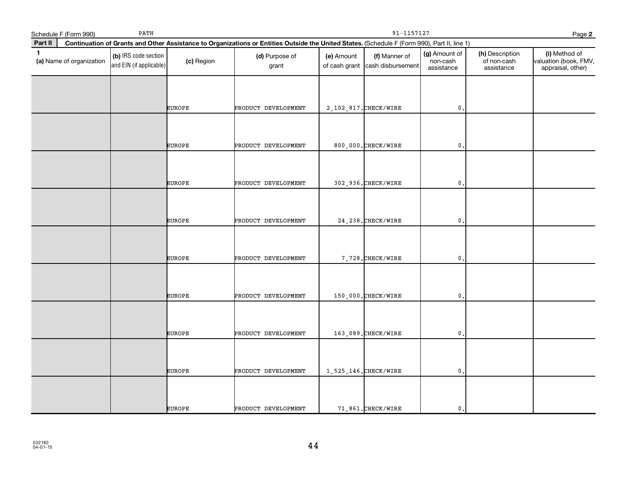|              | Schedule F (Form 990)    | PATH                                            |               | 91-1157127<br>Page 2                                                                                                                         |            |                                                  |                                         |                                              |                                                             |  |  |
|--------------|--------------------------|-------------------------------------------------|---------------|----------------------------------------------------------------------------------------------------------------------------------------------|------------|--------------------------------------------------|-----------------------------------------|----------------------------------------------|-------------------------------------------------------------|--|--|
| Part II      |                          |                                                 |               | Continuation of Grants and Other Assistance to Organizations or Entities Outside the United States. (Schedule F (Form 990), Part II, line 1) |            |                                                  |                                         |                                              |                                                             |  |  |
| $\mathbf{1}$ | (a) Name of organization | (b) IRS code section<br>and EIN (if applicable) | (c) Region    | (d) Purpose of<br>grant                                                                                                                      | (e) Amount | (f) Manner of<br>of cash grant cash disbursement | (g) Amount of<br>non-cash<br>assistance | (h) Description<br>of non-cash<br>assistance | (i) Method of<br>valuation (book, FMV,<br>appraisal, other) |  |  |
|              |                          |                                                 |               |                                                                                                                                              |            |                                                  |                                         |                                              |                                                             |  |  |
|              |                          |                                                 | <b>EUROPE</b> | PRODUCT DEVELOPMENT                                                                                                                          |            | 2, 102, 817. CHECK/WIRE                          | $\mathbf 0$ .                           |                                              |                                                             |  |  |
|              |                          |                                                 | <b>EUROPE</b> | PRODUCT DEVELOPMENT                                                                                                                          |            | 800,000. CHECK/WIRE                              | $\mathbf{0}$                            |                                              |                                                             |  |  |
|              |                          |                                                 |               |                                                                                                                                              |            |                                                  |                                         |                                              |                                                             |  |  |
|              |                          |                                                 | <b>EUROPE</b> | PRODUCT DEVELOPMENT                                                                                                                          |            | 302,936. CHECK/WIRE                              | $\mathbf 0$ .                           |                                              |                                                             |  |  |
|              |                          |                                                 | <b>EUROPE</b> | PRODUCT DEVELOPMENT                                                                                                                          |            | 24, 238. CHECK/WIRE                              | $\mathbf{0}$                            |                                              |                                                             |  |  |
|              |                          |                                                 |               |                                                                                                                                              |            |                                                  |                                         |                                              |                                                             |  |  |
|              |                          |                                                 | <b>EUROPE</b> | PRODUCT DEVELOPMENT                                                                                                                          |            | 7,728. CHECK/WIRE                                | $\mathbf{0}$                            |                                              |                                                             |  |  |
|              |                          |                                                 |               |                                                                                                                                              |            |                                                  |                                         |                                              |                                                             |  |  |
|              |                          |                                                 | <b>EUROPE</b> | PRODUCT DEVELOPMENT                                                                                                                          |            | 150,000. CHECK/WIRE                              | $\mathbf 0$ .                           |                                              |                                                             |  |  |
|              |                          |                                                 | <b>EUROPE</b> | PRODUCT DEVELOPMENT                                                                                                                          |            | 163,089. CHECK/WIRE                              | $\mathbf 0$ .                           |                                              |                                                             |  |  |
|              |                          |                                                 |               |                                                                                                                                              |            |                                                  |                                         |                                              |                                                             |  |  |
|              |                          |                                                 | <b>EUROPE</b> | PRODUCT DEVELOPMENT                                                                                                                          |            | 1,525,146. CHECK/WIRE                            | $\mathfrak{o}$ .                        |                                              |                                                             |  |  |
|              |                          |                                                 |               |                                                                                                                                              |            |                                                  |                                         |                                              |                                                             |  |  |
|              |                          |                                                 | <b>EUROPE</b> | PRODUCT DEVELOPMENT                                                                                                                          |            | 71,861. CHECK/WIRE                               | $\mathbf 0$ .                           |                                              |                                                             |  |  |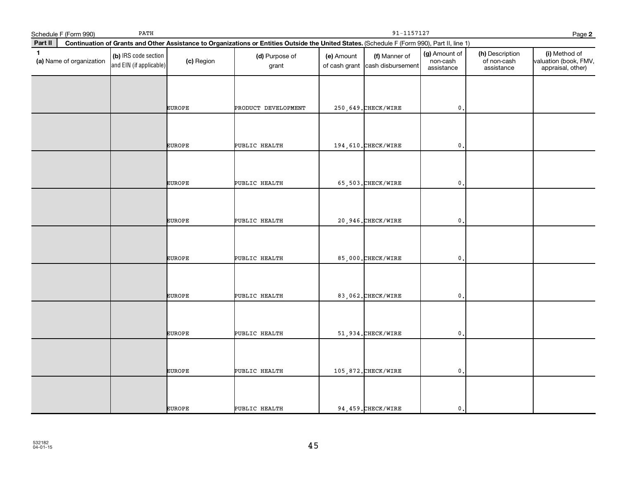|              | Schedule F (Form 990)    | PATH                                            |               | 91-1157127<br>Page 2                                                                                                                         |            |                                                  |                                         |                                              |                                                             |  |  |
|--------------|--------------------------|-------------------------------------------------|---------------|----------------------------------------------------------------------------------------------------------------------------------------------|------------|--------------------------------------------------|-----------------------------------------|----------------------------------------------|-------------------------------------------------------------|--|--|
| Part II      |                          |                                                 |               | Continuation of Grants and Other Assistance to Organizations or Entities Outside the United States. (Schedule F (Form 990), Part II, line 1) |            |                                                  |                                         |                                              |                                                             |  |  |
| $\mathbf{1}$ | (a) Name of organization | (b) IRS code section<br>and EIN (if applicable) | (c) Region    | (d) Purpose of<br>grant                                                                                                                      | (e) Amount | (f) Manner of<br>of cash grant cash disbursement | (g) Amount of<br>non-cash<br>assistance | (h) Description<br>of non-cash<br>assistance | (i) Method of<br>valuation (book, FMV,<br>appraisal, other) |  |  |
|              |                          |                                                 | <b>EUROPE</b> |                                                                                                                                              |            |                                                  | $\mathbf{0}$                            |                                              |                                                             |  |  |
|              |                          |                                                 |               | PRODUCT DEVELOPMENT                                                                                                                          |            | 250, 649. CHECK/WIRE                             |                                         |                                              |                                                             |  |  |
|              |                          |                                                 | <b>EUROPE</b> | PUBLIC HEALTH                                                                                                                                |            | 194,610.CHECK/WIRE                               | $\mathbf{0}$                            |                                              |                                                             |  |  |
|              |                          |                                                 | <b>EUROPE</b> | PUBLIC HEALTH                                                                                                                                |            | 65,503. CHECK/WIRE                               | $\mathbf 0$                             |                                              |                                                             |  |  |
|              |                          |                                                 | <b>EUROPE</b> | PUBLIC HEALTH                                                                                                                                |            | 20,946. CHECK/WIRE                               | $\mathfrak{o}$ .                        |                                              |                                                             |  |  |
|              |                          |                                                 | <b>EUROPE</b> | PUBLIC HEALTH                                                                                                                                |            | 85,000. CHECK/WIRE                               | 0                                       |                                              |                                                             |  |  |
|              |                          |                                                 | <b>EUROPE</b> | PUBLIC HEALTH                                                                                                                                |            | 83,062. CHECK/WIRE                               | $\mathbf{0}$                            |                                              |                                                             |  |  |
|              |                          |                                                 | EUROPE        | PUBLIC HEALTH                                                                                                                                |            | 51,934. CHECK/WIRE                               | $\mathbf 0$ .                           |                                              |                                                             |  |  |
|              |                          |                                                 | EUROPE        | PUBLIC HEALTH                                                                                                                                |            | 105,872. CHECK/WIRE                              | $\mathfrak{o}$ .                        |                                              |                                                             |  |  |
|              |                          |                                                 | <b>EUROPE</b> | PUBLIC HEALTH                                                                                                                                |            | 94, 459. CHECK/WIRE                              | $\mathbf{0}$ .                          |                                              |                                                             |  |  |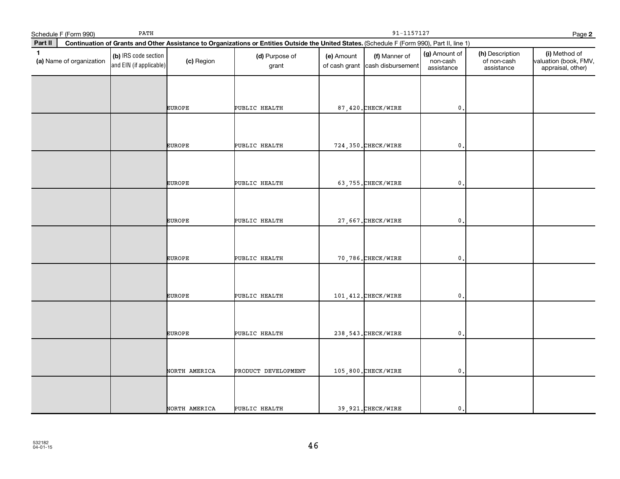|         | Schedule F (Form 990)    | PATH                                            |               | 91-1157127<br>Page 2                                                                                                                         |            |                                                  |                                         |                                              |                                                             |  |  |
|---------|--------------------------|-------------------------------------------------|---------------|----------------------------------------------------------------------------------------------------------------------------------------------|------------|--------------------------------------------------|-----------------------------------------|----------------------------------------------|-------------------------------------------------------------|--|--|
| Part II |                          |                                                 |               | Continuation of Grants and Other Assistance to Organizations or Entities Outside the United States. (Schedule F (Form 990), Part II, line 1) |            |                                                  |                                         |                                              |                                                             |  |  |
| 1       | (a) Name of organization | (b) IRS code section<br>and EIN (if applicable) | (c) Region    | (d) Purpose of<br>grant                                                                                                                      | (e) Amount | (f) Manner of<br>of cash grant cash disbursement | (g) Amount of<br>non-cash<br>assistance | (h) Description<br>of non-cash<br>assistance | (i) Method of<br>valuation (book, FMV,<br>appraisal, other) |  |  |
|         |                          |                                                 |               |                                                                                                                                              |            |                                                  |                                         |                                              |                                                             |  |  |
|         |                          |                                                 | <b>EUROPE</b> | PUBLIC HEALTH                                                                                                                                |            | 87,420. CHECK/WIRE                               | $\mathfrak o$ .                         |                                              |                                                             |  |  |
|         |                          |                                                 | EUROPE        | PUBLIC HEALTH                                                                                                                                |            | 724, 350. CHECK/WIRE                             | $\mathbf{0}$ .                          |                                              |                                                             |  |  |
|         |                          |                                                 | EUROPE        | PUBLIC HEALTH                                                                                                                                |            | 63,755. CHECK/WIRE                               | $\,$ 0 .                                |                                              |                                                             |  |  |
|         |                          |                                                 | <b>EUROPE</b> | PUBLIC HEALTH                                                                                                                                |            | 27,667. CHECK/WIRE                               | $\mathfrak{o}$ .                        |                                              |                                                             |  |  |
|         |                          |                                                 |               |                                                                                                                                              |            |                                                  |                                         |                                              |                                                             |  |  |
|         |                          |                                                 | <b>EUROPE</b> | PUBLIC HEALTH                                                                                                                                |            | 70,786. CHECK/WIRE                               | $\mathbf{0}$                            |                                              |                                                             |  |  |
|         |                          |                                                 | <b>EUROPE</b> | PUBLIC HEALTH                                                                                                                                |            | 101, 412. CHECK/WIRE                             | $\mathbf{0}$ .                          |                                              |                                                             |  |  |
|         |                          |                                                 | <b>EUROPE</b> | PUBLIC HEALTH                                                                                                                                |            | 238, 543. CHECK/WIRE                             | $\mathbf{0}$ .                          |                                              |                                                             |  |  |
|         |                          |                                                 |               |                                                                                                                                              |            |                                                  |                                         |                                              |                                                             |  |  |
|         |                          |                                                 | NORTH AMERICA | PRODUCT DEVELOPMENT                                                                                                                          |            | 105,800. CHECK/WIRE                              | $\mathfrak o$ .                         |                                              |                                                             |  |  |
|         |                          |                                                 | NORTH AMERICA | PUBLIC HEALTH                                                                                                                                |            | 39,921. CHECK/WIRE                               | $\mathbf{0}$ .                          |                                              |                                                             |  |  |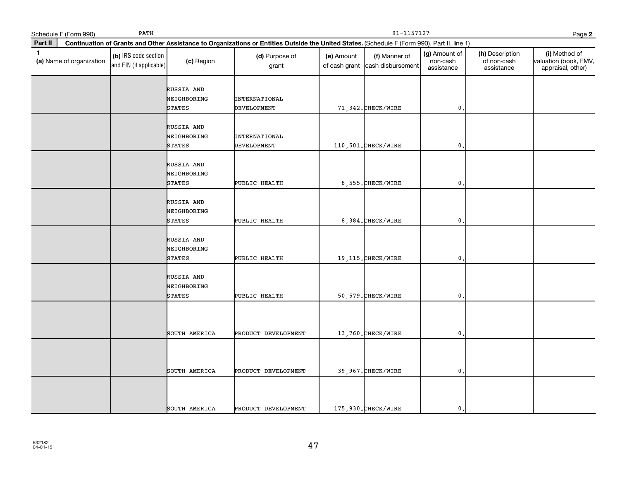|              | Schedule F (Form 990)    | PATH                                            |                                            | 91-1157127<br>Page 2                                                                                                                         |            |                                                  |                                         |                                              |                                                             |  |
|--------------|--------------------------|-------------------------------------------------|--------------------------------------------|----------------------------------------------------------------------------------------------------------------------------------------------|------------|--------------------------------------------------|-----------------------------------------|----------------------------------------------|-------------------------------------------------------------|--|
| Part II      |                          |                                                 |                                            | Continuation of Grants and Other Assistance to Organizations or Entities Outside the United States. (Schedule F (Form 990), Part II, line 1) |            |                                                  |                                         |                                              |                                                             |  |
| $\mathbf{1}$ | (a) Name of organization | (b) IRS code section<br>and EIN (if applicable) | (c) Region                                 | (d) Purpose of<br>grant                                                                                                                      | (e) Amount | (f) Manner of<br>of cash grant cash disbursement | (g) Amount of<br>non-cash<br>assistance | (h) Description<br>of non-cash<br>assistance | (i) Method of<br>valuation (book, FMV,<br>appraisal, other) |  |
|              |                          |                                                 | RUSSIA AND<br>NEIGHBORING<br><b>STATES</b> | INTERNATIONAL<br><b>DEVELOPMENT</b>                                                                                                          |            | 71,342. CHECK/WIRE                               | $\mathbf 0$ .                           |                                              |                                                             |  |
|              |                          |                                                 | RUSSIA AND<br>NEIGHBORING<br><b>STATES</b> | <b>INTERNATIONAL</b><br>DEVELOPMENT                                                                                                          |            | 110,501. CHECK/WIRE                              | $\mathbf{0}$ .                          |                                              |                                                             |  |
|              |                          |                                                 | RUSSIA AND<br>NEIGHBORING<br>STATES        | PUBLIC HEALTH                                                                                                                                |            | 8,555. CHECK/WIRE                                | $\mathbf 0$ .                           |                                              |                                                             |  |
|              |                          |                                                 | RUSSIA AND<br>NEIGHBORING<br>STATES        | PUBLIC HEALTH                                                                                                                                |            | 8,384. CHECK/WIRE                                | $\mathbf{0}$ .                          |                                              |                                                             |  |
|              |                          |                                                 | RUSSIA AND<br>NEIGHBORING<br><b>STATES</b> | PUBLIC HEALTH                                                                                                                                |            | 19, 115. CHECK/WIRE                              | $\mathbf{0}$                            |                                              |                                                             |  |
|              |                          |                                                 | RUSSIA AND<br>NEIGHBORING<br><b>STATES</b> | PUBLIC HEALTH                                                                                                                                |            | 50, 579. CHECK/WIRE                              | $\mathbf{0}$ .                          |                                              |                                                             |  |
|              |                          |                                                 | SOUTH AMERICA                              | PRODUCT DEVELOPMENT                                                                                                                          |            | 13,760. CHECK/WIRE                               | $\mathbf{0}$                            |                                              |                                                             |  |
|              |                          |                                                 | SOUTH AMERICA                              | PRODUCT DEVELOPMENT                                                                                                                          |            | 39,967. CHECK/WIRE                               | $\mathfrak{o}$ .                        |                                              |                                                             |  |
|              |                          |                                                 | SOUTH AMERICA                              | PRODUCT DEVELOPMENT                                                                                                                          |            | 175,930. CHECK/WIRE                              | $\mathbf{0}$ .                          |                                              |                                                             |  |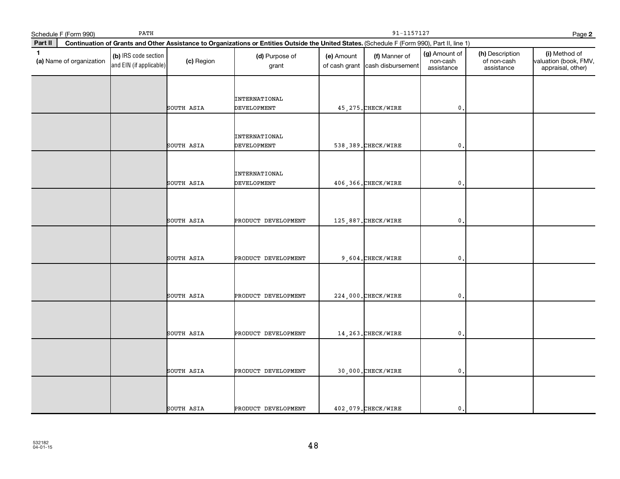|             | Schedule F (Form 990)    | PATH                                            |            | 91-1157127<br>Page 2                                                                                                                         |            |                                                  |                                         |                                              |                                                             |  |  |
|-------------|--------------------------|-------------------------------------------------|------------|----------------------------------------------------------------------------------------------------------------------------------------------|------------|--------------------------------------------------|-----------------------------------------|----------------------------------------------|-------------------------------------------------------------|--|--|
| Part II     |                          |                                                 |            | Continuation of Grants and Other Assistance to Organizations or Entities Outside the United States. (Schedule F (Form 990), Part II, line 1) |            |                                                  |                                         |                                              |                                                             |  |  |
| $\mathbf 1$ | (a) Name of organization | (b) IRS code section<br>and EIN (if applicable) | (c) Region | (d) Purpose of<br>grant                                                                                                                      | (e) Amount | (f) Manner of<br>of cash grant cash disbursement | (g) Amount of<br>non-cash<br>assistance | (h) Description<br>of non-cash<br>assistance | (i) Method of<br>valuation (book, FMV,<br>appraisal, other) |  |  |
|             |                          |                                                 | SOUTH ASIA | <b>INTERNATIONAL</b><br><b>DEVELOPMENT</b>                                                                                                   |            | 45, 275. CHECK/WIRE                              | $\mathfrak{o}$ .                        |                                              |                                                             |  |  |
|             |                          |                                                 | SOUTH ASIA | INTERNATIONAL<br><b>DEVELOPMENT</b>                                                                                                          |            | 538, 389. CHECK/WIRE                             | $\mathbf{0}$ .                          |                                              |                                                             |  |  |
|             |                          |                                                 | SOUTH ASIA | <b>INTERNATIONAL</b><br><b>DEVELOPMENT</b>                                                                                                   |            | 406,366. CHECK/WIRE                              | $\mathbf 0$ .                           |                                              |                                                             |  |  |
|             |                          |                                                 | SOUTH ASIA | PRODUCT DEVELOPMENT                                                                                                                          |            | 125,887. CHECK/WIRE                              | $\mathfrak{o}$ .                        |                                              |                                                             |  |  |
|             |                          |                                                 | SOUTH ASIA | PRODUCT DEVELOPMENT                                                                                                                          |            | 9,604. CHECK/WIRE                                | $\mathbf 0$ .                           |                                              |                                                             |  |  |
|             |                          |                                                 | SOUTH ASIA | PRODUCT DEVELOPMENT                                                                                                                          |            | 224,000. CHECK/WIRE                              | $\mathfrak o$ .                         |                                              |                                                             |  |  |
|             |                          |                                                 | SOUTH ASIA | PRODUCT DEVELOPMENT                                                                                                                          |            | 14, 263. CHECK/WIRE                              | 0.                                      |                                              |                                                             |  |  |
|             |                          |                                                 | SOUTH ASIA | PRODUCT DEVELOPMENT                                                                                                                          |            | 30,000. CHECK/WIRE                               | $\mathbf{0}$ .                          |                                              |                                                             |  |  |
|             |                          |                                                 | SOUTH ASIA | PRODUCT DEVELOPMENT                                                                                                                          |            | 402,079. CHECK/WIRE                              | $\mathbf{0}$ .                          |                                              |                                                             |  |  |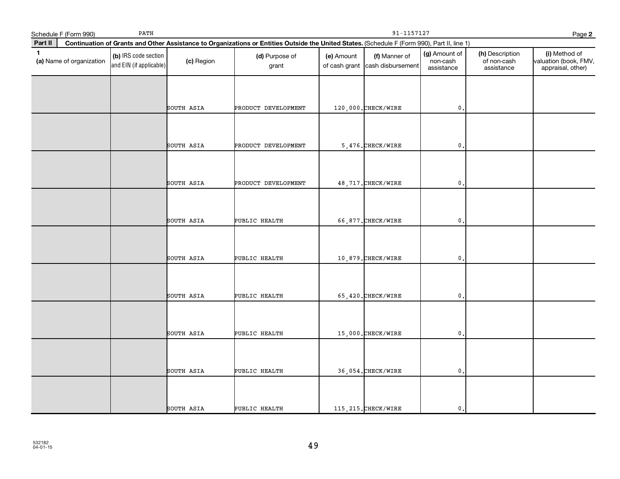|         | Schedule F (Form 990)    | $\mathtt{PATH}$                                 |            | 91-1157127<br>Page 2                                                                                                                         |            |                                                  |                                         |                                              |                                                             |  |
|---------|--------------------------|-------------------------------------------------|------------|----------------------------------------------------------------------------------------------------------------------------------------------|------------|--------------------------------------------------|-----------------------------------------|----------------------------------------------|-------------------------------------------------------------|--|
| Part II |                          |                                                 |            | Continuation of Grants and Other Assistance to Organizations or Entities Outside the United States. (Schedule F (Form 990), Part II, line 1) |            |                                                  |                                         |                                              |                                                             |  |
| 1       | (a) Name of organization | (b) IRS code section<br>and EIN (if applicable) | (c) Region | (d) Purpose of<br>grant                                                                                                                      | (e) Amount | (f) Manner of<br>of cash grant cash disbursement | (g) Amount of<br>non-cash<br>assistance | (h) Description<br>of non-cash<br>assistance | (i) Method of<br>valuation (book, FMV,<br>appraisal, other) |  |
|         |                          |                                                 | SOUTH ASIA | PRODUCT DEVELOPMENT                                                                                                                          |            | 120,000. CHECK/WIRE                              | $\mathbf 0$ .                           |                                              |                                                             |  |
|         |                          |                                                 |            |                                                                                                                                              |            |                                                  |                                         |                                              |                                                             |  |
|         |                          |                                                 | SOUTH ASIA | PRODUCT DEVELOPMENT                                                                                                                          |            | 5,476. CHECK/WIRE                                | $\mathbf{0}$ .                          |                                              |                                                             |  |
|         |                          |                                                 |            |                                                                                                                                              |            | 48,717. CHECK/WIRE                               |                                         |                                              |                                                             |  |
|         |                          |                                                 | SOUTH ASIA | PRODUCT DEVELOPMENT                                                                                                                          |            |                                                  | $\mathsf{0}$ .                          |                                              |                                                             |  |
|         |                          |                                                 | SOUTH ASIA | PUBLIC HEALTH                                                                                                                                |            | 66,877. CHECK/WIRE                               | $\mathfrak{o}$ .                        |                                              |                                                             |  |
|         |                          |                                                 | SOUTH ASIA | PUBLIC HEALTH                                                                                                                                |            | 10,879. CHECK/WIRE                               | $\mathsf{0}$ .                          |                                              |                                                             |  |
|         |                          |                                                 | SOUTH ASIA | PUBLIC HEALTH                                                                                                                                |            | 65,420. CHECK/WIRE                               | $\mathfrak o$ .                         |                                              |                                                             |  |
|         |                          |                                                 | SOUTH ASIA | PUBLIC HEALTH                                                                                                                                |            | 15,000. CHECK/WIRE                               | $\mathbf{0}$ .                          |                                              |                                                             |  |
|         |                          |                                                 | SOUTH ASIA | PUBLIC HEALTH                                                                                                                                |            | 36,054. CHECK/WIRE                               | $\mathbf{0}$ .                          |                                              |                                                             |  |
|         |                          |                                                 | SOUTH ASIA | PUBLIC HEALTH                                                                                                                                |            | 115, 215. CHECK/WIRE                             | $\mathbf{0}$ .                          |                                              |                                                             |  |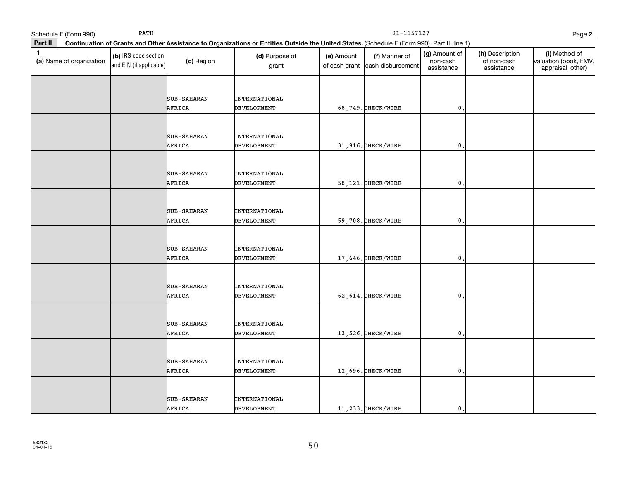|              | Schedule F (Form 990)    | PATH                                            |                       | 91-1157127<br>Page 2                                                                                                                         |            |                                                  |                                         |                                              |                                                             |  |
|--------------|--------------------------|-------------------------------------------------|-----------------------|----------------------------------------------------------------------------------------------------------------------------------------------|------------|--------------------------------------------------|-----------------------------------------|----------------------------------------------|-------------------------------------------------------------|--|
| Part II      |                          |                                                 |                       | Continuation of Grants and Other Assistance to Organizations or Entities Outside the United States. (Schedule F (Form 990), Part II, line 1) |            |                                                  |                                         |                                              |                                                             |  |
| $\mathbf{1}$ | (a) Name of organization | (b) IRS code section<br>and EIN (if applicable) | (c) Region            | (d) Purpose of<br>grant                                                                                                                      | (e) Amount | (f) Manner of<br>of cash grant cash disbursement | (g) Amount of<br>non-cash<br>assistance | (h) Description<br>of non-cash<br>assistance | (i) Method of<br>valuation (book, FMV,<br>appraisal, other) |  |
|              |                          |                                                 | SUB-SAHARAN<br>AFRICA | <b>INTERNATIONAL</b><br><b>DEVELOPMENT</b>                                                                                                   |            | 68,749. CHECK/WIRE                               | $\mathfrak o$ .                         |                                              |                                                             |  |
|              |                          |                                                 | SUB-SAHARAN<br>AFRICA | <b>INTERNATIONAL</b><br><b>DEVELOPMENT</b>                                                                                                   |            | 31,916. CHECK/WIRE                               | $\mathbf{0}$ .                          |                                              |                                                             |  |
|              |                          |                                                 | SUB-SAHARAN<br>AFRICA | INTERNATIONAL<br><b>DEVELOPMENT</b>                                                                                                          |            | 58, 121. CHECK/WIRE                              | $\mathbf 0$ .                           |                                              |                                                             |  |
|              |                          |                                                 | SUB-SAHARAN<br>AFRICA | INTERNATIONAL<br><b>DEVELOPMENT</b>                                                                                                          |            | 59,708. CHECK/WIRE                               | $\mathfrak{o}$ .                        |                                              |                                                             |  |
|              |                          |                                                 | SUB-SAHARAN<br>AFRICA | <b>INTERNATIONAL</b><br><b>DEVELOPMENT</b>                                                                                                   |            | 17,646.CHECK/WIRE                                | $\mathbf{0}$                            |                                              |                                                             |  |
|              |                          |                                                 | SUB-SAHARAN<br>AFRICA | <b>INTERNATIONAL</b><br><b>DEVELOPMENT</b>                                                                                                   |            | 62, 614. CHECK/WIRE                              | $\mathfrak{o}$ .                        |                                              |                                                             |  |
|              |                          |                                                 | SUB-SAHARAN<br>AFRICA | INTERNATIONAL<br>DEVELOPMENT                                                                                                                 |            | 13,526. CHECK/WIRE                               | $\mathbf{0}$                            |                                              |                                                             |  |
|              |                          |                                                 | SUB-SAHARAN<br>AFRICA | <b>INTERNATIONAL</b><br><b>DEVELOPMENT</b>                                                                                                   |            | 12,696. CHECK/WIRE                               | $\mathfrak{o}$ .                        |                                              |                                                             |  |
|              |                          |                                                 | SUB-SAHARAN<br>AFRICA | <b>INTERNATIONAL</b><br><b>DEVELOPMENT</b>                                                                                                   |            | 11, 233. CHECK/WIRE                              | $\mathbf{0}$ .                          |                                              |                                                             |  |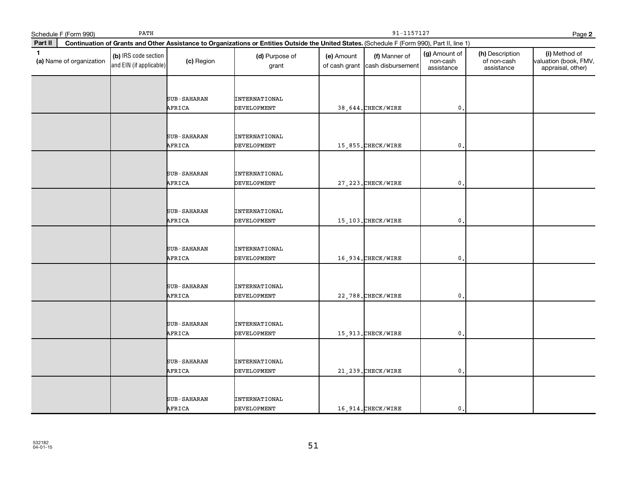|              | Schedule F (Form 990)    | PATH                                            |                       |                                                                                                                                              | 91-1157127<br>Page 2 |                                                  |                                         |                                              |                                                             |  |  |
|--------------|--------------------------|-------------------------------------------------|-----------------------|----------------------------------------------------------------------------------------------------------------------------------------------|----------------------|--------------------------------------------------|-----------------------------------------|----------------------------------------------|-------------------------------------------------------------|--|--|
| Part II      |                          |                                                 |                       | Continuation of Grants and Other Assistance to Organizations or Entities Outside the United States. (Schedule F (Form 990), Part II, line 1) |                      |                                                  |                                         |                                              |                                                             |  |  |
| $\mathbf{1}$ | (a) Name of organization | (b) IRS code section<br>and EIN (if applicable) | (c) Region            | (d) Purpose of<br>grant                                                                                                                      | (e) Amount           | (f) Manner of<br>of cash grant cash disbursement | (g) Amount of<br>non-cash<br>assistance | (h) Description<br>of non-cash<br>assistance | (i) Method of<br>valuation (book, FMV,<br>appraisal, other) |  |  |
|              |                          |                                                 | SUB-SAHARAN<br>AFRICA | INTERNATIONAL<br><b>DEVELOPMENT</b>                                                                                                          |                      | 38, 644. CHECK/WIRE                              | $\mathbf 0$ .                           |                                              |                                                             |  |  |
|              |                          |                                                 | SUB-SAHARAN<br>AFRICA | <b>INTERNATIONAL</b><br><b>DEVELOPMENT</b>                                                                                                   |                      | 15,855. CHECK/WIRE                               | $\mathbf{0}$ .                          |                                              |                                                             |  |  |
|              |                          |                                                 | SUB-SAHARAN<br>AFRICA | INTERNATIONAL<br>DEVELOPMENT                                                                                                                 |                      | 27, 223. CHECK/WIRE                              | $\mathbf 0$ .                           |                                              |                                                             |  |  |
|              |                          |                                                 | SUB-SAHARAN<br>AFRICA | <b>INTERNATIONAL</b><br><b>DEVELOPMENT</b>                                                                                                   |                      | 15,103. CHECK/WIRE                               | $\mathfrak{o}$ .                        |                                              |                                                             |  |  |
|              |                          |                                                 | SUB-SAHARAN<br>AFRICA | INTERNATIONAL<br><b>DEVELOPMENT</b>                                                                                                          |                      | 16,934. CHECK/WIRE                               | $\mathbf{0}$                            |                                              |                                                             |  |  |
|              |                          |                                                 | SUB-SAHARAN<br>AFRICA | <b>INTERNATIONAL</b><br><b>DEVELOPMENT</b>                                                                                                   |                      | 22,788. CHECK/WIRE                               | $\mathbf{0}$ .                          |                                              |                                                             |  |  |
|              |                          |                                                 | SUB-SAHARAN<br>AFRICA | <b>INTERNATIONAL</b><br>DEVELOPMENT                                                                                                          |                      | 15, 913. CHECK/WIRE                              | $\mathbf{0}$                            |                                              |                                                             |  |  |
|              |                          |                                                 | SUB-SAHARAN<br>AFRICA | <b>INTERNATIONAL</b><br><b>DEVELOPMENT</b>                                                                                                   |                      | 21, 239. CHECK/WIRE                              | $\mathfrak{o}$ .                        |                                              |                                                             |  |  |
|              |                          |                                                 | SUB-SAHARAN<br>AFRICA | <b>INTERNATIONAL</b><br><b>DEVELOPMENT</b>                                                                                                   |                      | 16,914. CHECK/WIRE                               | $\mathbf{0}$ .                          |                                              |                                                             |  |  |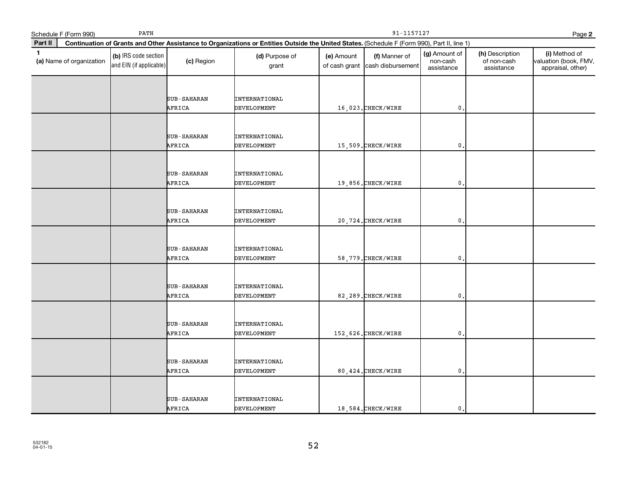|              | Schedule F (Form 990)    | PATH                                            |                       |                                                                                                                                              | 91-1157127<br>Page 2 |                                                  |                                         |                                              |                                                             |  |
|--------------|--------------------------|-------------------------------------------------|-----------------------|----------------------------------------------------------------------------------------------------------------------------------------------|----------------------|--------------------------------------------------|-----------------------------------------|----------------------------------------------|-------------------------------------------------------------|--|
| Part II      |                          |                                                 |                       | Continuation of Grants and Other Assistance to Organizations or Entities Outside the United States. (Schedule F (Form 990), Part II, line 1) |                      |                                                  |                                         |                                              |                                                             |  |
| $\mathbf{1}$ | (a) Name of organization | (b) IRS code section<br>and EIN (if applicable) | (c) Region            | (d) Purpose of<br>grant                                                                                                                      | (e) Amount           | (f) Manner of<br>of cash grant cash disbursement | (g) Amount of<br>non-cash<br>assistance | (h) Description<br>of non-cash<br>assistance | (i) Method of<br>valuation (book, FMV,<br>appraisal, other) |  |
|              |                          |                                                 | SUB-SAHARAN<br>AFRICA | INTERNATIONAL<br><b>DEVELOPMENT</b>                                                                                                          |                      | 16,023. CHECK/WIRE                               | $\mathbf{0}$                            |                                              |                                                             |  |
|              |                          |                                                 | SUB-SAHARAN<br>AFRICA | <b>INTERNATIONAL</b><br><b>DEVELOPMENT</b>                                                                                                   |                      | 15,509. CHECK/WIRE                               | $\mathbf{0}$ .                          |                                              |                                                             |  |
|              |                          |                                                 | SUB-SAHARAN<br>AFRICA | INTERNATIONAL<br>DEVELOPMENT                                                                                                                 |                      | 19,856. CHECK/WIRE                               | $\mathbf 0$ .                           |                                              |                                                             |  |
|              |                          |                                                 | SUB-SAHARAN<br>AFRICA | <b>INTERNATIONAL</b><br><b>DEVELOPMENT</b>                                                                                                   |                      | 20,724. CHECK/WIRE                               | $\mathfrak{o}$ .                        |                                              |                                                             |  |
|              |                          |                                                 | SUB-SAHARAN<br>AFRICA | INTERNATIONAL<br><b>DEVELOPMENT</b>                                                                                                          |                      | 58, 779. CHECK/WIRE                              | $\mathbf{0}$                            |                                              |                                                             |  |
|              |                          |                                                 | SUB-SAHARAN<br>AFRICA | <b>INTERNATIONAL</b><br><b>DEVELOPMENT</b>                                                                                                   |                      | 82,289. CHECK/WIRE                               | $\mathbf{0}$ .                          |                                              |                                                             |  |
|              |                          |                                                 | SUB-SAHARAN<br>AFRICA | <b>INTERNATIONAL</b><br>DEVELOPMENT                                                                                                          |                      | 152,626. CHECK/WIRE                              | $\mathbf{0}$                            |                                              |                                                             |  |
|              |                          |                                                 | SUB-SAHARAN<br>AFRICA | <b>INTERNATIONAL</b><br><b>DEVELOPMENT</b>                                                                                                   |                      | 80, 424. CHECK/WIRE                              | $\mathfrak{o}$ .                        |                                              |                                                             |  |
|              |                          |                                                 | SUB-SAHARAN<br>AFRICA | <b>INTERNATIONAL</b><br><b>DEVELOPMENT</b>                                                                                                   |                      | 18,584. CHECK/WIRE                               | $\mathbf{0}$ .                          |                                              |                                                             |  |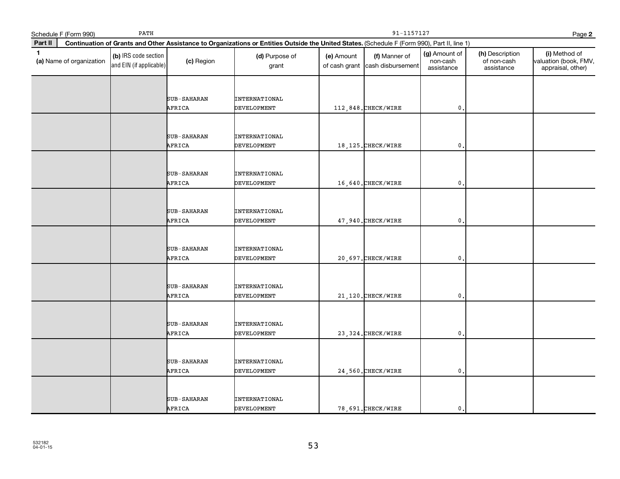|              | Schedule F (Form 990)    | PATH                                            |                       |                                                                                                                                              | 91-1157127<br>Page 2 |                                                  |                                         |                                              |                                                             |  |  |
|--------------|--------------------------|-------------------------------------------------|-----------------------|----------------------------------------------------------------------------------------------------------------------------------------------|----------------------|--------------------------------------------------|-----------------------------------------|----------------------------------------------|-------------------------------------------------------------|--|--|
| Part II      |                          |                                                 |                       | Continuation of Grants and Other Assistance to Organizations or Entities Outside the United States. (Schedule F (Form 990), Part II, line 1) |                      |                                                  |                                         |                                              |                                                             |  |  |
| $\mathbf{1}$ | (a) Name of organization | (b) IRS code section<br>and EIN (if applicable) | (c) Region            | (d) Purpose of<br>grant                                                                                                                      | (e) Amount           | (f) Manner of<br>of cash grant cash disbursement | (g) Amount of<br>non-cash<br>assistance | (h) Description<br>of non-cash<br>assistance | (i) Method of<br>valuation (book, FMV,<br>appraisal, other) |  |  |
|              |                          |                                                 | SUB-SAHARAN<br>AFRICA | INTERNATIONAL<br><b>DEVELOPMENT</b>                                                                                                          |                      | 112,848. CHECK/WIRE                              | $\mathbf 0$ .                           |                                              |                                                             |  |  |
|              |                          |                                                 | SUB-SAHARAN<br>AFRICA | <b>INTERNATIONAL</b><br><b>DEVELOPMENT</b>                                                                                                   |                      | 18, 125. CHECK/WIRE                              | $\mathbf{0}$ .                          |                                              |                                                             |  |  |
|              |                          |                                                 | SUB-SAHARAN<br>AFRICA | INTERNATIONAL<br>DEVELOPMENT                                                                                                                 |                      | 16,640. CHECK/WIRE                               | $\mathbf 0$ .                           |                                              |                                                             |  |  |
|              |                          |                                                 | SUB-SAHARAN<br>AFRICA | <b>INTERNATIONAL</b><br><b>DEVELOPMENT</b>                                                                                                   |                      | 47,940. CHECK/WIRE                               | $\mathfrak{o}$ .                        |                                              |                                                             |  |  |
|              |                          |                                                 | SUB-SAHARAN<br>AFRICA | INTERNATIONAL<br><b>DEVELOPMENT</b>                                                                                                          |                      | 20,697. CHECK/WIRE                               | $\mathbf{0}$                            |                                              |                                                             |  |  |
|              |                          |                                                 | SUB-SAHARAN<br>AFRICA | <b>INTERNATIONAL</b><br><b>DEVELOPMENT</b>                                                                                                   |                      | 21,120. CHECK/WIRE                               | $\mathbf{0}$ .                          |                                              |                                                             |  |  |
|              |                          |                                                 | SUB-SAHARAN<br>AFRICA | <b>INTERNATIONAL</b><br>DEVELOPMENT                                                                                                          |                      | 23, 324. CHECK/WIRE                              | $\mathbf{0}$                            |                                              |                                                             |  |  |
|              |                          |                                                 | SUB-SAHARAN<br>AFRICA | <b>INTERNATIONAL</b><br><b>DEVELOPMENT</b>                                                                                                   |                      | 24,560. CHECK/WIRE                               | $\mathfrak{o}$ .                        |                                              |                                                             |  |  |
|              |                          |                                                 | SUB-SAHARAN<br>AFRICA | <b>INTERNATIONAL</b><br><b>DEVELOPMENT</b>                                                                                                   |                      | 78,691. CHECK/WIRE                               | $\mathbf{0}$ .                          |                                              |                                                             |  |  |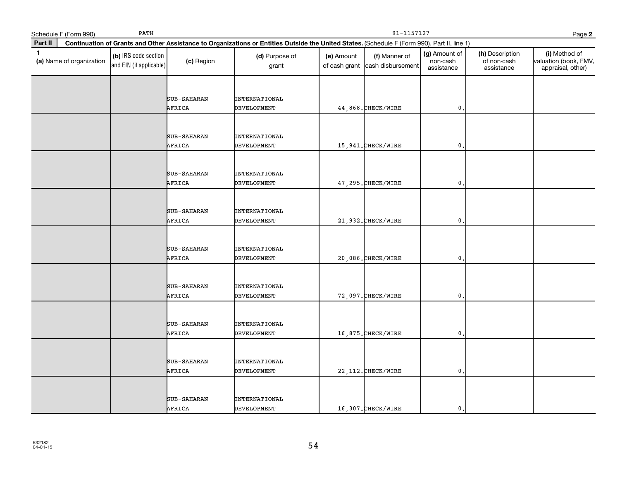|              | Schedule F (Form 990)    | PATH                                            |                       |                                                                                                                                              | 91-1157127<br>Page 2 |                                                  |                                         |                                              |                                                             |  |  |
|--------------|--------------------------|-------------------------------------------------|-----------------------|----------------------------------------------------------------------------------------------------------------------------------------------|----------------------|--------------------------------------------------|-----------------------------------------|----------------------------------------------|-------------------------------------------------------------|--|--|
| Part II      |                          |                                                 |                       | Continuation of Grants and Other Assistance to Organizations or Entities Outside the United States. (Schedule F (Form 990), Part II, line 1) |                      |                                                  |                                         |                                              |                                                             |  |  |
| $\mathbf{1}$ | (a) Name of organization | (b) IRS code section<br>and EIN (if applicable) | (c) Region            | (d) Purpose of<br>grant                                                                                                                      | (e) Amount           | (f) Manner of<br>of cash grant cash disbursement | (g) Amount of<br>non-cash<br>assistance | (h) Description<br>of non-cash<br>assistance | (i) Method of<br>valuation (book, FMV,<br>appraisal, other) |  |  |
|              |                          |                                                 | SUB-SAHARAN<br>AFRICA | INTERNATIONAL<br><b>DEVELOPMENT</b>                                                                                                          |                      | 44,868. CHECK/WIRE                               | $\mathbf 0$ .                           |                                              |                                                             |  |  |
|              |                          |                                                 | SUB-SAHARAN<br>AFRICA | <b>INTERNATIONAL</b><br><b>DEVELOPMENT</b>                                                                                                   |                      | 15,941. CHECK/WIRE                               | $\mathbf{0}$ .                          |                                              |                                                             |  |  |
|              |                          |                                                 | SUB-SAHARAN<br>AFRICA | INTERNATIONAL<br>DEVELOPMENT                                                                                                                 |                      | 47,295. CHECK/WIRE                               | $\mathbf 0$ .                           |                                              |                                                             |  |  |
|              |                          |                                                 | SUB-SAHARAN<br>AFRICA | <b>INTERNATIONAL</b><br><b>DEVELOPMENT</b>                                                                                                   |                      | 21,932. CHECK/WIRE                               | $\mathfrak{o}$ .                        |                                              |                                                             |  |  |
|              |                          |                                                 | SUB-SAHARAN<br>AFRICA | INTERNATIONAL<br><b>DEVELOPMENT</b>                                                                                                          |                      | 20,086. CHECK/WIRE                               | $\mathbf{0}$                            |                                              |                                                             |  |  |
|              |                          |                                                 | SUB-SAHARAN<br>AFRICA | <b>INTERNATIONAL</b><br><b>DEVELOPMENT</b>                                                                                                   |                      | 72,097. CHECK/WIRE                               | $\mathbf{0}$ .                          |                                              |                                                             |  |  |
|              |                          |                                                 | SUB-SAHARAN<br>AFRICA | <b>INTERNATIONAL</b><br>DEVELOPMENT                                                                                                          |                      | 16,875. CHECK/WIRE                               | $\mathbf{0}$                            |                                              |                                                             |  |  |
|              |                          |                                                 | SUB-SAHARAN<br>AFRICA | <b>INTERNATIONAL</b><br><b>DEVELOPMENT</b>                                                                                                   |                      | 22, 112. CHECK/WIRE                              | $\mathfrak{o}$ .                        |                                              |                                                             |  |  |
|              |                          |                                                 | SUB-SAHARAN<br>AFRICA | <b>INTERNATIONAL</b><br><b>DEVELOPMENT</b>                                                                                                   |                      | 16,307.CHECK/WIRE                                | $\mathbf{0}$ .                          |                                              |                                                             |  |  |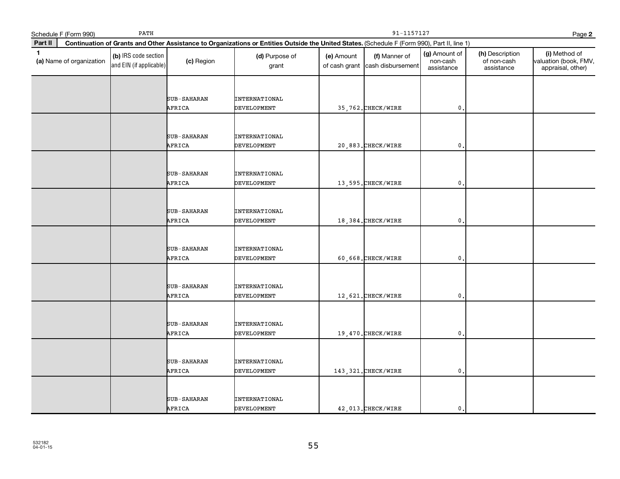|              | Schedule F (Form 990)    | PATH                                            |                       |                                                                                                                                              | 91-1157127<br>Page 2 |                                                  |                                         |                                              |                                                             |  |  |
|--------------|--------------------------|-------------------------------------------------|-----------------------|----------------------------------------------------------------------------------------------------------------------------------------------|----------------------|--------------------------------------------------|-----------------------------------------|----------------------------------------------|-------------------------------------------------------------|--|--|
| Part II      |                          |                                                 |                       | Continuation of Grants and Other Assistance to Organizations or Entities Outside the United States. (Schedule F (Form 990), Part II, line 1) |                      |                                                  |                                         |                                              |                                                             |  |  |
| $\mathbf{1}$ | (a) Name of organization | (b) IRS code section<br>and EIN (if applicable) | (c) Region            | (d) Purpose of<br>grant                                                                                                                      | (e) Amount           | (f) Manner of<br>of cash grant cash disbursement | (g) Amount of<br>non-cash<br>assistance | (h) Description<br>of non-cash<br>assistance | (i) Method of<br>valuation (book, FMV,<br>appraisal, other) |  |  |
|              |                          |                                                 | SUB-SAHARAN<br>AFRICA | INTERNATIONAL<br><b>DEVELOPMENT</b>                                                                                                          |                      | 35,762. CHECK/WIRE                               | $\mathbf 0$ .                           |                                              |                                                             |  |  |
|              |                          |                                                 | SUB-SAHARAN<br>AFRICA | <b>INTERNATIONAL</b><br><b>DEVELOPMENT</b>                                                                                                   |                      | 20,883. CHECK/WIRE                               | $\mathbf{0}$ .                          |                                              |                                                             |  |  |
|              |                          |                                                 | SUB-SAHARAN<br>AFRICA | INTERNATIONAL<br>DEVELOPMENT                                                                                                                 |                      | 13,595. CHECK/WIRE                               | $\mathbf 0$ .                           |                                              |                                                             |  |  |
|              |                          |                                                 | SUB-SAHARAN<br>AFRICA | <b>INTERNATIONAL</b><br><b>DEVELOPMENT</b>                                                                                                   |                      | 18,384. CHECK/WIRE                               | $\mathfrak{o}$ .                        |                                              |                                                             |  |  |
|              |                          |                                                 | SUB-SAHARAN<br>AFRICA | INTERNATIONAL<br><b>DEVELOPMENT</b>                                                                                                          |                      | 60,668. CHECK/WIRE                               | $\mathbf{0}$                            |                                              |                                                             |  |  |
|              |                          |                                                 | SUB-SAHARAN<br>AFRICA | <b>INTERNATIONAL</b><br><b>DEVELOPMENT</b>                                                                                                   |                      | 12,621. CHECK/WIRE                               | $\mathbf{0}$ .                          |                                              |                                                             |  |  |
|              |                          |                                                 | SUB-SAHARAN<br>AFRICA | <b>INTERNATIONAL</b><br>DEVELOPMENT                                                                                                          |                      | 19,470. CHECK/WIRE                               | $\mathbf{0}$                            |                                              |                                                             |  |  |
|              |                          |                                                 | SUB-SAHARAN<br>AFRICA | <b>INTERNATIONAL</b><br><b>DEVELOPMENT</b>                                                                                                   |                      | 143, 321. CHECK/WIRE                             | $\mathfrak{o}$ .                        |                                              |                                                             |  |  |
|              |                          |                                                 | SUB-SAHARAN<br>AFRICA | <b>INTERNATIONAL</b><br><b>DEVELOPMENT</b>                                                                                                   |                      | 42,013. CHECK/WIRE                               | $\mathbf{0}$ .                          |                                              |                                                             |  |  |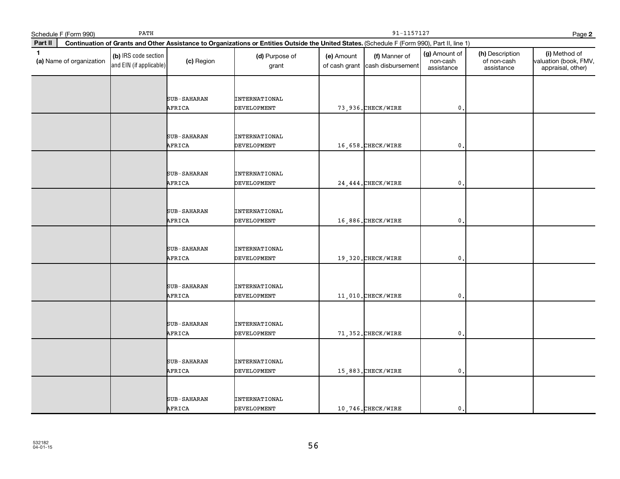|              | Schedule F (Form 990)    | PATH                                            |                       |                                                                                                                                              | 91-1157127<br>Page 2 |                                                  |                                         |                                              |                                                             |  |  |
|--------------|--------------------------|-------------------------------------------------|-----------------------|----------------------------------------------------------------------------------------------------------------------------------------------|----------------------|--------------------------------------------------|-----------------------------------------|----------------------------------------------|-------------------------------------------------------------|--|--|
| Part II      |                          |                                                 |                       | Continuation of Grants and Other Assistance to Organizations or Entities Outside the United States. (Schedule F (Form 990), Part II, line 1) |                      |                                                  |                                         |                                              |                                                             |  |  |
| $\mathbf{1}$ | (a) Name of organization | (b) IRS code section<br>and EIN (if applicable) | (c) Region            | (d) Purpose of<br>grant                                                                                                                      | (e) Amount           | (f) Manner of<br>of cash grant cash disbursement | (g) Amount of<br>non-cash<br>assistance | (h) Description<br>of non-cash<br>assistance | (i) Method of<br>valuation (book, FMV,<br>appraisal, other) |  |  |
|              |                          |                                                 | SUB-SAHARAN<br>AFRICA | <b>INTERNATIONAL</b><br><b>DEVELOPMENT</b>                                                                                                   |                      | 73, 936. CHECK/WIRE                              | $\mathbf 0$ .                           |                                              |                                                             |  |  |
|              |                          |                                                 | SUB-SAHARAN<br>AFRICA | <b>INTERNATIONAL</b><br><b>DEVELOPMENT</b>                                                                                                   |                      | 16,658. CHECK/WIRE                               | $\mathbf{0}$ .                          |                                              |                                                             |  |  |
|              |                          |                                                 | SUB-SAHARAN<br>AFRICA | INTERNATIONAL<br><b>DEVELOPMENT</b>                                                                                                          |                      | 24, 444. CHECK/WIRE                              | $\mathbf{0}$                            |                                              |                                                             |  |  |
|              |                          |                                                 | SUB-SAHARAN<br>AFRICA | <b>INTERNATIONAL</b><br><b>DEVELOPMENT</b>                                                                                                   |                      | 16,886. CHECK/WIRE                               | $\mathfrak{o}$ .                        |                                              |                                                             |  |  |
|              |                          |                                                 | SUB-SAHARAN<br>AFRICA | INTERNATIONAL<br><b>DEVELOPMENT</b>                                                                                                          |                      | 19,320. CHECK/WIRE                               | $\mathbf{0}$                            |                                              |                                                             |  |  |
|              |                          |                                                 | SUB-SAHARAN<br>AFRICA | <b>INTERNATIONAL</b><br>DEVELOPMENT                                                                                                          |                      | 11,010. CHECK/WIRE                               | $\mathfrak o$ .                         |                                              |                                                             |  |  |
|              |                          |                                                 | SUB-SAHARAN<br>AFRICA | INTERNATIONAL<br><b>DEVELOPMENT</b>                                                                                                          |                      | 71,352. CHECK/WIRE                               | $\mathsf{0}$ .                          |                                              |                                                             |  |  |
|              |                          |                                                 | SUB-SAHARAN<br>AFRICA | <b>INTERNATIONAL</b><br><b>DEVELOPMENT</b>                                                                                                   |                      | 15,883. CHECK/WIRE                               | $\mathfrak{o}$ .                        |                                              |                                                             |  |  |
|              |                          |                                                 | SUB-SAHARAN<br>AFRICA | <b>INTERNATIONAL</b><br><b>DEVELOPMENT</b>                                                                                                   |                      | 10,746. CHECK/WIRE                               | $\mathbf{0}$ .                          |                                              |                                                             |  |  |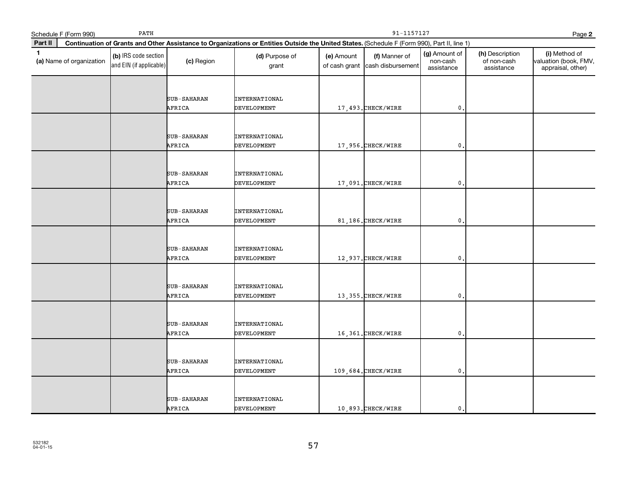|              | Schedule F (Form 990)    | PATH                                            |                       |                                                                                                                                              | 91-1157127<br>Page 2 |                                                  |                                         |                                              |                                                             |  |  |
|--------------|--------------------------|-------------------------------------------------|-----------------------|----------------------------------------------------------------------------------------------------------------------------------------------|----------------------|--------------------------------------------------|-----------------------------------------|----------------------------------------------|-------------------------------------------------------------|--|--|
| Part II      |                          |                                                 |                       | Continuation of Grants and Other Assistance to Organizations or Entities Outside the United States. (Schedule F (Form 990), Part II, line 1) |                      |                                                  |                                         |                                              |                                                             |  |  |
| $\mathbf{1}$ | (a) Name of organization | (b) IRS code section<br>and EIN (if applicable) | (c) Region            | (d) Purpose of<br>grant                                                                                                                      | (e) Amount           | (f) Manner of<br>of cash grant cash disbursement | (g) Amount of<br>non-cash<br>assistance | (h) Description<br>of non-cash<br>assistance | (i) Method of<br>valuation (book, FMV,<br>appraisal, other) |  |  |
|              |                          |                                                 | SUB-SAHARAN<br>AFRICA | INTERNATIONAL<br><b>DEVELOPMENT</b>                                                                                                          |                      | 17,493. CHECK/WIRE                               | $\mathbf 0$ .                           |                                              |                                                             |  |  |
|              |                          |                                                 | SUB-SAHARAN<br>AFRICA | <b>INTERNATIONAL</b><br>DEVELOPMENT                                                                                                          |                      | 17,956.CHECK/WIRE                                | $\mathbf{0}$ .                          |                                              |                                                             |  |  |
|              |                          |                                                 | SUB-SAHARAN<br>AFRICA | INTERNATIONAL<br>DEVELOPMENT                                                                                                                 |                      | 17,091. CHECK/WIRE                               | $\mathbf 0$ .                           |                                              |                                                             |  |  |
|              |                          |                                                 | SUB-SAHARAN<br>AFRICA | <b>INTERNATIONAL</b><br><b>DEVELOPMENT</b>                                                                                                   |                      | 81,186. CHECK/WIRE                               | $\mathfrak{o}$ .                        |                                              |                                                             |  |  |
|              |                          |                                                 | SUB-SAHARAN<br>AFRICA | INTERNATIONAL<br><b>DEVELOPMENT</b>                                                                                                          |                      | 12,937. CHECK/WIRE                               | $\mathbf{0}$                            |                                              |                                                             |  |  |
|              |                          |                                                 | SUB-SAHARAN<br>AFRICA | <b>INTERNATIONAL</b><br><b>DEVELOPMENT</b>                                                                                                   |                      | 13,355. CHECK/WIRE                               | $\mathbf{0}$ .                          |                                              |                                                             |  |  |
|              |                          |                                                 | SUB-SAHARAN<br>AFRICA | <b>INTERNATIONAL</b><br>DEVELOPMENT                                                                                                          |                      | 16,361. CHECK/WIRE                               | $\mathbf{0}$                            |                                              |                                                             |  |  |
|              |                          |                                                 | SUB-SAHARAN<br>AFRICA | <b>INTERNATIONAL</b><br><b>DEVELOPMENT</b>                                                                                                   |                      | 109,684. CHECK/WIRE                              | $\mathfrak{o}$ .                        |                                              |                                                             |  |  |
|              |                          |                                                 | SUB-SAHARAN<br>AFRICA | <b>INTERNATIONAL</b><br><b>DEVELOPMENT</b>                                                                                                   |                      | 10,893.CHECK/WIRE                                | $\mathbf{0}$ .                          |                                              |                                                             |  |  |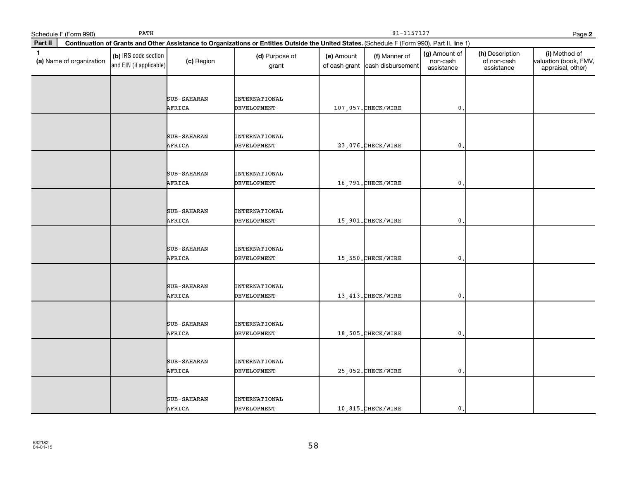|              | Schedule F (Form 990)    | PATH                                            |                       | 91-1157127<br>Page 2                                                                                                                         |            |                                                  |                                         |                                              |                                                             |  |
|--------------|--------------------------|-------------------------------------------------|-----------------------|----------------------------------------------------------------------------------------------------------------------------------------------|------------|--------------------------------------------------|-----------------------------------------|----------------------------------------------|-------------------------------------------------------------|--|
| Part II      |                          |                                                 |                       | Continuation of Grants and Other Assistance to Organizations or Entities Outside the United States. (Schedule F (Form 990), Part II, line 1) |            |                                                  |                                         |                                              |                                                             |  |
| $\mathbf{1}$ | (a) Name of organization | (b) IRS code section<br>and EIN (if applicable) | (c) Region            | (d) Purpose of<br>grant                                                                                                                      | (e) Amount | (f) Manner of<br>of cash grant cash disbursement | (g) Amount of<br>non-cash<br>assistance | (h) Description<br>of non-cash<br>assistance | (i) Method of<br>valuation (book, FMV,<br>appraisal, other) |  |
|              |                          |                                                 | SUB-SAHARAN<br>AFRICA | INTERNATIONAL<br><b>DEVELOPMENT</b>                                                                                                          |            | 107,057. CHECK/WIRE                              | $\mathbf 0$ .                           |                                              |                                                             |  |
|              |                          |                                                 | SUB-SAHARAN<br>AFRICA | <b>INTERNATIONAL</b><br>DEVELOPMENT                                                                                                          |            | 23,076. CHECK/WIRE                               | $\mathbf{0}$ .                          |                                              |                                                             |  |
|              |                          |                                                 | SUB-SAHARAN<br>AFRICA | INTERNATIONAL<br>DEVELOPMENT                                                                                                                 |            | 16,791. CHECK/WIRE                               | $\mathbf 0$ .                           |                                              |                                                             |  |
|              |                          |                                                 | SUB-SAHARAN<br>AFRICA | <b>INTERNATIONAL</b><br><b>DEVELOPMENT</b>                                                                                                   |            | 15,901. CHECK/WIRE                               | $\mathfrak{o}$ .                        |                                              |                                                             |  |
|              |                          |                                                 | SUB-SAHARAN<br>AFRICA | INTERNATIONAL<br><b>DEVELOPMENT</b>                                                                                                          |            | 15,550.CHECK/WIRE                                | $\mathbf{0}$                            |                                              |                                                             |  |
|              |                          |                                                 | SUB-SAHARAN<br>AFRICA | <b>INTERNATIONAL</b><br><b>DEVELOPMENT</b>                                                                                                   |            | 13, 413. CHECK/WIRE                              | $\mathbf{0}$ .                          |                                              |                                                             |  |
|              |                          |                                                 | SUB-SAHARAN<br>AFRICA | <b>INTERNATIONAL</b><br>DEVELOPMENT                                                                                                          |            | 18,505. CHECK/WIRE                               | $\mathbf{0}$                            |                                              |                                                             |  |
|              |                          |                                                 | SUB-SAHARAN<br>AFRICA | <b>INTERNATIONAL</b><br><b>DEVELOPMENT</b>                                                                                                   |            | 25,052. CHECK/WIRE                               | $\mathfrak{o}$ .                        |                                              |                                                             |  |
|              |                          |                                                 | SUB-SAHARAN<br>AFRICA | <b>INTERNATIONAL</b><br><b>DEVELOPMENT</b>                                                                                                   |            | 10,815.CHECK/WIRE                                | $\mathbf{0}$ .                          |                                              |                                                             |  |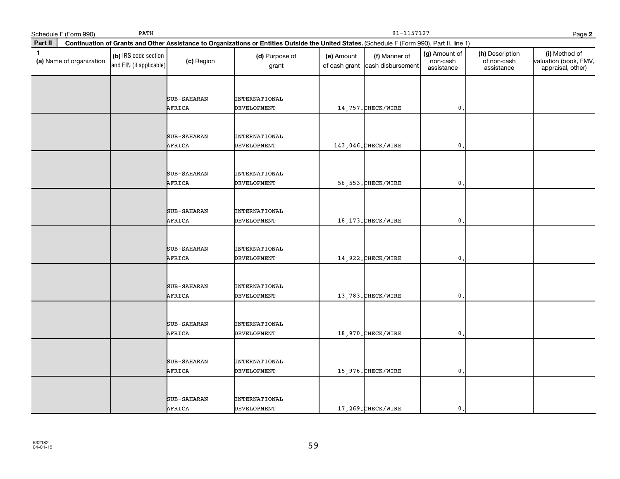|              | Schedule F (Form 990)    | PATH                                            |                       |                                                                                                                                              | 91-1157127<br>Page 2 |                                                  |                                         |                                              |                                                             |  |  |
|--------------|--------------------------|-------------------------------------------------|-----------------------|----------------------------------------------------------------------------------------------------------------------------------------------|----------------------|--------------------------------------------------|-----------------------------------------|----------------------------------------------|-------------------------------------------------------------|--|--|
| Part II      |                          |                                                 |                       | Continuation of Grants and Other Assistance to Organizations or Entities Outside the United States. (Schedule F (Form 990), Part II, line 1) |                      |                                                  |                                         |                                              |                                                             |  |  |
| $\mathbf{1}$ | (a) Name of organization | (b) IRS code section<br>and EIN (if applicable) | (c) Region            | (d) Purpose of<br>grant                                                                                                                      | (e) Amount           | (f) Manner of<br>of cash grant cash disbursement | (g) Amount of<br>non-cash<br>assistance | (h) Description<br>of non-cash<br>assistance | (i) Method of<br>valuation (book, FMV,<br>appraisal, other) |  |  |
|              |                          |                                                 | SUB-SAHARAN<br>AFRICA | INTERNATIONAL<br><b>DEVELOPMENT</b>                                                                                                          |                      | 14,757. CHECK/WIRE                               | $\mathbf 0$ .                           |                                              |                                                             |  |  |
|              |                          |                                                 | SUB-SAHARAN<br>AFRICA | <b>INTERNATIONAL</b><br>DEVELOPMENT                                                                                                          |                      | 143,046. CHECK/WIRE                              | $\mathbf{0}$ .                          |                                              |                                                             |  |  |
|              |                          |                                                 | SUB-SAHARAN<br>AFRICA | INTERNATIONAL<br>DEVELOPMENT                                                                                                                 |                      | 56, 553. CHECK/WIRE                              | $\mathbf 0$ .                           |                                              |                                                             |  |  |
|              |                          |                                                 | SUB-SAHARAN<br>AFRICA | <b>INTERNATIONAL</b><br><b>DEVELOPMENT</b>                                                                                                   |                      | 18, 173. CHECK/WIRE                              | $\mathfrak{o}$ .                        |                                              |                                                             |  |  |
|              |                          |                                                 | SUB-SAHARAN<br>AFRICA | INTERNATIONAL<br><b>DEVELOPMENT</b>                                                                                                          |                      | 14,922. CHECK/WIRE                               | $\mathbf{0}$                            |                                              |                                                             |  |  |
|              |                          |                                                 | SUB-SAHARAN<br>AFRICA | <b>INTERNATIONAL</b><br><b>DEVELOPMENT</b>                                                                                                   |                      | 13,783. CHECK/WIRE                               | $\mathbf{0}$ .                          |                                              |                                                             |  |  |
|              |                          |                                                 | SUB-SAHARAN<br>AFRICA | <b>INTERNATIONAL</b><br>DEVELOPMENT                                                                                                          |                      | 18,970. CHECK/WIRE                               | $\mathbf{0}$                            |                                              |                                                             |  |  |
|              |                          |                                                 | SUB-SAHARAN<br>AFRICA | <b>INTERNATIONAL</b><br><b>DEVELOPMENT</b>                                                                                                   |                      | 15,976. CHECK/WIRE                               | $\mathfrak{o}$ .                        |                                              |                                                             |  |  |
|              |                          |                                                 | SUB-SAHARAN<br>AFRICA | <b>INTERNATIONAL</b><br><b>DEVELOPMENT</b>                                                                                                   |                      | 17,269.CHECK/WIRE                                | $\mathbf{0}$ .                          |                                              |                                                             |  |  |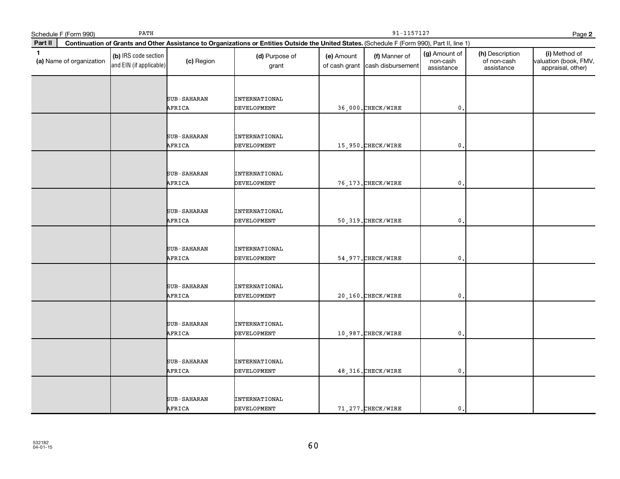|              | Schedule F (Form 990)    | PATH                                            |                       | 91-1157127<br>Page 2                                                                                                                         |            |                                                  |                                         |                                              |                                                             |  |
|--------------|--------------------------|-------------------------------------------------|-----------------------|----------------------------------------------------------------------------------------------------------------------------------------------|------------|--------------------------------------------------|-----------------------------------------|----------------------------------------------|-------------------------------------------------------------|--|
| Part II      |                          |                                                 |                       | Continuation of Grants and Other Assistance to Organizations or Entities Outside the United States. (Schedule F (Form 990), Part II, line 1) |            |                                                  |                                         |                                              |                                                             |  |
| $\mathbf{1}$ | (a) Name of organization | (b) IRS code section<br>and EIN (if applicable) | (c) Region            | (d) Purpose of<br>grant                                                                                                                      | (e) Amount | (f) Manner of<br>of cash grant cash disbursement | (g) Amount of<br>non-cash<br>assistance | (h) Description<br>of non-cash<br>assistance | (i) Method of<br>valuation (book, FMV,<br>appraisal, other) |  |
|              |                          |                                                 | SUB-SAHARAN<br>AFRICA | <b>INTERNATIONAL</b><br><b>DEVELOPMENT</b>                                                                                                   |            | 36,000. CHECK/WIRE                               | $\mathfrak o$ .                         |                                              |                                                             |  |
|              |                          |                                                 | SUB-SAHARAN<br>AFRICA | <b>INTERNATIONAL</b><br><b>DEVELOPMENT</b>                                                                                                   |            | 15,950.CHECK/WIRE                                | $\mathbf{0}$ .                          |                                              |                                                             |  |
|              |                          |                                                 | SUB-SAHARAN<br>AFRICA | INTERNATIONAL<br><b>DEVELOPMENT</b>                                                                                                          |            | 76, 173. CHECK/WIRE                              | $\mathbf 0$ .                           |                                              |                                                             |  |
|              |                          |                                                 | SUB-SAHARAN<br>AFRICA | INTERNATIONAL<br><b>DEVELOPMENT</b>                                                                                                          |            | 50, 319. CHECK/WIRE                              | $\mathfrak{o}$ .                        |                                              |                                                             |  |
|              |                          |                                                 | SUB-SAHARAN<br>AFRICA | <b>INTERNATIONAL</b><br>DEVELOPMENT                                                                                                          |            | 54, 977. CHECK/WIRE                              | $\mathbf{0}$                            |                                              |                                                             |  |
|              |                          |                                                 | SUB-SAHARAN<br>AFRICA | <b>INTERNATIONAL</b><br><b>DEVELOPMENT</b>                                                                                                   |            | 20,160. CHECK/WIRE                               | $\mathfrak{o}$ .                        |                                              |                                                             |  |
|              |                          |                                                 | SUB-SAHARAN<br>AFRICA | INTERNATIONAL<br>DEVELOPMENT                                                                                                                 |            | 10,987. CHECK/WIRE                               | $\mathbf{0}$                            |                                              |                                                             |  |
|              |                          |                                                 | SUB-SAHARAN<br>AFRICA | <b>INTERNATIONAL</b><br><b>DEVELOPMENT</b>                                                                                                   |            | 48, 316. CHECK/WIRE                              | $\mathfrak{o}$ .                        |                                              |                                                             |  |
|              |                          |                                                 | SUB-SAHARAN<br>AFRICA | <b>INTERNATIONAL</b><br><b>DEVELOPMENT</b>                                                                                                   |            | 71, 277. CHECK/WIRE                              | $\mathbf{0}$ .                          |                                              |                                                             |  |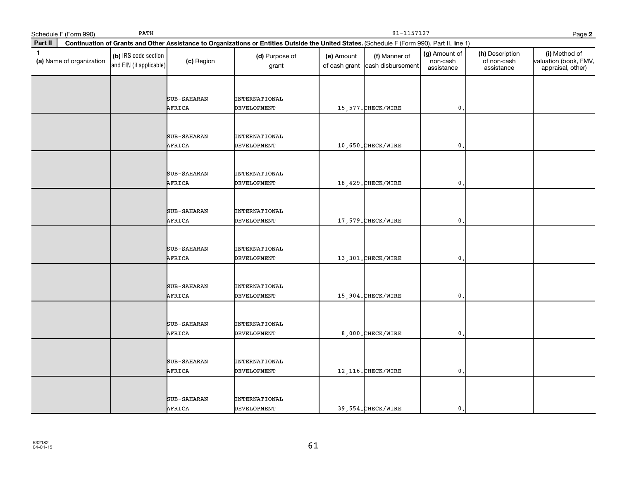|              | Schedule F (Form 990)    | PATH                                            |                       |                                                                                                                                              | 91-1157127<br>Page 2 |                                                  |                                         |                                              |                                                             |  |
|--------------|--------------------------|-------------------------------------------------|-----------------------|----------------------------------------------------------------------------------------------------------------------------------------------|----------------------|--------------------------------------------------|-----------------------------------------|----------------------------------------------|-------------------------------------------------------------|--|
| Part II      |                          |                                                 |                       | Continuation of Grants and Other Assistance to Organizations or Entities Outside the United States. (Schedule F (Form 990), Part II, line 1) |                      |                                                  |                                         |                                              |                                                             |  |
| $\mathbf{1}$ | (a) Name of organization | (b) IRS code section<br>and EIN (if applicable) | (c) Region            | (d) Purpose of<br>grant                                                                                                                      | (e) Amount           | (f) Manner of<br>of cash grant cash disbursement | (g) Amount of<br>non-cash<br>assistance | (h) Description<br>of non-cash<br>assistance | (i) Method of<br>valuation (book, FMV,<br>appraisal, other) |  |
|              |                          |                                                 | SUB-SAHARAN<br>AFRICA | INTERNATIONAL<br><b>DEVELOPMENT</b>                                                                                                          |                      | 15,577. CHECK/WIRE                               | $\mathbf 0$ .                           |                                              |                                                             |  |
|              |                          |                                                 | SUB-SAHARAN<br>AFRICA | <b>INTERNATIONAL</b><br>DEVELOPMENT                                                                                                          |                      | 10,650. CHECK/WIRE                               | $\mathbf{0}$ .                          |                                              |                                                             |  |
|              |                          |                                                 | SUB-SAHARAN<br>AFRICA | INTERNATIONAL<br>DEVELOPMENT                                                                                                                 |                      | 18,429. CHECK/WIRE                               | $\mathbf 0$ .                           |                                              |                                                             |  |
|              |                          |                                                 | SUB-SAHARAN<br>AFRICA | <b>INTERNATIONAL</b><br><b>DEVELOPMENT</b>                                                                                                   |                      | 17,579. CHECK/WIRE                               | $\mathfrak{o}$ .                        |                                              |                                                             |  |
|              |                          |                                                 | SUB-SAHARAN<br>AFRICA | <b>INTERNATIONAL</b><br><b>DEVELOPMENT</b>                                                                                                   |                      | 13,301.CHECK/WIRE                                | $\mathbf{0}$                            |                                              |                                                             |  |
|              |                          |                                                 | SUB-SAHARAN<br>AFRICA | <b>INTERNATIONAL</b><br><b>DEVELOPMENT</b>                                                                                                   |                      | 15,904. CHECK/WIRE                               | $\mathbf{0}$ .                          |                                              |                                                             |  |
|              |                          |                                                 | SUB-SAHARAN<br>AFRICA | <b>INTERNATIONAL</b><br>DEVELOPMENT                                                                                                          |                      | 8,000. CHECK/WIRE                                | $\mathbf{0}$                            |                                              |                                                             |  |
|              |                          |                                                 | SUB-SAHARAN<br>AFRICA | <b>INTERNATIONAL</b><br><b>DEVELOPMENT</b>                                                                                                   |                      | 12, 116. CHECK/WIRE                              | $\mathfrak{o}$ .                        |                                              |                                                             |  |
|              |                          |                                                 | SUB-SAHARAN<br>AFRICA | <b>INTERNATIONAL</b><br><b>DEVELOPMENT</b>                                                                                                   |                      | 39,554. CHECK/WIRE                               | $\mathbf{0}$ .                          |                                              |                                                             |  |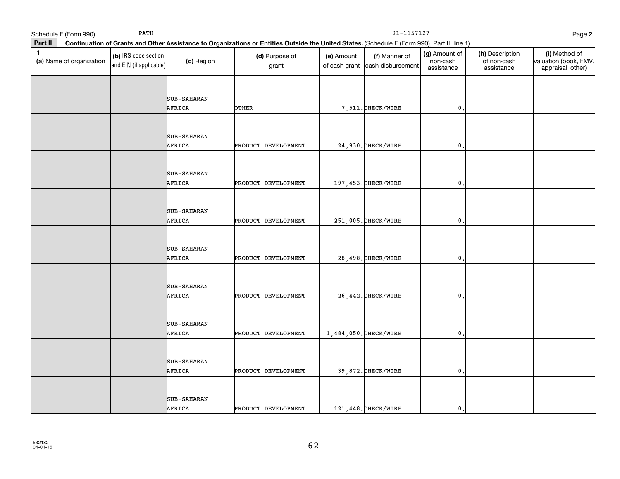|              | Schedule F (Form 990)    | PATH                                            |             | 91-1157127<br>Page 2                                                                                                                         |            |                                                  |                                         |                                              |                                                             |  |  |
|--------------|--------------------------|-------------------------------------------------|-------------|----------------------------------------------------------------------------------------------------------------------------------------------|------------|--------------------------------------------------|-----------------------------------------|----------------------------------------------|-------------------------------------------------------------|--|--|
| Part II      |                          |                                                 |             | Continuation of Grants and Other Assistance to Organizations or Entities Outside the United States. (Schedule F (Form 990), Part II, line 1) |            |                                                  |                                         |                                              |                                                             |  |  |
| $\mathbf{1}$ | (a) Name of organization | (b) IRS code section<br>and EIN (if applicable) | (c) Region  | (d) Purpose of<br>grant                                                                                                                      | (e) Amount | (f) Manner of<br>of cash grant cash disbursement | (g) Amount of<br>non-cash<br>assistance | (h) Description<br>of non-cash<br>assistance | (i) Method of<br>valuation (book, FMV,<br>appraisal, other) |  |  |
|              |                          |                                                 |             |                                                                                                                                              |            |                                                  |                                         |                                              |                                                             |  |  |
|              |                          |                                                 | SUB-SAHARAN |                                                                                                                                              |            |                                                  |                                         |                                              |                                                             |  |  |
|              |                          |                                                 | AFRICA      | OTHER                                                                                                                                        |            | 7,511. CHECK/WIRE                                | $\mathbf{0}$                            |                                              |                                                             |  |  |
|              |                          |                                                 |             |                                                                                                                                              |            |                                                  |                                         |                                              |                                                             |  |  |
|              |                          |                                                 | SUB-SAHARAN |                                                                                                                                              |            |                                                  |                                         |                                              |                                                             |  |  |
|              |                          |                                                 | AFRICA      | PRODUCT DEVELOPMENT                                                                                                                          |            | 24,930. CHECK/WIRE                               | $\mathbf{0}$ .                          |                                              |                                                             |  |  |
|              |                          |                                                 |             |                                                                                                                                              |            |                                                  |                                         |                                              |                                                             |  |  |
|              |                          |                                                 | SUB-SAHARAN |                                                                                                                                              |            |                                                  |                                         |                                              |                                                             |  |  |
|              |                          |                                                 | AFRICA      | PRODUCT DEVELOPMENT                                                                                                                          |            | 197, 453. CHECK/WIRE                             | $\mathbf{0}$                            |                                              |                                                             |  |  |
|              |                          |                                                 |             |                                                                                                                                              |            |                                                  |                                         |                                              |                                                             |  |  |
|              |                          |                                                 | SUB-SAHARAN |                                                                                                                                              |            |                                                  |                                         |                                              |                                                             |  |  |
|              |                          |                                                 | AFRICA      | PRODUCT DEVELOPMENT                                                                                                                          |            | 251,005. CHECK/WIRE                              | $\mathbf{0}$ .                          |                                              |                                                             |  |  |
|              |                          |                                                 |             |                                                                                                                                              |            |                                                  |                                         |                                              |                                                             |  |  |
|              |                          |                                                 | SUB-SAHARAN |                                                                                                                                              |            |                                                  |                                         |                                              |                                                             |  |  |
|              |                          |                                                 | AFRICA      | PRODUCT DEVELOPMENT                                                                                                                          |            | 28,498. CHECK/WIRE                               | $\mathbf{0}$                            |                                              |                                                             |  |  |
|              |                          |                                                 |             |                                                                                                                                              |            |                                                  |                                         |                                              |                                                             |  |  |
|              |                          |                                                 | SUB-SAHARAN |                                                                                                                                              |            |                                                  |                                         |                                              |                                                             |  |  |
|              |                          |                                                 | AFRICA      | PRODUCT DEVELOPMENT                                                                                                                          |            | 26, 442. CHECK/WIRE                              | $\mathfrak{o}$ .                        |                                              |                                                             |  |  |
|              |                          |                                                 |             |                                                                                                                                              |            |                                                  |                                         |                                              |                                                             |  |  |
|              |                          |                                                 | SUB-SAHARAN |                                                                                                                                              |            |                                                  |                                         |                                              |                                                             |  |  |
|              |                          |                                                 | AFRICA      | PRODUCT DEVELOPMENT                                                                                                                          |            | 1,484,050. CHECK/WIRE                            | 0.                                      |                                              |                                                             |  |  |
|              |                          |                                                 |             |                                                                                                                                              |            |                                                  |                                         |                                              |                                                             |  |  |
|              |                          |                                                 | SUB-SAHARAN |                                                                                                                                              |            |                                                  |                                         |                                              |                                                             |  |  |
|              |                          |                                                 | AFRICA      | PRODUCT DEVELOPMENT                                                                                                                          |            | 39,872. CHECK/WIRE                               | $\mathbf{0}$ .                          |                                              |                                                             |  |  |
|              |                          |                                                 |             |                                                                                                                                              |            |                                                  |                                         |                                              |                                                             |  |  |
|              |                          |                                                 | SUB-SAHARAN |                                                                                                                                              |            |                                                  |                                         |                                              |                                                             |  |  |
|              |                          |                                                 | AFRICA      | PRODUCT DEVELOPMENT                                                                                                                          |            | 121, 448. CHECK/WIRE                             | $\mathbf{0}$ .                          |                                              |                                                             |  |  |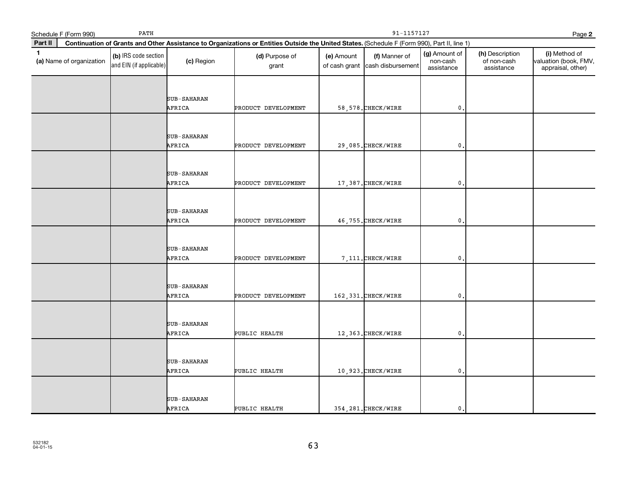|              | PATH<br>Schedule F (Form 990) |                                                 |                    | 91-1157127<br>Page 2                                                                                                                         |            |                                                  |                                         |                                              |                                                             |  |
|--------------|-------------------------------|-------------------------------------------------|--------------------|----------------------------------------------------------------------------------------------------------------------------------------------|------------|--------------------------------------------------|-----------------------------------------|----------------------------------------------|-------------------------------------------------------------|--|
| Part II      |                               |                                                 |                    | Continuation of Grants and Other Assistance to Organizations or Entities Outside the United States. (Schedule F (Form 990), Part II, line 1) |            |                                                  |                                         |                                              |                                                             |  |
| $\mathbf{1}$ | (a) Name of organization      | (b) IRS code section<br>and EIN (if applicable) | (c) Region         | (d) Purpose of<br>grant                                                                                                                      | (e) Amount | (f) Manner of<br>of cash grant cash disbursement | (g) Amount of<br>non-cash<br>assistance | (h) Description<br>of non-cash<br>assistance | (i) Method of<br>valuation (book, FMV,<br>appraisal, other) |  |
|              |                               |                                                 |                    |                                                                                                                                              |            |                                                  |                                         |                                              |                                                             |  |
|              |                               |                                                 | SUB-SAHARAN        |                                                                                                                                              |            |                                                  |                                         |                                              |                                                             |  |
|              |                               |                                                 | AFRICA             | PRODUCT DEVELOPMENT                                                                                                                          |            | 58, 578. CHECK/WIRE                              | $\mathbf 0$ .                           |                                              |                                                             |  |
|              |                               |                                                 |                    |                                                                                                                                              |            |                                                  |                                         |                                              |                                                             |  |
|              |                               |                                                 | SUB-SAHARAN        |                                                                                                                                              |            |                                                  |                                         |                                              |                                                             |  |
|              |                               |                                                 | AFRICA             | PRODUCT DEVELOPMENT                                                                                                                          |            | 29,085. CHECK/WIRE                               | $\mathfrak{o}$ .                        |                                              |                                                             |  |
|              |                               |                                                 |                    |                                                                                                                                              |            |                                                  |                                         |                                              |                                                             |  |
|              |                               |                                                 | <b>SUB-SAHARAN</b> |                                                                                                                                              |            |                                                  |                                         |                                              |                                                             |  |
|              |                               |                                                 | AFRICA             | PRODUCT DEVELOPMENT                                                                                                                          |            | 17,387. CHECK/WIRE                               | $\mathbf 0$ .                           |                                              |                                                             |  |
|              |                               |                                                 |                    |                                                                                                                                              |            |                                                  |                                         |                                              |                                                             |  |
|              |                               |                                                 | <b>SUB-SAHARAN</b> |                                                                                                                                              |            |                                                  |                                         |                                              |                                                             |  |
|              |                               |                                                 | AFRICA             | PRODUCT DEVELOPMENT                                                                                                                          |            | 46,755. CHECK/WIRE                               | $\mathbf{0}$ .                          |                                              |                                                             |  |
|              |                               |                                                 |                    |                                                                                                                                              |            |                                                  |                                         |                                              |                                                             |  |
|              |                               |                                                 | SUB-SAHARAN        |                                                                                                                                              |            |                                                  |                                         |                                              |                                                             |  |
|              |                               |                                                 | AFRICA             | PRODUCT DEVELOPMENT                                                                                                                          |            | 7,111. CHECK/WIRE                                | $\mathbf{0}$                            |                                              |                                                             |  |
|              |                               |                                                 |                    |                                                                                                                                              |            |                                                  |                                         |                                              |                                                             |  |
|              |                               |                                                 | <b>SUB-SAHARAN</b> |                                                                                                                                              |            |                                                  |                                         |                                              |                                                             |  |
|              |                               |                                                 | AFRICA             | PRODUCT DEVELOPMENT                                                                                                                          |            | 162, 331. CHECK/WIRE                             | $\mathbf{0}$ .                          |                                              |                                                             |  |
|              |                               |                                                 |                    |                                                                                                                                              |            |                                                  |                                         |                                              |                                                             |  |
|              |                               |                                                 | SUB-SAHARAN        |                                                                                                                                              |            |                                                  |                                         |                                              |                                                             |  |
|              |                               |                                                 | AFRICA             | PUBLIC HEALTH                                                                                                                                |            | 12,363. CHECK/WIRE                               | 0,                                      |                                              |                                                             |  |
|              |                               |                                                 |                    |                                                                                                                                              |            |                                                  |                                         |                                              |                                                             |  |
|              |                               |                                                 | <b>SUB-SAHARAN</b> |                                                                                                                                              |            |                                                  |                                         |                                              |                                                             |  |
|              |                               |                                                 | AFRICA             | PUBLIC HEALTH                                                                                                                                |            | $10,923.$ CHECK/WIRE                             | $\mathbf{0}$ .                          |                                              |                                                             |  |
|              |                               |                                                 |                    |                                                                                                                                              |            |                                                  |                                         |                                              |                                                             |  |
|              |                               |                                                 | SUB-SAHARAN        |                                                                                                                                              |            |                                                  |                                         |                                              |                                                             |  |
|              |                               |                                                 | AFRICA             | PUBLIC HEALTH                                                                                                                                |            | 354, 281. CHECK/WIRE                             | $\mathbf{0}$ .                          |                                              |                                                             |  |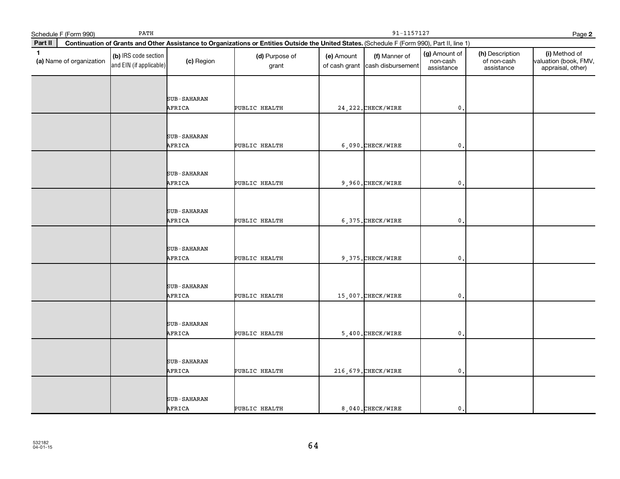|              | PATH<br>Schedule F (Form 990) |                                                 |                    |                                                                                                                                              | 91-1157127<br>Page 2 |                                                  |                                         |                                              |                                                             |  |  |
|--------------|-------------------------------|-------------------------------------------------|--------------------|----------------------------------------------------------------------------------------------------------------------------------------------|----------------------|--------------------------------------------------|-----------------------------------------|----------------------------------------------|-------------------------------------------------------------|--|--|
| Part II      |                               |                                                 |                    | Continuation of Grants and Other Assistance to Organizations or Entities Outside the United States. (Schedule F (Form 990), Part II, line 1) |                      |                                                  |                                         |                                              |                                                             |  |  |
| $\mathbf{1}$ | (a) Name of organization      | (b) IRS code section<br>and EIN (if applicable) | (c) Region         | (d) Purpose of<br>grant                                                                                                                      | (e) Amount           | (f) Manner of<br>of cash grant cash disbursement | (g) Amount of<br>non-cash<br>assistance | (h) Description<br>of non-cash<br>assistance | (i) Method of<br>valuation (book, FMV,<br>appraisal, other) |  |  |
|              |                               |                                                 |                    |                                                                                                                                              |                      |                                                  |                                         |                                              |                                                             |  |  |
|              |                               |                                                 | <b>SUB-SAHARAN</b> |                                                                                                                                              |                      |                                                  |                                         |                                              |                                                             |  |  |
|              |                               |                                                 | AFRICA             | PUBLIC HEALTH                                                                                                                                |                      | 24, 222. CHECK/WIRE                              | $\mathbf 0$ .                           |                                              |                                                             |  |  |
|              |                               |                                                 |                    |                                                                                                                                              |                      |                                                  |                                         |                                              |                                                             |  |  |
|              |                               |                                                 | SUB-SAHARAN        |                                                                                                                                              |                      |                                                  |                                         |                                              |                                                             |  |  |
|              |                               |                                                 | AFRICA             | PUBLIC HEALTH                                                                                                                                |                      | 6,090. CHECK/WIRE                                | $\mathfrak{o}$ .                        |                                              |                                                             |  |  |
|              |                               |                                                 |                    |                                                                                                                                              |                      |                                                  |                                         |                                              |                                                             |  |  |
|              |                               |                                                 | <b>SUB-SAHARAN</b> |                                                                                                                                              |                      |                                                  |                                         |                                              |                                                             |  |  |
|              |                               |                                                 | AFRICA             | PUBLIC HEALTH                                                                                                                                |                      | 9,960. CHECK/WIRE                                | $\mathbf 0$ .                           |                                              |                                                             |  |  |
|              |                               |                                                 |                    |                                                                                                                                              |                      |                                                  |                                         |                                              |                                                             |  |  |
|              |                               |                                                 | <b>SUB-SAHARAN</b> |                                                                                                                                              |                      |                                                  |                                         |                                              |                                                             |  |  |
|              |                               |                                                 | AFRICA             | PUBLIC HEALTH                                                                                                                                |                      | 6,375. CHECK/WIRE                                | $\mathbf{0}$ .                          |                                              |                                                             |  |  |
|              |                               |                                                 |                    |                                                                                                                                              |                      |                                                  |                                         |                                              |                                                             |  |  |
|              |                               |                                                 | SUB-SAHARAN        |                                                                                                                                              |                      |                                                  |                                         |                                              |                                                             |  |  |
|              |                               |                                                 | AFRICA             | PUBLIC HEALTH                                                                                                                                |                      | 9,375. CHECK/WIRE                                | $\mathbf{0}$                            |                                              |                                                             |  |  |
|              |                               |                                                 |                    |                                                                                                                                              |                      |                                                  |                                         |                                              |                                                             |  |  |
|              |                               |                                                 | <b>SUB-SAHARAN</b> |                                                                                                                                              |                      |                                                  |                                         |                                              |                                                             |  |  |
|              |                               |                                                 | AFRICA             | PUBLIC HEALTH                                                                                                                                |                      | 15,007. CHECK/WIRE                               | $\mathbf{0}$ .                          |                                              |                                                             |  |  |
|              |                               |                                                 |                    |                                                                                                                                              |                      |                                                  |                                         |                                              |                                                             |  |  |
|              |                               |                                                 | SUB-SAHARAN        |                                                                                                                                              |                      |                                                  |                                         |                                              |                                                             |  |  |
|              |                               |                                                 | AFRICA             | PUBLIC HEALTH                                                                                                                                |                      | 5,400. CHECK/WIRE                                | 0.                                      |                                              |                                                             |  |  |
|              |                               |                                                 |                    |                                                                                                                                              |                      |                                                  |                                         |                                              |                                                             |  |  |
|              |                               |                                                 | <b>SUB-SAHARAN</b> |                                                                                                                                              |                      |                                                  |                                         |                                              |                                                             |  |  |
|              |                               |                                                 | AFRICA             | PUBLIC HEALTH                                                                                                                                |                      | 216, 679. CHECK/WIRE                             | $\mathbf{0}$ .                          |                                              |                                                             |  |  |
|              |                               |                                                 |                    |                                                                                                                                              |                      |                                                  |                                         |                                              |                                                             |  |  |
|              |                               |                                                 | SUB-SAHARAN        |                                                                                                                                              |                      |                                                  |                                         |                                              |                                                             |  |  |
|              |                               |                                                 | AFRICA             | PUBLIC HEALTH                                                                                                                                |                      | 8,040. CHECK/WIRE                                | $\mathbf{0}$ .                          |                                              |                                                             |  |  |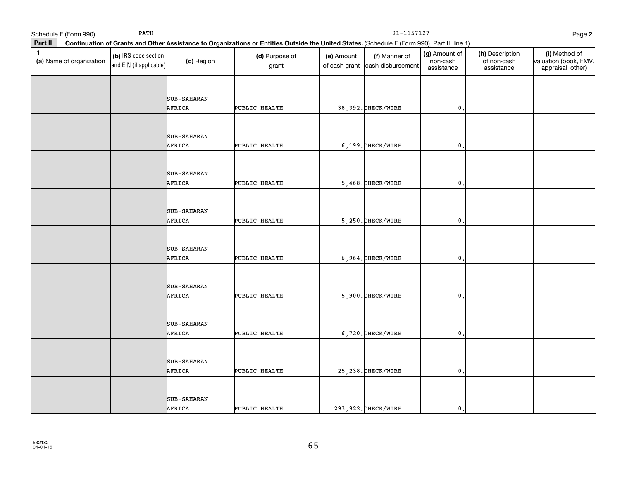|              | PATH<br>Schedule F (Form 990) |                                                 |                    |                                                                                                                                              | 91-1157127<br>Page 2 |                                                  |                                         |                                              |                                                             |  |  |
|--------------|-------------------------------|-------------------------------------------------|--------------------|----------------------------------------------------------------------------------------------------------------------------------------------|----------------------|--------------------------------------------------|-----------------------------------------|----------------------------------------------|-------------------------------------------------------------|--|--|
| Part II      |                               |                                                 |                    | Continuation of Grants and Other Assistance to Organizations or Entities Outside the United States. (Schedule F (Form 990), Part II, line 1) |                      |                                                  |                                         |                                              |                                                             |  |  |
| $\mathbf{1}$ | (a) Name of organization      | (b) IRS code section<br>and EIN (if applicable) | (c) Region         | (d) Purpose of<br>grant                                                                                                                      | (e) Amount           | (f) Manner of<br>of cash grant cash disbursement | (g) Amount of<br>non-cash<br>assistance | (h) Description<br>of non-cash<br>assistance | (i) Method of<br>valuation (book, FMV,<br>appraisal, other) |  |  |
|              |                               |                                                 |                    |                                                                                                                                              |                      |                                                  |                                         |                                              |                                                             |  |  |
|              |                               |                                                 | <b>SUB-SAHARAN</b> |                                                                                                                                              |                      |                                                  |                                         |                                              |                                                             |  |  |
|              |                               |                                                 | AFRICA             | PUBLIC HEALTH                                                                                                                                |                      | 38, 392. CHECK/WIRE                              | $\mathbf 0$ .                           |                                              |                                                             |  |  |
|              |                               |                                                 |                    |                                                                                                                                              |                      |                                                  |                                         |                                              |                                                             |  |  |
|              |                               |                                                 | SUB-SAHARAN        |                                                                                                                                              |                      |                                                  |                                         |                                              |                                                             |  |  |
|              |                               |                                                 | AFRICA             | PUBLIC HEALTH                                                                                                                                |                      | 6,199. CHECK/WIRE                                | $\mathfrak{o}$ .                        |                                              |                                                             |  |  |
|              |                               |                                                 |                    |                                                                                                                                              |                      |                                                  |                                         |                                              |                                                             |  |  |
|              |                               |                                                 | <b>SUB-SAHARAN</b> |                                                                                                                                              |                      |                                                  |                                         |                                              |                                                             |  |  |
|              |                               |                                                 | AFRICA             | PUBLIC HEALTH                                                                                                                                |                      | 5,468. CHECK/WIRE                                | $\mathbf 0$ .                           |                                              |                                                             |  |  |
|              |                               |                                                 |                    |                                                                                                                                              |                      |                                                  |                                         |                                              |                                                             |  |  |
|              |                               |                                                 | <b>SUB-SAHARAN</b> |                                                                                                                                              |                      |                                                  |                                         |                                              |                                                             |  |  |
|              |                               |                                                 | AFRICA             | PUBLIC HEALTH                                                                                                                                |                      | 5.250. CHECK/WIRE                                | $\mathbf{0}$ .                          |                                              |                                                             |  |  |
|              |                               |                                                 |                    |                                                                                                                                              |                      |                                                  |                                         |                                              |                                                             |  |  |
|              |                               |                                                 | SUB-SAHARAN        |                                                                                                                                              |                      |                                                  |                                         |                                              |                                                             |  |  |
|              |                               |                                                 | AFRICA             | PUBLIC HEALTH                                                                                                                                |                      | 6,964. CHECK/WIRE                                | $\mathbf{0}$                            |                                              |                                                             |  |  |
|              |                               |                                                 |                    |                                                                                                                                              |                      |                                                  |                                         |                                              |                                                             |  |  |
|              |                               |                                                 | <b>SUB-SAHARAN</b> |                                                                                                                                              |                      |                                                  |                                         |                                              |                                                             |  |  |
|              |                               |                                                 | AFRICA             | PUBLIC HEALTH                                                                                                                                |                      | 5,900. CHECK/WIRE                                | $\mathbf{0}$ .                          |                                              |                                                             |  |  |
|              |                               |                                                 |                    |                                                                                                                                              |                      |                                                  |                                         |                                              |                                                             |  |  |
|              |                               |                                                 | <b>SUB-SAHARAN</b> |                                                                                                                                              |                      |                                                  |                                         |                                              |                                                             |  |  |
|              |                               |                                                 | AFRICA             | PUBLIC HEALTH                                                                                                                                |                      | 6,720. CHECK/WIRE                                | 0.                                      |                                              |                                                             |  |  |
|              |                               |                                                 |                    |                                                                                                                                              |                      |                                                  |                                         |                                              |                                                             |  |  |
|              |                               |                                                 | <b>SUB-SAHARAN</b> |                                                                                                                                              |                      |                                                  |                                         |                                              |                                                             |  |  |
|              |                               |                                                 | AFRICA             | PUBLIC HEALTH                                                                                                                                |                      | 25, 238. CHECK/WIRE                              | $\mathbf{0}$ .                          |                                              |                                                             |  |  |
|              |                               |                                                 |                    |                                                                                                                                              |                      |                                                  |                                         |                                              |                                                             |  |  |
|              |                               |                                                 | SUB-SAHARAN        |                                                                                                                                              |                      |                                                  |                                         |                                              |                                                             |  |  |
|              |                               |                                                 | AFRICA             | PUBLIC HEALTH                                                                                                                                |                      | 293, 922. CHECK/WIRE                             | $\mathbf{0}$ .                          |                                              |                                                             |  |  |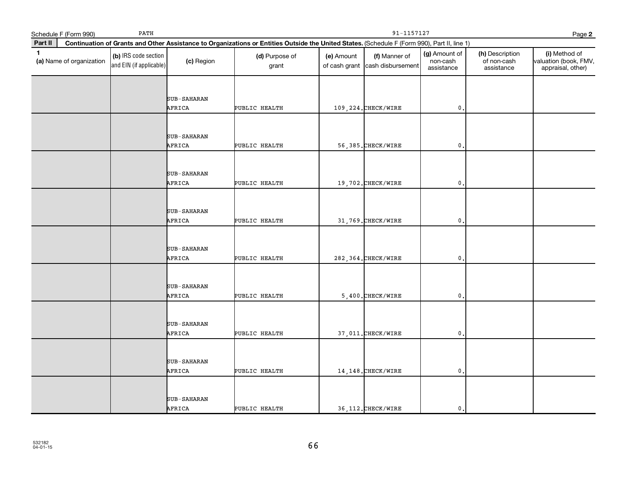|              | Schedule F (Form 990)    | 91-1157127<br>Page 2                            |                    |                                                                                                                                              |            |                                                  |                                         |                                              |                                                             |
|--------------|--------------------------|-------------------------------------------------|--------------------|----------------------------------------------------------------------------------------------------------------------------------------------|------------|--------------------------------------------------|-----------------------------------------|----------------------------------------------|-------------------------------------------------------------|
| Part II      |                          |                                                 |                    | Continuation of Grants and Other Assistance to Organizations or Entities Outside the United States. (Schedule F (Form 990), Part II, line 1) |            |                                                  |                                         |                                              |                                                             |
| $\mathbf{1}$ | (a) Name of organization | (b) IRS code section<br>and EIN (if applicable) | (c) Region         | (d) Purpose of<br>grant                                                                                                                      | (e) Amount | (f) Manner of<br>of cash grant cash disbursement | (g) Amount of<br>non-cash<br>assistance | (h) Description<br>of non-cash<br>assistance | (i) Method of<br>valuation (book, FMV,<br>appraisal, other) |
|              |                          |                                                 |                    |                                                                                                                                              |            |                                                  |                                         |                                              |                                                             |
|              |                          |                                                 | <b>SUB-SAHARAN</b> |                                                                                                                                              |            |                                                  |                                         |                                              |                                                             |
|              |                          |                                                 | AFRICA             | PUBLIC HEALTH                                                                                                                                |            | 109, 224. CHECK/WIRE                             | $\mathbf 0$ .                           |                                              |                                                             |
|              |                          |                                                 |                    |                                                                                                                                              |            |                                                  |                                         |                                              |                                                             |
|              |                          |                                                 | SUB-SAHARAN        |                                                                                                                                              |            |                                                  |                                         |                                              |                                                             |
|              |                          |                                                 | AFRICA             | PUBLIC HEALTH                                                                                                                                |            | 56,385. CHECK/WIRE                               | $\mathfrak o$ .                         |                                              |                                                             |
|              |                          |                                                 |                    |                                                                                                                                              |            |                                                  |                                         |                                              |                                                             |
|              |                          |                                                 | <b>SUB-SAHARAN</b> |                                                                                                                                              |            |                                                  |                                         |                                              |                                                             |
|              |                          |                                                 | AFRICA             | PUBLIC HEALTH                                                                                                                                |            | 19,702. CHECK/WIRE                               | $\mathbf 0$ .                           |                                              |                                                             |
|              |                          |                                                 |                    |                                                                                                                                              |            |                                                  |                                         |                                              |                                                             |
|              |                          |                                                 | <b>SUB-SAHARAN</b> |                                                                                                                                              |            |                                                  |                                         |                                              |                                                             |
|              |                          |                                                 | AFRICA             | PUBLIC HEALTH                                                                                                                                |            | 31,769. CHECK/WIRE                               | $\mathbf{0}$ .                          |                                              |                                                             |
|              |                          |                                                 |                    |                                                                                                                                              |            |                                                  |                                         |                                              |                                                             |
|              |                          |                                                 | SUB-SAHARAN        |                                                                                                                                              |            |                                                  |                                         |                                              |                                                             |
|              |                          |                                                 | AFRICA             | PUBLIC HEALTH                                                                                                                                |            | 282, 364. CHECK/WIRE                             | $\mathbf{0}$                            |                                              |                                                             |
|              |                          |                                                 |                    |                                                                                                                                              |            |                                                  |                                         |                                              |                                                             |
|              |                          |                                                 | <b>SUB-SAHARAN</b> |                                                                                                                                              |            |                                                  |                                         |                                              |                                                             |
|              |                          |                                                 | AFRICA             | PUBLIC HEALTH                                                                                                                                |            | 5,400. CHECK/WIRE                                | $\mathbf{0}$ .                          |                                              |                                                             |
|              |                          |                                                 |                    |                                                                                                                                              |            |                                                  |                                         |                                              |                                                             |
|              |                          |                                                 | SUB-SAHARAN        |                                                                                                                                              |            |                                                  |                                         |                                              |                                                             |
|              |                          |                                                 | AFRICA             | PUBLIC HEALTH                                                                                                                                |            | 37,011. CHECK/WIRE                               | 0.                                      |                                              |                                                             |
|              |                          |                                                 |                    |                                                                                                                                              |            |                                                  |                                         |                                              |                                                             |
|              |                          |                                                 | <b>SUB-SAHARAN</b> |                                                                                                                                              |            |                                                  |                                         |                                              |                                                             |
|              |                          |                                                 | AFRICA             | PUBLIC HEALTH                                                                                                                                |            | 14, 148. CHECK/WIRE                              | $\mathbf{0}$ .                          |                                              |                                                             |
|              |                          |                                                 |                    |                                                                                                                                              |            |                                                  |                                         |                                              |                                                             |
|              |                          |                                                 | SUB-SAHARAN        |                                                                                                                                              |            |                                                  |                                         |                                              |                                                             |
|              |                          |                                                 | AFRICA             | PUBLIC HEALTH                                                                                                                                |            | 36, 112. CHECK/WIRE                              | $\mathbf{0}$ .                          |                                              |                                                             |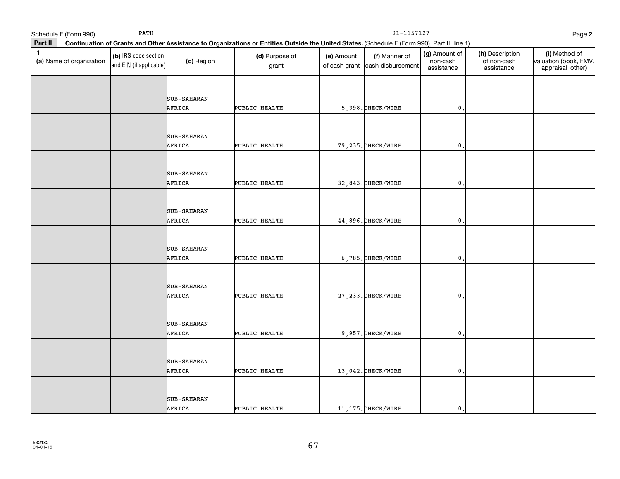|              | Schedule F (Form 990)    | PATH                                            |             | 91-1157127<br>Page 2                                                                                                                         |            |                                                  |                                         |                                              |                                                             |  |
|--------------|--------------------------|-------------------------------------------------|-------------|----------------------------------------------------------------------------------------------------------------------------------------------|------------|--------------------------------------------------|-----------------------------------------|----------------------------------------------|-------------------------------------------------------------|--|
| Part II      |                          |                                                 |             | Continuation of Grants and Other Assistance to Organizations or Entities Outside the United States. (Schedule F (Form 990), Part II, line 1) |            |                                                  |                                         |                                              |                                                             |  |
| $\mathbf{1}$ | (a) Name of organization | (b) IRS code section<br>and EIN (if applicable) | (c) Region  | (d) Purpose of<br>grant                                                                                                                      | (e) Amount | (f) Manner of<br>of cash grant cash disbursement | (g) Amount of<br>non-cash<br>assistance | (h) Description<br>of non-cash<br>assistance | (i) Method of<br>valuation (book, FMV,<br>appraisal, other) |  |
|              |                          |                                                 |             |                                                                                                                                              |            |                                                  |                                         |                                              |                                                             |  |
|              |                          |                                                 | SUB-SAHARAN |                                                                                                                                              |            |                                                  |                                         |                                              |                                                             |  |
|              |                          |                                                 | AFRICA      | PUBLIC HEALTH                                                                                                                                |            | 5,398. CHECK/WIRE                                | $\mathbf 0$ .                           |                                              |                                                             |  |
|              |                          |                                                 |             |                                                                                                                                              |            |                                                  |                                         |                                              |                                                             |  |
|              |                          |                                                 | SUB-SAHARAN |                                                                                                                                              |            |                                                  |                                         |                                              |                                                             |  |
|              |                          |                                                 | AFRICA      | PUBLIC HEALTH                                                                                                                                |            | 79, 235. CHECK/WIRE                              | $\mathfrak o$ .                         |                                              |                                                             |  |
|              |                          |                                                 |             |                                                                                                                                              |            |                                                  |                                         |                                              |                                                             |  |
|              |                          |                                                 | SUB-SAHARAN |                                                                                                                                              |            |                                                  |                                         |                                              |                                                             |  |
|              |                          |                                                 | AFRICA      | PUBLIC HEALTH                                                                                                                                |            | 32,843. CHECK/WIRE                               | $\mathbf{0}$                            |                                              |                                                             |  |
|              |                          |                                                 |             |                                                                                                                                              |            |                                                  |                                         |                                              |                                                             |  |
|              |                          |                                                 | SUB-SAHARAN |                                                                                                                                              |            |                                                  |                                         |                                              |                                                             |  |
|              |                          |                                                 | AFRICA      | PUBLIC HEALTH                                                                                                                                |            | 44,896. CHECK/WIRE                               | $\mathbf{0}$ .                          |                                              |                                                             |  |
|              |                          |                                                 |             |                                                                                                                                              |            |                                                  |                                         |                                              |                                                             |  |
|              |                          |                                                 | SUB-SAHARAN |                                                                                                                                              |            |                                                  |                                         |                                              |                                                             |  |
|              |                          |                                                 | AFRICA      | PUBLIC HEALTH                                                                                                                                |            | 6,785. CHECK/WIRE                                | $\mathbf{0}$                            |                                              |                                                             |  |
|              |                          |                                                 |             |                                                                                                                                              |            |                                                  |                                         |                                              |                                                             |  |
|              |                          |                                                 | SUB-SAHARAN |                                                                                                                                              |            |                                                  |                                         |                                              |                                                             |  |
|              |                          |                                                 | AFRICA      | PUBLIC HEALTH                                                                                                                                |            | 27, 233. CHECK/WIRE                              | $\mathfrak{o}$ .                        |                                              |                                                             |  |
|              |                          |                                                 |             |                                                                                                                                              |            |                                                  |                                         |                                              |                                                             |  |
|              |                          |                                                 | SUB-SAHARAN |                                                                                                                                              |            |                                                  |                                         |                                              |                                                             |  |
|              |                          |                                                 | AFRICA      | PUBLIC HEALTH                                                                                                                                |            | 9,957. CHECK/WIRE                                | $\mathfrak o$ .                         |                                              |                                                             |  |
|              |                          |                                                 |             |                                                                                                                                              |            |                                                  |                                         |                                              |                                                             |  |
|              |                          |                                                 | SUB-SAHARAN |                                                                                                                                              |            |                                                  |                                         |                                              |                                                             |  |
|              |                          |                                                 | AFRICA      | PUBLIC HEALTH                                                                                                                                |            | 13,042. CHECK/WIRE                               | $\mathbf{0}$ .                          |                                              |                                                             |  |
|              |                          |                                                 |             |                                                                                                                                              |            |                                                  |                                         |                                              |                                                             |  |
|              |                          |                                                 | SUB-SAHARAN |                                                                                                                                              |            |                                                  |                                         |                                              |                                                             |  |
|              |                          |                                                 | AFRICA      | PUBLIC HEALTH                                                                                                                                |            | 11, 175. CHECK/WIRE                              | $\mathbf{0}$ .                          |                                              |                                                             |  |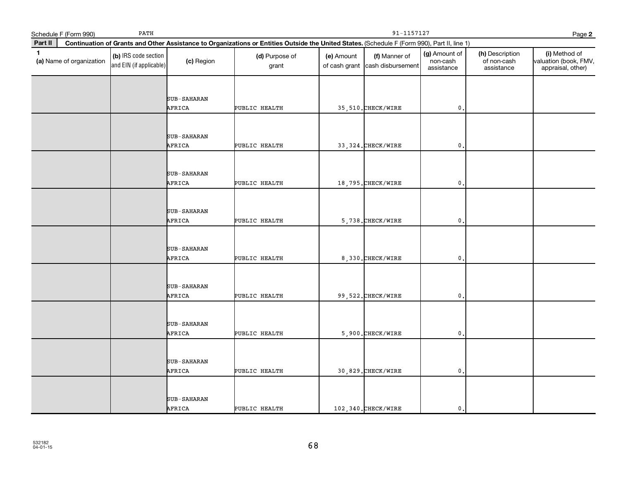|              | PATH<br>Schedule F (Form 990) |                                                 |                    |                                                                                                                                              | 91-1157127<br>Page 2 |                                                  |                                         |                                              |                                                             |  |  |
|--------------|-------------------------------|-------------------------------------------------|--------------------|----------------------------------------------------------------------------------------------------------------------------------------------|----------------------|--------------------------------------------------|-----------------------------------------|----------------------------------------------|-------------------------------------------------------------|--|--|
| Part II      |                               |                                                 |                    | Continuation of Grants and Other Assistance to Organizations or Entities Outside the United States. (Schedule F (Form 990), Part II, line 1) |                      |                                                  |                                         |                                              |                                                             |  |  |
| $\mathbf{1}$ | (a) Name of organization      | (b) IRS code section<br>and EIN (if applicable) | (c) Region         | (d) Purpose of<br>grant                                                                                                                      | (e) Amount           | (f) Manner of<br>of cash grant cash disbursement | (g) Amount of<br>non-cash<br>assistance | (h) Description<br>of non-cash<br>assistance | (i) Method of<br>valuation (book, FMV,<br>appraisal, other) |  |  |
|              |                               |                                                 |                    |                                                                                                                                              |                      |                                                  |                                         |                                              |                                                             |  |  |
|              |                               |                                                 | <b>SUB-SAHARAN</b> |                                                                                                                                              |                      |                                                  |                                         |                                              |                                                             |  |  |
|              |                               |                                                 | AFRICA             | PUBLIC HEALTH                                                                                                                                |                      | 35,510. CHECK/WIRE                               | $\mathbf 0$ .                           |                                              |                                                             |  |  |
|              |                               |                                                 |                    |                                                                                                                                              |                      |                                                  |                                         |                                              |                                                             |  |  |
|              |                               |                                                 | SUB-SAHARAN        |                                                                                                                                              |                      |                                                  |                                         |                                              |                                                             |  |  |
|              |                               |                                                 | AFRICA             | PUBLIC HEALTH                                                                                                                                |                      | 33, 324. CHECK/WIRE                              | $\mathfrak{o}$ .                        |                                              |                                                             |  |  |
|              |                               |                                                 |                    |                                                                                                                                              |                      |                                                  |                                         |                                              |                                                             |  |  |
|              |                               |                                                 | <b>SUB-SAHARAN</b> |                                                                                                                                              |                      |                                                  |                                         |                                              |                                                             |  |  |
|              |                               |                                                 | AFRICA             | PUBLIC HEALTH                                                                                                                                |                      | 18,795. CHECK/WIRE                               | $\mathbf 0$ .                           |                                              |                                                             |  |  |
|              |                               |                                                 |                    |                                                                                                                                              |                      |                                                  |                                         |                                              |                                                             |  |  |
|              |                               |                                                 | <b>SUB-SAHARAN</b> |                                                                                                                                              |                      |                                                  |                                         |                                              |                                                             |  |  |
|              |                               |                                                 | AFRICA             | PUBLIC HEALTH                                                                                                                                |                      | 5,738. CHECK/WIRE                                | $\mathbf{0}$ .                          |                                              |                                                             |  |  |
|              |                               |                                                 |                    |                                                                                                                                              |                      |                                                  |                                         |                                              |                                                             |  |  |
|              |                               |                                                 | SUB-SAHARAN        |                                                                                                                                              |                      |                                                  |                                         |                                              |                                                             |  |  |
|              |                               |                                                 | AFRICA             | PUBLIC HEALTH                                                                                                                                |                      | 8,330. CHECK/WIRE                                | $\mathbf{0}$                            |                                              |                                                             |  |  |
|              |                               |                                                 |                    |                                                                                                                                              |                      |                                                  |                                         |                                              |                                                             |  |  |
|              |                               |                                                 | <b>SUB-SAHARAN</b> |                                                                                                                                              |                      |                                                  |                                         |                                              |                                                             |  |  |
|              |                               |                                                 | AFRICA             | PUBLIC HEALTH                                                                                                                                |                      | 99, 522. CHECK/WIRE                              | $\mathbf{0}$ .                          |                                              |                                                             |  |  |
|              |                               |                                                 |                    |                                                                                                                                              |                      |                                                  |                                         |                                              |                                                             |  |  |
|              |                               |                                                 | SUB-SAHARAN        |                                                                                                                                              |                      |                                                  |                                         |                                              |                                                             |  |  |
|              |                               |                                                 | AFRICA             | PUBLIC HEALTH                                                                                                                                |                      | 5,900. CHECK/WIRE                                | $\mathfrak o$ .                         |                                              |                                                             |  |  |
|              |                               |                                                 |                    |                                                                                                                                              |                      |                                                  |                                         |                                              |                                                             |  |  |
|              |                               |                                                 | <b>SUB-SAHARAN</b> |                                                                                                                                              |                      |                                                  |                                         |                                              |                                                             |  |  |
|              |                               |                                                 | AFRICA             | PUBLIC HEALTH                                                                                                                                |                      | 30,829. CHECK/WIRE                               | $\mathbf{0}$ .                          |                                              |                                                             |  |  |
|              |                               |                                                 |                    |                                                                                                                                              |                      |                                                  |                                         |                                              |                                                             |  |  |
|              |                               |                                                 | SUB-SAHARAN        |                                                                                                                                              |                      |                                                  |                                         |                                              |                                                             |  |  |
|              |                               |                                                 | AFRICA             | PUBLIC HEALTH                                                                                                                                |                      | 102,340. CHECK/WIRE                              | $\mathbf{0}$ .                          |                                              |                                                             |  |  |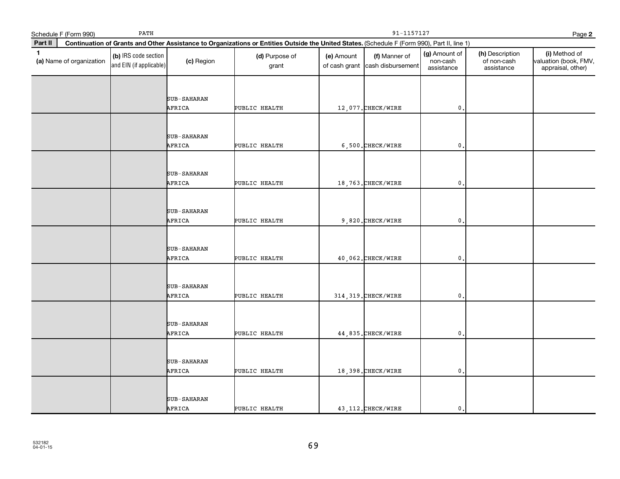|              | PATH<br>Schedule F (Form 990) |                                                 |                    |                                                                                                                                              | 91-1157127<br>Page 2 |                                                  |                                         |                                              |                                                             |  |  |
|--------------|-------------------------------|-------------------------------------------------|--------------------|----------------------------------------------------------------------------------------------------------------------------------------------|----------------------|--------------------------------------------------|-----------------------------------------|----------------------------------------------|-------------------------------------------------------------|--|--|
| Part II      |                               |                                                 |                    | Continuation of Grants and Other Assistance to Organizations or Entities Outside the United States. (Schedule F (Form 990), Part II, line 1) |                      |                                                  |                                         |                                              |                                                             |  |  |
| $\mathbf{1}$ | (a) Name of organization      | (b) IRS code section<br>and EIN (if applicable) | (c) Region         | (d) Purpose of<br>grant                                                                                                                      | (e) Amount           | (f) Manner of<br>of cash grant cash disbursement | (g) Amount of<br>non-cash<br>assistance | (h) Description<br>of non-cash<br>assistance | (i) Method of<br>valuation (book, FMV,<br>appraisal, other) |  |  |
|              |                               |                                                 |                    |                                                                                                                                              |                      |                                                  |                                         |                                              |                                                             |  |  |
|              |                               |                                                 | <b>SUB-SAHARAN</b> |                                                                                                                                              |                      |                                                  |                                         |                                              |                                                             |  |  |
|              |                               |                                                 | AFRICA             | PUBLIC HEALTH                                                                                                                                |                      | 12,077. CHECK/WIRE                               | $\mathbf 0$ .                           |                                              |                                                             |  |  |
|              |                               |                                                 |                    |                                                                                                                                              |                      |                                                  |                                         |                                              |                                                             |  |  |
|              |                               |                                                 | SUB-SAHARAN        |                                                                                                                                              |                      |                                                  |                                         |                                              |                                                             |  |  |
|              |                               |                                                 | AFRICA             | PUBLIC HEALTH                                                                                                                                |                      | 6,500. CHECK/WIRE                                | $\mathfrak{o}$ .                        |                                              |                                                             |  |  |
|              |                               |                                                 |                    |                                                                                                                                              |                      |                                                  |                                         |                                              |                                                             |  |  |
|              |                               |                                                 | <b>SUB-SAHARAN</b> |                                                                                                                                              |                      |                                                  |                                         |                                              |                                                             |  |  |
|              |                               |                                                 | AFRICA             | PUBLIC HEALTH                                                                                                                                |                      | 18,763. CHECK/WIRE                               | $\mathbf 0$ .                           |                                              |                                                             |  |  |
|              |                               |                                                 |                    |                                                                                                                                              |                      |                                                  |                                         |                                              |                                                             |  |  |
|              |                               |                                                 | <b>SUB-SAHARAN</b> |                                                                                                                                              |                      |                                                  |                                         |                                              |                                                             |  |  |
|              |                               |                                                 | AFRICA             | PUBLIC HEALTH                                                                                                                                |                      | 9,820. CHECK/WIRE                                | $\mathbf{0}$ .                          |                                              |                                                             |  |  |
|              |                               |                                                 |                    |                                                                                                                                              |                      |                                                  |                                         |                                              |                                                             |  |  |
|              |                               |                                                 | SUB-SAHARAN        |                                                                                                                                              |                      |                                                  |                                         |                                              |                                                             |  |  |
|              |                               |                                                 | AFRICA             | PUBLIC HEALTH                                                                                                                                |                      | 40,062. CHECK/WIRE                               | $\mathbf{0}$                            |                                              |                                                             |  |  |
|              |                               |                                                 |                    |                                                                                                                                              |                      |                                                  |                                         |                                              |                                                             |  |  |
|              |                               |                                                 | <b>SUB-SAHARAN</b> |                                                                                                                                              |                      |                                                  |                                         |                                              |                                                             |  |  |
|              |                               |                                                 | AFRICA             | PUBLIC HEALTH                                                                                                                                |                      | 314, 319. CHECK/WIRE                             | $\mathbf{0}$ .                          |                                              |                                                             |  |  |
|              |                               |                                                 |                    |                                                                                                                                              |                      |                                                  |                                         |                                              |                                                             |  |  |
|              |                               |                                                 | SUB-SAHARAN        |                                                                                                                                              |                      |                                                  |                                         |                                              |                                                             |  |  |
|              |                               |                                                 | AFRICA             | PUBLIC HEALTH                                                                                                                                |                      | 44,835. CHECK/WIRE                               | $\mathfrak o$ .                         |                                              |                                                             |  |  |
|              |                               |                                                 |                    |                                                                                                                                              |                      |                                                  |                                         |                                              |                                                             |  |  |
|              |                               |                                                 | <b>SUB-SAHARAN</b> |                                                                                                                                              |                      |                                                  |                                         |                                              |                                                             |  |  |
|              |                               |                                                 | AFRICA             | PUBLIC HEALTH                                                                                                                                |                      | 18,398. CHECK/WIRE                               | $\mathbf{0}$ .                          |                                              |                                                             |  |  |
|              |                               |                                                 |                    |                                                                                                                                              |                      |                                                  |                                         |                                              |                                                             |  |  |
|              |                               |                                                 | SUB-SAHARAN        |                                                                                                                                              |                      |                                                  |                                         |                                              |                                                             |  |  |
|              |                               |                                                 | AFRICA             | PUBLIC HEALTH                                                                                                                                |                      | 43, 112. CHECK/WIRE                              | $\mathbf{0}$ .                          |                                              |                                                             |  |  |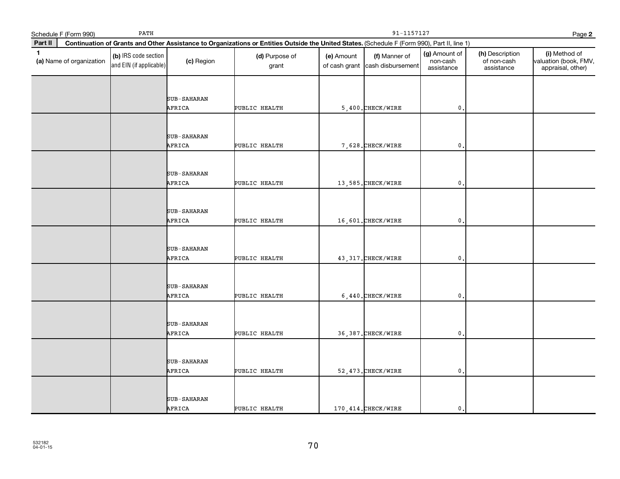|              | PATH<br>Schedule F (Form 990) |                                                 |                    |                                                                                                                                              | 91-1157127<br>Page 2 |                                                  |                                         |                                              |                                                             |  |  |
|--------------|-------------------------------|-------------------------------------------------|--------------------|----------------------------------------------------------------------------------------------------------------------------------------------|----------------------|--------------------------------------------------|-----------------------------------------|----------------------------------------------|-------------------------------------------------------------|--|--|
| Part II      |                               |                                                 |                    | Continuation of Grants and Other Assistance to Organizations or Entities Outside the United States. (Schedule F (Form 990), Part II, line 1) |                      |                                                  |                                         |                                              |                                                             |  |  |
| $\mathbf{1}$ | (a) Name of organization      | (b) IRS code section<br>and EIN (if applicable) | (c) Region         | (d) Purpose of<br>grant                                                                                                                      | (e) Amount           | (f) Manner of<br>of cash grant cash disbursement | (g) Amount of<br>non-cash<br>assistance | (h) Description<br>of non-cash<br>assistance | (i) Method of<br>valuation (book, FMV,<br>appraisal, other) |  |  |
|              |                               |                                                 |                    |                                                                                                                                              |                      |                                                  |                                         |                                              |                                                             |  |  |
|              |                               |                                                 | <b>SUB-SAHARAN</b> |                                                                                                                                              |                      |                                                  |                                         |                                              |                                                             |  |  |
|              |                               |                                                 | AFRICA             | PUBLIC HEALTH                                                                                                                                |                      | 5,400. CHECK/WIRE                                | $\mathbf 0$ .                           |                                              |                                                             |  |  |
|              |                               |                                                 |                    |                                                                                                                                              |                      |                                                  |                                         |                                              |                                                             |  |  |
|              |                               |                                                 | SUB-SAHARAN        |                                                                                                                                              |                      |                                                  |                                         |                                              |                                                             |  |  |
|              |                               |                                                 | AFRICA             | PUBLIC HEALTH                                                                                                                                |                      | 7,628. CHECK/WIRE                                | $\mathfrak{o}$ .                        |                                              |                                                             |  |  |
|              |                               |                                                 |                    |                                                                                                                                              |                      |                                                  |                                         |                                              |                                                             |  |  |
|              |                               |                                                 | <b>SUB-SAHARAN</b> |                                                                                                                                              |                      |                                                  |                                         |                                              |                                                             |  |  |
|              |                               |                                                 | AFRICA             | PUBLIC HEALTH                                                                                                                                |                      | 13,585. CHECK/WIRE                               | $\mathbf 0$ .                           |                                              |                                                             |  |  |
|              |                               |                                                 |                    |                                                                                                                                              |                      |                                                  |                                         |                                              |                                                             |  |  |
|              |                               |                                                 | <b>SUB-SAHARAN</b> |                                                                                                                                              |                      |                                                  |                                         |                                              |                                                             |  |  |
|              |                               |                                                 | AFRICA             | PUBLIC HEALTH                                                                                                                                |                      | 16,601. CHECK/WIRE                               | $\mathbf{0}$ .                          |                                              |                                                             |  |  |
|              |                               |                                                 |                    |                                                                                                                                              |                      |                                                  |                                         |                                              |                                                             |  |  |
|              |                               |                                                 | SUB-SAHARAN        |                                                                                                                                              |                      |                                                  |                                         |                                              |                                                             |  |  |
|              |                               |                                                 | AFRICA             | PUBLIC HEALTH                                                                                                                                |                      | 43, 317. CHECK/WIRE                              | $\mathbf{0}$                            |                                              |                                                             |  |  |
|              |                               |                                                 |                    |                                                                                                                                              |                      |                                                  |                                         |                                              |                                                             |  |  |
|              |                               |                                                 | <b>SUB-SAHARAN</b> |                                                                                                                                              |                      |                                                  |                                         |                                              |                                                             |  |  |
|              |                               |                                                 | AFRICA             | PUBLIC HEALTH                                                                                                                                |                      | $6,440.$ CHECK/WIRE                              | $\mathbf{0}$ .                          |                                              |                                                             |  |  |
|              |                               |                                                 |                    |                                                                                                                                              |                      |                                                  |                                         |                                              |                                                             |  |  |
|              |                               |                                                 | SUB-SAHARAN        |                                                                                                                                              |                      |                                                  |                                         |                                              |                                                             |  |  |
|              |                               |                                                 | AFRICA             | PUBLIC HEALTH                                                                                                                                |                      | 36,387. CHECK/WIRE                               | $\mathfrak o$ .                         |                                              |                                                             |  |  |
|              |                               |                                                 |                    |                                                                                                                                              |                      |                                                  |                                         |                                              |                                                             |  |  |
|              |                               |                                                 | <b>SUB-SAHARAN</b> |                                                                                                                                              |                      |                                                  |                                         |                                              |                                                             |  |  |
|              |                               |                                                 | AFRICA             | PUBLIC HEALTH                                                                                                                                |                      | 52,473. CHECK/WIRE                               | $\mathbf{0}$ .                          |                                              |                                                             |  |  |
|              |                               |                                                 |                    |                                                                                                                                              |                      |                                                  |                                         |                                              |                                                             |  |  |
|              |                               |                                                 | SUB-SAHARAN        |                                                                                                                                              |                      |                                                  |                                         |                                              |                                                             |  |  |
|              |                               |                                                 | AFRICA             | PUBLIC HEALTH                                                                                                                                |                      | 170, 414. CHECK/WIRE                             | $\mathbf{0}$ .                          |                                              |                                                             |  |  |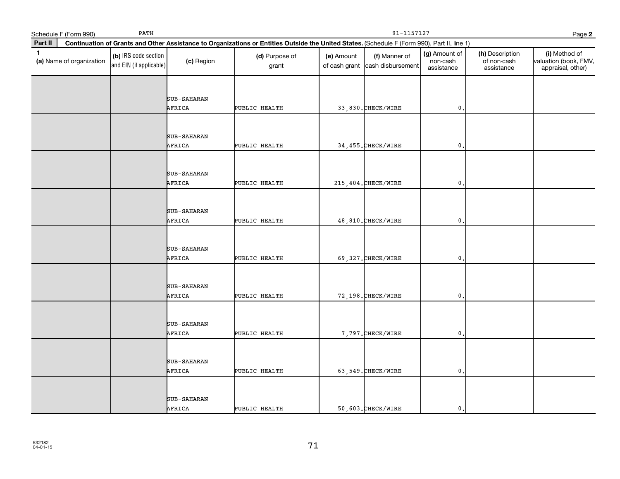|              | Schedule F (Form 990)    | 91-1157127<br>Page 2                            |                    |                                                                                                                                              |            |                                                  |                                         |                                              |                                                             |
|--------------|--------------------------|-------------------------------------------------|--------------------|----------------------------------------------------------------------------------------------------------------------------------------------|------------|--------------------------------------------------|-----------------------------------------|----------------------------------------------|-------------------------------------------------------------|
| Part II      |                          |                                                 |                    | Continuation of Grants and Other Assistance to Organizations or Entities Outside the United States. (Schedule F (Form 990), Part II, line 1) |            |                                                  |                                         |                                              |                                                             |
| $\mathbf{1}$ | (a) Name of organization | (b) IRS code section<br>and EIN (if applicable) | (c) Region         | (d) Purpose of<br>grant                                                                                                                      | (e) Amount | (f) Manner of<br>of cash grant cash disbursement | (g) Amount of<br>non-cash<br>assistance | (h) Description<br>of non-cash<br>assistance | (i) Method of<br>valuation (book, FMV,<br>appraisal, other) |
|              |                          |                                                 |                    |                                                                                                                                              |            |                                                  |                                         |                                              |                                                             |
|              |                          |                                                 | <b>SUB-SAHARAN</b> |                                                                                                                                              |            |                                                  |                                         |                                              |                                                             |
|              |                          |                                                 | AFRICA             | PUBLIC HEALTH                                                                                                                                |            | 33,830. CHECK/WIRE                               | $\mathbf 0$ .                           |                                              |                                                             |
|              |                          |                                                 |                    |                                                                                                                                              |            |                                                  |                                         |                                              |                                                             |
|              |                          |                                                 | SUB-SAHARAN        |                                                                                                                                              |            |                                                  |                                         |                                              |                                                             |
|              |                          |                                                 | AFRICA             | PUBLIC HEALTH                                                                                                                                |            | 34, 455. CHECK/WIRE                              | $\mathbf{0}$ .                          |                                              |                                                             |
|              |                          |                                                 |                    |                                                                                                                                              |            |                                                  |                                         |                                              |                                                             |
|              |                          |                                                 | <b>SUB-SAHARAN</b> |                                                                                                                                              |            |                                                  |                                         |                                              |                                                             |
|              |                          |                                                 | AFRICA             | PUBLIC HEALTH                                                                                                                                |            | 215, 404. CHECK/WIRE                             | $\mathbf 0$ .                           |                                              |                                                             |
|              |                          |                                                 |                    |                                                                                                                                              |            |                                                  |                                         |                                              |                                                             |
|              |                          |                                                 | <b>SUB-SAHARAN</b> |                                                                                                                                              |            |                                                  |                                         |                                              |                                                             |
|              |                          |                                                 | AFRICA             | PUBLIC HEALTH                                                                                                                                |            | 48,810. CHECK/WIRE                               | $\mathbf{0}$ .                          |                                              |                                                             |
|              |                          |                                                 |                    |                                                                                                                                              |            |                                                  |                                         |                                              |                                                             |
|              |                          |                                                 | SUB-SAHARAN        |                                                                                                                                              |            |                                                  |                                         |                                              |                                                             |
|              |                          |                                                 | AFRICA             | PUBLIC HEALTH                                                                                                                                |            | 69,327. CHECK/WIRE                               | $\mathbf{0}$                            |                                              |                                                             |
|              |                          |                                                 |                    |                                                                                                                                              |            |                                                  |                                         |                                              |                                                             |
|              |                          |                                                 | <b>SUB-SAHARAN</b> |                                                                                                                                              |            |                                                  |                                         |                                              |                                                             |
|              |                          |                                                 | AFRICA             | PUBLIC HEALTH                                                                                                                                |            | 72,198. CHECK/WIRE                               | $\mathbf{0}$ .                          |                                              |                                                             |
|              |                          |                                                 |                    |                                                                                                                                              |            |                                                  |                                         |                                              |                                                             |
|              |                          |                                                 | SUB-SAHARAN        |                                                                                                                                              |            |                                                  |                                         |                                              |                                                             |
|              |                          |                                                 | AFRICA             | PUBLIC HEALTH                                                                                                                                |            | 7,797. CHECK/WIRE                                | $\mathfrak o$ .                         |                                              |                                                             |
|              |                          |                                                 |                    |                                                                                                                                              |            |                                                  |                                         |                                              |                                                             |
|              |                          |                                                 | <b>SUB-SAHARAN</b> |                                                                                                                                              |            |                                                  |                                         |                                              |                                                             |
|              |                          |                                                 | AFRICA             | PUBLIC HEALTH                                                                                                                                |            | 63,549. CHECK/WIRE                               | $\mathbf{0}$ .                          |                                              |                                                             |
|              |                          |                                                 |                    |                                                                                                                                              |            |                                                  |                                         |                                              |                                                             |
|              |                          |                                                 | SUB-SAHARAN        |                                                                                                                                              |            |                                                  |                                         |                                              |                                                             |
|              |                          |                                                 | AFRICA             | PUBLIC HEALTH                                                                                                                                |            | 50,603. CHECK/WIRE                               | $\mathbf{0}$ .                          |                                              |                                                             |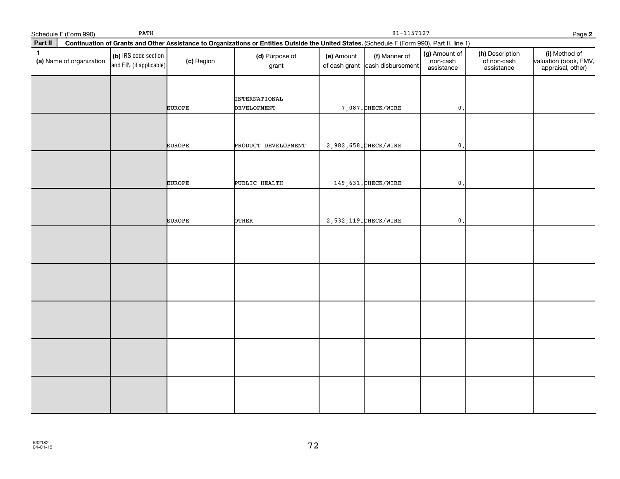|              | Schedule F (Form 990)    | PATH                                            |               | $91 - 1157127$<br>Page 2                                                                                                                     |                                     |                                    |                                         |                                              |                                                             |  |
|--------------|--------------------------|-------------------------------------------------|---------------|----------------------------------------------------------------------------------------------------------------------------------------------|-------------------------------------|------------------------------------|-----------------------------------------|----------------------------------------------|-------------------------------------------------------------|--|
| Part II      |                          |                                                 |               | Continuation of Grants and Other Assistance to Organizations or Entities Outside the United States. (Schedule F (Form 990), Part II, line 1) |                                     |                                    |                                         |                                              |                                                             |  |
| $\mathbf{1}$ | (a) Name of organization | (b) IRS code section<br>and EIN (if applicable) | (c) Region    | (d) Purpose of<br>grant                                                                                                                      | (e) Amount<br>of cash grant $\vert$ | (f) Manner of<br>cash disbursement | (g) Amount of<br>non-cash<br>assistance | (h) Description<br>of non-cash<br>assistance | (i) Method of<br>valuation (book, FMV,<br>appraisal, other) |  |
|              |                          |                                                 | <b>EUROPE</b> | INTERNATIONAL<br><b>DEVELOPMENT</b>                                                                                                          |                                     | 7,087. CHECK/WIRE                  | $\mathfrak{o}$ .                        |                                              |                                                             |  |
|              |                          |                                                 | <b>EUROPE</b> | PRODUCT DEVELOPMENT                                                                                                                          |                                     | 2,982,658. CHECK/WIRE              | $\mathbf 0$ .                           |                                              |                                                             |  |
|              |                          |                                                 | <b>EUROPE</b> | PUBLIC HEALTH                                                                                                                                |                                     | 149, 631. CHECK/WIRE               | $\mathbf 0$ .                           |                                              |                                                             |  |
|              |                          |                                                 | <b>EUROPE</b> | OTHER                                                                                                                                        |                                     | 2,532,119. CHECK/WIRE              | $\mathbf{0}$                            |                                              |                                                             |  |
|              |                          |                                                 |               |                                                                                                                                              |                                     |                                    |                                         |                                              |                                                             |  |
|              |                          |                                                 |               |                                                                                                                                              |                                     |                                    |                                         |                                              |                                                             |  |
|              |                          |                                                 |               |                                                                                                                                              |                                     |                                    |                                         |                                              |                                                             |  |
|              |                          |                                                 |               |                                                                                                                                              |                                     |                                    |                                         |                                              |                                                             |  |
|              |                          |                                                 |               |                                                                                                                                              |                                     |                                    |                                         |                                              |                                                             |  |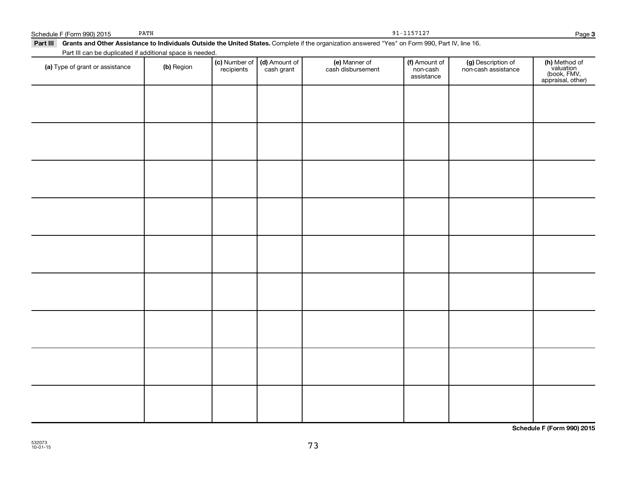91-1157127

# Part III Grants and Other Assistance to Individuals Outside the United States. Complete if the organization answered "Yes" on Form 990, Part IV, line 16. (a) Type of grant or assistance (b) Region (b) Region (c) Number of (d) Amount of (e) Manner of (f) Amount of (f)<br>Region (cash grant cash dishursement pop-cash non-cash assistance v Part III can be duplicated if additional space is needed. (c) Number of recipients (d) Amount of cash grant (e) Manner of cash disbursement (f) Amount of non-cash assistance (g) Description of non-cash assistance **(h)** Method of<br>valuation<br>(book, FMV,<br>appraisal, other)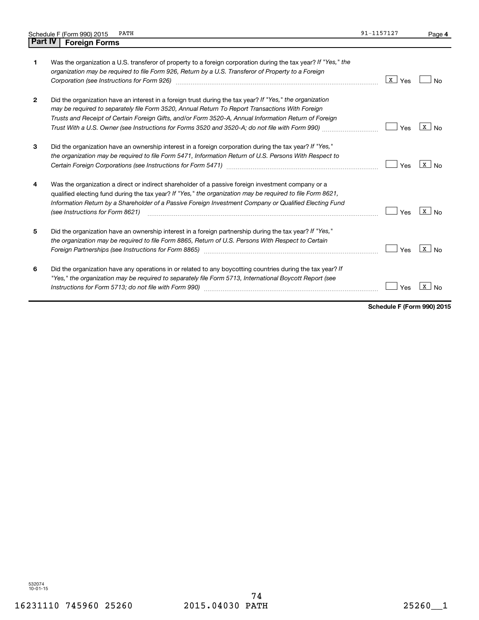|         | Schedule F (Form 990) 2015<br>PATH                                                                                                                                                                                                                                                                                                                                                                                      | 91-1157127 | Page 4                    |
|---------|-------------------------------------------------------------------------------------------------------------------------------------------------------------------------------------------------------------------------------------------------------------------------------------------------------------------------------------------------------------------------------------------------------------------------|------------|---------------------------|
| Part IV | <b>Foreign Forms</b>                                                                                                                                                                                                                                                                                                                                                                                                    |            |                           |
| 1       | Was the organization a U.S. transferor of property to a foreign corporation during the tax year? If "Yes," the<br>organization may be required to file Form 926, Return by a U.S. Transferor of Property to a Foreign                                                                                                                                                                                                   | x  <br>Yes | <b>No</b>                 |
| 2       | Did the organization have an interest in a foreign trust during the tax year? If "Yes," the organization<br>may be required to separately file Form 3520, Annual Return To Report Transactions With Foreign<br>Trusts and Receipt of Certain Foreign Gifts, and/or Form 3520-A, Annual Information Return of Foreign<br>Trust With a U.S. Owner (see Instructions for Forms 3520 and 3520-A; do not file with Form 990) | Yes        | $X \mid N_{0}$            |
| 3       | Did the organization have an ownership interest in a foreign corporation during the tax year? If "Yes,"<br>the organization may be required to file Form 5471, Information Return of U.S. Persons With Respect to                                                                                                                                                                                                       | Yes        | $\mathbf{X}$<br><b>No</b> |
| 4       | Was the organization a direct or indirect shareholder of a passive foreign investment company or a<br>qualified electing fund during the tax year? If "Yes," the organization may be required to file Form 8621,<br>Information Return by a Shareholder of a Passive Foreign Investment Company or Qualified Electing Fund<br>(see Instructions for Form 8621)                                                          | Yes        | x<br>No.                  |
| 5       | Did the organization have an ownership interest in a foreign partnership during the tax year? If "Yes,"<br>the organization may be required to file Form 8865, Return of U.S. Persons With Respect to Certain                                                                                                                                                                                                           | Yes        | x  <br><b>No</b>          |
| 6       | Did the organization have any operations in or related to any boycotting countries during the tax year? If<br>"Yes," the organization may be required to separately file Form 5713, International Boycott Report (see<br>Instructions for Form 5713; do not file with Form 990)                                                                                                                                         | Yes        | X<br>No                   |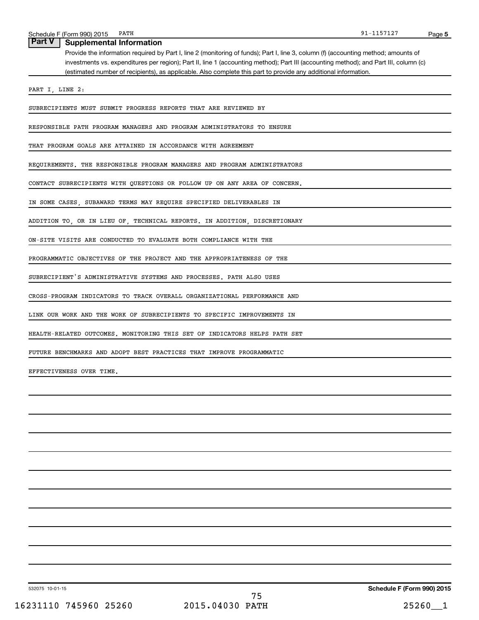## **Part V Supplemental Information**

Provide the information required by Part I, line 2 (monitoring of funds); Part I, line 3, column (f) (accounting method; amounts of investments vs. expenditures per region); Part II, line 1 (accounting method); Part III (accounting method); and Part III, column (c) (estimated number of recipients), as applicable. Also complete this part to provide any additional information.

PART I, LINE 2:

SUBRECIPIENTS MUST SUBMIT PROGRESS REPORTS THAT ARE REVIEWED BY

RESPONSIBLE PATH PROGRAM MANAGERS AND PROGRAM ADMINISTRATORS TO ENSURE

THAT PROGRAM GOALS ARE ATTAINED IN ACCORDANCE WITH AGREEMENT

REQUIREMENTS. THE RESPONSIBLE PROGRAM MANAGERS AND PROGRAM ADMINISTRATORS

CONTACT SUBRECIPIENTS WITH QUESTIONS OR FOLLOW UP ON ANY AREA OF CONCERN.

IN SOME CASES, SUBAWARD TERMS MAY REQUIRE SPECIFIED DELIVERABLES IN

ADDITION TO, OR IN LIEU OF, TECHNICAL REPORTS. IN ADDITION, DISCRETIONARY

ON-SITE VISITS ARE CONDUCTED TO EVALUATE BOTH COMPLIANCE WITH THE

PROGRAMMATIC OBJECTIVES OF THE PROJECT AND THE APPROPRIATENESS OF THE

SUBRECIPIENT'S ADMINISTRATIVE SYSTEMS AND PROCESSES. PATH ALSO USES

CROSS-PROGRAM INDICATORS TO TRACK OVERALL ORGANIZATIONAL PERFORMANCE AND

LINK OUR WORK AND THE WORK OF SUBRECIPIENTS TO SPECIFIC IMPROVEMENTS IN

HEALTH-RELATED OUTCOMES. MONITORING THIS SET OF INDICATORS HELPS PATH SET

FUTURE BENCHMARKS AND ADOPT BEST PRACTICES THAT IMPROVE PROGRAMMATIC

EFFECTIVENESS OVER TIME.

532075 10-01-15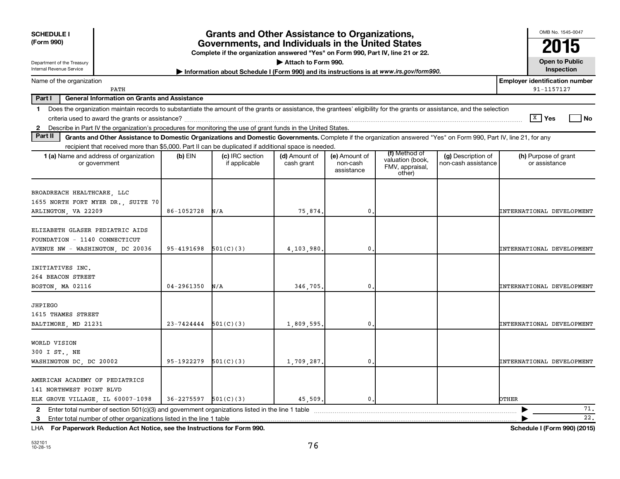| <b>SCHEDULE I</b><br>(Form 990)<br>Department of the Treasury                                                                                                                                                                                                                                                   |                | <b>Grants and Other Assistance to Organizations,</b><br>Governments, and Individuals in the United States<br>Complete if the organization answered "Yes" on Form 990, Part IV, line 21 or 22. | Attach to Form 990.         |                                         |                                                                |                                           | OMB No. 1545-0047<br><b>Open to Public</b>          |
|-----------------------------------------------------------------------------------------------------------------------------------------------------------------------------------------------------------------------------------------------------------------------------------------------------------------|----------------|-----------------------------------------------------------------------------------------------------------------------------------------------------------------------------------------------|-----------------------------|-----------------------------------------|----------------------------------------------------------------|-------------------------------------------|-----------------------------------------------------|
| Internal Revenue Service                                                                                                                                                                                                                                                                                        |                | Information about Schedule I (Form 990) and its instructions is at www.irs.gov/form990.                                                                                                       |                             |                                         |                                                                |                                           | Inspection                                          |
| Name of the organization<br>PATH                                                                                                                                                                                                                                                                                |                |                                                                                                                                                                                               |                             |                                         |                                                                |                                           | <b>Employer identification number</b><br>91-1157127 |
| Part I<br><b>General Information on Grants and Assistance</b>                                                                                                                                                                                                                                                   |                |                                                                                                                                                                                               |                             |                                         |                                                                |                                           |                                                     |
| Does the organization maintain records to substantiate the amount of the grants or assistance, the grantees' eligibility for the grants or assistance, and the selection<br>1.<br>Describe in Part IV the organization's procedures for monitoring the use of grant funds in the United States.<br>$\mathbf{2}$ |                |                                                                                                                                                                                               |                             |                                         |                                                                |                                           | $\sqrt{X}$ Yes<br>l No                              |
| Part II<br>Grants and Other Assistance to Domestic Organizations and Domestic Governments. Complete if the organization answered "Yes" on Form 990, Part IV, line 21, for any                                                                                                                                   |                |                                                                                                                                                                                               |                             |                                         |                                                                |                                           |                                                     |
| recipient that received more than \$5,000. Part II can be duplicated if additional space is needed.<br>1 (a) Name and address of organization<br>or government                                                                                                                                                  | (b) EIN        | (c) IRC section<br>if applicable                                                                                                                                                              | (d) Amount of<br>cash grant | (e) Amount of<br>non-cash<br>assistance | (f) Method of<br>valuation (book,<br>FMV, appraisal,<br>other) | (g) Description of<br>non-cash assistance | (h) Purpose of grant<br>or assistance               |
| BROADREACH HEALTHCARE, LLC<br>1655 NORTH FORT MYER DR., SUITE 70<br>ARLINGTON, VA 22209                                                                                                                                                                                                                         | 86-1052728     | N/A                                                                                                                                                                                           | 75,874                      | 0                                       |                                                                |                                           | INTERNATIONAL DEVELOPMENT                           |
| ELIZABETH GLASER PEDIATRIC AIDS<br>FOUNDATION - 1140 CONNECTICUT<br>AVENUE NW - WASHINGTON, DC 20036                                                                                                                                                                                                            | 95-4191698     | 501(C)(3)                                                                                                                                                                                     | 4,103,980.                  | 0                                       |                                                                |                                           | INTERNATIONAL DEVELOPMENT                           |
| INITIATIVES INC.<br>264 BEACON STREET<br>BOSTON, MA 02116                                                                                                                                                                                                                                                       | $04 - 2961350$ | N/A                                                                                                                                                                                           | 346,705                     | 0                                       |                                                                |                                           | INTERNATIONAL DEVELOPMENT                           |
| JHPIEGO<br>1615 THAMES STREET<br>BALTIMORE, MD 21231                                                                                                                                                                                                                                                            | 23-7424444     | 501(C)(3)                                                                                                                                                                                     | 1,809,595                   | 0                                       |                                                                |                                           | INTERNATIONAL DEVELOPMENT                           |
| WORLD VISION<br>300 I ST., NE<br>WASHINGTON DC, DC 20002                                                                                                                                                                                                                                                        | 95-1922279     | 501(C)(3)                                                                                                                                                                                     | 1,709,287                   | 0                                       |                                                                |                                           | INTERNATIONAL DEVELOPMENT                           |
| AMERICAN ACADEMY OF PEDIATRICS<br>141 NORTHWEST POINT BLVD<br>ELK GROVE VILLAGE, IL 60007-1098                                                                                                                                                                                                                  | $36 - 2275597$ | 501(C)(3)                                                                                                                                                                                     | 45,509.                     | $\mathbf{0}$ .                          |                                                                |                                           | OTHER                                               |
| 2 Enter total number of section 501(c)(3) and government organizations listed in the line 1 table                                                                                                                                                                                                               |                |                                                                                                                                                                                               |                             |                                         |                                                                |                                           | 71.                                                 |
| 3                                                                                                                                                                                                                                                                                                               |                |                                                                                                                                                                                               |                             |                                         |                                                                |                                           | 22.                                                 |

**For Paperwork Reduction Act Notice, see the Instructions for Form 990. Schedule I (Form 990) (2015)** LHA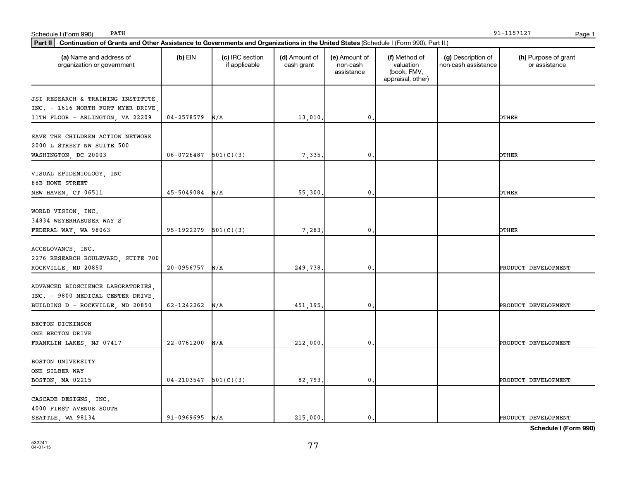| Schedule I (Form 990)<br>PATH                                                                                                                  |                          |                                  |                             |                                         |                                                                |                                           | 91-1157127<br>Page 1                  |
|------------------------------------------------------------------------------------------------------------------------------------------------|--------------------------|----------------------------------|-----------------------------|-----------------------------------------|----------------------------------------------------------------|-------------------------------------------|---------------------------------------|
| Part II<br>Continuation of Grants and Other Assistance to Governments and Organizations in the United States (Schedule I (Form 990), Part II.) |                          |                                  |                             |                                         |                                                                |                                           |                                       |
| (a) Name and address of<br>organization or government                                                                                          | (b) EIN                  | (c) IRC section<br>if applicable | (d) Amount of<br>cash grant | (e) Amount of<br>non-cash<br>assistance | (f) Method of<br>valuation<br>(book, FMV,<br>appraisal, other) | (g) Description of<br>non-cash assistance | (h) Purpose of grant<br>or assistance |
| JSI RESEARCH & TRAINING INSTITUTE<br>INC. - 1616 NORTH FORT MYER DRIVE,<br>11TH FLOOR - ARLINGTON, VA 22209                                    | 04-2578579               | N/A                              | 13,010                      | $\mathbf 0$                             |                                                                |                                           | OTHER                                 |
| SAVE THE CHILDREN ACTION NETWORK<br>2000 L STREET NW SUITE 500<br>WASHINGTON, DC 20003                                                         | $06-0726487$ $501(C)(3)$ |                                  | 7,335                       | $\mathbf 0$                             |                                                                |                                           | OTHER                                 |
| VISUAL EPIDEMIOLOGY, INC<br>88B HOWE STREET<br>NEW HAVEN, CT 06511                                                                             | $45 - 5049084$ N/A       |                                  | 55,300                      | $\mathbf{0}$                            |                                                                |                                           | <b>OTHER</b>                          |
| WORLD VISION, INC.<br>34834 WEYERHAEUSER WAY S<br>FEDERAL WAY, WA 98063                                                                        | 95-1922279               | 501(C)(3)                        | 7,283                       | $\mathbf{0}$                            |                                                                |                                           | OTHER                                 |
| ACCELOVANCE, INC.<br>2276 RESEARCH BOULEVARD, SUITE 700<br>ROCKVILLE, MD 20850                                                                 | $20 - 0956757$           | N/A                              | 249,738.                    | $\mathbf 0$                             |                                                                |                                           | PRODUCT DEVELOPMENT                   |
| ADVANCED BIOSCIENCE LABORATORIES,<br>INC. - 9800 MEDICAL CENTER DRIVE,<br>BUILDING D - ROCKVILLE, MD 20850                                     | 62-1242262               | N/A                              | 451,195.                    | $\mathbf{0}$                            |                                                                |                                           | PRODUCT DEVELOPMENT                   |
| BECTON DICKINSON<br>ONE BECTON DRIVE<br>FRANKLIN LAKES, NJ 07417                                                                               | $22 - 0761200$           | N/A                              | 212,000                     | $\mathbf 0$                             |                                                                |                                           | PRODUCT DEVELOPMENT                   |
| BOSTON UNIVERSITY<br>ONE SILBER WAY<br>BOSTON, MA 02215                                                                                        | $04-2103547$ $501(C)(3)$ |                                  | 82,793.                     | $\mathbf{0}$                            |                                                                |                                           | PRODUCT DEVELOPMENT                   |
| CASCADE DESIGNS, INC.<br>4000 FIRST AVENUE SOUTH<br>SEATTLE, WA 98134                                                                          | $91 - 0969695$ N/A       |                                  | 215,000.                    | 0.                                      |                                                                |                                           | PRODUCT DEVELOPMENT                   |

PATH 91-1157127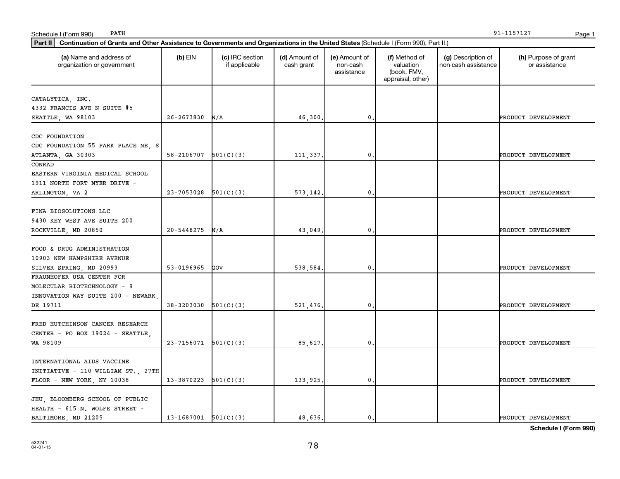| Part II<br>Continuation of Grants and Other Assistance to Governments and Organizations in the United States (Schedule I (Form 990), Part II.) |                            |                                  |                             |                                         |                                                                |                                           |                                       |  |  |
|------------------------------------------------------------------------------------------------------------------------------------------------|----------------------------|----------------------------------|-----------------------------|-----------------------------------------|----------------------------------------------------------------|-------------------------------------------|---------------------------------------|--|--|
| (a) Name and address of<br>organization or government                                                                                          | $(b)$ EIN                  | (c) IRC section<br>if applicable | (d) Amount of<br>cash grant | (e) Amount of<br>non-cash<br>assistance | (f) Method of<br>valuation<br>(book, FMV,<br>appraisal, other) | (g) Description of<br>non-cash assistance | (h) Purpose of grant<br>or assistance |  |  |
| CATALYTICA, INC.<br>4332 FRANCIS AVE N SUITE #5<br>SEATTLE, WA 98103                                                                           | 26-2673830                 | N/A                              | 46,300                      | $\mathbf{0}$ .                          |                                                                |                                           | PRODUCT DEVELOPMENT                   |  |  |
| CDC FOUNDATION<br>CDC FOUNDATION 55 PARK PLACE NE, S<br>ATLANTA, GA 30303                                                                      | 58-2106707                 | 501(C)(3)                        | 111,337                     | 0                                       |                                                                |                                           | PRODUCT DEVELOPMENT                   |  |  |
| CONRAD<br>EASTERN VIRGINIA MEDICAL SCHOOL<br>1911 NORTH FORT MYER DRIVE -<br>ARLINGTON, VA 2                                                   | 23-7053028                 | 501(C)(3)                        | 573,142                     | $\mathfrak{o}$ .                        |                                                                |                                           | PRODUCT DEVELOPMENT                   |  |  |
| FINA BIOSOLUTIONS LLC<br>9430 KEY WEST AVE SUITE 200<br>ROCKVILLE, MD 20850                                                                    | $20 - 5448275$             | N/A                              | 43,049                      | $\mathfrak{o}$ .                        |                                                                |                                           | PRODUCT DEVELOPMENT                   |  |  |
| FOOD & DRUG ADMINISTRATION<br>10903 NEW HAMPSHIRE AVENUE<br>SILVER SPRING, MD 20993                                                            | 53-0196965                 | GOV                              | 538,584                     | 0                                       |                                                                |                                           | PRODUCT DEVELOPMENT                   |  |  |
| FRAUNHOFER USA CENTER FOR<br>MOLECULAR BIOTECHNOLOGY - 9<br>INNOVATION WAY SUITE 200 - NEWARK<br>DE 19711                                      | 38-3203030                 | 501(C)(3)                        | 521,476                     | $\mathbf{0}$ .                          |                                                                |                                           | PRODUCT DEVELOPMENT                   |  |  |
| FRED HUTCHINSON CANCER RESEARCH<br>CENTER - PO BOX 19024 - SEATTLE,<br>WA 98109                                                                | $23 - 7156071$ $501(C)(3)$ |                                  | 85,617                      | $\mathfrak{o}$ .                        |                                                                |                                           | PRODUCT DEVELOPMENT                   |  |  |
| INTERNATIONAL AIDS VACCINE<br>INITIATIVE - 110 WILLIAM ST., 27TH<br>FLOOR - NEW YORK, NY 10038                                                 | 13-3870223                 | 501(C)(3)                        | 133,925                     | $\mathfrak{o}$ .                        |                                                                |                                           | PRODUCT DEVELOPMENT                   |  |  |
| JHU, BLOOMBERG SCHOOL OF PUBLIC<br>HEALTH - 615 N. WOLFE STREET -<br>BALTIMORE, MD 21205                                                       | $13-1687001$ $501(C)(3)$   |                                  | 48,636.                     | $\mathfrak{o}$ .                        |                                                                |                                           | PRODUCT DEVELOPMENT                   |  |  |

PATH 91-1157127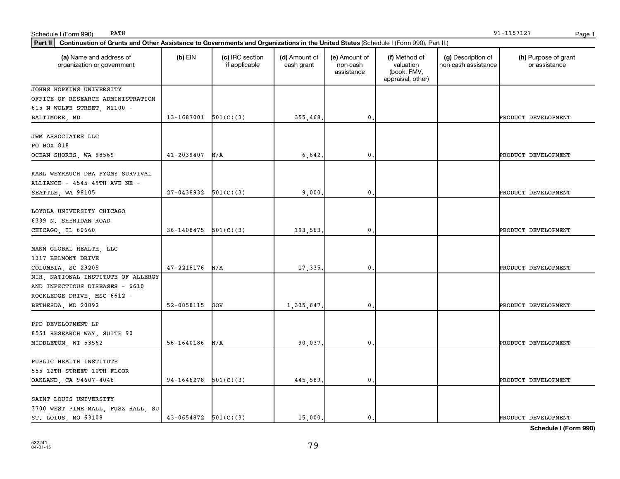| PATH<br>Schedule I (Form 990)                                                                                                                  |                          |                                  |                             |                                         |                                                                |                                           | 91-1157127<br>Page 1                  |
|------------------------------------------------------------------------------------------------------------------------------------------------|--------------------------|----------------------------------|-----------------------------|-----------------------------------------|----------------------------------------------------------------|-------------------------------------------|---------------------------------------|
| Part II<br>Continuation of Grants and Other Assistance to Governments and Organizations in the United States (Schedule I (Form 990), Part II.) |                          |                                  |                             |                                         |                                                                |                                           |                                       |
| (a) Name and address of<br>organization or government                                                                                          | $(b)$ EIN                | (c) IRC section<br>if applicable | (d) Amount of<br>cash grant | (e) Amount of<br>non-cash<br>assistance | (f) Method of<br>valuation<br>(book, FMV,<br>appraisal, other) | (g) Description of<br>non-cash assistance | (h) Purpose of grant<br>or assistance |
| JOHNS HOPKINS UNIVERSITY                                                                                                                       |                          |                                  |                             |                                         |                                                                |                                           |                                       |
| OFFICE OF RESEARCH ADMINISTRATION                                                                                                              |                          |                                  |                             |                                         |                                                                |                                           |                                       |
| 615 N WOLFE STREET, W1100 -                                                                                                                    |                          |                                  |                             |                                         |                                                                |                                           |                                       |
| BALTIMORE, MD                                                                                                                                  | $13-1687001$ $501(C)(3)$ |                                  | 355,468                     | $\mathbf{0}$ .                          |                                                                |                                           | PRODUCT DEVELOPMENT                   |
| JWM ASSOCIATES LLC<br>PO BOX 818                                                                                                               |                          |                                  |                             |                                         |                                                                |                                           |                                       |
| OCEAN SHORES, WA 98569                                                                                                                         | 41-2039407               | N/A                              | 6,642                       | $\mathbf{0}$ .                          |                                                                |                                           | PRODUCT DEVELOPMENT                   |
| KARL WEYRAUCH DBA PYGMY SURVIVAL<br>ALLIANCE - 4545 49TH AVE NE -                                                                              |                          |                                  |                             |                                         |                                                                |                                           |                                       |
| SEATTLE, WA 98105                                                                                                                              | $27-0438932$ $501(C)(3)$ |                                  | 9,000                       | $\mathbf{0}$                            |                                                                |                                           | PRODUCT DEVELOPMENT                   |
| LOYOLA UNIVERSITY CHICAGO<br>6339 N. SHERIDAN ROAD<br>CHICAGO, IL 60660                                                                        | 36-1408475               | 501(C)(3)                        | 193,563                     | $\mathbf{0}$ .                          |                                                                |                                           | PRODUCT DEVELOPMENT                   |
|                                                                                                                                                |                          |                                  |                             |                                         |                                                                |                                           |                                       |
| MANN GLOBAL HEALTH, LLC<br>1317 BELMONT DRIVE                                                                                                  |                          |                                  |                             |                                         |                                                                |                                           |                                       |
| COLUMBIA, SC 29205<br>NIH, NATIONAL INSTITUTE OF ALLERGY                                                                                       | $47 - 2218176$ N/A       |                                  | 17,335                      | $\mathbf{0}$ .                          |                                                                |                                           | PRODUCT DEVELOPMENT                   |
| AND INFECTIOUS DISEASES - 6610<br>ROCKLEDGE DRIVE, MSC 6612 -                                                                                  |                          |                                  |                             |                                         |                                                                |                                           |                                       |
| BETHESDA, MD 20892                                                                                                                             | 52-0858115               | GOV                              | 1,335,647                   | 0                                       |                                                                |                                           | PRODUCT DEVELOPMENT                   |
| PPD DEVELOPMENT LP<br>8551 RESEARCH WAY, SUITE 90                                                                                              |                          |                                  |                             |                                         |                                                                |                                           |                                       |
| MIDDLETON, WI 53562                                                                                                                            | 56-1640186               | N/A                              | 90,037                      | $\mathbf{0}$ .                          |                                                                |                                           | PRODUCT DEVELOPMENT                   |
| PUBLIC HEALTH INSTITUTE<br>555 12TH STREET 10TH FLOOR<br>OAKLAND, CA 94607-4046                                                                | 94-1646278               | 501(C)(3)                        | 445,589                     | $\mathbf{0}$ .                          |                                                                |                                           | PRODUCT DEVELOPMENT                   |
|                                                                                                                                                |                          |                                  |                             |                                         |                                                                |                                           |                                       |
| SAINT LOUIS UNIVERSITY<br>3700 WEST PINE MALL, FUSZ HALL, SU<br>ST. LOIUS, MO 63108                                                            | $43-0654872$ $501(C)(3)$ |                                  | 15,000.                     | $\mathfrak{o}$ .                        |                                                                |                                           | PRODUCT DEVELOPMENT                   |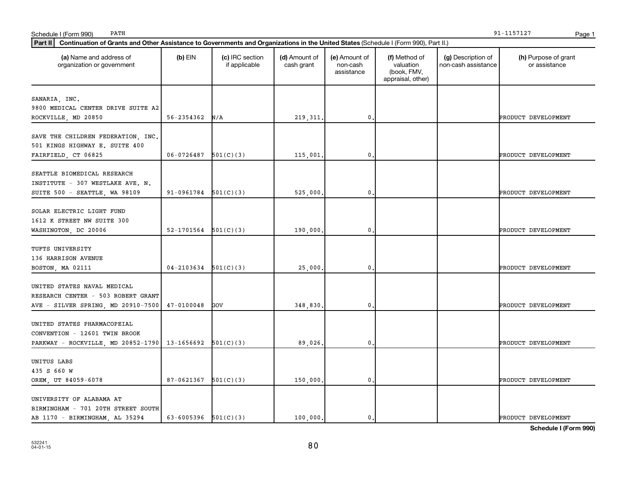| (a) Name and address of<br>organization or government                                                   | $(b)$ EIN              | (c) IRC section<br>if applicable | (d) Amount of<br>cash grant | (e) Amount of<br>non-cash<br>assistance | (f) Method of<br>valuation<br>(book, FMV,<br>appraisal, other) | (g) Description of<br>non-cash assistance | (h) Purpose of grant<br>or assistance |
|---------------------------------------------------------------------------------------------------------|------------------------|----------------------------------|-----------------------------|-----------------------------------------|----------------------------------------------------------------|-------------------------------------------|---------------------------------------|
| SANARIA, INC.<br>9800 MEDICAL CENTER DRIVE SUITE A2                                                     |                        |                                  |                             |                                         |                                                                |                                           |                                       |
| ROCKVILLE, MD 20850                                                                                     | 56-2354362             | N/A                              | 219, 311                    | $\mathbf{0}$                            |                                                                |                                           | PRODUCT DEVELOPMENT                   |
| SAVE THE CHILDREN FEDERATION, INC.<br>501 KINGS HIGHWAY E. SUITE 400<br>FAIRFIELD, CT 06825             | 06-0726487             | 501(C)(3)                        | 115,001.                    | 0                                       |                                                                |                                           | PRODUCT DEVELOPMENT                   |
| SEATTLE BIOMEDICAL RESEARCH<br>INSTITUTE - 307 WESTLAKE AVE. N.<br>SUITE 500 - SEATTLE, WA 98109        | 91-0961784             | 501(C)(3)                        | 525,000                     | $\mathbf{0}$                            |                                                                |                                           | PRODUCT DEVELOPMENT                   |
| SOLAR ELECTRIC LIGHT FUND<br>1612 K STREET NW SUITE 300<br>WASHINGTON, DC 20006                         | 52-1701564             | 501(C)(3)                        | 190,000.                    | $\mathbf{0}$                            |                                                                |                                           | PRODUCT DEVELOPMENT                   |
| TUFTS UNIVERSITY<br>136 HARRISON AVENUE<br>BOSTON, MA 02111                                             | 04-2103634             | 501(C)(3)                        | 25,000                      | $\mathbf 0$ .                           |                                                                |                                           | PRODUCT DEVELOPMENT                   |
| UNITED STATES NAVAL MEDICAL<br>RESEARCH CENTER - 503 ROBERT GRANT<br>AVE - SILVER SPRING, MD 20910-7500 | $47 - 0100048$         | GOV                              | 348,830                     | 0                                       |                                                                |                                           | PRODUCT DEVELOPMENT                   |
| UNITED STATES PHARMACOPEIAL<br>CONVENTION - 12601 TWIN BROOK<br>PARKWAY - ROCKVILLE, MD 20852-1790      | 13-1656692             | 501(C)(3)                        | 89,026                      | $\mathfrak o$ .                         |                                                                |                                           | PRODUCT DEVELOPMENT                   |
| UNITUS LABS<br>435 S 660 W<br>OREM, UT 84059-6078                                                       | 87-0621367             | 501(C)(3)                        | 150,000.                    | $\mathbf 0$ .                           |                                                                |                                           | PRODUCT DEVELOPMENT                   |
| UNIVERSITY OF ALABAMA AT<br>BIRMINGHAM - 701 20TH STREET SOUTH<br>AB 1170 - BIRMINGHAM, AL 35294        | 63-6005396 $501(C)(3)$ |                                  | 100.000.                    | $\mathbf{0}$ .                          |                                                                |                                           | PRODUCT DEVELOPMENT                   |

PATH 91-1157127

80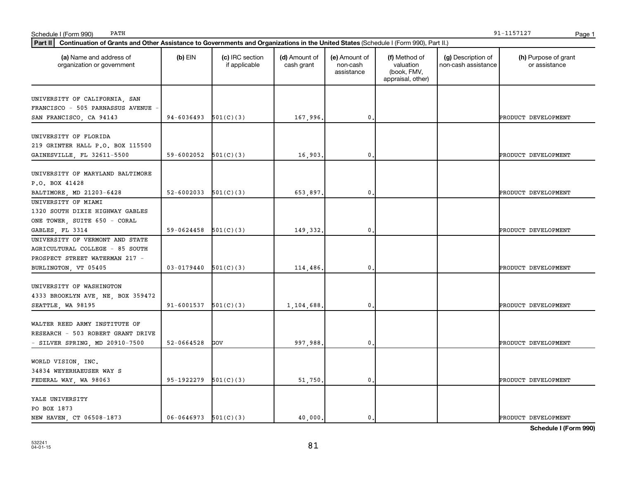| Schedule I (Form 990)<br>PATH                                                                                                                  |                              |                                  |                             |                                         |                                                                |                                           | 91-1157127<br>Page 1                  |
|------------------------------------------------------------------------------------------------------------------------------------------------|------------------------------|----------------------------------|-----------------------------|-----------------------------------------|----------------------------------------------------------------|-------------------------------------------|---------------------------------------|
| Part II<br>Continuation of Grants and Other Assistance to Governments and Organizations in the United States (Schedule I (Form 990), Part II.) |                              |                                  |                             |                                         |                                                                |                                           |                                       |
| (a) Name and address of<br>organization or government                                                                                          | $(b)$ EIN                    | (c) IRC section<br>if applicable | (d) Amount of<br>cash grant | (e) Amount of<br>non-cash<br>assistance | (f) Method of<br>valuation<br>(book, FMV,<br>appraisal, other) | (g) Description of<br>non-cash assistance | (h) Purpose of grant<br>or assistance |
| UNIVERSITY OF CALIFORNIA, SAN<br>FRANCISCO - 505 PARNASSUS AVENUE<br>SAN FRANCISCO, CA 94143                                                   | $94-6036493$ $501(C)(3)$     |                                  | 167,996                     | 0.                                      |                                                                |                                           | PRODUCT DEVELOPMENT                   |
| UNIVERSITY OF FLORIDA<br>219 GRINTER HALL P.O. BOX 115500<br>GAINESVILLE, FL 32611-5500                                                        | $59 - 6002052$ $501(C)(3)$   |                                  | 16,903                      | 0.                                      |                                                                |                                           | PRODUCT DEVELOPMENT                   |
| UNIVERSITY OF MARYLAND BALTIMORE<br>P.O. BOX 41428<br>BALTIMORE, MD 21203-6428                                                                 | 52-6002033 $\vert$ 501(C)(3) |                                  | 653,897.                    | $\mathbf 0$ .                           |                                                                |                                           | PRODUCT DEVELOPMENT                   |
| UNIVERSITY OF MIAMI<br>1320 SOUTH DIXIE HIGHWAY GABLES<br>ONE TOWER, SUITE 650 - CORAL<br>GABLES, FL 3314                                      | 59-0624458                   | 501(C)(3)                        | 149,332.                    | 0.                                      |                                                                |                                           | PRODUCT DEVELOPMENT                   |
| UNIVERSITY OF VERMONT AND STATE<br>AGRICULTURAL COLLEGE - 85 SOUTH<br>PROSPECT STREET WATERMAN 217 -<br>BURLINGTON, VT 05405                   | $03 - 0179440$ $501(C)(3)$   |                                  | 114,486                     | $\mathbf 0$ .                           |                                                                |                                           | PRODUCT DEVELOPMENT                   |
| UNIVERSITY OF WASHINGTON<br>4333 BROOKLYN AVE, NE, BOX 359472<br>SEATTLE, WA 98195                                                             | 91-6001537                   | 501(C)(3)                        | 1,104,688                   | 0.                                      |                                                                |                                           | PRODUCT DEVELOPMENT                   |
| WALTER REED ARMY INSTITUTE OF<br>RESEARCH - 503 ROBERT GRANT DRIVE<br>- SILVER SPRING, MD 20910-7500                                           | 52-0664528                   | GOV                              | 997,988                     | $\mathbf 0$ .                           |                                                                |                                           | PRODUCT DEVELOPMENT                   |
| WORLD VISION, INC.<br>34834 WEYERHAEUSER WAY S<br>FEDERAL WAY, WA 98063                                                                        | 95-1922279                   | 501(C)(3)                        | 51,750                      | $\mathbf 0$ .                           |                                                                |                                           | PRODUCT DEVELOPMENT                   |
| YALE UNIVERSITY<br>PO BOX 1873<br>NEW HAVEN, CT 06508-1873                                                                                     | $06-0646973$ $501(C)(3)$     |                                  | 40,000.                     | $\mathbf{0}$ .                          |                                                                |                                           | PRODUCT DEVELOPMENT                   |

PATH 91-1157127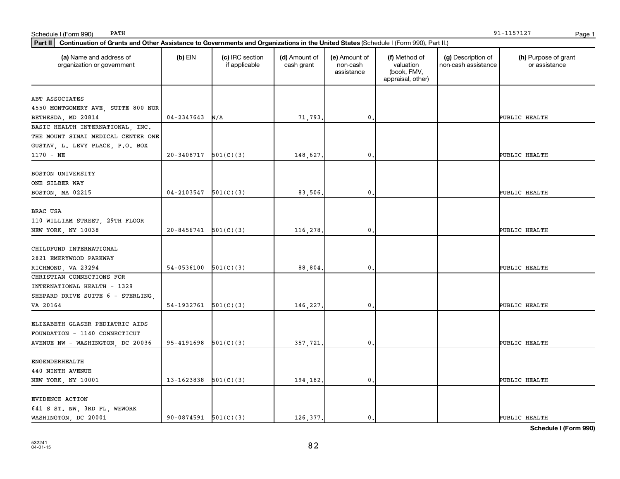| Continuation of Grants and Other Assistance to Governments and Organizations in the United States (Schedule I (Form 990), Part II.)<br>Part II |                            |                                  |                             |                                         |                                                                |                                           |                                       |  |  |
|------------------------------------------------------------------------------------------------------------------------------------------------|----------------------------|----------------------------------|-----------------------------|-----------------------------------------|----------------------------------------------------------------|-------------------------------------------|---------------------------------------|--|--|
| (a) Name and address of<br>organization or government                                                                                          | $(b)$ EIN                  | (c) IRC section<br>if applicable | (d) Amount of<br>cash grant | (e) Amount of<br>non-cash<br>assistance | (f) Method of<br>valuation<br>(book, FMV,<br>appraisal, other) | (g) Description of<br>non-cash assistance | (h) Purpose of grant<br>or assistance |  |  |
| ABT ASSOCIATES<br>4550 MONTGOMERY AVE, SUITE 800 NOR<br>BETHESDA, MD 20814                                                                     | 04-2347643                 | N/A                              | 71,793.                     | $\mathbf{0}$                            |                                                                |                                           | PUBLIC HEALTH                         |  |  |
| BASIC HEALTH INTERNATIONAL, INC.<br>THE MOUNT SINAI MEDICAL CENTER ONE<br>GUSTAV, L. LEVY PLACE, P.O. BOX<br>$1170 - NE$                       | $20-3408717$ 501(C)(3)     |                                  | 148,627.                    | 0                                       |                                                                |                                           | PUBLIC HEALTH                         |  |  |
| BOSTON UNIVERSITY<br>ONE SILBER WAY<br>BOSTON, MA 02215                                                                                        | 04-2103547                 | 501(C)(3)                        | 83,506.                     | 0                                       |                                                                |                                           | PUBLIC HEALTH                         |  |  |
| BRAC USA<br>110 WILLIAM STREET, 29TH FLOOR<br>NEW YORK, NY 10038                                                                               | $20 - 8456741$ $501(C)(3)$ |                                  | 116,278.                    | $\mathbf{0}$                            |                                                                |                                           | PUBLIC HEALTH                         |  |  |
| CHILDFUND INTERNATIONAL<br>2821 EMERYWOOD PARKWAY<br>RICHMOND, VA 23294                                                                        | 54-0536100                 | 501(C)(3)                        | 88,804.                     | 0                                       |                                                                |                                           | PUBLIC HEALTH                         |  |  |
| CHRISTIAN CONNECTIONS FOR<br>INTERNATIONAL HEALTH - 1329<br>SHEPARD DRIVE SUITE 6 - STERLING<br>VA 20164                                       | 54-1932761                 | 501(C)(3)                        | 146,227.                    | 0                                       |                                                                |                                           | PUBLIC HEALTH                         |  |  |
| ELIZABETH GLASER PEDIATRIC AIDS<br>FOUNDATION - 1140 CONNECTICUT<br>AVENUE NW - WASHINGTON, DC 20036                                           | 95-4191698                 | 501(C)(3)                        | 357,721.                    | $\mathbf{0}$                            |                                                                |                                           | PUBLIC HEALTH                         |  |  |
| ENGENDERHEALTH<br>440 NINTH AVENUE<br>NEW YORK, NY 10001                                                                                       | $13-1623838$ $501(C)(3)$   |                                  | 194,182.                    | 0                                       |                                                                |                                           | PUBLIC HEALTH                         |  |  |
| EVIDENCE ACTION<br>641 S ST. NW, 3RD FL, WEWORK<br>WASHINGTON, DC 20001                                                                        | $90-0874591$ $501(C)(3)$   |                                  | 126,377.                    | $\mathbf{0}$ .                          |                                                                |                                           | PUBLIC HEALTH                         |  |  |

PATH 91-1157127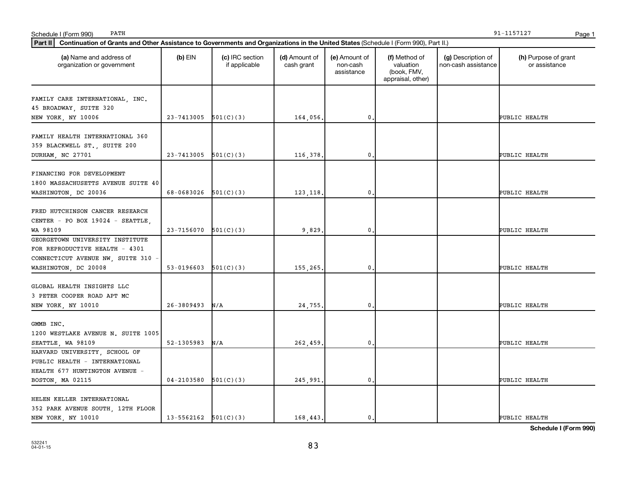| Continuation of Grants and Other Assistance to Governments and Organizations in the United States (Schedule I (Form 990), Part II.)<br>Part II |                            |                                  |                             |                                         |                                                                |                                           |                                       |  |  |
|------------------------------------------------------------------------------------------------------------------------------------------------|----------------------------|----------------------------------|-----------------------------|-----------------------------------------|----------------------------------------------------------------|-------------------------------------------|---------------------------------------|--|--|
| (a) Name and address of<br>organization or government                                                                                          | $(b)$ EIN                  | (c) IRC section<br>if applicable | (d) Amount of<br>cash grant | (e) Amount of<br>non-cash<br>assistance | (f) Method of<br>valuation<br>(book, FMV,<br>appraisal, other) | (g) Description of<br>non-cash assistance | (h) Purpose of grant<br>or assistance |  |  |
| FAMILY CARE INTERNATIONAL, INC.<br>45 BROADWAY, SUITE 320<br>NEW YORK, NY 10006                                                                | $23 - 7413005$ $501(C)(3)$ |                                  | 164,056.                    | 0.                                      |                                                                |                                           | PUBLIC HEALTH                         |  |  |
| FAMILY HEALTH INTERNATIONAL 360<br>359 BLACKWELL ST., SUITE 200<br>DURHAM, NC 27701                                                            | $23 - 7413005$ 501(C)(3)   |                                  | 116,378                     | 0                                       |                                                                |                                           | PUBLIC HEALTH                         |  |  |
| FINANCING FOR DEVELOPMENT<br>1800 MASSACHUSETTS AVENUE SUITE 40<br>WASHINGTON, DC 20036                                                        | 68-0683026                 | 501(C)(3)                        | 123,118.                    | 0                                       |                                                                |                                           | PUBLIC HEALTH                         |  |  |
| FRED HUTCHINSON CANCER RESEARCH<br>CENTER - PO BOX 19024 - SEATTLE,<br>WA 98109                                                                | $23 - 7156070$ $501(C)(3)$ |                                  | 9,829                       | 0,                                      |                                                                |                                           | PUBLIC HEALTH                         |  |  |
| GEORGETOWN UNIVERSITY INSTITUTE<br>FOR REPRODUCTIVE HEALTH - 4301<br>CONNECTICUT AVENUE NW, SUITE 310<br>WASHINGTON, DC 20008                  | 53-0196603                 | 501(C)(3)                        | 155,265.                    | 0                                       |                                                                |                                           | PUBLIC HEALTH                         |  |  |
| GLOBAL HEALTH INSIGHTS LLC<br>3 PETER COOPER ROAD APT MC<br>NEW YORK, NY 10010                                                                 | $26 - 3809493$             | N/A                              | 24,755.                     | 0                                       |                                                                |                                           | PUBLIC HEALTH                         |  |  |
| GMMB INC.<br>1200 WESTLAKE AVENUE N. SUITE 1005<br>SEATTLE, WA 98109                                                                           | 52-1305983                 | N/A                              | 262,459.                    | 0,                                      |                                                                |                                           | PUBLIC HEALTH                         |  |  |
| HARVARD UNIVERSITY, SCHOOL OF<br>PUBLIC HEALTH - INTERNATIONAL<br>HEALTH 677 HUNTINGTON AVENUE -<br>BOSTON, MA 02115                           | $04-2103580$ $501(C)(3)$   |                                  | 245,991.                    | $\mathbf{0}$                            |                                                                |                                           | PUBLIC HEALTH                         |  |  |
| HELEN KELLER INTERNATIONAL<br>352 PARK AVENUE SOUTH, 12TH FLOOR<br>NEW YORK, NY 10010                                                          | $13 - 5562162$ $501(C)(3)$ |                                  | 168,443.                    | 0.                                      |                                                                |                                           | PUBLIC HEALTH                         |  |  |

PATH 91-1157127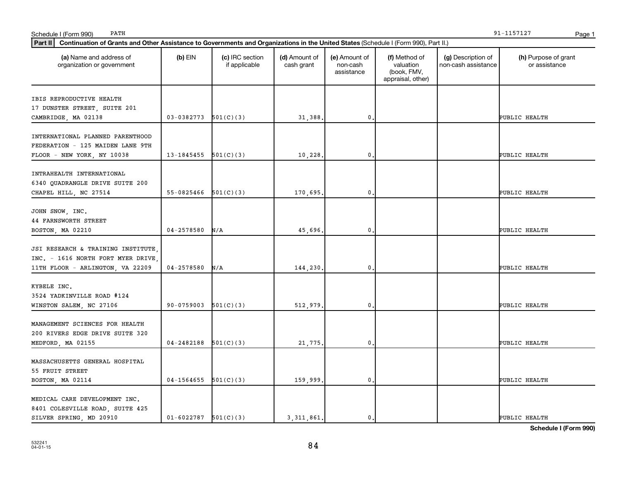| Continuation of Grants and Other Assistance to Governments and Organizations in the United States (Schedule I (Form 990), Part II.)<br>Part II |                              |                                  |                             |                                         |                                                                |                                           |                                       |  |  |
|------------------------------------------------------------------------------------------------------------------------------------------------|------------------------------|----------------------------------|-----------------------------|-----------------------------------------|----------------------------------------------------------------|-------------------------------------------|---------------------------------------|--|--|
| (a) Name and address of<br>organization or government                                                                                          | $(b)$ EIN                    | (c) IRC section<br>if applicable | (d) Amount of<br>cash grant | (e) Amount of<br>non-cash<br>assistance | (f) Method of<br>valuation<br>(book, FMV,<br>appraisal, other) | (g) Description of<br>non-cash assistance | (h) Purpose of grant<br>or assistance |  |  |
| IBIS REPRODUCTIVE HEALTH<br>17 DUNSTER STREET, SUITE 201<br>CAMBRIDGE, MA 02138                                                                | $03-0382773$ $501(C)(3)$     |                                  | 31,388.                     | $\mathbf{0}$                            |                                                                |                                           | PUBLIC HEALTH                         |  |  |
| INTERNATIONAL PLANNED PARENTHOOD<br>FEDERATION - 125 MAIDEN LANE 9TH<br>FLOOR - NEW YORK, NY 10038                                             | 13-1845455 $\vert$ 501(C)(3) |                                  | 10,228.                     | $\mathbf{0}$                            |                                                                |                                           | PUBLIC HEALTH                         |  |  |
| INTRAHEALTH INTERNATIONAL<br>6340 QUADRANGLE DRIVE SUITE 200<br>CHAPEL HILL, NC 27514                                                          | 55-0825466                   | 501(C)(3)                        | 170,695.                    | $\mathbf{0}$                            |                                                                |                                           | PUBLIC HEALTH                         |  |  |
| JOHN SNOW, INC.<br><b>44 FARNSWORTH STREET</b><br>BOSTON, MA 02210                                                                             | $04 - 2578580$               | N/A                              | 45,696.                     | $\mathbf{0}$                            |                                                                |                                           | PUBLIC HEALTH                         |  |  |
| JSI RESEARCH & TRAINING INSTITUTE<br>INC. - 1616 NORTH FORT MYER DRIVE,<br>11TH FLOOR - ARLINGTON, VA 22209                                    | $04 - 2578580$               | N/A                              | 144,230.                    | $\mathbf{0}$                            |                                                                |                                           | PUBLIC HEALTH                         |  |  |
| KYBELE INC.<br>3524 YADKINVILLE ROAD #124<br>WINSTON SALEM, NC 27106                                                                           | 90-0759003                   | 501(C)(3)                        | 512,979                     | $\mathbf{0}$                            |                                                                |                                           | PUBLIC HEALTH                         |  |  |
| MANAGEMENT SCIENCES FOR HEALTH<br>200 RIVERS EDGE DRIVE SUITE 320<br>MEDFORD, MA 02155                                                         | 04-2482188                   | 501(C)(3)                        | 21,775.                     | $\mathbf{0}$                            |                                                                |                                           | PUBLIC HEALTH                         |  |  |
| MASSACHUSETTS GENERAL HOSPITAL<br>55 FRUIT STREET<br>BOSTON, MA 02114                                                                          | $04-1564655$ $501(C)(3)$     |                                  | 159,999.                    | $\mathbf 0$ .                           |                                                                |                                           | PUBLIC HEALTH                         |  |  |
| MEDICAL CARE DEVELOPMENT INC.<br>8401 COLESVILLE ROAD, SUITE 425<br>SILVER SPRING, MD 20910                                                    | $01-6022787$ $501(C)(3)$     |                                  | 3, 311, 861.                | 0.                                      |                                                                |                                           | PUBLIC HEALTH                         |  |  |

PATH 91-1157127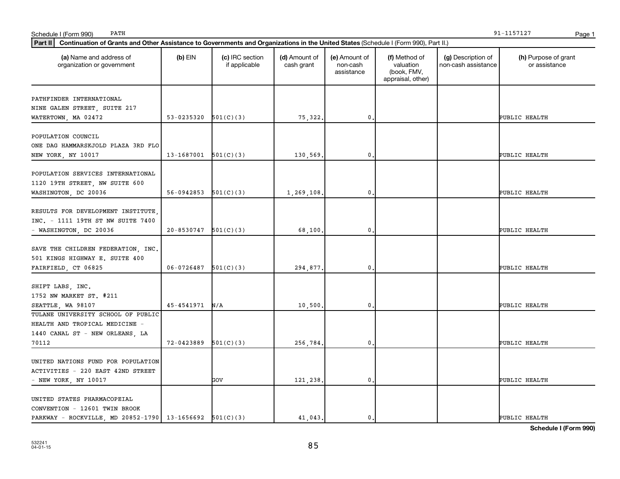| Continuation of Grants and Other Assistance to Governments and Organizations in the United States (Schedule I (Form 990), Part II.)<br><b>Part II</b> |                            |                                  |                             |                                         |                                                                |                                           |                                       |
|-------------------------------------------------------------------------------------------------------------------------------------------------------|----------------------------|----------------------------------|-----------------------------|-----------------------------------------|----------------------------------------------------------------|-------------------------------------------|---------------------------------------|
| (a) Name and address of<br>organization or government                                                                                                 | $(b)$ EIN                  | (c) IRC section<br>if applicable | (d) Amount of<br>cash grant | (e) Amount of<br>non-cash<br>assistance | (f) Method of<br>valuation<br>(book, FMV,<br>appraisal, other) | (g) Description of<br>non-cash assistance | (h) Purpose of grant<br>or assistance |
| PATHFINDER INTERNATIONAL                                                                                                                              |                            |                                  |                             |                                         |                                                                |                                           |                                       |
| NINE GALEN STREET, SUITE 217                                                                                                                          |                            |                                  |                             |                                         |                                                                |                                           |                                       |
| WATERTOWN, MA 02472                                                                                                                                   | $53-0235320$ $501(C)(3)$   |                                  | 75,322.                     | 0.                                      |                                                                |                                           | PUBLIC HEALTH                         |
| POPULATION COUNCIL                                                                                                                                    |                            |                                  |                             |                                         |                                                                |                                           |                                       |
| ONE DAG HAMMARSKJOLD PLAZA 3RD FLO                                                                                                                    |                            |                                  |                             |                                         |                                                                |                                           |                                       |
| NEW YORK, NY 10017                                                                                                                                    | $13-1687001$ $501(C)(3)$   |                                  | 130,569.                    | 0                                       |                                                                |                                           | PUBLIC HEALTH                         |
| POPULATION SERVICES INTERNATIONAL                                                                                                                     |                            |                                  |                             |                                         |                                                                |                                           |                                       |
| 1120 19TH STREET, NW SUITE 600                                                                                                                        |                            |                                  |                             |                                         |                                                                |                                           |                                       |
| WASHINGTON, DC 20036                                                                                                                                  | 56-0942853                 | 501(C)(3)                        | 1,269,108.                  | $\mathbf{0}$                            |                                                                |                                           | PUBLIC HEALTH                         |
|                                                                                                                                                       |                            |                                  |                             |                                         |                                                                |                                           |                                       |
| RESULTS FOR DEVELOPMENT INSTITUTE                                                                                                                     |                            |                                  |                             |                                         |                                                                |                                           |                                       |
| INC. - 1111 19TH ST NW SUITE 7400                                                                                                                     |                            |                                  |                             |                                         |                                                                |                                           |                                       |
| - WASHINGTON, DC 20036                                                                                                                                | $20 - 8530747$ $501(C)(3)$ |                                  | 68,100.                     | 0.                                      |                                                                |                                           | PUBLIC HEALTH                         |
|                                                                                                                                                       |                            |                                  |                             |                                         |                                                                |                                           |                                       |
| SAVE THE CHILDREN FEDERATION, INC.                                                                                                                    |                            |                                  |                             |                                         |                                                                |                                           |                                       |
| 501 KINGS HIGHWAY E. SUITE 400                                                                                                                        | 06-0726487                 | 501(C)(3)                        |                             | 0                                       |                                                                |                                           | PUBLIC HEALTH                         |
| FAIRFIELD, CT 06825                                                                                                                                   |                            |                                  | 294,877.                    |                                         |                                                                |                                           |                                       |
| SHIFT LABS, INC.                                                                                                                                      |                            |                                  |                             |                                         |                                                                |                                           |                                       |
| 1752 NW MARKET ST. #211                                                                                                                               |                            |                                  |                             |                                         |                                                                |                                           |                                       |
| SEATTLE, WA 98107                                                                                                                                     | 45-4541971                 | N/A                              | 10,500.                     | 0.                                      |                                                                |                                           | <b>PUBLIC HEALTH</b>                  |
| TULANE UNIVERSITY SCHOOL OF PUBLIC                                                                                                                    |                            |                                  |                             |                                         |                                                                |                                           |                                       |
| HEALTH AND TROPICAL MEDICINE -                                                                                                                        |                            |                                  |                             |                                         |                                                                |                                           |                                       |
| 1440 CANAL ST - NEW ORLEANS, LA                                                                                                                       |                            |                                  |                             |                                         |                                                                |                                           |                                       |
| 70112                                                                                                                                                 | 72-0423889                 | 501(C)(3)                        | 256,784.                    | 0.                                      |                                                                |                                           | <b>PUBLIC HEALTH</b>                  |
|                                                                                                                                                       |                            |                                  |                             |                                         |                                                                |                                           |                                       |
| UNITED NATIONS FUND FOR POPULATION                                                                                                                    |                            |                                  |                             |                                         |                                                                |                                           |                                       |
| ACTIVITIES - 220 EAST 42ND STREET                                                                                                                     |                            |                                  |                             |                                         |                                                                |                                           |                                       |
| - NEW YORK, NY 10017                                                                                                                                  |                            | GOV                              | 121,238.                    | 0                                       |                                                                |                                           | PUBLIC HEALTH                         |
| UNITED STATES PHARMACOPEIAL                                                                                                                           |                            |                                  |                             |                                         |                                                                |                                           |                                       |
| CONVENTION - 12601 TWIN BROOK                                                                                                                         |                            |                                  |                             |                                         |                                                                |                                           |                                       |
| PARKWAY - ROCKVILLE, MD 20852-1790   13-1656692   501(C)(3)                                                                                           |                            |                                  | 41,043.                     | $\mathbf{0}$ .                          |                                                                |                                           | PUBLIC HEALTH                         |

PATH 91-1157127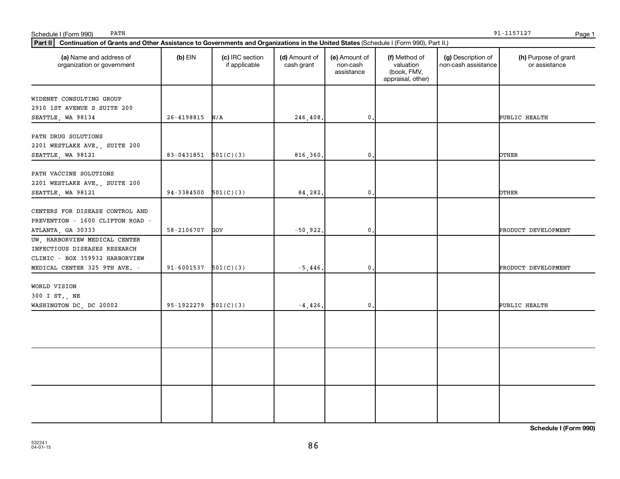| Schedule I (Form 990)<br>PATH                                                                                                                  |                              |                                  |                             |                                         |                                                                |                                           | 91-1157127<br>Page 1                  |
|------------------------------------------------------------------------------------------------------------------------------------------------|------------------------------|----------------------------------|-----------------------------|-----------------------------------------|----------------------------------------------------------------|-------------------------------------------|---------------------------------------|
| Part II<br>Continuation of Grants and Other Assistance to Governments and Organizations in the United States (Schedule I (Form 990), Part II.) |                              |                                  |                             |                                         |                                                                |                                           |                                       |
| (a) Name and address of<br>organization or government                                                                                          | $(b)$ EIN                    | (c) IRC section<br>if applicable | (d) Amount of<br>cash grant | (e) Amount of<br>non-cash<br>assistance | (f) Method of<br>valuation<br>(book, FMV,<br>appraisal, other) | (g) Description of<br>non-cash assistance | (h) Purpose of grant<br>or assistance |
| WIDENET CONSULTING GROUP<br>2910 1ST AVENUE S SUITE 200                                                                                        |                              |                                  |                             |                                         |                                                                |                                           |                                       |
| SEATTLE, WA 98134                                                                                                                              | 26-4198815                   | N/A                              | 246,408.                    | $\mathbf 0$ .                           |                                                                |                                           | PUBLIC HEALTH                         |
| PATH DRUG SOLUTIONS<br>2201 WESTLAKE AVE., SUITE 200<br>SEATTLE, WA 98121                                                                      | 83-0431851 $\vert$ 501(C)(3) |                                  | 816,360.                    | $\mathbf{0}$                            |                                                                |                                           | OTHER                                 |
| PATH VACCINE SOLUTIONS<br>2201 WESTLAKE AVE., SUITE 200                                                                                        |                              |                                  |                             |                                         |                                                                |                                           |                                       |
| SEATTLE, WA 98121                                                                                                                              | 94-3384500                   | 501(C)(3)                        | 84,282.                     | $\mathbf 0$ .                           |                                                                |                                           | OTHER                                 |
| CENTERS FOR DISEASE CONTROL AND<br>PREVENTION - 1600 CLIFTON ROAD -                                                                            | 58-2106707                   | GOV                              | $-50,922.$                  | $\mathbf{0}$                            |                                                                |                                           | PRODUCT DEVELOPMENT                   |
| ATLANTA, GA 30333<br>UW, HARBORVIEW MEDICAL CENTER                                                                                             |                              |                                  |                             |                                         |                                                                |                                           |                                       |
| INFECTIOUS DISEASES RESEARCH<br>CLINIC - BOX 359932 HARBORVIEW                                                                                 |                              |                                  |                             |                                         |                                                                |                                           |                                       |
| MEDICAL CENTER 325 9TH AVE. -                                                                                                                  | $91-6001537$ $501(C)(3)$     |                                  | $-5,446$ .                  | $\mathbf 0$ .                           |                                                                |                                           | PRODUCT DEVELOPMENT                   |
| WORLD VISION<br>300 I ST., NE                                                                                                                  |                              |                                  |                             |                                         |                                                                |                                           |                                       |
| WASHINGTON DC, DC 20002                                                                                                                        | 95-1922279                   | 501(C)(3)                        | $-4,426.$                   | $\mathbf{0}$                            |                                                                |                                           | PUBLIC HEALTH                         |
|                                                                                                                                                |                              |                                  |                             |                                         |                                                                |                                           |                                       |
|                                                                                                                                                |                              |                                  |                             |                                         |                                                                |                                           |                                       |
|                                                                                                                                                |                              |                                  |                             |                                         |                                                                |                                           |                                       |

PATH 91-1157127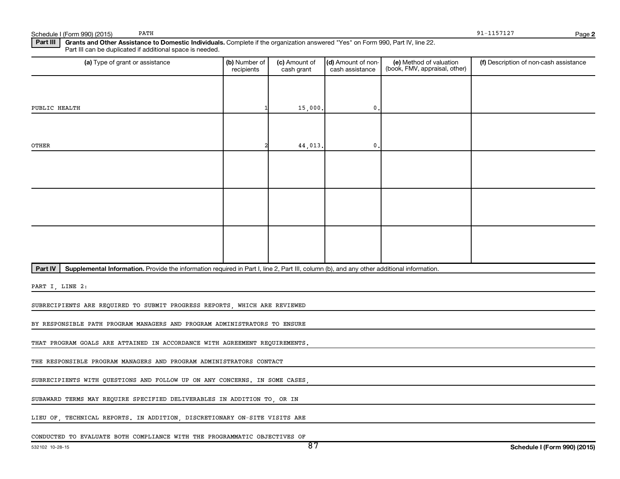Schedule I (Form 990) (2015) PATH 27 (2015) PATH 21-1157127

PATH 91-1157127

**2**

Part III | Grants and Other Assistance to Domestic Individuals. Complete if the organization answered "Yes" on Form 990, Part IV, line 22. Part III can be duplicated if additional space is needed.

| (a) Type of grant or assistance                                                                                                                      | (b) Number of<br>recipients | (c) Amount of<br>cash grant | (d) Amount of non-<br>cash assistance | (e) Method of valuation<br>(book, FMV, appraisal, other) | (f) Description of non-cash assistance |
|------------------------------------------------------------------------------------------------------------------------------------------------------|-----------------------------|-----------------------------|---------------------------------------|----------------------------------------------------------|----------------------------------------|
|                                                                                                                                                      |                             |                             |                                       |                                                          |                                        |
| PUBLIC HEALTH                                                                                                                                        |                             | 15,000.                     | $\mathbf{0}$ .                        |                                                          |                                        |
|                                                                                                                                                      |                             |                             |                                       |                                                          |                                        |
| OTHER                                                                                                                                                |                             | 44,013.                     | $\mathbf{0}$ .                        |                                                          |                                        |
|                                                                                                                                                      |                             |                             |                                       |                                                          |                                        |
|                                                                                                                                                      |                             |                             |                                       |                                                          |                                        |
|                                                                                                                                                      |                             |                             |                                       |                                                          |                                        |
|                                                                                                                                                      |                             |                             |                                       |                                                          |                                        |
|                                                                                                                                                      |                             |                             |                                       |                                                          |                                        |
|                                                                                                                                                      |                             |                             |                                       |                                                          |                                        |
| Supplemental Information. Provide the information required in Part I, line 2, Part III, column (b), and any other additional information.<br>Part IV |                             |                             |                                       |                                                          |                                        |
| PART I, LINE 2:                                                                                                                                      |                             |                             |                                       |                                                          |                                        |

SUBRECIPIENTS ARE REQUIRED TO SUBMIT PROGRESS REPORTS, WHICH ARE REVIEWED

BY RESPONSIBLE PATH PROGRAM MANAGERS AND PROGRAM ADMINISTRATORS TO ENSURE

THAT PROGRAM GOALS ARE ATTAINED IN ACCORDANCE WITH AGREEMENT REQUIREMENTS.

THE RESPONSIBLE PROGRAM MANAGERS AND PROGRAM ADMINISTRATORS CONTACT

SUBRECIPIENTS WITH QUESTIONS AND FOLLOW UP ON ANY CONCERNS. IN SOME CASES,

SUBAWARD TERMS MAY REQUIRE SPECIFIED DELIVERABLES IN ADDITION TO, OR IN

LIEU OF, TECHNICAL REPORTS. IN ADDITION, DISCRETIONARY ON-SITE VISITS ARE

CONDUCTED TO EVALUATE BOTH COMPLIANCE WITH THE PROGRAMMATIC OBJECTIVES OF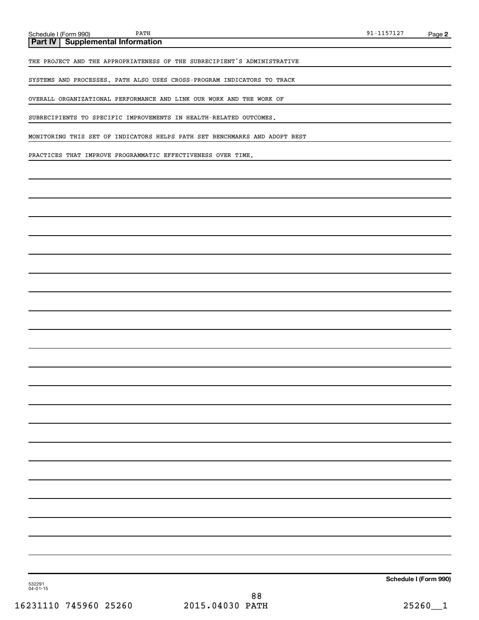**Part IV Supplemental Information**

THE PROJECT AND THE APPROPRIATENESS OF THE SUBRECIPIENT'S ADMINISTRATIVE

SYSTEMS AND PROCESSES. PATH ALSO USES CROSS-PROGRAM INDICATORS TO TRACK

OVERALL ORGANIZATIONAL PERFORMANCE AND LINK OUR WORK AND THE WORK OF

SUBRECIPIENTS TO SPECIFIC IMPROVEMENTS IN HEALTH-RELATED OUTCOMES.

MONITORING THIS SET OF INDICATORS HELPS PATH SET BENCHMARKS AND ADOPT BEST

PRACTICES THAT IMPROVE PROGRAMMATIC EFFECTIVENESS OVER TIME.

**Schedule I (Form 990)**

532291 04-01-15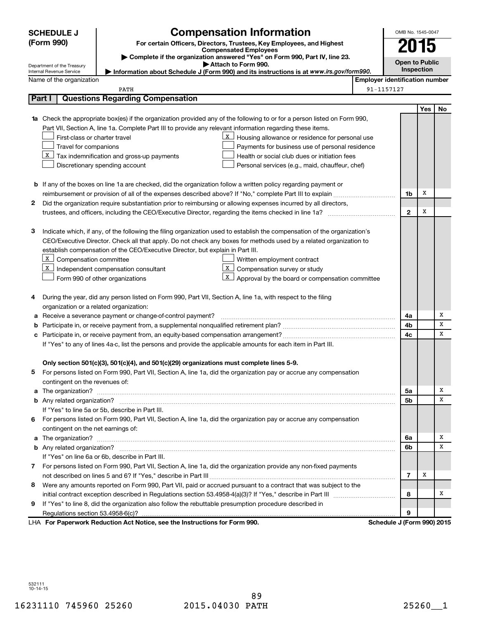|                                                                                                               | <b>SCHEDULE J</b>                                                                                                               |                                                                                                                           | <b>Compensation Information</b>                 |                                       | OMB No. 1545-0047     |     |    |
|---------------------------------------------------------------------------------------------------------------|---------------------------------------------------------------------------------------------------------------------------------|---------------------------------------------------------------------------------------------------------------------------|-------------------------------------------------|---------------------------------------|-----------------------|-----|----|
|                                                                                                               | (Form 990)<br>For certain Officers, Directors, Trustees, Key Employees, and Highest                                             |                                                                                                                           |                                                 |                                       |                       |     |    |
|                                                                                                               | <b>Compensated Employees</b>                                                                                                    |                                                                                                                           |                                                 | 2015                                  |                       |     |    |
|                                                                                                               | Complete if the organization answered "Yes" on Form 990, Part IV, line 23.<br>Attach to Form 990.<br>Department of the Treasury |                                                                                                                           |                                                 |                                       | <b>Open to Public</b> |     |    |
|                                                                                                               | Information about Schedule J (Form 990) and its instructions is at www.irs.gov/form990.<br>Internal Revenue Service             |                                                                                                                           |                                                 |                                       | Inspection            |     |    |
|                                                                                                               | Name of the organization                                                                                                        |                                                                                                                           |                                                 | <b>Employer identification number</b> |                       |     |    |
|                                                                                                               |                                                                                                                                 | PATH                                                                                                                      |                                                 | 91-1157127                            |                       |     |    |
| Part I                                                                                                        |                                                                                                                                 | <b>Questions Regarding Compensation</b>                                                                                   |                                                 |                                       |                       |     |    |
|                                                                                                               |                                                                                                                                 |                                                                                                                           |                                                 |                                       |                       | Yes | No |
|                                                                                                               |                                                                                                                                 | 1a Check the appropriate box(es) if the organization provided any of the following to or for a person listed on Form 990, |                                                 |                                       |                       |     |    |
|                                                                                                               |                                                                                                                                 | Part VII, Section A, line 1a. Complete Part III to provide any relevant information regarding these items.                |                                                 |                                       |                       |     |    |
|                                                                                                               | First-class or charter travel                                                                                                   | $\mathbf{X}$                                                                                                              | Housing allowance or residence for personal use |                                       |                       |     |    |
|                                                                                                               | Travel for companions                                                                                                           |                                                                                                                           | Payments for business use of personal residence |                                       |                       |     |    |
|                                                                                                               |                                                                                                                                 | $X$ Tax indemnification and gross-up payments                                                                             | Health or social club dues or initiation fees   |                                       |                       |     |    |
|                                                                                                               |                                                                                                                                 | Discretionary spending account                                                                                            | Personal services (e.g., maid, chauffeur, chef) |                                       |                       |     |    |
|                                                                                                               |                                                                                                                                 |                                                                                                                           |                                                 |                                       |                       |     |    |
|                                                                                                               |                                                                                                                                 | <b>b</b> If any of the boxes on line 1a are checked, did the organization follow a written policy regarding payment or    |                                                 |                                       |                       |     |    |
|                                                                                                               |                                                                                                                                 | reimbursement or provision of all of the expenses described above? If "No," complete Part III to explain                  |                                                 |                                       | 1b                    | х   |    |
| 2                                                                                                             |                                                                                                                                 | Did the organization require substantiation prior to reimbursing or allowing expenses incurred by all directors,          |                                                 |                                       |                       |     |    |
|                                                                                                               |                                                                                                                                 |                                                                                                                           |                                                 |                                       | $\mathbf{2}$          | х   |    |
|                                                                                                               |                                                                                                                                 |                                                                                                                           |                                                 |                                       |                       |     |    |
| З                                                                                                             |                                                                                                                                 | Indicate which, if any, of the following the filing organization used to establish the compensation of the organization's |                                                 |                                       |                       |     |    |
|                                                                                                               |                                                                                                                                 | CEO/Executive Director. Check all that apply. Do not check any boxes for methods used by a related organization to        |                                                 |                                       |                       |     |    |
|                                                                                                               |                                                                                                                                 | establish compensation of the CEO/Executive Director, but explain in Part III.                                            |                                                 |                                       |                       |     |    |
|                                                                                                               | X Compensation committee                                                                                                        | x                                                                                                                         | Written employment contract                     |                                       |                       |     |    |
|                                                                                                               |                                                                                                                                 | $X$ Independent compensation consultant<br>X                                                                              | Compensation survey or study                    |                                       |                       |     |    |
|                                                                                                               |                                                                                                                                 | Form 990 of other organizations                                                                                           | Approval by the board or compensation committee |                                       |                       |     |    |
| 4                                                                                                             |                                                                                                                                 | During the year, did any person listed on Form 990, Part VII, Section A, line 1a, with respect to the filing              |                                                 |                                       |                       |     |    |
|                                                                                                               | organization or a related organization:                                                                                         |                                                                                                                           |                                                 |                                       |                       |     |    |
| а                                                                                                             |                                                                                                                                 | Receive a severance payment or change-of-control payment?                                                                 |                                                 |                                       | 4a                    |     | X  |
| b                                                                                                             |                                                                                                                                 |                                                                                                                           |                                                 |                                       | 4b                    |     | X  |
| c                                                                                                             |                                                                                                                                 |                                                                                                                           |                                                 |                                       | 4c                    |     | x  |
| If "Yes" to any of lines 4a-c, list the persons and provide the applicable amounts for each item in Part III. |                                                                                                                                 |                                                                                                                           |                                                 |                                       |                       |     |    |
|                                                                                                               |                                                                                                                                 |                                                                                                                           |                                                 |                                       |                       |     |    |
|                                                                                                               |                                                                                                                                 | Only section 501(c)(3), 501(c)(4), and 501(c)(29) organizations must complete lines 5-9.                                  |                                                 |                                       |                       |     |    |
|                                                                                                               |                                                                                                                                 | For persons listed on Form 990, Part VII, Section A, line 1a, did the organization pay or accrue any compensation         |                                                 |                                       |                       |     |    |
|                                                                                                               | contingent on the revenues of:                                                                                                  |                                                                                                                           |                                                 |                                       |                       |     |    |
|                                                                                                               |                                                                                                                                 |                                                                                                                           |                                                 |                                       | 5а                    |     | х  |
|                                                                                                               |                                                                                                                                 |                                                                                                                           |                                                 |                                       | 5b                    |     | x  |
|                                                                                                               |                                                                                                                                 | If "Yes" to line 5a or 5b, describe in Part III.                                                                          |                                                 |                                       |                       |     |    |
| 6                                                                                                             |                                                                                                                                 | For persons listed on Form 990, Part VII, Section A, line 1a, did the organization pay or accrue any compensation         |                                                 |                                       |                       |     |    |
|                                                                                                               | contingent on the net earnings of:                                                                                              |                                                                                                                           |                                                 |                                       |                       |     |    |
|                                                                                                               |                                                                                                                                 |                                                                                                                           |                                                 |                                       | 6a                    |     | X  |
|                                                                                                               |                                                                                                                                 |                                                                                                                           |                                                 |                                       | 6b                    |     | x  |
|                                                                                                               |                                                                                                                                 | If "Yes" on line 6a or 6b, describe in Part III.                                                                          |                                                 |                                       |                       |     |    |
|                                                                                                               |                                                                                                                                 | 7 For persons listed on Form 990, Part VII, Section A, line 1a, did the organization provide any non-fixed payments       |                                                 |                                       |                       |     |    |
|                                                                                                               |                                                                                                                                 |                                                                                                                           |                                                 |                                       | 7                     | х   |    |
| 8                                                                                                             |                                                                                                                                 | Were any amounts reported on Form 990, Part VII, paid or accrued pursuant to a contract that was subject to the           |                                                 |                                       |                       |     |    |
|                                                                                                               |                                                                                                                                 |                                                                                                                           |                                                 |                                       | 8                     |     | х  |
| 9                                                                                                             |                                                                                                                                 | If "Yes" to line 8, did the organization also follow the rebuttable presumption procedure described in                    |                                                 |                                       |                       |     |    |
|                                                                                                               |                                                                                                                                 |                                                                                                                           |                                                 |                                       | 9                     |     |    |
|                                                                                                               |                                                                                                                                 | LHA For Paperwork Reduction Act Notice, see the Instructions for Form 990.                                                |                                                 | Schedule J (Form 990) 2015            |                       |     |    |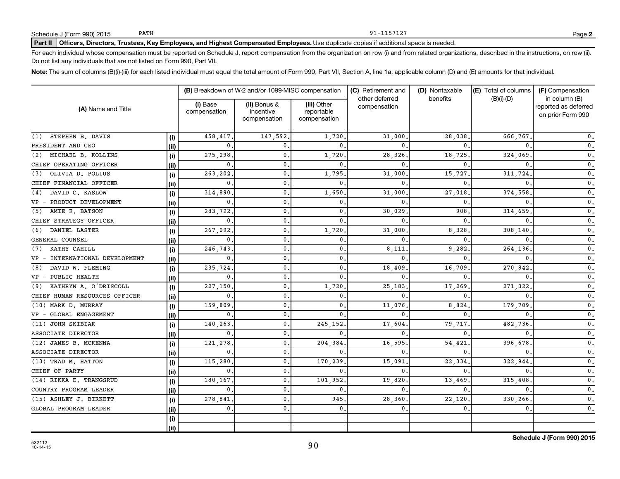### Part II | Officers, Directors, Trustees, Key Employees, and Highest Compensated Employees. Use duplicate copies if additional space is needed.

For each individual whose compensation must be reported on Schedule J, report compensation from the organization on row (i) and from related organizations, described in the instructions, on row (ii). Do not list any individuals that are not listed on Form 990, Part VII.

Note: The sum of columns (B)(i)-(iii) for each listed individual must equal the total amount of Form 990, Part VII, Section A, line 1a, applicable column (D) and (E) amounts for that individual.

| (A) Name and Title                  |       |                          | (B) Breakdown of W-2 and/or 1099-MISC compensation |                                           | (C) Retirement and             | (D) Nontaxable | (E) Total of columns | (F) Compensation                                           |  |
|-------------------------------------|-------|--------------------------|----------------------------------------------------|-------------------------------------------|--------------------------------|----------------|----------------------|------------------------------------------------------------|--|
|                                     |       | (i) Base<br>compensation | (ii) Bonus &<br>incentive<br>compensation          | (iii) Other<br>reportable<br>compensation | other deferred<br>compensation | benefits       | $(B)(i)-(D)$         | in column (B)<br>reported as deferred<br>on prior Form 990 |  |
| STEPHEN B. DAVIS<br>(1)             | (i)   | 458,417                  | 147,592                                            | 1,720                                     | 31,000                         | 28,038         | 666,767              | $\mathbf{0}$ .                                             |  |
| PRESIDENT AND CEO                   | (ii)  | $\Omega$                 |                                                    | $\mathbf{0}$                              | $\Omega$                       |                |                      | $\mathfrak o$ .                                            |  |
| MICHAEL B. KOLLINS<br>(2)           | (i)   | 275,298                  | 0                                                  | 1,720                                     | 28,326                         | 18,725         | 324,069              | $\mathfrak o$ .                                            |  |
| CHIEF OPERATING OFFICER             | (ii)  | $\mathbf{0}$             | $\mathbf{0}$                                       | $\mathbf{0}$                              | $\Omega$                       | $\Omega$       |                      | $\mathfrak o$ .                                            |  |
| OLIVIA D. POLIUS<br>(3)             | (i)   | 263,202                  | $\mathbf{0}$                                       | 1,795                                     | 31,000                         | 15,727         | 311,724              | $\mathfrak o$ .                                            |  |
| CHIEF FINANCIAL OFFICER             | (ii)  | $\mathbf{0}$             | 0                                                  | $\mathbf{0}$                              | 0                              | <sup>0</sup>   |                      | $\mathfrak o$ .                                            |  |
| DAVID C. KASLOW<br>(4)              | (i)   | 314,890                  | $\mathbf{0}$                                       | 1,650                                     | 31,000                         | 27,018         | 374,558              | $\mathfrak o$ .                                            |  |
| PRODUCT DEVELOPMENT<br>$VP -$       | (ii)  | $\mathbf{0}$             | $\mathbf{0}$                                       | $\mathbf{0}$                              | $\Omega$                       | $\Omega$       |                      | $\mathbf{0}$ .                                             |  |
| AMIE E. BATSON<br>(5)               | (i)   | 283,722                  | $\mathbf{0}$                                       | $\mathbf{0}$                              | 30.029                         | 908            | 314,659              | $\mathbf{0}$ .                                             |  |
| CHIEF STRATEGY OFFICER              | (ii)  | 0                        | $\mathbf 0$                                        | $\mathbf{0}$                              | $\Omega$                       | 0              |                      | $\mathfrak o$ .                                            |  |
| DANIEL LASTER<br>(6)                | (i)   | 267.092                  | $\mathbf{0}$                                       | 1,720                                     | 31,000                         | 8,328          | 308,140              | $\mathfrak o$ .                                            |  |
| GENERAL COUNSEL                     | (ii)  | 0                        | 0                                                  | $\mathbf{0}$                              | $\Omega$                       | $\Omega$       |                      | $\mathfrak o$ .                                            |  |
| KATHY CAHILL<br>(7)                 | (i)   | 246,743                  | 0                                                  | $\mathbf{0}$                              | 8,111                          | 9,282          | 264,136              | $\mathfrak o$ .                                            |  |
| INTERNATIONAL DEVELOPMENT<br>$VP -$ | (iii) | 0                        | $\mathbf{0}$                                       | $\mathbf{0}$                              | $\Omega$                       | <sup>0</sup>   |                      | $\mathfrak o$ .                                            |  |
| DAVID W. FLEMING<br>(8)             | (i)   | 235,724                  | $\mathbf{0}$                                       | $\mathbf{0}$                              | 18,409                         | 16,709         | 270,842              | $\mathfrak o$ .                                            |  |
| VP - PUBLIC HEALTH                  | (ii)  | $\mathbf{0}$             | $\mathbf 0$                                        | 0                                         | $\Omega$                       | $\Omega$       |                      | $\mathfrak o$ .                                            |  |
| KATHRYN A. O'DRISCOLL<br>(9)        | (i)   | 227,150                  | $\mathbf 0$                                        | 1,720                                     | 25,183                         | 17,269         | 271,322              | $\mathfrak o$ .                                            |  |
| CHIEF HUMAN RESOURCES OFFICER       | (iii) | 0                        | 0                                                  | 0.                                        | $\Omega$                       | 0              |                      | $\mathfrak o$ .                                            |  |
| MARK D. MURRAY<br>(10)              | (i)   | 159,809                  | 0                                                  | $\mathbf{0}$                              | 11,076                         | 8,824          | 179,709              | $\mathfrak o$ .                                            |  |
| GLOBAL ENGAGEMENT<br>$VP -$         | (iii) | 0                        | 0                                                  | $\mathbf{0}$                              | <sup>0</sup>                   | <sup>0</sup>   |                      | $\mathbf{0}$ .                                             |  |
| (11) JOHN SKIBIAK                   | (i)   | 140,263                  | 0                                                  | 245.152                                   | 17,604                         | 79,717         | 482,736              | $\mathfrak o$ .                                            |  |
| ASSOCIATE DIRECTOR                  | (ii)  | 0                        | 0                                                  | $\mathbf{0}$ .                            | 0                              | $\Omega$       |                      | $\mathfrak o$ .                                            |  |
| (12) JAMES B. MCKENNA               | (i)   | 121,278                  | 0                                                  | 204,384                                   | 16,595                         | 54,421         | 396,678              | $\mathfrak o$ .                                            |  |
| ASSOCIATE DIRECTOR                  | (ii)  | 0                        | $\mathbf 0$                                        | $\mathbf{0}$ .                            | 0                              | 0              |                      | $\mathbf{0}$ .                                             |  |
| (13) TRAD M. HATTON                 | (i)   | 115,280                  | 0                                                  | 170,239                                   | 15,091                         | 22,334         | 322,944              | $\mathfrak o$ .                                            |  |
| CHIEF OF PARTY                      | (ii)  | 0                        | 0                                                  | 0.                                        | 0                              | $\mathbf{0}$   | $\Omega$             | $\mathfrak o$ .                                            |  |
| (14) RIKKA E. TRANGSRUD             | (i)   | 180.167                  | 0                                                  | 101,952                                   | 19,820                         | 13,469         | 315,408              | $\mathbf{0}$ .                                             |  |
| COUNTRY PROGRAM LEADER              | (iii) | $\mathbf{0}$             | $\mathbf 0$                                        | 0.                                        | 0                              | $\mathbf{0}$ . | 0                    | $\mathbf{0}$ .                                             |  |
| (15) ASHLEY J. BIRKETT              | (i)   | 278,841                  | $\mathbf{0}$                                       | 945                                       | 28,360                         | 22,120,        | 330,266              | $\mathbf{0}$ .                                             |  |
| GLOBAL PROGRAM LEADER               | (iii) | $\mathbf{0}$             | $\mathbf{0}$                                       | 0.                                        | 0                              | $\mathbf{0}$ . | $\mathbf 0$          | $\mathfrak o$ .                                            |  |
|                                     | (i)   |                          |                                                    |                                           |                                |                |                      |                                                            |  |
|                                     | (ii)  |                          |                                                    |                                           |                                |                |                      |                                                            |  |

90

**2**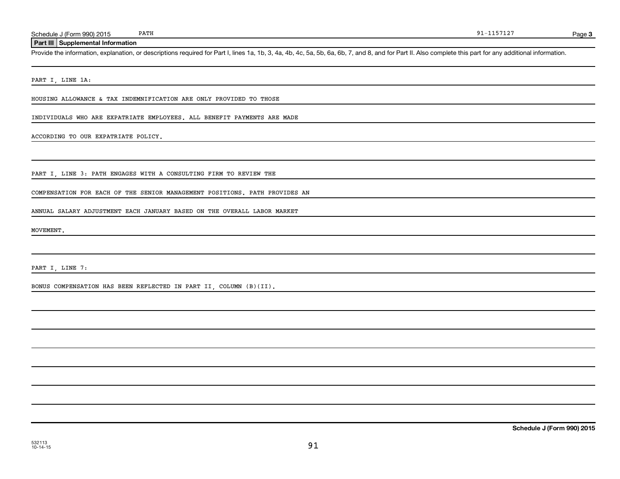#### **Part III Supplemental Information**

Provide the information, explanation, or descriptions required for Part I, lines 1a, 1b, 3, 4a, 4b, 4c, 5a, 5b, 6a, 6b, 7, and 8, and for Part II. Also complete this part for any additional information.

PART I, LINE 1A:

HOUSING ALLOWANCE & TAX INDEMNIFICATION ARE ONLY PROVIDED TO THOSE

INDIVIDUALS WHO ARE EXPATRIATE EMPLOYEES. ALL BENEFIT PAYMENTS ARE MADE

ACCORDING TO OUR EXPATRIATE POLICY.

PART I, LINE 3: PATH ENGAGES WITH A CONSULTING FIRM TO REVIEW THE

COMPENSATION FOR EACH OF THE SENIOR MANAGEMENT POSITIONS. PATH PROVIDES AN

ANNUAL SALARY ADJUSTMENT EACH JANUARY BASED ON THE OVERALL LABOR MARKET

MOVEMENT.

PART I, LINE 7:

BONUS COMPENSATION HAS BEEN REFLECTED IN PART II, COLUMN (B)(II).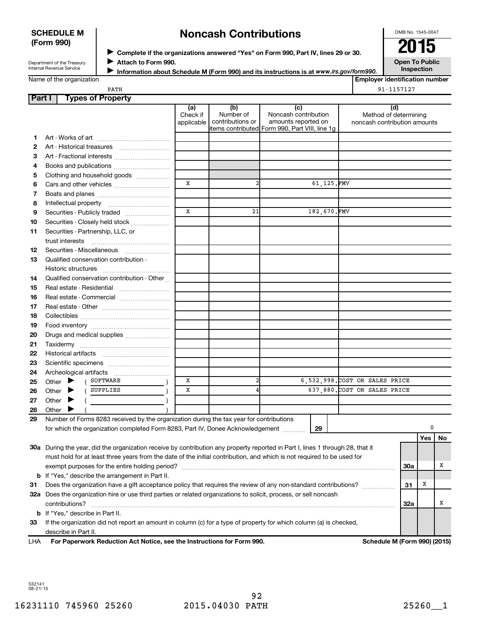# **SCHEDULE M (Form 990)**

# **Noncash Contributions**

OMB No. 1545-0047

Department of the Treasury Internal Revenue Service

| ► Complete if the organizations answered "Yes" on Form 990, Part IV, lines 29 or 30. | 2015          |
|--------------------------------------------------------------------------------------|---------------|
| Attach to Form 990.                                                                  | Open To Publi |

**Open To Public Inspection**

|  | Name of the organization |
|--|--------------------------|
|--|--------------------------|

**Information about Schedule M (Form 990) and its instructions is at www.irs.gov/form990. Employer identification number**

PATH 91-1157127

| <b>Part I</b> | <b>Types of Property</b>                                                                                                            |                               |                                      |                                                                                                      |             |                                                              |            |          |    |
|---------------|-------------------------------------------------------------------------------------------------------------------------------------|-------------------------------|--------------------------------------|------------------------------------------------------------------------------------------------------|-------------|--------------------------------------------------------------|------------|----------|----|
|               |                                                                                                                                     | (a)<br>Check if<br>applicable | (b)<br>Number of<br>contributions or | (c)<br>Noncash contribution<br>amounts reported on<br>items contributed Form 990, Part VIII, line 1g |             | (d)<br>Method of determining<br>noncash contribution amounts |            |          |    |
| 1.            |                                                                                                                                     |                               |                                      |                                                                                                      |             |                                                              |            |          |    |
| 2             |                                                                                                                                     |                               |                                      |                                                                                                      |             |                                                              |            |          |    |
| З             | Art - Fractional interests                                                                                                          |                               |                                      |                                                                                                      |             |                                                              |            |          |    |
| 4             | Books and publications                                                                                                              |                               |                                      |                                                                                                      |             |                                                              |            |          |    |
| 5             | Clothing and household goods                                                                                                        |                               |                                      |                                                                                                      |             |                                                              |            |          |    |
| 6             | Cars and other vehicles                                                                                                             | X                             | $\overline{a}$                       |                                                                                                      | 61,125.FMV  |                                                              |            |          |    |
| 7             |                                                                                                                                     |                               |                                      |                                                                                                      |             |                                                              |            |          |    |
| 8             |                                                                                                                                     |                               |                                      |                                                                                                      |             |                                                              |            |          |    |
| 9             | Securities - Publicly traded                                                                                                        | X                             | 21                                   |                                                                                                      | 182,670.FMV |                                                              |            |          |    |
| 10            | Securities - Closely held stock                                                                                                     |                               |                                      |                                                                                                      |             |                                                              |            |          |    |
| 11            | Securities - Partnership, LLC, or<br>trust interests                                                                                |                               |                                      |                                                                                                      |             |                                                              |            |          |    |
| 12            | Securities - Miscellaneous                                                                                                          |                               |                                      |                                                                                                      |             |                                                              |            |          |    |
| 13            | Qualified conservation contribution -                                                                                               |                               |                                      |                                                                                                      |             |                                                              |            |          |    |
| 14            | Qualified conservation contribution - Other                                                                                         |                               |                                      |                                                                                                      |             |                                                              |            |          |    |
| 15            | Real estate - Residential                                                                                                           |                               |                                      |                                                                                                      |             |                                                              |            |          |    |
| 16            | Real estate - Commercial                                                                                                            |                               |                                      |                                                                                                      |             |                                                              |            |          |    |
| 17            |                                                                                                                                     |                               |                                      |                                                                                                      |             |                                                              |            |          |    |
| 18            |                                                                                                                                     |                               |                                      |                                                                                                      |             |                                                              |            |          |    |
| 19            |                                                                                                                                     |                               |                                      |                                                                                                      |             |                                                              |            |          |    |
| 20            | Drugs and medical supplies                                                                                                          |                               |                                      |                                                                                                      |             |                                                              |            |          |    |
| 21            |                                                                                                                                     |                               |                                      |                                                                                                      |             |                                                              |            |          |    |
| 22            |                                                                                                                                     |                               |                                      |                                                                                                      |             |                                                              |            |          |    |
| 23            |                                                                                                                                     |                               |                                      |                                                                                                      |             |                                                              |            |          |    |
| 24            |                                                                                                                                     |                               |                                      |                                                                                                      |             |                                                              |            |          |    |
| 25            | SOFTWARE<br>Other $\blacktriangleright$<br>$\sqrt{2}$                                                                               | X                             |                                      |                                                                                                      |             | 6,532,998. COST OR SALES PRICE                               |            |          |    |
| 26            | SUPPLIES<br>Other $\blacktriangleright$                                                                                             | X                             |                                      |                                                                                                      |             | 637,880. COST OR SALES PRICE                                 |            |          |    |
| 27            | Other $\blacktriangleright$                                                                                                         |                               |                                      |                                                                                                      |             |                                                              |            |          |    |
| 28            | Other $\blacktriangleright$                                                                                                         |                               |                                      |                                                                                                      |             |                                                              |            |          |    |
| 29            | Number of Forms 8283 received by the organization during the tax year for contributions                                             |                               |                                      |                                                                                                      |             |                                                              |            |          |    |
|               | for which the organization completed Form 8283, Part IV, Donee Acknowledgement [1111]                                               |                               |                                      |                                                                                                      | 29          |                                                              |            | 0<br>Yes | No |
|               | 30a During the year, did the organization receive by contribution any property reported in Part I, lines 1 through 28, that it      |                               |                                      |                                                                                                      |             |                                                              |            |          |    |
|               | must hold for at least three years from the date of the initial contribution, and which is not required to be used for              |                               |                                      |                                                                                                      |             |                                                              |            |          |    |
|               |                                                                                                                                     |                               |                                      |                                                                                                      |             |                                                              | <b>30a</b> |          | х  |
|               | <b>b</b> If "Yes," describe the arrangement in Part II.                                                                             |                               |                                      |                                                                                                      |             |                                                              |            |          |    |
|               |                                                                                                                                     |                               |                                      |                                                                                                      |             |                                                              | 31         | х        |    |
|               | Does the organization have a gift acceptance policy that requires the review of any non-standard contributions?<br>31               |                               |                                      |                                                                                                      |             |                                                              |            |          |    |
|               | 32a Does the organization hire or use third parties or related organizations to solicit, process, or sell noncash<br>contributions? |                               |                                      |                                                                                                      |             |                                                              | 32a        |          | х  |
|               | <b>b</b> If "Yes," describe in Part II.                                                                                             |                               |                                      |                                                                                                      |             |                                                              |            |          |    |
| 33            | If the organization did not report an amount in column (c) for a type of property for which column (a) is checked,                  |                               |                                      |                                                                                                      |             |                                                              |            |          |    |
| <b>IIIA</b>   | describe in Part II.<br>escribe in Part II.<br>For Denomuork Doduction Act Natios, ass the Instructions for Form 000.               |                               |                                      |                                                                                                      |             | Cahadula M (Fauna 000) (004E                                 |            |          |    |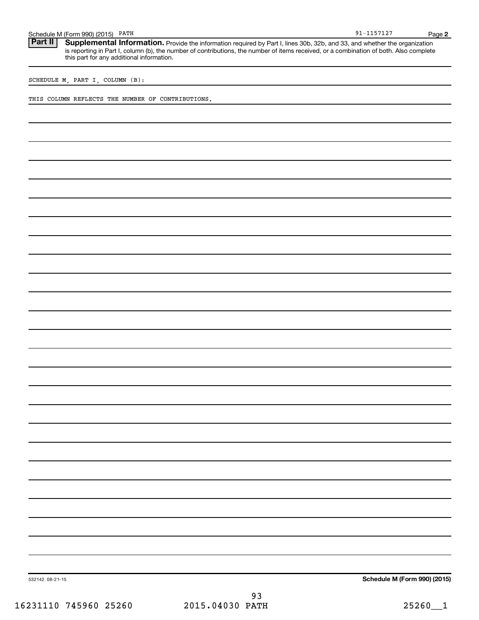| Schedule M (Form 990) (2015) PATH                                                                                                                                                                                                                                                                                            | $91 - 1157127$               | Page 2 |
|------------------------------------------------------------------------------------------------------------------------------------------------------------------------------------------------------------------------------------------------------------------------------------------------------------------------------|------------------------------|--------|
| Part II<br>Supplemental Information. Provide the information required by Part I, lines 30b, 32b, and 33, and whether the organization<br>is reporting in Part I, column (b), the number of contributions, the number of items received, or a combination of both. Also complete<br>this part for any additional information. |                              |        |
| SCHEDULE M, PART I, COLUMN (B):                                                                                                                                                                                                                                                                                              |                              |        |
| THIS COLUMN REFLECTS THE NUMBER OF CONTRIBUTIONS.                                                                                                                                                                                                                                                                            |                              |        |
|                                                                                                                                                                                                                                                                                                                              |                              |        |
|                                                                                                                                                                                                                                                                                                                              |                              |        |
|                                                                                                                                                                                                                                                                                                                              |                              |        |
|                                                                                                                                                                                                                                                                                                                              |                              |        |
|                                                                                                                                                                                                                                                                                                                              |                              |        |
|                                                                                                                                                                                                                                                                                                                              |                              |        |
|                                                                                                                                                                                                                                                                                                                              |                              |        |
|                                                                                                                                                                                                                                                                                                                              |                              |        |
|                                                                                                                                                                                                                                                                                                                              |                              |        |
|                                                                                                                                                                                                                                                                                                                              |                              |        |
|                                                                                                                                                                                                                                                                                                                              |                              |        |
|                                                                                                                                                                                                                                                                                                                              |                              |        |
|                                                                                                                                                                                                                                                                                                                              |                              |        |
|                                                                                                                                                                                                                                                                                                                              |                              |        |
|                                                                                                                                                                                                                                                                                                                              |                              |        |
|                                                                                                                                                                                                                                                                                                                              |                              |        |
|                                                                                                                                                                                                                                                                                                                              |                              |        |
|                                                                                                                                                                                                                                                                                                                              |                              |        |
|                                                                                                                                                                                                                                                                                                                              |                              |        |
|                                                                                                                                                                                                                                                                                                                              |                              |        |
|                                                                                                                                                                                                                                                                                                                              |                              |        |
|                                                                                                                                                                                                                                                                                                                              |                              |        |
|                                                                                                                                                                                                                                                                                                                              |                              |        |
|                                                                                                                                                                                                                                                                                                                              |                              |        |
|                                                                                                                                                                                                                                                                                                                              |                              |        |
| 532142 08-21-15                                                                                                                                                                                                                                                                                                              | Schedule M (Form 990) (2015) |        |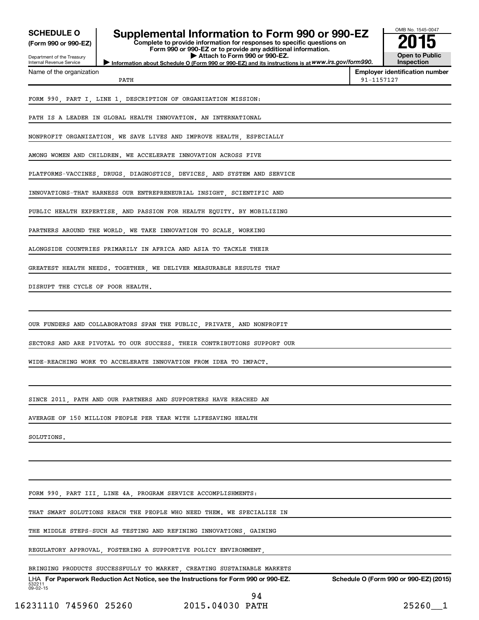| <b>SCHEDULE O</b>                                      | Supplemental Information to Form 990 or 990-EZ<br>Complete to provide information for responses to specific questions on           |            | OMB No. 1545-0047                          |  |
|--------------------------------------------------------|------------------------------------------------------------------------------------------------------------------------------------|------------|--------------------------------------------|--|
| (Form 990 or 990-EZ)                                   | Form 990 or 990-EZ or to provide any additional information.                                                                       |            |                                            |  |
| Department of the Treasury<br>Internal Revenue Service | Attach to Form 990 or 990-EZ.<br>Information about Schedule O (Form 990 or 990-EZ) and its instructions is at WWW.irs.gov/form990. |            | <b>Open to Public</b><br><b>Inspection</b> |  |
| Name of the organization                               | PATH                                                                                                                               | 91-1157127 | <b>Employer identification number</b>      |  |
|                                                        | FORM 990, PART I, LINE 1, DESCRIPTION OF ORGANIZATION MISSION:                                                                     |            |                                            |  |
|                                                        | PATH IS A LEADER IN GLOBAL HEALTH INNOVATION. AN INTERNATIONAL                                                                     |            |                                            |  |
|                                                        | NONPROFIT ORGANIZATION, WE SAVE LIVES AND IMPROVE HEALTH, ESPECIALLY                                                               |            |                                            |  |
|                                                        | AMONG WOMEN AND CHILDREN. WE ACCELERATE INNOVATION ACROSS FIVE                                                                     |            |                                            |  |
|                                                        | PLATFORMS-VACCINES, DRUGS, DIAGNOSTICS, DEVICES, AND SYSTEM AND SERVICE                                                            |            |                                            |  |
|                                                        | INNOVATIONS-THAT HARNESS OUR ENTREPRENEURIAL INSIGHT SCIENTIFIC AND                                                                |            |                                            |  |
|                                                        | PUBLIC HEALTH EXPERTISE, AND PASSION FOR HEALTH EQUITY. BY MOBILIZING                                                              |            |                                            |  |
|                                                        | PARTNERS AROUND THE WORLD, WE TAKE INNOVATION TO SCALE, WORKING                                                                    |            |                                            |  |
|                                                        | ALONGSIDE COUNTRIES PRIMARILY IN AFRICA AND ASIA TO TACKLE THEIR                                                                   |            |                                            |  |
|                                                        | GREATEST HEALTH NEEDS. TOGETHER, WE DELIVER MEASURABLE RESULTS THAT                                                                |            |                                            |  |
| DISRUPT THE CYCLE OF POOR HEALTH.                      |                                                                                                                                    |            |                                            |  |
|                                                        | OUR FUNDERS AND COLLABORATORS SPAN THE PUBLIC, PRIVATE, AND NONPROFIT                                                              |            |                                            |  |
|                                                        | SECTORS AND ARE PIVOTAL TO OUR SUCCESS. THEIR CONTRIBUTIONS SUPPORT OUR                                                            |            |                                            |  |
|                                                        | WIDE-REACHING WORK TO ACCELERATE INNOVATION FROM IDEA TO IMPACT.                                                                   |            |                                            |  |
|                                                        |                                                                                                                                    |            |                                            |  |
|                                                        | SINCE 2011, PATH AND OUR PARTNERS AND SUPPORTERS HAVE REACHED AN                                                                   |            |                                            |  |
|                                                        | AVERAGE OF 150 MILLION PEOPLE PER YEAR WITH LIFESAVING HEALTH                                                                      |            |                                            |  |
| SOLUTIONS.                                             |                                                                                                                                    |            |                                            |  |
|                                                        |                                                                                                                                    |            |                                            |  |
|                                                        | FORM 990, PART III, LINE 4A, PROGRAM SERVICE ACCOMPLISHMENTS:                                                                      |            |                                            |  |
|                                                        | THAT SMART SOLUTIONS REACH THE PEOPLE WHO NEED THEM. WE SPECIALIZE IN                                                              |            |                                            |  |
|                                                        | THE MIDDLE STEPS-SUCH AS TESTING AND REFINING INNOVATIONS, GAINING                                                                 |            |                                            |  |
|                                                        | REGULATORY APPROVAL, FOSTERING A SUPPORTIVE POLICY ENVIRONMENT,                                                                    |            |                                            |  |
|                                                        | BRINGING PRODUCTS SUCCESSFULLY TO MARKET, CREATING SUSTAINABLE MARKETS                                                             |            |                                            |  |
|                                                        |                                                                                                                                    |            |                                            |  |

532211 09-02-15 LHA For Paperwork Reduction Act Notice, see the Instructions for Form 990 or 990-EZ. Schedule O (Form 990 or 990-EZ) (2015) 94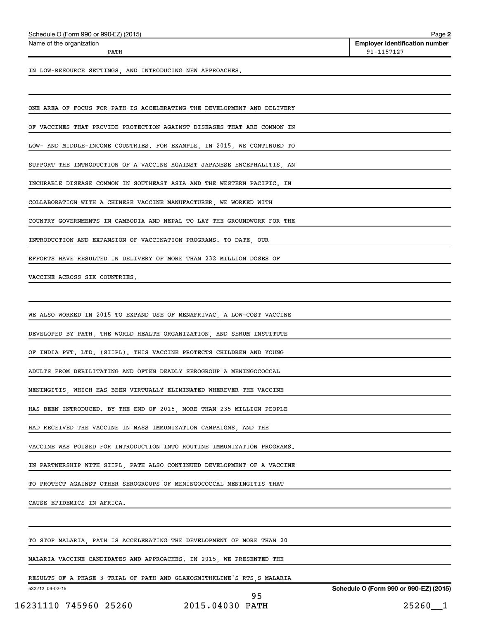| Schedule O (Form 990 or 990-EZ) (2015) | Page |
|----------------------------------------|------|
|                                        |      |

Name of the organization

**2 Employer identification number** PATH 91-1157127

IN LOW-RESOURCE SETTINGS, AND INTRODUCING NEW APPROACHES.

ONE AREA OF FOCUS FOR PATH IS ACCELERATING THE DEVELOPMENT AND DELIVERY

OF VACCINES THAT PROVIDE PROTECTION AGAINST DISEASES THAT ARE COMMON IN

LOW- AND MIDDLE-INCOME COUNTRIES. FOR EXAMPLE, IN 2015, WE CONTINUED TO

SUPPORT THE INTRODUCTION OF A VACCINE AGAINST JAPANESE ENCEPHALITIS, AN

INCURABLE DISEASE COMMON IN SOUTHEAST ASIA AND THE WESTERN PACIFIC. IN

COLLABORATION WITH A CHINESE VACCINE MANUFACTURER, WE WORKED WITH

COUNTRY GOVERNMENTS IN CAMBODIA AND NEPAL TO LAY THE GROUNDWORK FOR THE

INTRODUCTION AND EXPANSION OF VACCINATION PROGRAMS. TO DATE, OUR

EFFORTS HAVE RESULTED IN DELIVERY OF MORE THAN 232 MILLION DOSES OF

VACCINE ACROSS SIX COUNTRIES.

WE ALSO WORKED IN 2015 TO EXPAND USE OF MENAFRIVAC, A LOW-COST VACCINE

DEVELOPED BY PATH, THE WORLD HEALTH ORGANIZATION, AND SERUM INSTITUTE

OF INDIA PVT. LTD. (SIIPL). THIS VACCINE PROTECTS CHILDREN AND YOUNG

ADULTS FROM DEBILITATING AND OFTEN DEADLY SEROGROUP A MENINGOCOCCAL

MENINGITIS, WHICH HAS BEEN VIRTUALLY ELIMINATED WHEREVER THE VACCINE

HAS BEEN INTRODUCED. BY THE END OF 2015, MORE THAN 235 MILLION PEOPLE

HAD RECEIVED THE VACCINE IN MASS IMMUNIZATION CAMPAIGNS, AND THE

VACCINE WAS POISED FOR INTRODUCTION INTO ROUTINE IMMUNIZATION PROGRAMS.

IN PARTNERSHIP WITH SIIPL, PATH ALSO CONTINUED DEVELOPMENT OF A VACCINE

TO PROTECT AGAINST OTHER SEROGROUPS OF MENINGOCOCCAL MENINGITIS THAT

CAUSE EPIDEMICS IN AFRICA.

TO STOP MALARIA, PATH IS ACCELERATING THE DEVELOPMENT OF MORE THAN 20

MALARIA VACCINE CANDIDATES AND APPROACHES. IN 2015, WE PRESENTED THE

RESULTS OF A PHASE 3 TRIAL OF PATH AND GLAXOSMITHKLINE'S RTS,S MALARIA

532212 09-02-15

**Schedule O (Form 990 or 990-EZ) (2015)**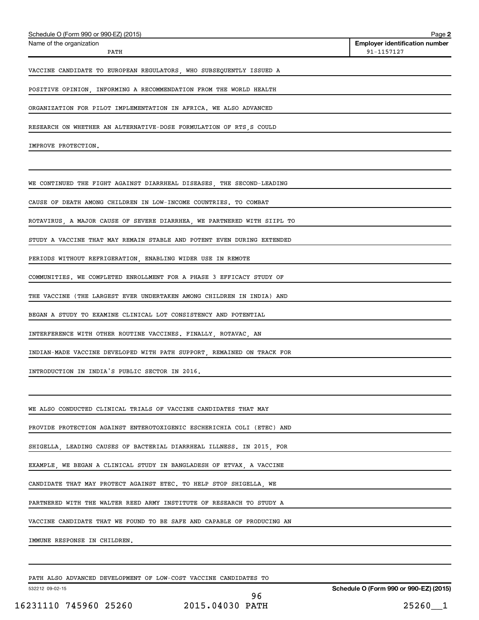| Schedule O (Form 990 or 990-EZ) (2015)                                  | Page 2                                              |
|-------------------------------------------------------------------------|-----------------------------------------------------|
| Name of the organization<br>PATH                                        | <b>Employer identification number</b><br>91-1157127 |
| VACCINE CANDIDATE TO EUROPEAN REGULATORS, WHO SUBSEQUENTLY ISSUED A     |                                                     |
| POSITIVE OPINION, INFORMING A RECOMMENDATION FROM THE WORLD HEALTH      |                                                     |
| ORGANIZATION FOR PILOT IMPLEMENTATION IN AFRICA. WE ALSO ADVANCED       |                                                     |
| RESEARCH ON WHETHER AN ALTERNATIVE-DOSE FORMULATION OF RTS, S COULD     |                                                     |
| IMPROVE PROTECTION.                                                     |                                                     |
|                                                                         |                                                     |
| WE CONTINUED THE FIGHT AGAINST DIARRHEAL DISEASES, THE SECOND-LEADING   |                                                     |
| CAUSE OF DEATH AMONG CHILDREN IN LOW-INCOME COUNTRIES. TO COMBAT        |                                                     |
| ROTAVIRUS, A MAJOR CAUSE OF SEVERE DIARRHEA, WE PARTNERED WITH SIIPL TO |                                                     |
| STUDY A VACCINE THAT MAY REMAIN STABLE AND POTENT EVEN DURING EXTENDED  |                                                     |
| PERIODS WITHOUT REFRIGERATION, ENABLING WIDER USE IN REMOTE             |                                                     |
| COMMUNITIES. WE COMPLETED ENROLLMENT FOR A PHASE 3 EFFICACY STUDY OF    |                                                     |
| THE VACCINE (THE LARGEST EVER UNDERTAKEN AMONG CHILDREN IN INDIA) AND   |                                                     |
| BEGAN A STUDY TO EXAMINE CLINICAL LOT CONSISTENCY AND POTENTIAL         |                                                     |
| INTERFERENCE WITH OTHER ROUTINE VACCINES. FINALLY, ROTAVAC, AN          |                                                     |
| INDIAN-MADE VACCINE DEVELOPED WITH PATH SUPPORT, REMAINED ON TRACK FOR  |                                                     |
| INTRODUCTION IN INDIA'S PUBLIC SECTOR IN 2016.                          |                                                     |
|                                                                         |                                                     |
| WE ALSO CONDUCTED CLINICAL TRIALS OF VACCINE CANDIDATES THAT MAY        |                                                     |
| PROVIDE PROTECTION AGAINST ENTEROTOXIGENIC ESCHERICHIA COLI (ETEC) AND  |                                                     |
| SHIGELLA, LEADING CAUSES OF BACTERIAL DIARRHEAL ILLNESS. IN 2015, FOR   |                                                     |
| EXAMPLE, WE BEGAN A CLINICAL STUDY IN BANGLADESH OF ETVAX, A VACCINE    |                                                     |
| CANDIDATE THAT MAY PROTECT AGAINST ETEC. TO HELP STOP SHIGELLA, WE      |                                                     |
| PARTNERED WITH THE WALTER REED ARMY INSTITUTE OF RESEARCH TO STUDY A    |                                                     |
| VACCINE CANDIDATE THAT WE FOUND TO BE SAFE AND CAPABLE OF PRODUCING AN  |                                                     |
| IMMUNE RESPONSE IN CHILDREN.                                            |                                                     |
|                                                                         |                                                     |
| PATH ALSO ADVANCED DEVELOPMENT OF LOW-COST VACCINE CANDIDATES TO        |                                                     |

532212 09-02-15

96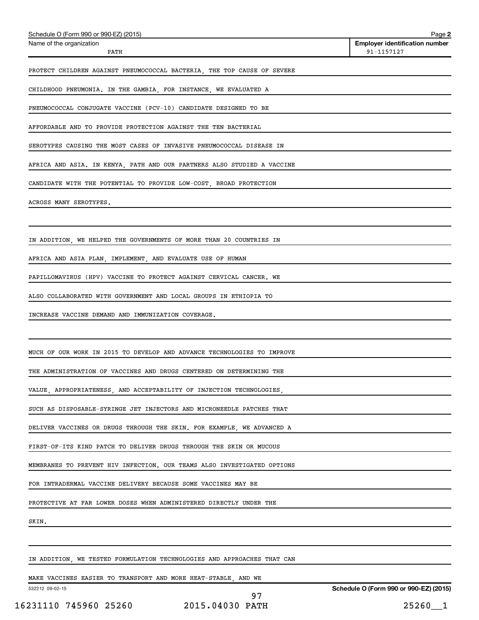| Schedule O (Form 990 or 990-EZ) (2015)                                  | Page 2                                              |
|-------------------------------------------------------------------------|-----------------------------------------------------|
| Name of the organization<br>PATH                                        | <b>Employer identification number</b><br>91-1157127 |
| PROTECT CHILDREN AGAINST PNEUMOCOCCAL BACTERIA, THE TOP CAUSE OF SEVERE |                                                     |
| CHILDHOOD PNEUMONIA. IN THE GAMBIA, FOR INSTANCE, WE EVALUATED A        |                                                     |
| PNEUMOCOCCAL CONJUGATE VACCINE (PCV-10) CANDIDATE DESIGNED TO BE        |                                                     |
| AFFORDABLE AND TO PROVIDE PROTECTION AGAINST THE TEN BACTERIAL          |                                                     |
| SEROTYPES CAUSING THE MOST CASES OF INVASIVE PNEUMOCOCCAL DISEASE IN    |                                                     |
| AFRICA AND ASIA. IN KENYA, PATH AND OUR PARTNERS ALSO STUDIED A VACCINE |                                                     |
| CANDIDATE WITH THE POTENTIAL TO PROVIDE LOW-COST, BROAD PROTECTION      |                                                     |
| ACROSS MANY SEROTYPES.                                                  |                                                     |
|                                                                         |                                                     |
| IN ADDITION. WE HELPED THE GOVERNMENTS OF MORE THAN 20 COUNTRIES IN     |                                                     |
| AFRICA AND ASIA PLAN, IMPLEMENT, AND EVALUATE USE OF HUMAN              |                                                     |
| PAPILLOMAVIRUS (HPV) VACCINE TO PROTECT AGAINST CERVICAL CANCER. WE     |                                                     |
| ALSO COLLABORATED WITH GOVERNMENT AND LOCAL GROUPS IN ETHIOPIA TO       |                                                     |
| INCREASE VACCINE DEMAND AND IMMUNIZATION COVERAGE.                      |                                                     |
|                                                                         |                                                     |
| MUCH OF OUR WORK IN 2015 TO DEVELOP AND ADVANCE TECHNOLOGIES TO IMPROVE |                                                     |
| THE ADMINISTRATION OF VACCINES AND DRUGS CENTERED ON DETERMINING THE    |                                                     |
| VALUE, APPROPRIATENESS, AND ACCEPTABILITY OF INJECTION TECHNOLOGIES,    |                                                     |
| SUCH AS DISPOSABLE-SYRINGE JET INJECTORS AND MICRONEEDLE PATCHES THAT   |                                                     |
| DELIVER VACCINES OR DRUGS THROUGH THE SKIN. FOR EXAMPLE, WE ADVANCED A  |                                                     |
| FIRST-OF-ITS KIND PATCH TO DELIVER DRUGS THROUGH THE SKIN OR MUCOUS     |                                                     |
| MEMBRANES TO PREVENT HIV INFECTION. OUR TEAMS ALSO INVESTIGATED OPTIONS |                                                     |
| FOR INTRADERMAL VACCINE DELIVERY BECAUSE SOME VACCINES MAY BE           |                                                     |
| PROTECTIVE AT FAR LOWER DOSES WHEN ADMINISTERED DIRECTLY UNDER THE      |                                                     |
| SKIN.                                                                   |                                                     |
|                                                                         |                                                     |
| IN ADDITION, WE TESTED FORMULATION TECHNOLOGIES AND APPROACHES THAT CAN |                                                     |

MAKE VACCINES EASIER TO TRANSPORT AND MORE HEAT-STABLE, AND WE

532212 09-02-15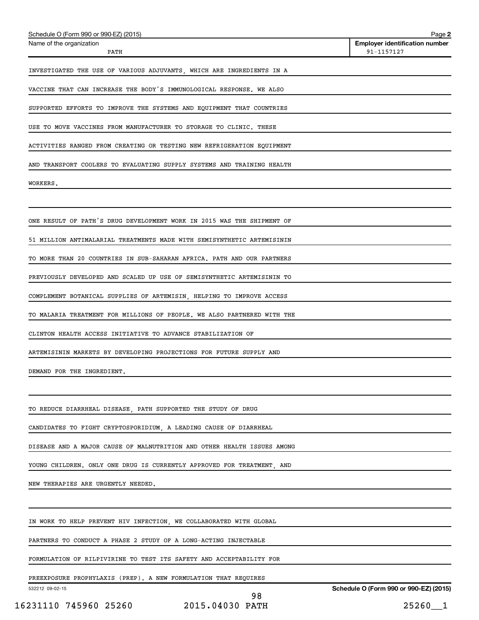| Schedule O (Form 990 or 990-EZ) (2015)                                  | Page 2                                              |
|-------------------------------------------------------------------------|-----------------------------------------------------|
| Name of the organization<br>PATH                                        | <b>Employer identification number</b><br>91-1157127 |
| INVESTIGATED THE USE OF VARIOUS ADJUVANTS, WHICH ARE INGREDIENTS IN A   |                                                     |
| VACCINE THAT CAN INCREASE THE BODY'S IMMUNOLOGICAL RESPONSE. WE ALSO    |                                                     |
| SUPPORTED EFFORTS TO IMPROVE THE SYSTEMS AND EQUIPMENT THAT COUNTRIES   |                                                     |
| USE TO MOVE VACCINES FROM MANUFACTURER TO STORAGE TO CLINIC. THESE      |                                                     |
| ACTIVITIES RANGED FROM CREATING OR TESTING NEW REFRIGERATION EQUIPMENT  |                                                     |
| AND TRANSPORT COOLERS TO EVALUATING SUPPLY SYSTEMS AND TRAINING HEALTH  |                                                     |
| WORKERS.                                                                |                                                     |
|                                                                         |                                                     |
| ONE RESULT OF PATH'S DRUG DEVELOPMENT WORK IN 2015 WAS THE SHIPMENT OF  |                                                     |
| 51 MILLION ANTIMALARIAL TREATMENTS MADE WITH SEMISYNTHETIC ARTEMISININ  |                                                     |
| TO MORE THAN 20 COUNTRIES IN SUB-SAHARAN AFRICA. PATH AND OUR PARTNERS  |                                                     |
| PREVIOUSLY DEVELOPED AND SCALED UP USE OF SEMISYNTHETIC ARTEMISININ TO  |                                                     |
| COMPLEMENT BOTANICAL SUPPLIES OF ARTEMISIN, HELPING TO IMPROVE ACCESS   |                                                     |
| TO MALARIA TREATMENT FOR MILLIONS OF PEOPLE. WE ALSO PARTNERED WITH THE |                                                     |
| CLINTON HEALTH ACCESS INITIATIVE TO ADVANCE STABILIZATION OF            |                                                     |
| ARTEMISININ MARKETS BY DEVELOPING PROJECTIONS FOR FUTURE SUPPLY AND     |                                                     |
| DEMAND FOR THE INGREDIENT.                                              |                                                     |
|                                                                         |                                                     |
| TO REDUCE DIARRHEAL DISEASE, PATH SUPPORTED THE STUDY OF DRUG           |                                                     |
| CANDIDATES TO FIGHT CRYPTOSPORIDIUM, A LEADING CAUSE OF DIARRHEAL       |                                                     |
| DISEASE AND A MAJOR CAUSE OF MALNUTRITION AND OTHER HEALTH ISSUES AMONG |                                                     |
| YOUNG CHILDREN. ONLY ONE DRUG IS CURRENTLY APPROVED FOR TREATMENT, AND  |                                                     |
| NEW THERAPIES ARE URGENTLY NEEDED.                                      |                                                     |
|                                                                         |                                                     |
| IN WORK TO HELP PREVENT HIV INFECTION, WE COLLABORATED WITH GLOBAL      |                                                     |
| PARTNERS TO CONDUCT A PHASE 2 STUDY OF A LONG-ACTING INJECTABLE         |                                                     |
| FORMULATION OF RILPIVIRINE TO TEST ITS SAFETY AND ACCEPTABILITY FOR     |                                                     |
| PREEXPOSURE PROPHYLAXIS (PREP). A NEW FORMULATION THAT REQUIRES         |                                                     |
| 532212 09-02-15                                                         | Schedule O (Form 990 or 990-EZ) (2015)              |

<sup>16231110 745960 25260 2015.04030</sup> PATH 25260\_\_1 98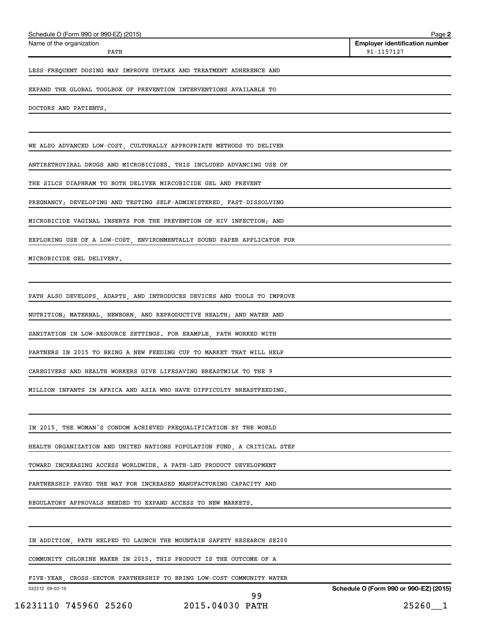| Schedule O (Form 990 or 990-EZ) (2015)                                  | Page 2                                              |
|-------------------------------------------------------------------------|-----------------------------------------------------|
| Name of the organization<br>PATH                                        | <b>Employer identification number</b><br>91-1157127 |
| LESS-FREQUENT DOSING MAY IMPROVE UPTAKE AND TREATMENT ADHERENCE AND     |                                                     |
| EXPAND THE GLOBAL TOOLBOX OF PREVENTION INTERVENTIONS AVAILABLE TO      |                                                     |
| DOCTORS AND PATIENTS.                                                   |                                                     |
| WE ALSO ADVANCED LOW-COST, CULTURALLY APPROPRIATE METHODS TO DELIVER    |                                                     |
| ANTIRETROVIRAL DRUGS AND MICROBICIDES. THIS INCLUDED ADVANCING USE OF   |                                                     |
| THE SILCS DIAPHRAM TO BOTH DELIVER MIRCOBICIDE GEL AND PREVENT          |                                                     |
| PREGNANCY; DEVELOPING AND TESTING SELF-ADMINISTERED, FAST-DISSOLVING    |                                                     |
| MICROBICIDE VAGINAL INSERTS FOR THE PREVENTION OF HIV INFECTION; AND    |                                                     |
| EXPLORING USE OF A LOW-COST, ENVIRONMENTALLY SOUND PAPER APPLICATOR FOR |                                                     |
| MICROBICIDE GEL DELIVERY.                                               |                                                     |
|                                                                         |                                                     |
| PATH ALSO DEVELOPS, ADAPTS, AND INTRODUCES DEVICES AND TOOLS TO IMPROVE |                                                     |
| NUTRITION; MATERNAL, NEWBORN, AND REPRODUCTIVE HEALTH; AND WATER AND    |                                                     |
| SANITATION IN LOW-RESOURCE SETTINGS. FOR EXAMPLE, PATH WORKED WITH      |                                                     |
| PARTNERS IN 2015 TO BRING A NEW FEEDING CUP TO MARKET THAT WILL HELP    |                                                     |
| CAREGIVERS AND HEALTH WORKERS GIVE LIFESAVING BREASTMILK TO THE 9       |                                                     |
| MILLION INFANTS IN AFRICA AND ASIA WHO HAVE DIFFICULTY BREASTFEEDING.   |                                                     |
|                                                                         |                                                     |
| IN 2015, THE WOMAN'S CONDOM ACHIEVED PREQUALIFICATION BY THE WORLD      |                                                     |
| HEALTH ORGANIZATION AND UNITED NATIONS POPULATION FUND, A CRITICAL STEP |                                                     |
| TOWARD INCREASING ACCESS WORLDWIDE. A PATH-LED PRODUCT DEVELOPMENT      |                                                     |
| PARTNERSHIP PAVED THE WAY FOR INCREASED MANUFACTURING CAPACITY AND      |                                                     |
| REGULATORY APPROVALS NEEDED TO EXPAND ACCESS TO NEW MARKETS.            |                                                     |
|                                                                         |                                                     |
| IN ADDITION, PATH HELPED TO LAUNCH THE MOUNTAIN SAFETY RESEARCH SE200   |                                                     |
| COMMUNITY CHLORINE MAKER IN 2015. THIS PRODUCT IS THE OUTCOME OF A      |                                                     |

FIVE-YEAR, CROSS-SECTOR PARTNERSHIP TO BRING LOW-COST COMMUNITY WATER

532212 09-02-15

**Schedule O (Form 990 or 990-EZ) (2015)**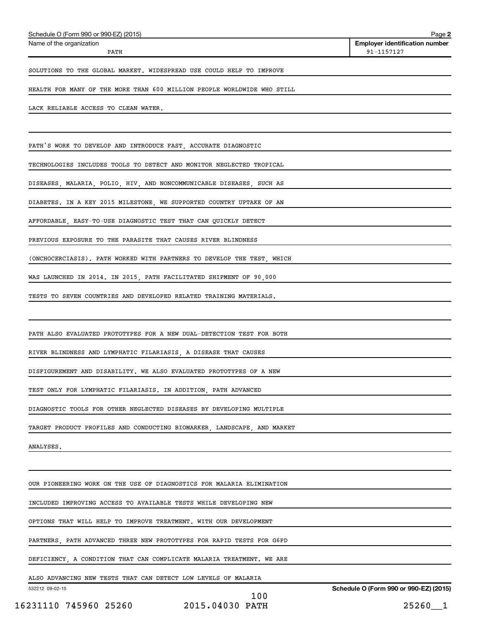| Schedule O (Form 990 or 990-EZ) (2015) | Page 2                                |
|----------------------------------------|---------------------------------------|
| Name of the organization               | <b>Employer identification number</b> |
| PATH                                   | 91-1157127                            |
|                                        |                                       |

SOLUTIONS TO THE GLOBAL MARKET. WIDESPREAD USE COULD HELP TO IMPROVE

HEALTH FOR MANY OF THE MORE THAN 600 MILLION PEOPLE WORLDWIDE WHO STILL

LACK RELIABLE ACCESS TO CLEAN WATER.

PATH'S WORK TO DEVELOP AND INTRODUCE FAST, ACCURATE DIAGNOSTIC

TECHNOLOGIES INCLUDES TOOLS TO DETECT AND MONITOR NEGLECTED TROPICAL

DISEASES, MALARIA, POLIO, HIV, AND NONCOMMUNICABLE DISEASES, SUCH AS

DIABETES. IN A KEY 2015 MILESTONE, WE SUPPORTED COUNTRY UPTAKE OF AN

AFFORDABLE, EASY-TO-USE DIAGNOSTIC TEST THAT CAN QUICKLY DETECT

PREVIOUS EXPOSURE TO THE PARASITE THAT CAUSES RIVER BLINDNESS

(ONCHOCERCIASIS). PATH WORKED WITH PARTNERS TO DEVELOP THE TEST, WHICH

WAS LAUNCHED IN 2014. IN 2015, PATH FACILITATED SHIPMENT OF 90,000

TESTS TO SEVEN COUNTRIES AND DEVELOPED RELATED TRAINING MATERIALS.

PATH ALSO EVALUATED PROTOTYPES FOR A NEW DUAL-DETECTION TEST FOR BOTH

RIVER BLINDNESS AND LYMPHATIC FILARIASIS, A DISEASE THAT CAUSES

DISFIGUREMENT AND DISABILITY. WE ALSO EVALUATED PROTOTYPES OF A NEW

TEST ONLY FOR LYMPHATIC FILARIASIS. IN ADDITION, PATH ADVANCED

DIAGNOSTIC TOOLS FOR OTHER NEGLECTED DISEASES BY DEVELOPING MULTIPLE

TARGET PRODUCT PROFILES AND CONDUCTING BIOMARKER, LANDSCAPE, AND MARKET

ANALYSES.

OUR PIONEERING WORK ON THE USE OF DIAGNOSTICS FOR MALARIA ELIMINATION

INCLUDED IMPROVING ACCESS TO AVAILABLE TESTS WHILE DEVELOPING NEW

OPTIONS THAT WILL HELP TO IMPROVE TREATMENT. WITH OUR DEVELOPMENT

PARTNERS, PATH ADVANCED THREE NEW PROTOTYPES FOR RAPID TESTS FOR G6PD

DEFICIENCY, A CONDITION THAT CAN COMPLICATE MALARIA TREATMENT. WE ARE

ALSO ADVANCING NEW TESTS THAT CAN DETECT LOW LEVELS OF MALARIA

532212 09-02-15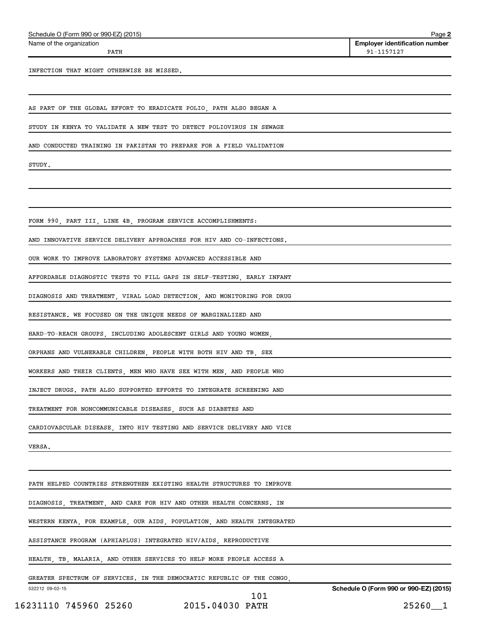| Schedule O (Form 990 or 990-EZ) (2015) | Page |
|----------------------------------------|------|
|                                        |      |

Name of the organization

**2 Employer identification number** PATH 91-1157127

INFECTION THAT MIGHT OTHERWISE BE MISSED.

AS PART OF THE GLOBAL EFFORT TO ERADICATE POLIO, PATH ALSO BEGAN A

STUDY IN KENYA TO VALIDATE A NEW TEST TO DETECT POLIOVIRUS IN SEWAGE

AND CONDUCTED TRAINING IN PAKISTAN TO PREPARE FOR A FIELD VALIDATION

STUDY.

FORM 990, PART III, LINE 4B, PROGRAM SERVICE ACCOMPLISHMENTS:

AND INNOVATIVE SERVICE DELIVERY APPROACHES FOR HIV AND CO-INFECTIONS.

OUR WORK TO IMPROVE LABORATORY SYSTEMS ADVANCED ACCESSIBLE AND

AFFORDABLE DIAGNOSTIC TESTS TO FILL GAPS IN SELF-TESTING, EARLY INFANT

DIAGNOSIS AND TREATMENT, VIRAL LOAD DETECTION, AND MONITORING FOR DRUG

RESISTANCE. WE FOCUSED ON THE UNIQUE NEEDS OF MARGINALIZED AND

HARD-TO-REACH GROUPS, INCLUDING ADOLESCENT GIRLS AND YOUNG WOMEN,

ORPHANS AND VULNERABLE CHILDREN, PEOPLE WITH BOTH HIV AND TB, SEX

WORKERS AND THEIR CLIENTS, MEN WHO HAVE SEX WITH MEN, AND PEOPLE WHO

INJECT DRUGS. PATH ALSO SUPPORTED EFFORTS TO INTEGRATE SCREENING AND

TREATMENT FOR NONCOMMUNICABLE DISEASES, SUCH AS DIABETES AND

CARDIOVASCULAR DISEASE, INTO HIV TESTING AND SERVICE DELIVERY AND VICE

VERSA.

PATH HELPED COUNTRIES STRENGTHEN EXISTING HEALTH STRUCTURES TO IMPROVE

DIAGNOSIS, TREATMENT, AND CARE FOR HIV AND OTHER HEALTH CONCERNS. IN

WESTERN KENYA, FOR EXAMPLE, OUR AIDS, POPULATION, AND HEALTH INTEGRATED

ASSISTANCE PROGRAM (APHIAPLUS) INTEGRATED HIV/AIDS, REPRODUCTIVE

HEALTH, TB, MALARIA, AND OTHER SERVICES TO HELP MORE PEOPLE ACCESS A

GREATER SPECTRUM OF SERVICES. IN THE DEMOCRATIC REPUBLIC OF THE CONGO,

532212 09-02-15

101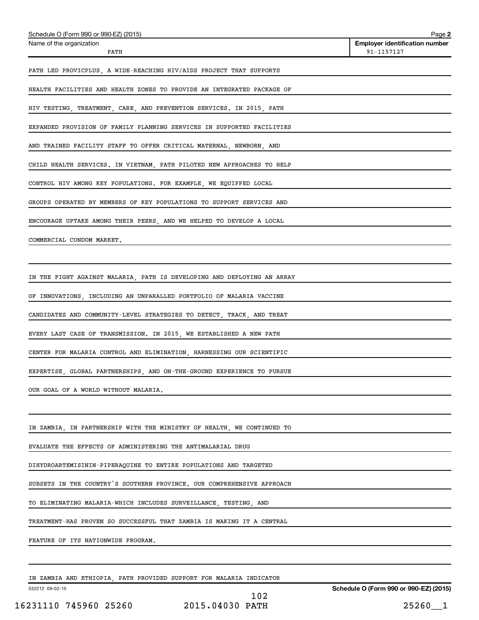| Schedule O (Form 990 or 990-EZ) (2015)                                  | Page 2                                              |
|-------------------------------------------------------------------------|-----------------------------------------------------|
| Name of the organization<br>PATH                                        | <b>Employer identification number</b><br>91-1157127 |
| PATH LED PROVICPLUS, A WIDE-REACHING HIV/AIDS PROJECT THAT SUPPORTS     |                                                     |
| HEALTH FACILITIES AND HEALTH ZONES TO PROVIDE AN INTEGRATED PACKAGE OF  |                                                     |
| HIV TESTING, TREATMENT, CARE, AND PREVENTION SERVICES. IN 2015, PATH    |                                                     |
| EXPANDED PROVISION OF FAMILY PLANNING SERVICES IN SUPPORTED FACILITIES  |                                                     |
| AND TRAINED FACILITY STAFF TO OFFER CRITICAL MATERNAL, NEWBORN, AND     |                                                     |
| CHILD HEALTH SERVICES. IN VIETNAM, PATH PILOTED NEW APPROACHES TO HELP  |                                                     |
| CONTROL HIV AMONG KEY POPULATIONS. FOR EXAMPLE, WE EQUIPPED LOCAL       |                                                     |
| GROUPS OPERATED BY MEMBERS OF KEY POPULATIONS TO SUPPORT SERVICES AND   |                                                     |
| ENCOURAGE UPTAKE AMONG THEIR PEERS, AND WE HELPED TO DEVELOP A LOCAL    |                                                     |
| COMMERCIAL CONDOM MARKET.                                               |                                                     |
|                                                                         |                                                     |
| IN THE FIGHT AGAINST MALARIA, PATH IS DEVELOPING AND DEPLOYING AN ARRAY |                                                     |
| OF INNOVATIONS, INCLUDING AN UNPARALLED PORTFOLIO OF MALARIA VACCINE    |                                                     |
| CANDIDATES AND COMMUNITY-LEVEL STRATEGIES TO DETECT, TRACK, AND TREAT   |                                                     |
| EVERY LAST CASE OF TRANSMISSION. IN 2015, WE ESTABLISHED A NEW PATH     |                                                     |
| CENTER FOR MALARIA CONTROL AND ELIMINATION, HARNESSING OUR SCIENTIFIC   |                                                     |
| EXPERTISE, GLOBAL PARTNERSHIPS, AND ON-THE-GROUND EXPERIENCE TO PURSUE  |                                                     |
| OUR GOAL OF A WORLD WITHOUT MALARIA.                                    |                                                     |
|                                                                         |                                                     |
| IN ZAMBIA, IN PARTNERSHIP WITH THE MINISTRY OF HEALTH, WE CONTINUED TO  |                                                     |
| EVALUATE THE EFFECTS OF ADMINISTERING THE ANTIMALARIAL DRUG             |                                                     |
| DIHYDROARTEMISININ-PIPERAQUINE TO ENTIRE POPULATIONS AND TARGETED       |                                                     |
| SUBSETS IN THE COUNTRY'S SOUTHERN PROVINCE. OUR COMPREHENSIVE APPROACH  |                                                     |
| TO ELIMINATING MALARIA-WHICH INCLUDES SURVEILLANCE, TESTING, AND        |                                                     |
| TREATMENT-HAS PROVEN SO SUCCESSFUL THAT ZAMBIA IS MAKING IT A CENTRAL   |                                                     |
| FEATURE OF ITS NATIONWIDE PROGRAM.                                      |                                                     |
|                                                                         |                                                     |

IN ZAMBIA AND ETHIOPIA, PATH PROVIDED SUPPORT FOR MALARIA INDICATOR

532212 09-02-15

102

**Schedule O (Form 990 or 990-EZ) (2015)**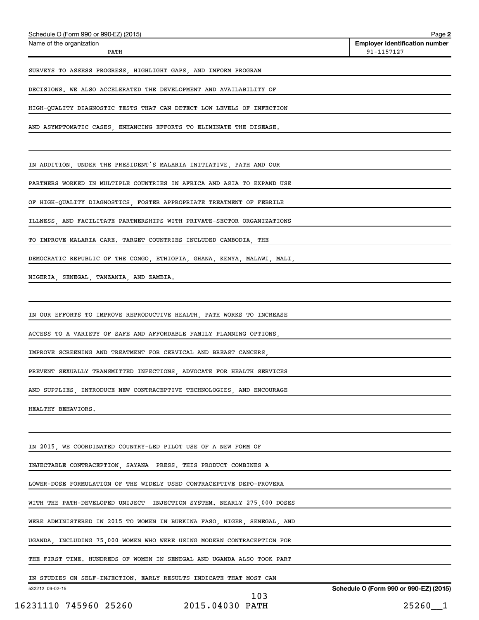| DECISIONS. WE ALSO ACCELERATED THE DEVELOPMENT AND AVAILABILITY OF      |     |                                       |
|-------------------------------------------------------------------------|-----|---------------------------------------|
| HIGH-QUALITY DIAGNOSTIC TESTS THAT CAN DETECT LOW LEVELS OF INFECTION   |     |                                       |
| AND ASYMPTOMATIC CASES, ENHANCING EFFORTS TO ELIMINATE THE DISEASE.     |     |                                       |
|                                                                         |     |                                       |
| IN ADDITION, UNDER THE PRESIDENT'S MALARIA INITIATIVE, PATH AND OUR     |     |                                       |
| PARTNERS WORKED IN MULTIPLE COUNTRIES IN AFRICA AND ASIA TO EXPAND USE  |     |                                       |
| OF HIGH-QUALITY DIAGNOSTICS, FOSTER APPROPRIATE TREATMENT OF FEBRILE    |     |                                       |
| ILLNESS, AND FACILITATE PARTNERSHIPS WITH PRIVATE-SECTOR ORGANIZATIONS  |     |                                       |
| TO IMPROVE MALARIA CARE. TARGET COUNTRIES INCLUDED CAMBODIA, THE        |     |                                       |
| DEMOCRATIC REPUBLIC OF THE CONGO, ETHIOPIA, GHANA, KENYA, MALAWI, MALI, |     |                                       |
| NIGERIA, SENEGAL, TANZANIA, AND ZAMBIA.                                 |     |                                       |
|                                                                         |     |                                       |
| IN OUR EFFORTS TO IMPROVE REPRODUCTIVE HEALTH, PATH WORKS TO INCREASE   |     |                                       |
| ACCESS TO A VARIETY OF SAFE AND AFFORDABLE FAMILY PLANNING OPTIONS,     |     |                                       |
| IMPROVE SCREENING AND TREATMENT FOR CERVICAL AND BREAST CANCERS,        |     |                                       |
| PREVENT SEXUALLY TRANSMITTED INFECTIONS, ADVOCATE FOR HEALTH SERVICES   |     |                                       |
| AND SUPPLIES, INTRODUCE NEW CONTRACEPTIVE TECHNOLOGIES, AND ENCOURAGE   |     |                                       |
| HEALTHY BEHAVIORS.                                                      |     |                                       |
|                                                                         |     |                                       |
| IN 2015, WE COORDINATED COUNTRY-LED PILOT USE OF A NEW FORM OF          |     |                                       |
| INJECTABLE CONTRACEPTION, SAYANA PRESS. THIS PRODUCT COMBINES A         |     |                                       |
| LOWER-DOSE FORMULATION OF THE WIDELY USED CONTRACEPTIVE DEPO-PROVERA    |     |                                       |
| WITH THE PATH-DEVELOPED UNIJECT INJECTION SYSTEM. NEARLY 275,000 DOSES  |     |                                       |
| WERE ADMINISTERED IN 2015 TO WOMEN IN BURKINA FASO, NIGER, SENEGAL, AND |     |                                       |
| UGANDA, INCLUDING 75,000 WOMEN WHO WERE USING MODERN CONTRACEPTION FOR  |     |                                       |
| THE FIRST TIME. HUNDREDS OF WOMEN IN SENEGAL AND UGANDA ALSO TOOK PART  |     |                                       |
| IN STUDIES ON SELF-INJECTION. EARLY RESULTS INDICATE THAT MOST CAN      |     |                                       |
| 532212 09-02-15                                                         | 103 | Schedule O (Form 990 or 990-EZ) (2015 |
| 16231110 745960 25260 2015.04030 PATH                                   |     | $25260 - 1$                           |

**2 Employer identification number**

PATH 91-1157127

SURVEYS TO ASSESS PROGRESS, HIGHLIGHT GAPS, AND INFORM PROGRAM

Schedule O (Form 990 or 990-EZ) (2015)

Name of the organization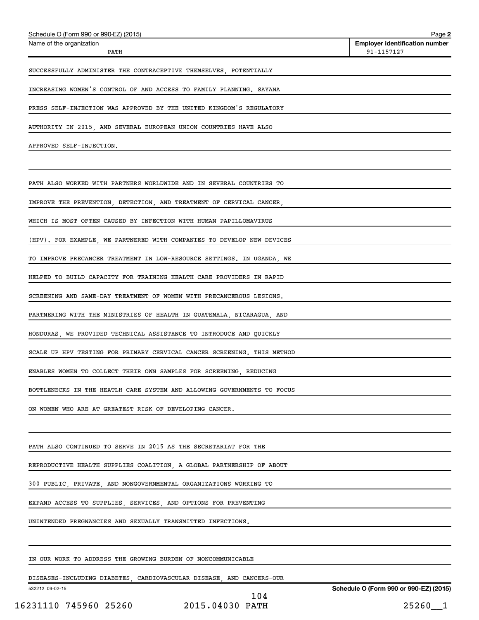| Schedule O (Form 990 or 990-EZ) (2015)                                  | Page 2                                              |
|-------------------------------------------------------------------------|-----------------------------------------------------|
| Name of the organization<br>PATH                                        | <b>Employer identification number</b><br>91-1157127 |
| SUCCESSFULLY ADMINISTER THE CONTRACEPTIVE THEMSELVES, POTENTIALLY       |                                                     |
| INCREASING WOMEN'S CONTROL OF AND ACCESS TO FAMILY PLANNING. SAYANA     |                                                     |
| PRESS SELF-INJECTION WAS APPROVED BY THE UNITED KINGDOM'S REGULATORY    |                                                     |
| AUTHORITY IN 2015, AND SEVERAL EUROPEAN UNION COUNTRIES HAVE ALSO       |                                                     |
| APPROVED SELF-INJECTION.                                                |                                                     |
|                                                                         |                                                     |
| PATH ALSO WORKED WITH PARTNERS WORLDWIDE AND IN SEVERAL COUNTRIES TO    |                                                     |
| IMPROVE THE PREVENTION, DETECTION, AND TREATMENT OF CERVICAL CANCER,    |                                                     |
| WHICH IS MOST OFTEN CAUSED BY INFECTION WITH HUMAN PAPILLOMAVIRUS       |                                                     |
| (HPV). FOR EXAMPLE, WE PARTNERED WITH COMPANIES TO DEVELOP NEW DEVICES  |                                                     |
| TO IMPROVE PRECANCER TREATMENT IN LOW-RESOURCE SETTINGS. IN UGANDA, WE  |                                                     |
| HELPED TO BUILD CAPACITY FOR TRAINING HEALTH CARE PROVIDERS IN RAPID    |                                                     |
| SCREENING AND SAME-DAY TREATMENT OF WOMEN WITH PRECANCEROUS LESIONS.    |                                                     |
| PARTNERING WITH THE MINISTRIES OF HEALTH IN GUATEMALA, NICARAGUA, AND   |                                                     |
| HONDURAS, WE PROVIDED TECHNICAL ASSISTANCE TO INTRODUCE AND QUICKLY     |                                                     |
| SCALE UP HPV TESTING FOR PRIMARY CERVICAL CANCER SCREENING. THIS METHOD |                                                     |
| ENABLES WOMEN TO COLLECT THEIR OWN SAMPLES FOR SCREENING, REDUCING      |                                                     |
| BOTTLENECKS IN THE HEATLH CARE SYSTEM AND ALLOWING GOVERNMENTS TO FOCUS |                                                     |
| ON WOMEN WHO ARE AT GREATEST RISK OF DEVELOPING CANCER.                 |                                                     |
|                                                                         |                                                     |
| PATH ALSO CONTINUED TO SERVE IN 2015 AS THE SECRETARIAT FOR THE         |                                                     |
| REPRODUCTIVE HEALTH SUPPLIES COALITION, A GLOBAL PARTNERSHIP OF ABOUT   |                                                     |
| 300 PUBLIC, PRIVATE, AND NONGOVERNMENTAL ORGANIZATIONS WORKING TO       |                                                     |
| EXPAND ACCESS TO SUPPLIES, SERVICES, AND OPTIONS FOR PREVENTING         |                                                     |
| UNINTENDED PREGNANCIES AND SEXUALLY TRANSMITTED INFECTIONS.             |                                                     |
|                                                                         |                                                     |
| IN OUR WORK TO ADDRESS THE GROWING BURDEN OF NONCOMMUNICABLE            |                                                     |

DISEASES-INCLUDING DIABETES, CARDIOVASCULAR DISEASE, AND CANCERS-OUR

532212 09-02-15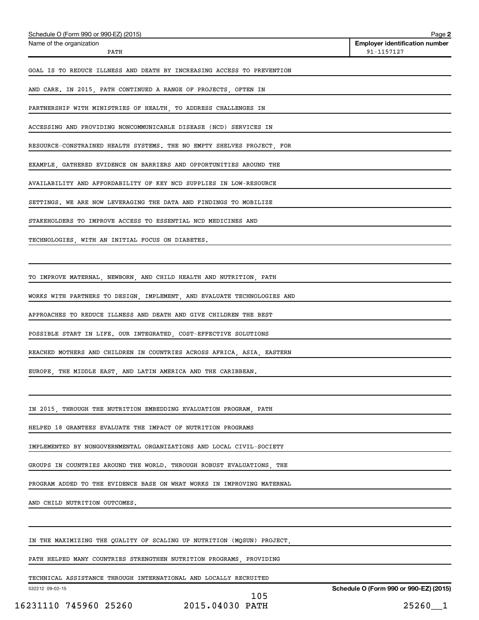| Schedule O (Form 990 or 990-EZ) (2015)                                  | Page 2                                              |
|-------------------------------------------------------------------------|-----------------------------------------------------|
| Name of the organization<br>PATH                                        | <b>Employer identification number</b><br>91-1157127 |
|                                                                         |                                                     |
| GOAL IS TO REDUCE ILLNESS AND DEATH BY INCREASING ACCESS TO PREVENTION  |                                                     |
| AND CARE. IN 2015, PATH CONTINUED A RANGE OF PROJECTS, OFTEN IN         |                                                     |
| PARTNERSHIP WITH MINISTRIES OF HEALTH, TO ADDRESS CHALLENGES IN         |                                                     |
| ACCESSING AND PROVIDING NONCOMMUNICABLE DISEASE (NCD) SERVICES IN       |                                                     |
| RESOURCE-CONSTRAINED HEALTH SYSTEMS. THE NO EMPTY SHELVES PROJECT, FOR  |                                                     |
| EXAMPLE, GATHERED EVIDENCE ON BARRIERS AND OPPORTUNITIES AROUND THE     |                                                     |
| AVAILABILITY AND AFFORDABILITY OF KEY NCD SUPPLIES IN LOW-RESOURCE      |                                                     |
| SETTINGS. WE ARE NOW LEVERAGING THE DATA AND FINDINGS TO MOBILIZE       |                                                     |
| STAKEHOLDERS TO IMPROVE ACCESS TO ESSENTIAL NCD MEDICINES AND           |                                                     |
| TECHNOLOGIES, WITH AN INITIAL FOCUS ON DIABETES.                        |                                                     |
|                                                                         |                                                     |
|                                                                         |                                                     |
| TO IMPROVE MATERNAL, NEWBORN, AND CHILD HEALTH AND NUTRITION, PATH      |                                                     |
| WORKS WITH PARTNERS TO DESIGN, IMPLEMENT, AND EVALUATE TECHNOLOGIES AND |                                                     |
| APPROACHES TO REDUCE ILLNESS AND DEATH AND GIVE CHILDREN THE BEST       |                                                     |
| POSSIBLE START IN LIFE. OUR INTEGRATED, COST-EFFECTIVE SOLUTIONS        |                                                     |
| REACHED MOTHERS AND CHILDREN IN COUNTRIES ACROSS AFRICA, ASIA, EASTERN  |                                                     |
| EUROPE, THE MIDDLE EAST, AND LATIN AMERICA AND THE CARIBBEAN.           |                                                     |
|                                                                         |                                                     |
| IN 2015, THROUGH THE NUTRITION EMBEDDING EVALUATION PROGRAM, PATH       |                                                     |
| HELPED 18 GRANTEES EVALUATE THE IMPACT OF NUTRITION PROGRAMS            |                                                     |
| IMPLEMENTED BY NONGOVERNMENTAL ORGANIZATIONS AND LOCAL CIVIL-SOCIETY    |                                                     |
| GROUPS IN COUNTRIES AROUND THE WORLD. THROUGH ROBUST EVALUATIONS, THE   |                                                     |
| PROGRAM ADDED TO THE EVIDENCE BASE ON WHAT WORKS IN IMPROVING MATERNAL  |                                                     |
| AND CHILD NUTRITION OUTCOMES.                                           |                                                     |
|                                                                         |                                                     |
| IN THE MAXIMIZING THE QUALITY OF SCALING UP NUTRITION (MQSUN) PROJECT,  |                                                     |
| PATH HELPED MANY COUNTRIES STRENGTHEN NUTRITION PROGRAMS, PROVIDING     |                                                     |

TECHNICAL ASSISTANCE THROUGH INTERNATIONAL AND LOCALLY RECRUITED

532212 09-02-15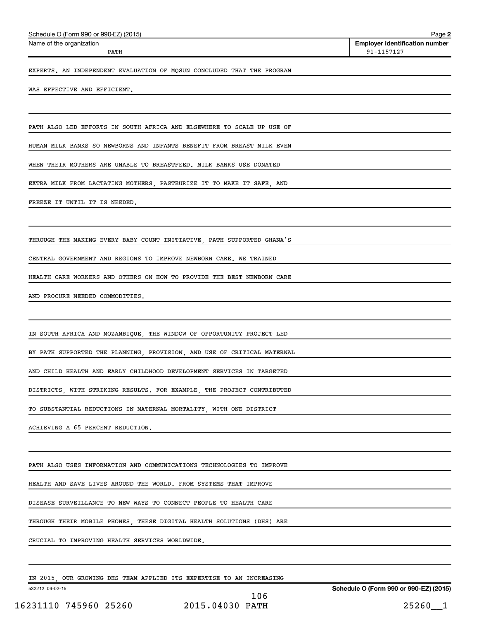Name of the organization

**2 Employer identification number** PATH 91-1157127

EXPERTS. AN INDEPENDENT EVALUATION OF MQSUN CONCLUDED THAT THE PROGRAM

WAS EFFECTIVE AND EFFICIENT.

PATH ALSO LED EFFORTS IN SOUTH AFRICA AND ELSEWHERE TO SCALE UP USE OF

HUMAN MILK BANKS SO NEWBORNS AND INFANTS BENEFIT FROM BREAST MILK EVEN

WHEN THEIR MOTHERS ARE UNABLE TO BREASTFEED. MILK BANKS USE DONATED

EXTRA MILK FROM LACTATING MOTHERS, PASTEURIZE IT TO MAKE IT SAFE, AND

FREEZE IT UNTIL IT IS NEEDED.

THROUGH THE MAKING EVERY BABY COUNT INITIATIVE, PATH SUPPORTED GHANA'S

CENTRAL GOVERNMENT AND REGIONS TO IMPROVE NEWBORN CARE. WE TRAINED

HEALTH CARE WORKERS AND OTHERS ON HOW TO PROVIDE THE BEST NEWBORN CARE

AND PROCURE NEEDED COMMODITIES

IN SOUTH AFRICA AND MOZAMBIQUE, THE WINDOW OF OPPORTUNITY PROJECT LED

BY PATH SUPPORTED THE PLANNING, PROVISION, AND USE OF CRITICAL MATERNAL

AND CHILD HEALTH AND EARLY CHILDHOOD DEVELOPMENT SERVICES IN TARGETED

DISTRICTS, WITH STRIKING RESULTS. FOR EXAMPLE, THE PROJECT CONTRIBUTED

TO SUBSTANTIAL REDUCTIONS IN MATERNAL MORTALITY, WITH ONE DISTRICT

ACHIEVING A 65 PERCENT REDUCTION.

PATH ALSO USES INFORMATION AND COMMUNICATIONS TECHNOLOGIES TO IMPROVE

HEALTH AND SAVE LIVES AROUND THE WORLD. FROM SYSTEMS THAT IMPROVE

DISEASE SURVEILLANCE TO NEW WAYS TO CONNECT PEOPLE TO HEALTH CARE

THROUGH THEIR MOBILE PHONES, THESE DIGITAL HEALTH SOLUTIONS (DHS) ARE

CRUCIAL TO IMPROVING HEALTH SERVICES WORLDWIDE.

IN 2015, OUR GROWING DHS TEAM APPLIED ITS EXPERTISE TO AN INCREASING

532212 09-02-15

16231110 745960 25260 2015.04030 PATH 25260\_\_1 106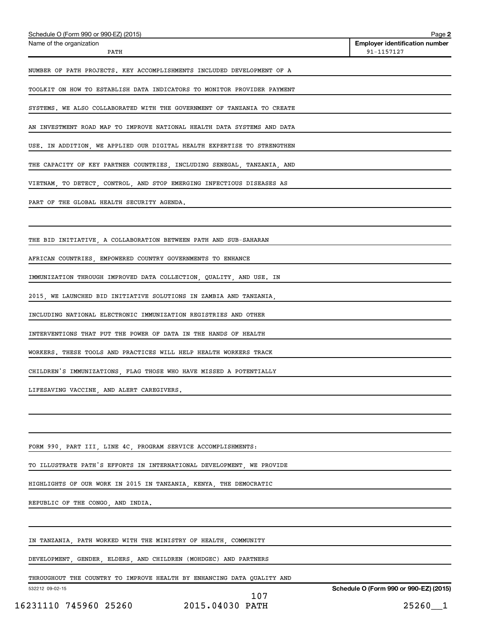| Schedule O (Form 990 or 990-EZ) (2015)                                  | Page 2                                              |
|-------------------------------------------------------------------------|-----------------------------------------------------|
| Name of the organization<br>PATH                                        | <b>Employer identification number</b><br>91-1157127 |
| NUMBER OF PATH PROJECTS. KEY ACCOMPLISHMENTS INCLUDED DEVELOPMENT OF A  |                                                     |
| TOOLKIT ON HOW TO ESTABLISH DATA INDICATORS TO MONITOR PROVIDER PAYMENT |                                                     |
| SYSTEMS. WE ALSO COLLABORATED WITH THE GOVERNMENT OF TANZANIA TO CREATE |                                                     |
| AN INVESTMENT ROAD MAP TO IMPROVE NATIONAL HEALTH DATA SYSTEMS AND DATA |                                                     |
| USE. IN ADDITION, WE APPLIED OUR DIGITAL HEALTH EXPERTISE TO STRENGTHEN |                                                     |
| THE CAPACITY OF KEY PARTNER COUNTRIES, INCLUDING SENEGAL, TANZANIA, AND |                                                     |
| VIETNAM, TO DETECT, CONTROL, AND STOP EMERGING INFECTIOUS DISEASES AS   |                                                     |
| PART OF THE GLOBAL HEALTH SECURITY AGENDA.                              |                                                     |
|                                                                         |                                                     |
| THE BID INITIATIVE, A COLLABORATION BETWEEN PATH AND SUB-SAHARAN        |                                                     |
| AFRICAN COUNTRIES, EMPOWERED COUNTRY GOVERNMENTS TO ENHANCE             |                                                     |
| IMMUNIZATION THROUGH IMPROVED DATA COLLECTION, QUALITY, AND USE. IN     |                                                     |
| 2015, WE LAUNCHED BID INITIATIVE SOLUTIONS IN ZAMBIA AND TANZANIA,      |                                                     |
| INCLUDING NATIONAL ELECTRONIC IMMUNIZATION REGISTRIES AND OTHER         |                                                     |
| INTERVENTIONS THAT PUT THE POWER OF DATA IN THE HANDS OF HEALTH         |                                                     |
| WORKERS. THESE TOOLS AND PRACTICES WILL HELP HEALTH WORKERS TRACK       |                                                     |
| CHILDREN'S IMMUNIZATIONS, FLAG THOSE WHO HAVE MISSED A POTENTIALLY      |                                                     |
| LIFESAVING VACCINE, AND ALERT CAREGIVERS.                               |                                                     |
|                                                                         |                                                     |
|                                                                         |                                                     |
| FORM 990, PART III, LINE 4C, PROGRAM SERVICE ACCOMPLISHMENTS:           |                                                     |
| TO ILLUSTRATE PATH'S EFFORTS IN INTERNATIONAL DEVELOPMENT, WE PROVIDE   |                                                     |
| HIGHLIGHTS OF OUR WORK IN 2015 IN TANZANIA, KENYA, THE DEMOCRATIC       |                                                     |
| REPUBLIC OF THE CONGO, AND INDIA.                                       |                                                     |
|                                                                         |                                                     |
| IN TANZANIA, PATH WORKED WITH THE MINISTRY OF HEALTH, COMMUNITY         |                                                     |
| DEVELOPMENT, GENDER, ELDERS, AND CHILDREN (MOHDGEC) AND PARTNERS        |                                                     |
|                                                                         |                                                     |

THROUGHOUT THE COUNTRY TO IMPROVE HEALTH BY ENHANCING DATA QUALITY AND

532212 09-02-15

**Schedule O (Form 990 or 990-EZ) (2015)**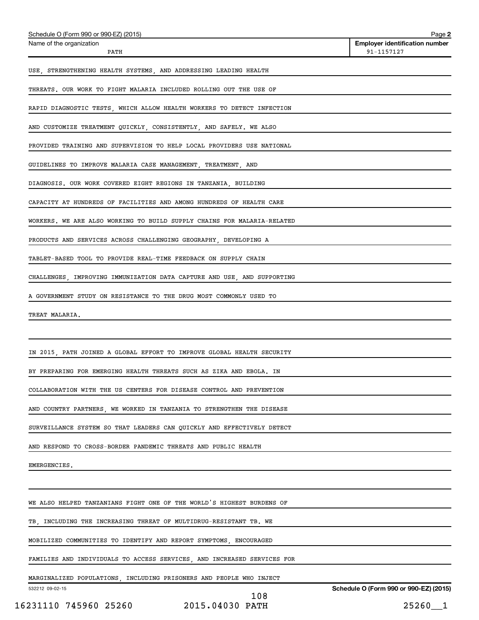| Schedule O (Form 990 or 990-EZ) (2015)                                  | Page 2                                              |
|-------------------------------------------------------------------------|-----------------------------------------------------|
| Name of the organization<br>PATH                                        | <b>Employer identification number</b><br>91-1157127 |
| USE, STRENGTHENING HEALTH SYSTEMS, AND ADDRESSING LEADING HEALTH        |                                                     |
| THREATS. OUR WORK TO FIGHT MALARIA INCLUDED ROLLING OUT THE USE OF      |                                                     |
| RAPID DIAGNOSTIC TESTS, WHICH ALLOW HEALTH WORKERS TO DETECT INFECTION  |                                                     |
| AND CUSTOMIZE TREATMENT QUICKLY, CONSISTENTLY, AND SAFELY. WE ALSO      |                                                     |
| PROVIDED TRAINING AND SUPERVISION TO HELP LOCAL PROVIDERS USE NATIONAL  |                                                     |
| GUIDELINES TO IMPROVE MALARIA CASE MANAGEMENT, TREATMENT, AND           |                                                     |
| DIAGNOSIS. OUR WORK COVERED EIGHT REGIONS IN TANZANIA, BUILDING         |                                                     |
| CAPACITY AT HUNDREDS OF FACILITIES AND AMONG HUNDREDS OF HEALTH CARE    |                                                     |
| WORKERS. WE ARE ALSO WORKING TO BUILD SUPPLY CHAINS FOR MALARIA-RELATED |                                                     |
| PRODUCTS AND SERVICES ACROSS CHALLENGING GEOGRAPHY, DEVELOPING A        |                                                     |
| TABLET-BASED TOOL TO PROVIDE REAL-TIME FEEDBACK ON SUPPLY CHAIN         |                                                     |
| CHALLENGES, IMPROVING IMMUNIZATION DATA CAPTURE AND USE, AND SUPPORTING |                                                     |
| A GOVERNMENT STUDY ON RESISTANCE TO THE DRUG MOST COMMONLY USED TO      |                                                     |
| TREAT MALARIA.                                                          |                                                     |
|                                                                         |                                                     |
| IN 2015, PATH JOINED A GLOBAL EFFORT TO IMPROVE GLOBAL HEALTH SECURITY  |                                                     |
| BY PREPARING FOR EMERGING HEALTH THREATS SUCH AS ZIKA AND EBOLA. IN     |                                                     |
| COLLABORATION WITH THE US CENTERS FOR DISEASE CONTROL AND PREVENTION    |                                                     |
| AND COUNTRY PARTNERS, WE WORKED IN TANZANIA TO STRENGTHEN THE DISEASE   |                                                     |
| SURVEILLANCE SYSTEM SO THAT LEADERS CAN QUICKLY AND EFFECTIVELY DETECT  |                                                     |
| AND RESPOND TO CROSS-BORDER PANDEMIC THREATS AND PUBLIC HEALTH          |                                                     |
| EMERGENCIES.                                                            |                                                     |
|                                                                         |                                                     |
| WE ALSO HELPED TANZANIANS FIGHT ONE OF THE WORLD'S HIGHEST BURDENS OF   |                                                     |
| TB, INCLUDING THE INCREASING THREAT OF MULTIDRUG-RESISTANT TB. WE       |                                                     |
| MOBILIZED COMMUNITIES TO IDENTIFY AND REPORT SYMPTOMS, ENCOURAGED       |                                                     |
| FAMILIES AND INDIVIDUALS TO ACCESS SERVICES, AND INCREASED SERVICES FOR |                                                     |
| MARGINALIZED POPULATIONS, INCLUDING PRISONERS AND PEOPLE WHO INJECT     |                                                     |
| 532212 09-02-15<br>108                                                  | Schedule O (Form 990 or 990-EZ) (2015)              |
| 16231110 745960 25260 2015.04030 PATH                                   | 25260_1                                             |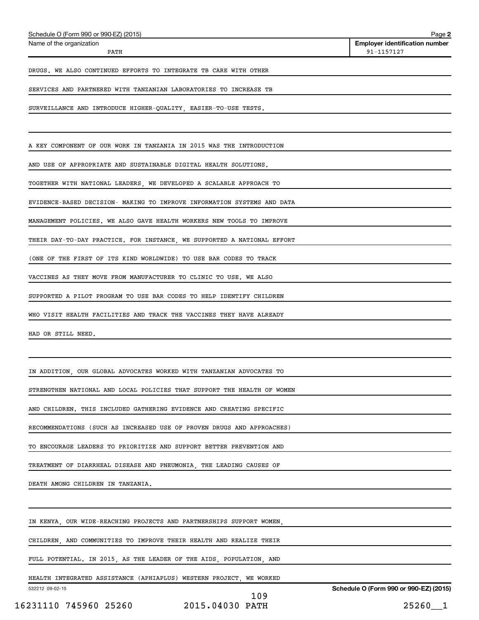| Schedule O (Form 990 or 990-EZ) (2015)                                  | Page 2                                              |
|-------------------------------------------------------------------------|-----------------------------------------------------|
| Name of the organization<br>PATH                                        | <b>Employer identification number</b><br>91-1157127 |
| DRUGS. WE ALSO CONTINUED EFFORTS TO INTEGRATE TB CARE WITH OTHER        |                                                     |
| SERVICES AND PARTNERED WITH TANZANIAN LABORATORIES TO INCREASE TB       |                                                     |
| SURVEILLANCE AND INTRODUCE HIGHER-QUALITY, EASIER-TO-USE TESTS.         |                                                     |
| A KEY COMPONENT OF OUR WORK IN TANZANIA IN 2015 WAS THE INTRODUCTION    |                                                     |
| AND USE OF APPROPRIATE AND SUSTAINABLE DIGITAL HEALTH SOLUTIONS.        |                                                     |
| TOGETHER WITH NATIONAL LEADERS, WE DEVELOPED A SCALABLE APPROACH TO     |                                                     |
| EVIDENCE-BASED DECISION- MAKING TO IMPROVE INFORMATION SYSTEMS AND DATA |                                                     |
| MANAGEMENT POLICIES. WE ALSO GAVE HEALTH WORKERS NEW TOOLS TO IMPROVE   |                                                     |
| THEIR DAY-TO-DAY PRACTICE. FOR INSTANCE, WE SUPPORTED A NATIONAL EFFORT |                                                     |
| (ONE OF THE FIRST OF ITS KIND WORLDWIDE) TO USE BAR CODES TO TRACK      |                                                     |
| VACCINES AS THEY MOVE FROM MANUFACTURER TO CLINIC TO USE. WE ALSO       |                                                     |
| SUPPORTED A PILOT PROGRAM TO USE BAR CODES TO HELP IDENTIFY CHILDREN    |                                                     |
| WHO VISIT HEALTH FACILITIES AND TRACK THE VACCINES THEY HAVE ALREADY    |                                                     |
| HAD OR STILL NEED.                                                      |                                                     |
|                                                                         |                                                     |
| IN ADDITION, OUR GLOBAL ADVOCATES WORKED WITH TANZANIAN ADVOCATES TO    |                                                     |
| STRENGTHEN NATIONAL AND LOCAL POLICIES THAT SUPPORT THE HEALTH OF WOMEN |                                                     |
| AND CHILDREN. THIS INCLUDED GATHERING EVIDENCE AND CREATING SPECIFIC    |                                                     |
| RECOMMENDATIONS (SUCH AS INCREASED USE OF PROVEN DRUGS AND APPROACHES)  |                                                     |
| TO ENCOURAGE LEADERS TO PRIORITIZE AND SUPPORT BETTER PREVENTION AND    |                                                     |
| TREATMENT OF DIARRHEAL DISEASE AND PNEUMONIA, THE LEADING CAUSES OF     |                                                     |
| DEATH AMONG CHILDREN IN TANZANIA.                                       |                                                     |
|                                                                         |                                                     |
| IN KENYA, OUR WIDE-REACHING PROJECTS AND PARTNERSHIPS SUPPORT WOMEN,    |                                                     |
| CHILDREN, AND COMMUNITIES TO IMPROVE THEIR HEALTH AND REALIZE THEIR     |                                                     |
| FULL POTENTIAL. IN 2015, AS THE LEADER OF THE AIDS, POPULATION, AND     |                                                     |
| HEALTH INTEGRATED ASSISTANCE (APHIAPLUS) WESTERN PROJECT, WE WORKED     |                                                     |
| 532212 09-02-15<br>109                                                  | Schedule O (Form 990 or 990-EZ) (2015)              |
| 16231110 745960 25260 2015.04030 PATH                                   | $25260 - 1$                                         |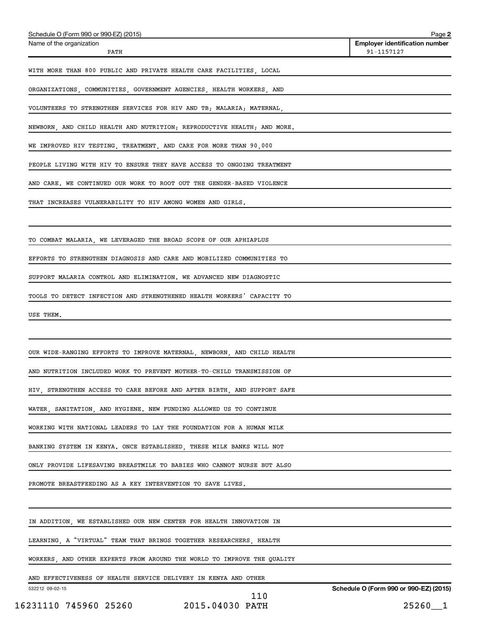| Schedule O (Form 990 or 990-EZ) (2015)                                  | Page 2                                              |
|-------------------------------------------------------------------------|-----------------------------------------------------|
| Name of the organization<br>PATH                                        | <b>Employer identification number</b><br>91-1157127 |
| WITH MORE THAN 800 PUBLIC AND PRIVATE HEALTH CARE FACILITIES, LOCAL     |                                                     |
|                                                                         |                                                     |
| ORGANIZATIONS, COMMUNITIES, GOVERNMENT AGENCIES, HEALTH WORKERS, AND    |                                                     |
| VOLUNTEERS TO STRENGTHEN SERVICES FOR HIV AND TB; MALARIA; MATERNAL,    |                                                     |
| NEWBORN, AND CHILD HEALTH AND NUTRITION; REPRODUCTIVE HEALTH; AND MORE. |                                                     |
| WE IMPROVED HIV TESTING, TREATMENT, AND CARE FOR MORE THAN 90,000       |                                                     |
| PEOPLE LIVING WITH HIV TO ENSURE THEY HAVE ACCESS TO ONGOING TREATMENT  |                                                     |
| AND CARE. WE CONTINUED OUR WORK TO ROOT OUT THE GENDER-BASED VIOLENCE   |                                                     |
| THAT INCREASES VULNERABILITY TO HIV AMONG WOMEN AND GIRLS.              |                                                     |
|                                                                         |                                                     |
| TO COMBAT MALARIA, WE LEVERAGED THE BROAD SCOPE OF OUR APHIAPLUS        |                                                     |
| EFFORTS TO STRENGTHEN DIAGNOSIS AND CARE AND MOBILIZED COMMUNITIES TO   |                                                     |
| SUPPORT MALARIA CONTROL AND ELIMINATION. WE ADVANCED NEW DIAGNOSTIC     |                                                     |
|                                                                         |                                                     |
| TOOLS TO DETECT INFECTION AND STRENGTHENED HEALTH WORKERS' CAPACITY TO  |                                                     |
| USE THEM.                                                               |                                                     |
|                                                                         |                                                     |
| OUR WIDE-RANGING EFFORTS TO IMPROVE MATERNAL, NEWBORN, AND CHILD HEALTH |                                                     |
| AND NUTRITION INCLUDED WORK TO PREVENT MOTHER-TO-CHILD TRANSMISSION OF  |                                                     |
| HIV, STRENGTHEN ACCESS TO CARE BEFORE AND AFTER BIRTH, AND SUPPORT SAFE |                                                     |
| WATER, SANITATION, AND HYGIENE. NEW FUNDING ALLOWED US TO CONTINUE      |                                                     |
| WORKING WITH NATIONAL LEADERS TO LAY THE FOUNDATION FOR A HUMAN MILK    |                                                     |
| BANKING SYSTEM IN KENYA. ONCE ESTABLISHED, THESE MILK BANKS WILL NOT    |                                                     |
| ONLY PROVIDE LIFESAVING BREASTMILK TO BABIES WHO CANNOT NURSE BUT ALSO  |                                                     |
|                                                                         |                                                     |
| PROMOTE BREASTFEEDING AS A KEY INTERVENTION TO SAVE LIVES.              |                                                     |
| IN ADDITION, WE ESTABLISHED OUR NEW CENTER FOR HEALTH INNOVATION IN     |                                                     |
| LEARNING, A "VIRTUAL" TEAM THAT BRINGS TOGETHER RESEARCHERS, HEALTH     |                                                     |
| WORKERS, AND OTHER EXPERTS FROM AROUND THE WORLD TO IMPROVE THE QUALITY |                                                     |
| AND EFFECTIVENESS OF HEALTH SERVICE DELIVERY IN KENYA AND OTHER         |                                                     |
| 532212 09-02-15                                                         | Schedule O (Form 990 or 990-EZ) (2015)              |

110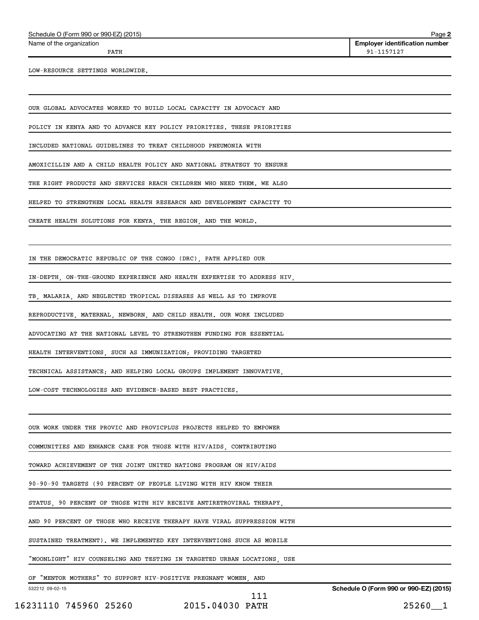Name of the organization

**2 Employer identification number** PATH 91-1157127

LOW-RESOURCE SETTINGS WORLDWIDE.

OUR GLOBAL ADVOCATES WORKED TO BUILD LOCAL CAPACITY IN ADVOCACY AND

POLICY IN KENYA AND TO ADVANCE KEY POLICY PRIORITIES. THESE PRIORITIES

INCLUDED NATIONAL GUIDELINES TO TREAT CHILDHOOD PNEUMONIA WITH

AMOXICILLIN AND A CHILD HEALTH POLICY AND NATIONAL STRATEGY TO ENSURE

THE RIGHT PRODUCTS AND SERVICES REACH CHILDREN WHO NEED THEM. WE ALSO

HELPED TO STRENGTHEN LOCAL HEALTH RESEARCH AND DEVELOPMENT CAPACITY TO

CREATE HEALTH SOLUTIONS FOR KENYA, THE REGION, AND THE WORLD.

IN THE DEMOCRATIC REPUBLIC OF THE CONGO (DRC), PATH APPLIED OUR

IN-DEPTH, ON-THE-GROUND EXPERIENCE AND HEALTH EXPERTISE TO ADDRESS HIV,

TB, MALARIA, AND NEGLECTED TROPICAL DISEASES AS WELL AS TO IMPROVE

REPRODUCTIVE, MATERNAL, NEWBORN, AND CHILD HEALTH. OUR WORK INCLUDED

ADVOCATING AT THE NATIONAL LEVEL TO STRENGTHEN FUNDING FOR ESSENTIAL

HEALTH INTERVENTIONS, SUCH AS IMMUNIZATION; PROVIDING TARGETED

TECHNICAL ASSISTANCE; AND HELPING LOCAL GROUPS IMPLEMENT INNOVATIVE,

LOW-COST TECHNOLOGIES AND EVIDENCE-BASED BEST PRACTICES.

OUR WORK UNDER THE PROVIC AND PROVICPLUS PROJECTS HELPED TO EMPOWER

COMMUNITIES AND ENHANCE CARE FOR THOSE WITH HIV/AIDS, CONTRIBUTING

TOWARD ACHIEVEMENT OF THE JOINT UNITED NATIONS PROGRAM ON HIV/AIDS

90-90-90 TARGETS (90 PERCENT OF PEOPLE LIVING WITH HIV KNOW THEIR

STATUS, 90 PERCENT OF THOSE WITH HIV RECEIVE ANTIRETROVIRAL THERAPY,

AND 90 PERCENT OF THOSE WHO RECEIVE THERAPY HAVE VIRAL SUPPRESSION WITH

SUSTAINED TREATMENT). WE IMPLEMENTED KEY INTERVENTIONS SUCH AS MOBILE

"MOONLIGHT" HIV COUNSELING AND TESTING IN TARGETED URBAN LOCATIONS, USE

OF "MENTOR MOTHERS" TO SUPPORT HIV-POSITIVE PREGNANT WOMEN, AND

532212 09-02-15 **Schedule O (Form 990 or 990-EZ) (2015)** 16231110 745960 25260 2015.04030 PATH 25260\_\_1 111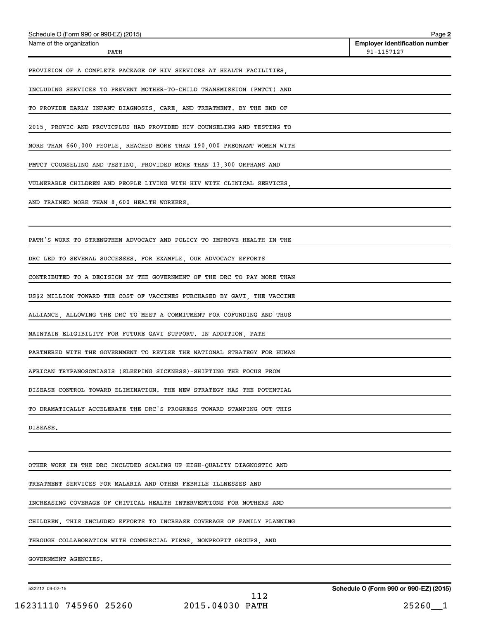| Schedule O (Form 990 or 990-EZ) (2015)                                   | Page 2                                              |
|--------------------------------------------------------------------------|-----------------------------------------------------|
| Name of the organization<br>PATH                                         | <b>Employer identification number</b><br>91-1157127 |
| PROVISION OF A COMPLETE PACKAGE OF HIV SERVICES AT HEALTH FACILITIES,    |                                                     |
| INCLUDING SERVICES TO PREVENT MOTHER-TO-CHILD TRANSMISSION (PMTCT) AND   |                                                     |
| TO PROVIDE EARLY INFANT DIAGNOSIS, CARE, AND TREATMENT. BY THE END OF    |                                                     |
| 2015, PROVIC AND PROVICPLUS HAD PROVIDED HIV COUNSELING AND TESTING TO   |                                                     |
| MORE THAN 660,000 PEOPLE, REACHED MORE THAN 190,000 PREGNANT WOMEN WITH  |                                                     |
| PMTCT COUNSELING AND TESTING, PROVIDED MORE THAN 13,300 ORPHANS AND      |                                                     |
| VULNERABLE CHILDREN AND PEOPLE LIVING WITH HIV WITH CLINICAL SERVICES,   |                                                     |
| AND TRAINED MORE THAN 8,600 HEALTH WORKERS.                              |                                                     |
| PATH'S WORK TO STRENGTHEN ADVOCACY AND POLICY TO IMPROVE HEALTH IN THE   |                                                     |
| DRC LED TO SEVERAL SUCCESSES. FOR EXAMPLE, OUR ADVOCACY EFFORTS          |                                                     |
| CONTRIBUTED TO A DECISION BY THE GOVERNMENT OF THE DRC TO PAY MORE THAN  |                                                     |
| US\$2 MILLION TOWARD THE COST OF VACCINES PURCHASED BY GAVI, THE VACCINE |                                                     |
| ALLIANCE, ALLOWING THE DRC TO MEET A COMMITMENT FOR COFUNDING AND THUS   |                                                     |
| MAINTAIN ELIGIBILITY FOR FUTURE GAVI SUPPORT. IN ADDITION, PATH          |                                                     |
| PARTNERED WITH THE GOVERNMENT TO REVISE THE NATIONAL STRATEGY FOR HUMAN  |                                                     |
| AFRICAN TRYPANOSOMIASIS (SLEEPING SICKNESS)-SHIFTING THE FOCUS FROM      |                                                     |
| DISEASE CONTROL TOWARD ELIMINATION. THE NEW STRATEGY HAS THE POTENTIAL   |                                                     |
| TO DRAMATICALLY ACCELERATE THE DRC'S PROGRESS TOWARD STAMPING OUT THIS   |                                                     |
| DISEASE.                                                                 |                                                     |
|                                                                          |                                                     |
| OTHER WORK IN THE DRC INCLUDED SCALING UP HIGH-QUALITY DIAGNOSTIC AND    |                                                     |
| TREATMENT SERVICES FOR MALARIA AND OTHER FEBRILE ILLNESSES AND           |                                                     |
| INCREASING COVERAGE OF CRITICAL HEALTH INTERVENTIONS FOR MOTHERS AND     |                                                     |
| CHILDREN. THIS INCLUDED EFFORTS TO INCREASE COVERAGE OF FAMILY PLANNING  |                                                     |
| THROUGH COLLABORATION WITH COMMERCIAL FIRMS, NONPROFIT GROUPS, AND       |                                                     |
| GOVERNMENT AGENCIES.                                                     |                                                     |
|                                                                          |                                                     |

532212 09-02-15

**Schedule O (Form 990 or 990-EZ) (2015)**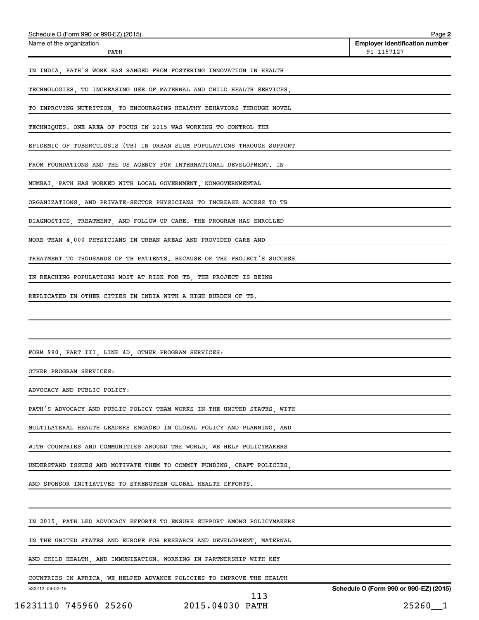| Schedule O (Form 990 or 990-EZ) (2015)                                  | Page 2                                              |
|-------------------------------------------------------------------------|-----------------------------------------------------|
| Name of the organization<br>PATH                                        | <b>Employer identification number</b><br>91-1157127 |
| IN INDIA, PATH'S WORK HAS RANGED FROM FOSTERING INNOVATION IN HEALTH    |                                                     |
| TECHNOLOGIES, TO INCREASING USE OF MATERNAL AND CHILD HEALTH SERVICES,  |                                                     |
| TO IMPROVING NUTRITION, TO ENCOURAGING HEALTHY BEHAVIORS THROUGH NOVEL  |                                                     |
| TECHNIQUES. ONE AREA OF FOCUS IN 2015 WAS WORKING TO CONTROL THE        |                                                     |
| EPIDEMIC OF TUBERCULOSIS (TB) IN URBAN SLUM POPULATIONS THROUGH SUPPORT |                                                     |
| FROM FOUNDATIONS AND THE US AGENCY FOR INTERNATIONAL DEVELOPMENT. IN    |                                                     |
| MUMBAI, PATH HAS WORKED WITH LOCAL GOVERNMENT, NONGOVERNMENTAL          |                                                     |
| ORGANIZATIONS, AND PRIVATE-SECTOR PHYSICIANS TO INCREASE ACCESS TO TB   |                                                     |
| DIAGNOSTICS, TREATMENT, AND FOLLOW-UP CARE. THE PROGRAM HAS ENROLLED    |                                                     |
| MORE THAN 4,000 PHYSICIANS IN URBAN AREAS AND PROVIDED CARE AND         |                                                     |
| TREATMENT TO THOUSANDS OF TB PATIENTS. BECAUSE OF THE PROJECT'S SUCCESS |                                                     |
| IN REACHING POPULATIONS MOST AT RISK FOR TB, THE PROJECT IS BEING       |                                                     |
| REPLICATED IN OTHER CITIES IN INDIA WITH A HIGH BURDEN OF TB.           |                                                     |
|                                                                         |                                                     |
|                                                                         |                                                     |
| FORM 990, PART III, LINE 4D, OTHER PROGRAM SERVICES:                    |                                                     |
| OTHER PROGRAM SERVICES:                                                 |                                                     |
| ADVOCACY AND PUBLIC POLICY:                                             |                                                     |
| PATH'S ADVOCACY AND PUBLIC POLICY TEAM WORKS IN THE UNITED STATES, WITH |                                                     |
| MULTILATERAL HEALTH LEADERS ENGAGED IN GLOBAL POLICY AND PLANNING, AND  |                                                     |
| WITH COUNTRIES AND COMMUNITIES AROUND THE WORLD. WE HELP POLICYMAKERS   |                                                     |
| UNDERSTAND ISSUES AND MOTIVATE THEM TO COMMIT FUNDING, CRAFT POLICIES,  |                                                     |
| AND SPONSOR INITIATIVES TO STRENGTHEN GLOBAL HEALTH EFFORTS.            |                                                     |
|                                                                         |                                                     |
| IN 2015, PATH LED ADVOCACY EFFORTS TO ENSURE SUPPORT AMONG POLICYMAKERS |                                                     |
| IN THE UNITED STATES AND EUROPE FOR RESEARCH AND DEVELOPMENT, MATERNAL  |                                                     |
| AND CHILD HEALTH, AND IMMUNIZATION. WORKING IN PARTNERSHIP WITH KEY     |                                                     |
| COUNTRIES IN AFRICA, WE HELPED ADVANCE POLICIES TO IMPROVE THE HEALTH   |                                                     |
| 532212 09-02-15                                                         | Schedule O (Form 990 or 990-EZ) (2015)              |

 <sup>113</sup>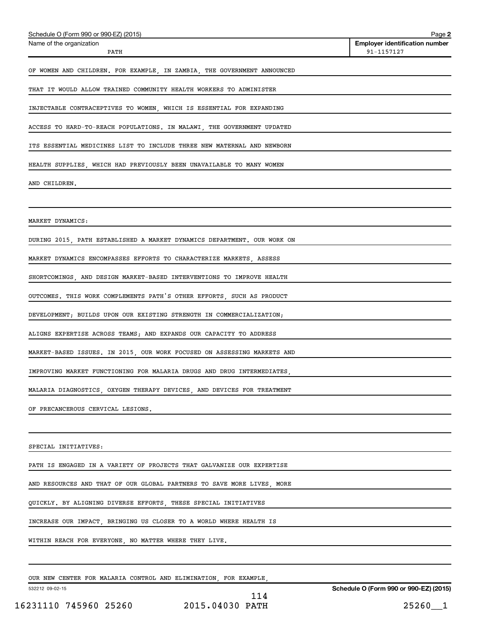| Schedule O (Form 990 or 990-EZ) (2015)                                  | Page 2                                              |
|-------------------------------------------------------------------------|-----------------------------------------------------|
| Name of the organization<br>PATH                                        | <b>Employer identification number</b><br>91-1157127 |
| OF WOMEN AND CHILDREN. FOR EXAMPLE, IN ZAMBIA, THE GOVERNMENT ANNOUNCED |                                                     |
| THAT IT WOULD ALLOW TRAINED COMMUNITY HEALTH WORKERS TO ADMINISTER      |                                                     |
| INJECTABLE CONTRACEPTIVES TO WOMEN, WHICH IS ESSENTIAL FOR EXPANDING    |                                                     |
| ACCESS TO HARD-TO-REACH POPULATIONS. IN MALAWI, THE GOVERNMENT UPDATED  |                                                     |
| ITS ESSENTIAL MEDICINES LIST TO INCLUDE THREE NEW MATERNAL AND NEWBORN  |                                                     |
| HEALTH SUPPLIES, WHICH HAD PREVIOUSLY BEEN UNAVAILABLE TO MANY WOMEN    |                                                     |
| AND CHILDREN.                                                           |                                                     |
|                                                                         |                                                     |
| MARKET DYNAMICS:                                                        |                                                     |
| DURING 2015, PATH ESTABLISHED A MARKET DYNAMICS DEPARTMENT. OUR WORK ON |                                                     |
| MARKET DYNAMICS ENCOMPASSES EFFORTS TO CHARACTERIZE MARKETS, ASSESS     |                                                     |
| SHORTCOMINGS, AND DESIGN MARKET-BASED INTERVENTIONS TO IMPROVE HEALTH   |                                                     |
| OUTCOMES. THIS WORK COMPLEMENTS PATH'S OTHER EFFORTS, SUCH AS PRODUCT   |                                                     |
| DEVELOPMENT; BUILDS UPON OUR EXISTING STRENGTH IN COMMERCIALIZATION;    |                                                     |
| ALIGNS EXPERTISE ACROSS TEAMS; AND EXPANDS OUR CAPACITY TO ADDRESS      |                                                     |
| MARKET-BASED ISSUES. IN 2015, OUR WORK FOCUSED ON ASSESSING MARKETS AND |                                                     |
| IMPROVING MARKET FUNCTIONING FOR MALARIA DRUGS AND DRUG INTERMEDIATES,  |                                                     |
| MALARIA DIAGNOSTICS, OXYGEN THERAPY DEVICES, AND DEVICES FOR TREATMENT  |                                                     |
| OF PRECANCEROUS CERVICAL LESIONS.                                       |                                                     |
|                                                                         |                                                     |
| SPECIAL INITIATIVES:                                                    |                                                     |
| PATH IS ENGAGED IN A VARIETY OF PROJECTS THAT GALVANIZE OUR EXPERTISE   |                                                     |
| AND RESOURCES AND THAT OF OUR GLOBAL PARTNERS TO SAVE MORE LIVES, MORE  |                                                     |
| QUICKLY. BY ALIGNING DIVERSE EFFORTS, THESE SPECIAL INITIATIVES         |                                                     |
| INCREASE OUR IMPACT, BRINGING US CLOSER TO A WORLD WHERE HEALTH IS      |                                                     |
| WITHIN REACH FOR EVERYONE, NO MATTER WHERE THEY LIVE.                   |                                                     |
|                                                                         |                                                     |
|                                                                         |                                                     |

OUR NEW CENTER FOR MALARIA CONTROL AND ELIMINATION, FOR EXAMPLE,

532212 09-02-15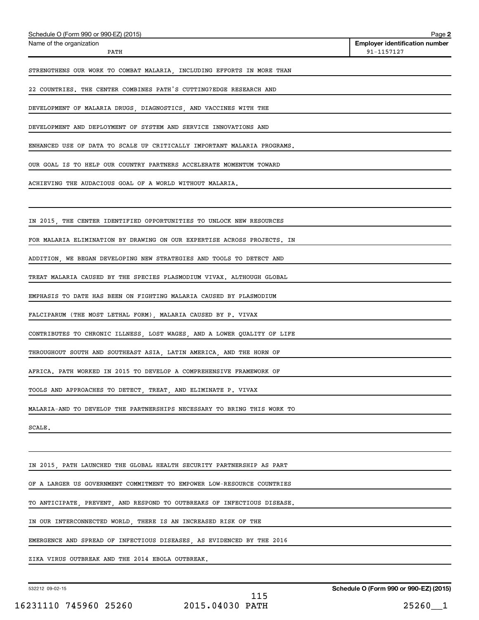| Schedule O (Form 990 or 990-EZ) (2015)                                  | Page 2                                              |
|-------------------------------------------------------------------------|-----------------------------------------------------|
| Name of the organization<br>PATH                                        | <b>Employer identification number</b><br>91-1157127 |
| STRENGTHENS OUR WORK TO COMBAT MALARIA, INCLUDING EFFORTS IN MORE THAN  |                                                     |
| 22 COUNTRIES. THE CENTER COMBINES PATH'S CUTTING?EDGE RESEARCH AND      |                                                     |
| DEVELOPMENT OF MALARIA DRUGS, DIAGNOSTICS, AND VACCINES WITH THE        |                                                     |
| DEVELOPMENT AND DEPLOYMENT OF SYSTEM AND SERVICE INNOVATIONS AND        |                                                     |
| ENHANCED USE OF DATA TO SCALE UP CRITICALLY IMPORTANT MALARIA PROGRAMS. |                                                     |
| OUR GOAL IS TO HELP OUR COUNTRY PARTNERS ACCELERATE MOMENTUM TOWARD     |                                                     |
| ACHIEVING THE AUDACIOUS GOAL OF A WORLD WITHOUT MALARIA.                |                                                     |
|                                                                         |                                                     |
| IN 2015, THE CENTER IDENTIFIED OPPORTUNITIES TO UNLOCK NEW RESOURCES    |                                                     |
| FOR MALARIA ELIMINATION BY DRAWING ON OUR EXPERTISE ACROSS PROJECTS. IN |                                                     |
| ADDITION, WE BEGAN DEVELOPING NEW STRATEGIES AND TOOLS TO DETECT AND    |                                                     |
| TREAT MALARIA CAUSED BY THE SPECIES PLASMODIUM VIVAX. ALTHOUGH GLOBAL   |                                                     |
| EMPHASIS TO DATE HAS BEEN ON FIGHTING MALARIA CAUSED BY PLASMODIUM      |                                                     |
| FALCIPARUM (THE MOST LETHAL FORM), MALARIA CAUSED BY P. VIVAX           |                                                     |
| CONTRIBUTES TO CHRONIC ILLNESS, LOST WAGES, AND A LOWER QUALITY OF LIFE |                                                     |
| THROUGHOUT SOUTH AND SOUTHEAST ASIA, LATIN AMERICA, AND THE HORN OF     |                                                     |
| AFRICA. PATH WORKED IN 2015 TO DEVELOP A COMPREHENSIVE FRAMEWORK OF     |                                                     |
| TOOLS AND APPROACHES TO DETECT, TREAT, AND ELIMINATE P. VIVAX           |                                                     |
| MALARIA-AND TO DEVELOP THE PARTNERSHIPS NECESSARY TO BRING THIS WORK TO |                                                     |
| SCALE.                                                                  |                                                     |
|                                                                         |                                                     |
| IN 2015, PATH LAUNCHED THE GLOBAL HEALTH SECURITY PARTNERSHIP AS PART   |                                                     |
| OF A LARGER US GOVERNMENT COMMITMENT TO EMPOWER LOW-RESOURCE COUNTRIES  |                                                     |
| TO ANTICIPATE, PREVENT, AND RESPOND TO OUTBREAKS OF INFECTIOUS DISEASE. |                                                     |
| IN OUR INTERCONNECTED WORLD, THERE IS AN INCREASED RISK OF THE          |                                                     |
| EMERGENCE AND SPREAD OF INFECTIOUS DISEASES, AS EVIDENCED BY THE 2016   |                                                     |
| ZIKA VIRUS OUTBREAK AND THE 2014 EBOLA OUTBREAK.                        |                                                     |

532212 09-02-15

**Schedule O (Form 990 or 990-EZ) (2015)**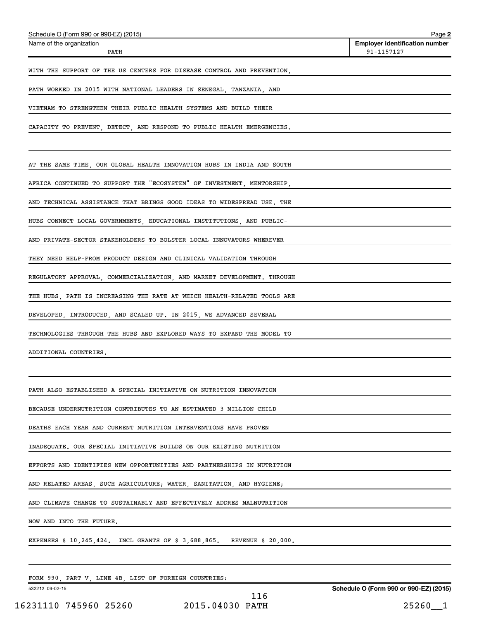| Schedule O (Form 990 or 990-EZ) (2015)                                     | Page 2                                              |
|----------------------------------------------------------------------------|-----------------------------------------------------|
| Name of the organization<br>PATH                                           | <b>Employer identification number</b><br>91-1157127 |
| WITH THE SUPPORT OF THE US CENTERS FOR DISEASE CONTROL AND PREVENTION,     |                                                     |
| PATH WORKED IN 2015 WITH NATIONAL LEADERS IN SENEGAL, TANZANIA, AND        |                                                     |
| VIETNAM TO STRENGTHEN THEIR PUBLIC HEALTH SYSTEMS AND BUILD THEIR          |                                                     |
| CAPACITY TO PREVENT, DETECT, AND RESPOND TO PUBLIC HEALTH EMERGENCIES.     |                                                     |
| AT THE SAME TIME, OUR GLOBAL HEALTH INNOVATION HUBS IN INDIA AND SOUTH     |                                                     |
| AFRICA CONTINUED TO SUPPORT THE "ECOSYSTEM" OF INVESTMENT, MENTORSHIP,     |                                                     |
| AND TECHNICAL ASSISTANCE THAT BRINGS GOOD IDEAS TO WIDESPREAD USE. THE     |                                                     |
| HUBS CONNECT LOCAL GOVERNMENTS, EDUCATIONAL INSTITUTIONS, AND PUBLIC-      |                                                     |
| AND PRIVATE-SECTOR STAKEHOLDERS TO BOLSTER LOCAL INNOVATORS WHEREVER       |                                                     |
| THEY NEED HELP-FROM PRODUCT DESIGN AND CLINICAL VALIDATION THROUGH         |                                                     |
| REGULATORY APPROVAL, COMMERCIALIZATION, AND MARKET DEVELOPMENT. THROUGH    |                                                     |
| THE HUBS, PATH IS INCREASING THE RATE AT WHICH HEALTH-RELATED TOOLS ARE    |                                                     |
| DEVELOPED, INTRODUCED, AND SCALED UP. IN 2015, WE ADVANCED SEVERAL         |                                                     |
| TECHNOLOGIES THROUGH THE HUBS AND EXPLORED WAYS TO EXPAND THE MODEL TO     |                                                     |
| ADDITIONAL COUNTRIES.                                                      |                                                     |
|                                                                            |                                                     |
| PATH ALSO ESTABLISHED A SPECIAL INITIATIVE ON NUTRITION INNOVATION         |                                                     |
| BECAUSE UNDERNUTRITION CONTRIBUTES TO AN ESTIMATED 3 MILLION CHILD         |                                                     |
| DEATHS EACH YEAR AND CURRENT NUTRITION INTERVENTIONS HAVE PROVEN           |                                                     |
| INADEQUATE. OUR SPECIAL INITIATIVE BUILDS ON OUR EXISTING NUTRITION        |                                                     |
| EFFORTS AND IDENTIFIES NEW OPPORTUNITIES AND PARTNERSHIPS IN NUTRITION     |                                                     |
| AND RELATED AREAS, SUCH AGRICULTURE; WATER, SANITATION, AND HYGIENE;       |                                                     |
| AND CLIMATE CHANGE TO SUSTAINABLY AND EFFECTIVELY ADDRES MALNUTRITION      |                                                     |
| NOW AND INTO THE FUTURE.                                                   |                                                     |
| EXPENSES $$10,245,424$ . INCL GRANTS OF $$3,688,865$ . REVENUE $$20,000$ . |                                                     |
| FORM 990, PART V, LINE 4B, LIST OF FOREIGN COUNTRIES:                      |                                                     |
| 532212 09-02-15                                                            | Schedule O (Form 990 or 990-EZ) (2015)              |

16231110 745960 25260 2015.04030 PATH 25260\_\_1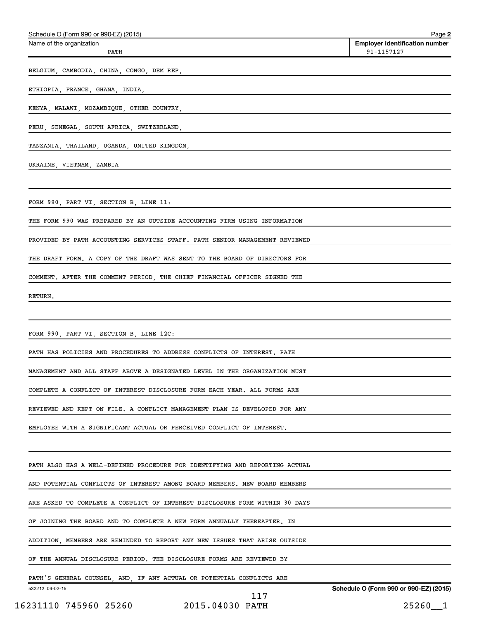| Schedule O (Form 990 or 990-EZ) (2015)                                                                         | Page 2                                              |
|----------------------------------------------------------------------------------------------------------------|-----------------------------------------------------|
| Name of the organization<br>PATH                                                                               | <b>Employer identification number</b><br>91-1157127 |
| BELGIUM, CAMBODIA, CHINA, CONGO, DEM REP, National Contract of China and Contract of Contract of China and Con |                                                     |
| ETHIOPIA, FRANCE, GHANA, INDIA, ANDIA, ANDIA, ANDIA, ANDIA, ANDIA, ANDIA, ANDIA, ANDIA, ANDIA, ANDIA, ANDIA, A |                                                     |
| KENYA, MALAWI, MOZAMBIQUE, OTHER COUNTRY, NARROLL AND CONSENSE AND CONTROLL AND THE RESERVE AND RESERVE AND RE |                                                     |
| PERU, SENEGAL, SOUTH AFRICA, SWITZERLAND,                                                                      |                                                     |
| TANZANIA, THAILAND, UGANDA, UNITED KINGDOM,                                                                    |                                                     |
| UKRAINE, VIETNAM, ZAMBIA                                                                                       |                                                     |
| FORM 990, PART VI, SECTION B, LINE 11:                                                                         |                                                     |
| THE FORM 990 WAS PREPARED BY AN OUTSIDE ACCOUNTING FIRM USING INFORMATION                                      |                                                     |
| PROVIDED BY PATH ACCOUNTING SERVICES STAFF. PATH SENIOR MANAGEMENT REVIEWED                                    |                                                     |
| THE DRAFT FORM. A COPY OF THE DRAFT WAS SENT TO THE BOARD OF DIRECTORS FOR                                     |                                                     |
| COMMENT. AFTER THE COMMENT PERIOD, THE CHIEF FINANCIAL OFFICER SIGNED THE                                      |                                                     |
| RETURN.                                                                                                        |                                                     |
| FORM 990, PART VI, SECTION B, LINE 12C:                                                                        |                                                     |
| PATH HAS POLICIES AND PROCEDURES TO ADDRESS CONFLICTS OF INTEREST. PATH                                        |                                                     |
| MANAGEMENT AND ALL STAFF ABOVE A DESIGNATED LEVEL IN THE ORGANIZATION MUST                                     |                                                     |
| COMPLETE A CONFLICT OF INTEREST DISCLOSURE FORM EACH YEAR. ALL FORMS ARE                                       |                                                     |
| REVIEWED AND KEPT ON FILE. A CONFLICT MANAGEMENT PLAN IS DEVELOPED FOR ANY                                     |                                                     |
| EMPLOYEE WITH A SIGNIFICANT ACTUAL OR PERCEIVED CONFLICT OF INTEREST.                                          |                                                     |
| PATH ALSO HAS A WELL-DEFINED PROCEDURE FOR IDENTIFYING AND REPORTING ACTUAL                                    |                                                     |
| AND POTENTIAL CONFLICTS OF INTEREST AMONG BOARD MEMBERS. NEW BOARD MEMBERS                                     |                                                     |
| ARE ASKED TO COMPLETE A CONFLICT OF INTEREST DISCLOSURE FORM WITHIN 30 DAYS                                    |                                                     |
| OF JOINING THE BOARD AND TO COMPLETE A NEW FORM ANNUALLY THEREAFTER. IN                                        |                                                     |
| ADDITION, MEMBERS ARE REMINDED TO REPORT ANY NEW ISSUES THAT ARISE OUTSIDE                                     |                                                     |
| OF THE ANNUAL DISCLOSURE PERIOD. THE DISCLOSURE FORMS ARE REVIEWED BY                                          |                                                     |
| PATH'S GENERAL COUNSEL, AND, IF ANY ACTUAL OR POTENTIAL CONFLICTS ARE                                          |                                                     |
| 532212 09-02-15<br>117                                                                                         | Schedule O (Form 990 or 990-EZ) (2015)              |
| 2015.04030 PATH<br>16231110 745960 25260                                                                       | $25260 - 1$                                         |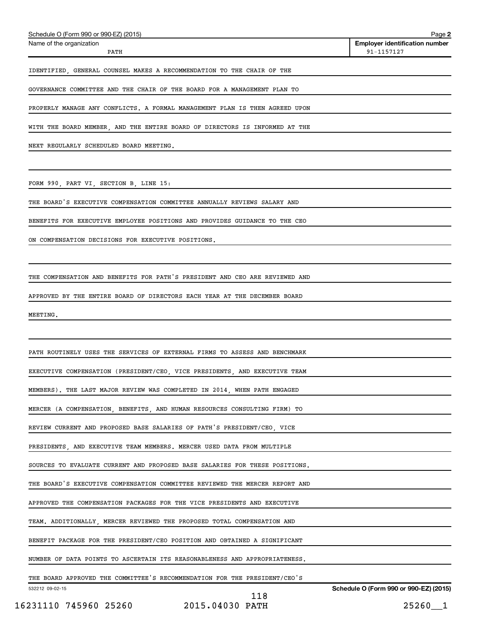| 16231110 745960 25260 2015.04030 PATH                                                                                                                    | $25260 - 1$                            |
|----------------------------------------------------------------------------------------------------------------------------------------------------------|----------------------------------------|
| THE BOARD APPROVED THE COMMITTEE'S RECOMMENDATION FOR THE PRESIDENT/CEO'S<br>532212 09-02-15<br>118                                                      | Schedule O (Form 990 or 990-EZ) (2015) |
| NUMBER OF DATA POINTS TO ASCERTAIN ITS REASONABLENESS AND APPROPRIATENESS.                                                                               |                                        |
| BENEFIT PACKAGE FOR THE PRESIDENT/CEO POSITION AND OBTAINED A SIGNIFICANT                                                                                |                                        |
| TEAM. ADDITIONALLY, MERCER REVIEWED THE PROPOSED TOTAL COMPENSATION AND                                                                                  |                                        |
| APPROVED THE COMPENSATION PACKAGES FOR THE VICE PRESIDENTS AND EXECUTIVE                                                                                 |                                        |
| THE BOARD'S EXECUTIVE COMPENSATION COMMITTEE REVIEWED THE MERCER REPORT AND                                                                              |                                        |
| SOURCES TO EVALUATE CURRENT AND PROPOSED BASE SALARIES FOR THESE POSITIONS.                                                                              |                                        |
| PRESIDENTS, AND EXECUTIVE TEAM MEMBERS. MERCER USED DATA FROM MULTIPLE                                                                                   |                                        |
| REVIEW CURRENT AND PROPOSED BASE SALARIES OF PATH'S PRESIDENT/CEO, VICE                                                                                  |                                        |
| MERCER (A COMPENSATION, BENEFITS, AND HUMAN RESOURCES CONSULTING FIRM) TO                                                                                |                                        |
| MEMBERS). THE LAST MAJOR REVIEW WAS COMPLETED IN 2014, WHEN PATH ENGAGED                                                                                 |                                        |
| PATH ROUTINELY USES THE SERVICES OF EXTERNAL FIRMS TO ASSESS AND BENCHMARK<br>EXECUTIVE COMPENSATION (PRESIDENT/CEO, VICE PRESIDENTS, AND EXECUTIVE TEAM |                                        |
|                                                                                                                                                          |                                        |
| MEETING.                                                                                                                                                 |                                        |
| APPROVED BY THE ENTIRE BOARD OF DIRECTORS EACH YEAR AT THE DECEMBER BOARD                                                                                |                                        |
| THE COMPENSATION AND BENEFITS FOR PATH'S PRESIDENT AND CEO ARE REVIEWED AND                                                                              |                                        |
|                                                                                                                                                          |                                        |
| ON COMPENSATION DECISIONS FOR EXECUTIVE POSITIONS.                                                                                                       |                                        |
| BENEFITS FOR EXECUTIVE EMPLOYEE POSITIONS AND PROVIDES GUIDANCE TO THE CEO                                                                               |                                        |
| THE BOARD'S EXECUTIVE COMPENSATION COMMITTEE ANNUALLY REVIEWS SALARY AND                                                                                 |                                        |
| FORM 990, PART VI, SECTION B, LINE 15:                                                                                                                   |                                        |
|                                                                                                                                                          |                                        |
| NEXT REGULARLY SCHEDULED BOARD MEETING.                                                                                                                  |                                        |
| WITH THE BOARD MEMBER, AND THE ENTIRE BOARD OF DIRECTORS IS INFORMED AT THE                                                                              |                                        |
| PROPERLY MANAGE ANY CONFLICTS. A FORMAL MANAGEMENT PLAN IS THEN AGREED UPON                                                                              |                                        |
| GOVERNANCE COMMITTEE AND THE CHAIR OF THE BOARD FOR A MANAGEMENT PLAN TO                                                                                 |                                        |
| IDENTIFIED, GENERAL COUNSEL MAKES A RECOMMENDATION TO THE CHAIR OF THE                                                                                   |                                        |

PATH 91-1157127

Schedule O (Form 990 or 990-EZ) (2015)

Name of the organization

**2**

**Employer identification number**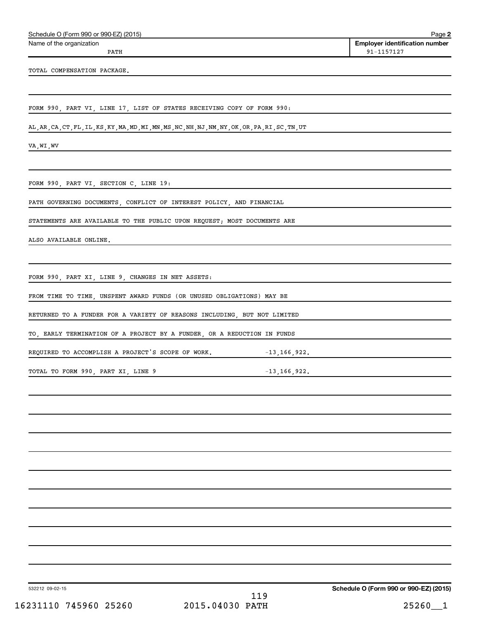| Schedule O (Form 990 or 990-EZ) (2015) | Page |
|----------------------------------------|------|
|----------------------------------------|------|

Name of the organization

**2 Employer identification number** PATH 91-1157127

TOTAL COMPENSATION PACKAGE.

FORM 990, PART VI, LINE 17, LIST OF STATES RECEIVING COPY OF FORM 990:

AL,AR,CA,CT,FL,IL,KS,KY,MA,MD,MI,MN,MS,NC,NH,NJ,NM,NY,OK,OR,PA,RI,SC,TN,UT

VA,WI,WV

FORM 990, PART VI, SECTION C, LINE 19:

PATH GOVERNING DOCUMENTS, CONFLICT OF INTEREST POLICY, AND FINANCIAL

STATEMENTS ARE AVAILABLE TO THE PUBLIC UPON REQUEST; MOST DOCUMENTS ARE

ALSO AVAILABLE ONLINE.

FORM 990, PART XI, LINE 9, CHANGES IN NET ASSETS:

FROM TIME TO TIME, UNSPENT AWARD FUNDS (OR UNUSED OBLIGATIONS) MAY BE

RETURNED TO A FUNDER FOR A VARIETY OF REASONS INCLUDING, BUT NOT LIMITED

TO, EARLY TERMINATION OF A PROJECT BY A FUNDER, OR A REDUCTION IN FUNDS

REQUIRED TO ACCOMPLISH A PROJECT'S SCOPE OF WORK. -13,166,922.

TOTAL TO FORM 990, PART XI, LINE 9 -13,166,922.

532212 09-02-15

119

**Schedule O (Form 990 or 990-EZ) (2015)**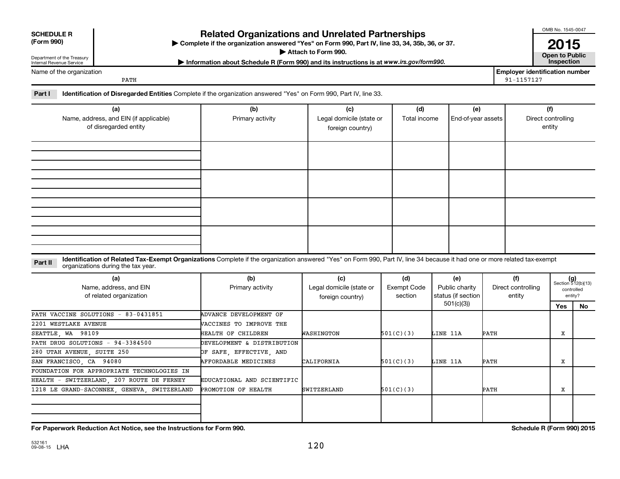| <b>SCHEDULE R</b><br>(Form 990)<br>Department of the Treasury<br>Internal Revenue Service                                                                | <b>Related Organizations and Unrelated Partnerships</b><br>Complete if the organization answered "Yes" on Form 990, Part IV, line 33, 34, 35b, 36, or 37.<br>Attach to Form 990.<br>Information about Schedule R (Form 990) and its instructions is at www.irs.gov/form990. |                         |                                 |                     |                             |                                | OMB No. 1545-0047<br>2015<br><b>Open to Public</b><br><b>Inspection</b> |
|----------------------------------------------------------------------------------------------------------------------------------------------------------|-----------------------------------------------------------------------------------------------------------------------------------------------------------------------------------------------------------------------------------------------------------------------------|-------------------------|---------------------------------|---------------------|-----------------------------|--------------------------------|-------------------------------------------------------------------------|
| Name of the organization                                                                                                                                 |                                                                                                                                                                                                                                                                             |                         |                                 |                     |                             | Emplover identification number |                                                                         |
| 91-1157127<br>PATH<br>Part I<br><b>Identification of Disregarded Entities</b> Complete if the organization answered "Yes" on Form 990, Part IV, line 33. |                                                                                                                                                                                                                                                                             |                         |                                 |                     |                             |                                |                                                                         |
|                                                                                                                                                          | (a)<br>Name, address, and EIN (if applicable)                                                                                                                                                                                                                               | (b)<br>Primary activity | (c)<br>Legal domicile (state or | (d)<br>Total income | (e)<br>  End-of-year assets |                                | (f)<br>Direct controlling                                               |

foreign country)

| organizations during the tax year.<br>(a)<br>Name, address, and EIN<br>of related organization | (b)<br>Primary activity        | (c)<br>Legal domicile (state or<br>foreign country) | (d)<br>Exempt Code<br>section | (e)<br>Public charity<br>status (if section | (f)<br>Direct controlling<br>entity | $(g)$<br>Section 512(b)(13)<br>controlled<br>entity? |    |
|------------------------------------------------------------------------------------------------|--------------------------------|-----------------------------------------------------|-------------------------------|---------------------------------------------|-------------------------------------|------------------------------------------------------|----|
|                                                                                                |                                |                                                     |                               | 501(c)(3)                                   |                                     | Yes                                                  | No |
| PATH VACCINE SOLUTIONS - 83-0431851                                                            | ADVANCE DEVELOPMENT OF         |                                                     |                               |                                             |                                     |                                                      |    |
| 2201 WESTLAKE AVENUE                                                                           | <b>WACCINES TO IMPROVE THE</b> |                                                     |                               |                                             |                                     |                                                      |    |
| SEATTLE, WA 98109                                                                              | HEALTH OF CHILDREN             | WASHINGTON                                          | 501(C)(3)                     | LINE 11A                                    | PATH                                | x                                                    |    |
| PATH DRUG SOLUTIONS - 94-3384500                                                               | DEVELOPMENT & DISTRIBUTION     |                                                     |                               |                                             |                                     |                                                      |    |
| 280 UTAH AVENUE, SUITE 250                                                                     | OF SAFE, EFFECTIVE, AND        |                                                     |                               |                                             |                                     |                                                      |    |
| SAN FRANCISCO, CA 94080                                                                        | AFFORDABLE MEDICINES           | CALIFORNIA                                          | 501(C)(3)                     | LINE 11A                                    | PATH                                | x                                                    |    |
| FOUNDATION FOR APPROPRIATE TECHNOLOGIES IN                                                     |                                |                                                     |                               |                                             |                                     |                                                      |    |
| HEALTH - SWITZERLAND, 207 ROUTE DE FERNEY                                                      | EDUCATIONAL AND SCIENTIFIC     |                                                     |                               |                                             |                                     |                                                      |    |
| 1218 LE GRAND-SACONNEX, GENEVA, SWITZERLAND                                                    | PROMOTION OF HEALTH            | <b>SWITZERLAND</b>                                  | 501(C)(3)                     |                                             | PATH                                | x                                                    |    |
|                                                                                                |                                |                                                     |                               |                                             |                                     |                                                      |    |
|                                                                                                |                                |                                                     |                               |                                             |                                     |                                                      |    |

of disregarded entity

entity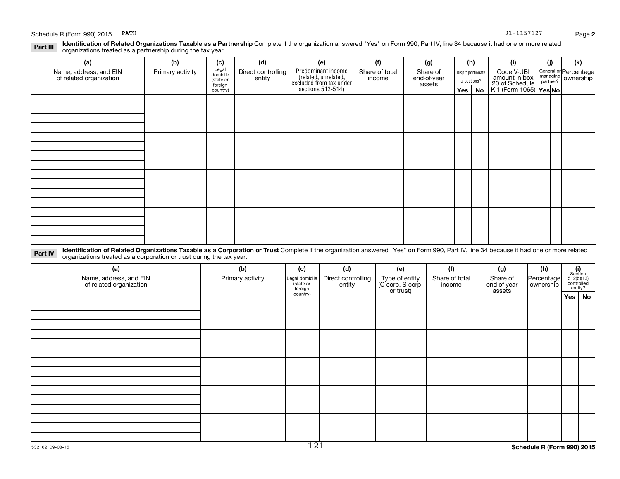**Yes No Yes No** K-1 (Form 1065)

assets

## Disproportionate allocations? Legal domicile (state or General or Percentage managing partner? Part III Identification of Related Organizations Taxable as a Partnership Complete if the organization answered "Yes" on Form 990, Part IV, line 34 because it had one or more related<br>Read to the organizations tracted as a **(a) (b) (c) (d) (e) (f) (g) (h) (i) (j) (k)** Predominant income (related, unrelated, excluded from tax under sections 512-514) organizations treated as a partnership during the tax year. Name, address, and EIN of related organization Primary activity  $\left| \begin{array}{c} \text{Legal} \\ \text{domisib} \end{array} \right|$  Direct controlling entity Share of total income Share of end-of-year Code V-UBI amount in box 20 of Schedule ownership

foreign country)

| <b>Part IV</b> | <b>Identification of Related Organizations Taxable as a Corporation or Trust</b> Complete if the organization answered "Yes" on Form 990. Part IV. line 34 because it had one or more related<br>organizations treated as a corporation or trust during the tax year. |  |  |  |  |  |  |
|----------------|-----------------------------------------------------------------------------------------------------------------------------------------------------------------------------------------------------------------------------------------------------------------------|--|--|--|--|--|--|

| (a)                                               | (b)              | (c)                                    | (d)                          | (e)                                             | (f)                      | (g)                               | (h)                       | $\begin{array}{c} \textbf{(i)}\\ \text{Section}\\ 512 \text{(b)} \text{(13)}\\ \text{controlled} \\ \text{entity?} \end{array}$ |          |
|---------------------------------------------------|------------------|----------------------------------------|------------------------------|-------------------------------------------------|--------------------------|-----------------------------------|---------------------------|---------------------------------------------------------------------------------------------------------------------------------|----------|
| Name, address, and EIN<br>of related organization | Primary activity | Legal domicile<br>(state or<br>foreign | Direct controlling<br>entity | Type of entity<br>(C corp, S corp,<br>or trust) | Share of total<br>income | Share of<br>end-of-year<br>assets | Percentage<br>  ownership |                                                                                                                                 |          |
|                                                   |                  |                                        |                              |                                                 |                          |                                   |                           |                                                                                                                                 |          |
|                                                   |                  | country)                               |                              |                                                 |                          |                                   |                           |                                                                                                                                 | Yes   No |
|                                                   |                  |                                        |                              |                                                 |                          |                                   |                           |                                                                                                                                 |          |
|                                                   |                  |                                        |                              |                                                 |                          |                                   |                           |                                                                                                                                 |          |
|                                                   |                  |                                        |                              |                                                 |                          |                                   |                           |                                                                                                                                 |          |
|                                                   |                  |                                        |                              |                                                 |                          |                                   |                           |                                                                                                                                 |          |
|                                                   |                  |                                        |                              |                                                 |                          |                                   |                           |                                                                                                                                 |          |
|                                                   |                  |                                        |                              |                                                 |                          |                                   |                           |                                                                                                                                 |          |
|                                                   |                  |                                        |                              |                                                 |                          |                                   |                           |                                                                                                                                 |          |
|                                                   |                  |                                        |                              |                                                 |                          |                                   |                           |                                                                                                                                 |          |
|                                                   |                  |                                        |                              |                                                 |                          |                                   |                           |                                                                                                                                 |          |
|                                                   |                  |                                        |                              |                                                 |                          |                                   |                           |                                                                                                                                 |          |
|                                                   |                  |                                        |                              |                                                 |                          |                                   |                           |                                                                                                                                 |          |
|                                                   |                  |                                        |                              |                                                 |                          |                                   |                           |                                                                                                                                 |          |
|                                                   |                  |                                        |                              |                                                 |                          |                                   |                           |                                                                                                                                 |          |
|                                                   |                  |                                        |                              |                                                 |                          |                                   |                           |                                                                                                                                 |          |
|                                                   |                  |                                        |                              |                                                 |                          |                                   |                           |                                                                                                                                 |          |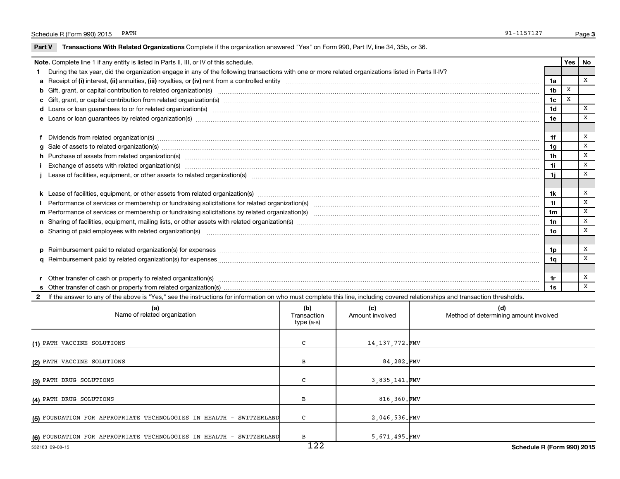$\overline{\phantom{0}}$ 

Part V Transactions With Related Organizations Complete if the organization answered "Yes" on Form 990, Part IV, line 34, 35b, or 36.

| Note. Complete line 1 if any entity is listed in Parts II, III, or IV of this schedule. |                                                                                                                                                                                                                                |                |   |   |  |  |  |
|-----------------------------------------------------------------------------------------|--------------------------------------------------------------------------------------------------------------------------------------------------------------------------------------------------------------------------------|----------------|---|---|--|--|--|
|                                                                                         | During the tax year, did the organization engage in any of the following transactions with one or more related organizations listed in Parts II-IV?                                                                            |                |   |   |  |  |  |
|                                                                                         |                                                                                                                                                                                                                                | 1a             |   | X |  |  |  |
|                                                                                         |                                                                                                                                                                                                                                | 1 <sub>b</sub> | X |   |  |  |  |
|                                                                                         |                                                                                                                                                                                                                                | 1 <sub>c</sub> | x |   |  |  |  |
|                                                                                         | d Loans or loan guarantees to or for related organization(s) www.communities.com/www.communities.com/www.communities.com/www.communities.com/www.communities.com/www.communities.com/www.communities.com/www.communities.com/w | 1 <sub>d</sub> |   | X |  |  |  |
|                                                                                         | e Loans or loan guarantees by related organization(s) material contents and content to content the content of the content of the content of the content of the content of the content of the content of the content of the con | 1e             |   | X |  |  |  |
|                                                                                         |                                                                                                                                                                                                                                |                |   |   |  |  |  |
|                                                                                         | f Dividends from related organization(s) machinesis and contract the contract of the contract of the contract of the contract of the contract of the contract of the contract of the contract of the contract of the contract  | 1f             |   | X |  |  |  |
|                                                                                         |                                                                                                                                                                                                                                | 1 <sub>q</sub> |   | X |  |  |  |
|                                                                                         | h Purchase of assets from related organization(s) manufactured and content to content the content of assets from related organization(s)                                                                                       | 1 <sub>h</sub> |   | Х |  |  |  |
|                                                                                         | Exchange of assets with related organization(s) www.assettion.com/www.assettion.com/www.assettion.com/www.assettion.com/www.assettion.com/www.assettion.com/www.assettion.com/www.assettion.com/www.assettion.com/www.assettio | 1i             |   | x |  |  |  |
|                                                                                         |                                                                                                                                                                                                                                | 1j             |   | x |  |  |  |
|                                                                                         |                                                                                                                                                                                                                                |                |   |   |  |  |  |
|                                                                                         |                                                                                                                                                                                                                                | 1k             |   | Х |  |  |  |
|                                                                                         |                                                                                                                                                                                                                                | 11             |   | X |  |  |  |
|                                                                                         |                                                                                                                                                                                                                                | 1 <sub>m</sub> |   | X |  |  |  |
|                                                                                         | n Sharing of facilities, equipment, mailing lists, or other assets with related organization(s) marroretical material contents and content and content of facilities, equipment, mailing lists, or other assets with related o | 1n             |   | X |  |  |  |
|                                                                                         | o Sharing of paid employees with related organization(s) manufactured content to the content of the content of the content of the content of the content of the content of the content of the content of the content of the co | 10             |   | X |  |  |  |
|                                                                                         |                                                                                                                                                                                                                                |                |   |   |  |  |  |
|                                                                                         |                                                                                                                                                                                                                                | 1p             |   | х |  |  |  |
|                                                                                         |                                                                                                                                                                                                                                | 1q             |   | X |  |  |  |
|                                                                                         |                                                                                                                                                                                                                                |                |   |   |  |  |  |
|                                                                                         |                                                                                                                                                                                                                                | 1r             |   | X |  |  |  |
|                                                                                         |                                                                                                                                                                                                                                | 1s             |   | X |  |  |  |
|                                                                                         | 2 If the answer to any of the above is "Yes," see the instructions for information on who must complete this line, including covered relationships and transaction thresholds.                                                 |                |   |   |  |  |  |

| (a)<br>Name of related organization                                 | (b)<br>Transaction<br>type (a-s) | (c)<br>Amount involved | (d)<br>Method of determining amount involved |
|---------------------------------------------------------------------|----------------------------------|------------------------|----------------------------------------------|
| (1) PATH VACCINE SOLUTIONS                                          | C                                | 14, 137, 772. FMV      |                                              |
| (2) PATH VACCINE SOLUTIONS                                          | в                                | 84,282.FMV             |                                              |
| (3) PATH DRUG SOLUTIONS                                             |                                  | 3,835,141.FMV          |                                              |
| (4) PATH DRUG SOLUTIONS                                             | в                                | 816,360.FMV            |                                              |
| (5) FOUNDATION FOR APPROPRIATE TECHNOLOGIES IN HEALTH - SWITZERLAND | c                                | 2,046,536.FMV          |                                              |
| (6) FOUNDATION FOR APPROPRIATE TECHNOLOGIES IN HEALTH - SWITZERLAND | в                                | 5,671,495.FMV          |                                              |
| 532163 09-08-15                                                     | 122                              |                        | Schedule R (Form 990) 2015                   |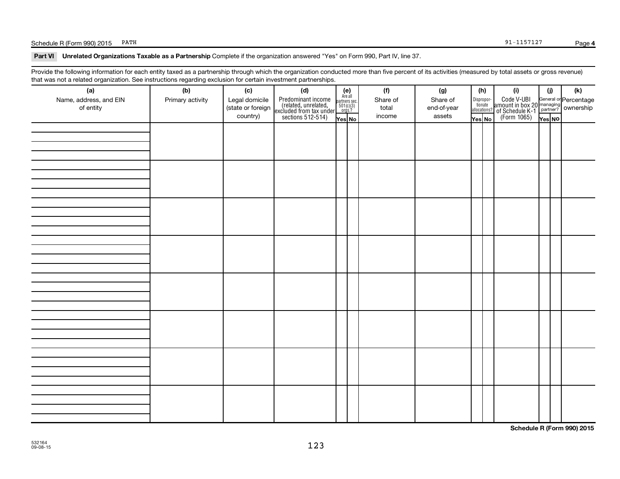## Schedule R (Form 990) 2015 PATH 91-1157127

Part VI Unrelated Organizations Taxable as a Partnership Complete if the organization answered "Yes" on Form 990, Part IV, line 37.

Provide the following information for each entity taxed as a partnership through which the organization conducted more than five percent of its activities (measured by total assets or gross revenue) that was not a related organization. See instructions regarding exclusion for certain investment partnerships.

| hat mad not a rolated organization. Occ includedly regarding excludion for coltain invectment partnerompe.<br>(a) | (b)              | (c)               | (d)                                                                                        |                                                            |  | (f)      | (g)         |                                  | (h) | (i)                                                                                 | (i)    | (k) |  |
|-------------------------------------------------------------------------------------------------------------------|------------------|-------------------|--------------------------------------------------------------------------------------------|------------------------------------------------------------|--|----------|-------------|----------------------------------|-----|-------------------------------------------------------------------------------------|--------|-----|--|
| Name, address, and EIN                                                                                            | Primary activity | Legal domicile    |                                                                                            | $(e)$<br>Are all<br>partners sec.<br>$501(c)(3)$<br>orgs.? |  | Share of | Share of    |                                  |     |                                                                                     |        |     |  |
| of entity                                                                                                         |                  | (state or foreign | Predominant income<br>(related, unrelated,<br>excluded from tax under<br>sections 512-514) |                                                            |  | total    | end-of-year | Disproportionate<br>allocations? |     | Code V-UBI<br>amount in box 20 managing<br>of Schedule K-1<br>(Form 1065)<br>ves No |        |     |  |
|                                                                                                                   |                  | country)          |                                                                                            | Yes No                                                     |  | income   | assets      | Yes No                           |     |                                                                                     | Yes NO |     |  |
|                                                                                                                   |                  |                   |                                                                                            |                                                            |  |          |             |                                  |     |                                                                                     |        |     |  |
|                                                                                                                   |                  |                   |                                                                                            |                                                            |  |          |             |                                  |     |                                                                                     |        |     |  |
|                                                                                                                   |                  |                   |                                                                                            |                                                            |  |          |             |                                  |     |                                                                                     |        |     |  |
|                                                                                                                   |                  |                   |                                                                                            |                                                            |  |          |             |                                  |     |                                                                                     |        |     |  |
|                                                                                                                   |                  |                   |                                                                                            |                                                            |  |          |             |                                  |     |                                                                                     |        |     |  |
|                                                                                                                   |                  |                   |                                                                                            |                                                            |  |          |             |                                  |     |                                                                                     |        |     |  |
|                                                                                                                   |                  |                   |                                                                                            |                                                            |  |          |             |                                  |     |                                                                                     |        |     |  |
|                                                                                                                   |                  |                   |                                                                                            |                                                            |  |          |             |                                  |     |                                                                                     |        |     |  |
|                                                                                                                   |                  |                   |                                                                                            |                                                            |  |          |             |                                  |     |                                                                                     |        |     |  |
|                                                                                                                   |                  |                   |                                                                                            |                                                            |  |          |             |                                  |     |                                                                                     |        |     |  |
|                                                                                                                   |                  |                   |                                                                                            |                                                            |  |          |             |                                  |     |                                                                                     |        |     |  |
|                                                                                                                   |                  |                   |                                                                                            |                                                            |  |          |             |                                  |     |                                                                                     |        |     |  |
|                                                                                                                   |                  |                   |                                                                                            |                                                            |  |          |             |                                  |     |                                                                                     |        |     |  |
|                                                                                                                   |                  |                   |                                                                                            |                                                            |  |          |             |                                  |     |                                                                                     |        |     |  |
|                                                                                                                   |                  |                   |                                                                                            |                                                            |  |          |             |                                  |     |                                                                                     |        |     |  |
|                                                                                                                   |                  |                   |                                                                                            |                                                            |  |          |             |                                  |     |                                                                                     |        |     |  |
|                                                                                                                   |                  |                   |                                                                                            |                                                            |  |          |             |                                  |     |                                                                                     |        |     |  |
|                                                                                                                   |                  |                   |                                                                                            |                                                            |  |          |             |                                  |     |                                                                                     |        |     |  |
|                                                                                                                   |                  |                   |                                                                                            |                                                            |  |          |             |                                  |     |                                                                                     |        |     |  |
|                                                                                                                   |                  |                   |                                                                                            |                                                            |  |          |             |                                  |     |                                                                                     |        |     |  |
|                                                                                                                   |                  |                   |                                                                                            |                                                            |  |          |             |                                  |     |                                                                                     |        |     |  |
|                                                                                                                   |                  |                   |                                                                                            |                                                            |  |          |             |                                  |     |                                                                                     |        |     |  |
|                                                                                                                   |                  |                   |                                                                                            |                                                            |  |          |             |                                  |     |                                                                                     |        |     |  |
|                                                                                                                   |                  |                   |                                                                                            |                                                            |  |          |             |                                  |     |                                                                                     |        |     |  |
|                                                                                                                   |                  |                   |                                                                                            |                                                            |  |          |             |                                  |     |                                                                                     |        |     |  |
|                                                                                                                   |                  |                   |                                                                                            |                                                            |  |          |             |                                  |     |                                                                                     |        |     |  |
|                                                                                                                   |                  |                   |                                                                                            |                                                            |  |          |             |                                  |     |                                                                                     |        |     |  |
|                                                                                                                   |                  |                   |                                                                                            |                                                            |  |          |             |                                  |     |                                                                                     |        |     |  |
|                                                                                                                   |                  |                   |                                                                                            |                                                            |  |          |             |                                  |     |                                                                                     |        |     |  |
|                                                                                                                   |                  |                   |                                                                                            |                                                            |  |          |             |                                  |     |                                                                                     |        |     |  |
|                                                                                                                   |                  |                   |                                                                                            |                                                            |  |          |             |                                  |     |                                                                                     |        |     |  |
|                                                                                                                   |                  |                   |                                                                                            |                                                            |  |          |             |                                  |     |                                                                                     |        |     |  |
|                                                                                                                   |                  |                   |                                                                                            |                                                            |  |          |             |                                  |     |                                                                                     |        |     |  |
|                                                                                                                   |                  |                   |                                                                                            |                                                            |  |          |             |                                  |     |                                                                                     |        |     |  |
|                                                                                                                   |                  |                   |                                                                                            |                                                            |  |          |             |                                  |     |                                                                                     |        |     |  |

**Schedule R (Form 990) 2015**